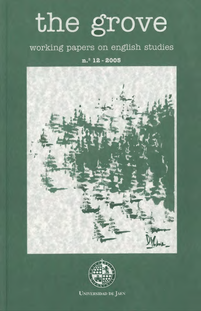# the grove

# working papers on english studies

n.<sup>o</sup> 12 - 2005





**UNIVERSIDAD DE JAÉN**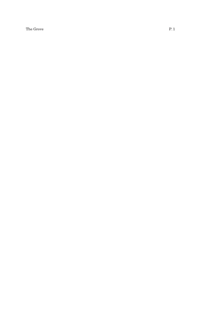The Grove P. 1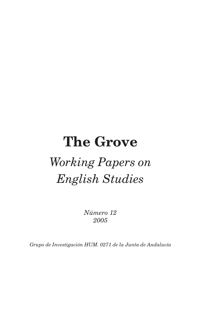# **The Grove** *Working Papers on English Studies*

*Número 12 2005*

*Grupo de Investigación HUM. 0271 de la Junta de Andalucía*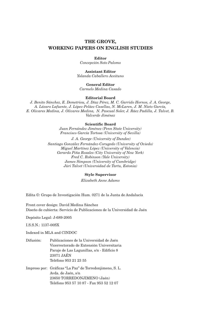# **THE GROVE, WORKING PAPERS ON ENGLISH STUDIES**

### **Editor**

*Concepción Soto Palomo*

**Assistant Editor** *Yolanda Caballero Aceituno*

**General Editor** *Carmelo Medina Casado*

#### **Editorial Board**

*J. Benito Sánchez, E. Demetriou, J. Díaz Pérez, M. C. Garrido Hornos, J. A. George, A. Lázaro Lafuente, J. López-Peláez Casellas, N. McLaren, J. M. Nieto García, E. Olivares Medina, J. Olivares Medina, N. Pascual Soler, J. Ráez Padilla, J. Talvet, B. Valverde Jiménez*

#### **Scientific Board**

*Juan Fernández Jiménez (Penn State University) Francisco García Tortosa (University of Sevilla)*

 *J. A. George (University of Dundee) Santiago González Fernández-Corugedo (University of Oviedo) Miguel Martínez López (University of Valencia) Gerardo Piña Rosales (City University of New York) Fred C. Robinson (Yale University) James Simpson (University of Cambridge) Jüri Talvet (Universidad de Tartu, Estonia)*

#### **Style Supervisor**

*Elizabeth Anne Adams*

Edita ©: Grupo de Investigación Hum. 0271 de la Junta de Andalucía

Front cover design: David Medina Sánchez Diseño de cubierta: Servicio de Publicaciones de la Universidad de Jaén

Depósito Legal: J-689-2005

I.S.S.N.: 1137-00SX

Indexed in MLA and CINDOC

| Difusión: | Publicaciones de la Universidad de Jaén    |
|-----------|--------------------------------------------|
|           | Vicerrectorado de Extensión Universitaria  |
|           | Paraje de Las Lagunillas, s/n - Edificio 8 |
|           | 23071 JAÉN                                 |
|           | Teléfono 953 21 23 55                      |
|           |                                            |

Impreso por: Gráficas "La Paz" de Torredonjimeno, S. L. Avda. de Jaén, s/n 23650 TORREDONJIMENO (Jaén) Teléfono 953 57 10 87 - Fax 953 52 12 07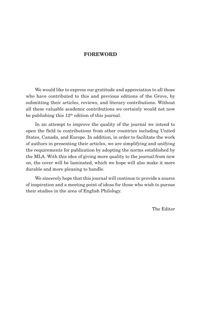# **FOREWORD**

We would like to express our gratitude and appreciation to all those who have contributed to this and previous editions of the Grove, by submitting their articles, reviews, and literary contributions. Without all these valuable academic contributions we certainly would not now be publishing this  $12<sup>th</sup>$  edition of this journal.

In an attempt to improve the quality of the journal we intend to open the field to contributions from other countries including United States, Canada, and Europe. In addition, in order to facilitate the work of authors in presenting their articles, we are simplifying and unifying the requirements for publication by adopting the norms established by the MLA. With this idea of giving more quality to the journal from now on, the cover will be laminated, which we hope will also make it more durable and more pleasing to handle.

We sincerely hope that this journal will continue to provide a source of inspiration and a meeting point of ideas for those who wish to pursue their studies in the area of English Philology.

The Editor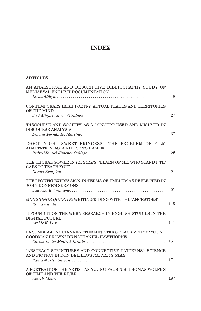# **INDEX**

# **ARTICLES**

| AN ANALYTICAL AND DESCRIPTIVE BIBLIOGRAPHY STUDY OF<br>MEDIAEVAL ENGLISH DOCUMENTATION                  | 9   |
|---------------------------------------------------------------------------------------------------------|-----|
| CONTEMPORARY IRISH POETRY: ACTUAL PLACES AND TERRITORIES<br>OF THE MIND                                 | 27  |
| 'DISCOURSE AND SOCIETY' AS A CONCEPT USED AND MISUSED IN<br><b>DISCOURSE ANALYSIS</b>                   | 37  |
| "GOOD NIGHT SWEET PRINCESS": THE PROBLEM OF FILM<br>ADAPTATION. ASTA NIELSEN'S HAMLET                   | 59  |
| THE CHORAL GOWER IN PERICLES: "LEARN OF ME, WHO STAND I'TH'<br><b>GAPS TO TEACH YOU"</b>                | 81  |
| THEOPOETIC EXPRESSION IN TERMS OF EMBLEM AS REFLECTED IN<br><b>JOHN DONNE'S SERMONS</b>                 | 91  |
| MONSIGNOR QUIXOTE: WRITING/RIDING WITH THE 'ANCESTORS'                                                  | 115 |
| "I FOUND IT ON THE WEB": RESEARCH IN ENGLISH STUDIES IN THE<br><b>DIGITAL FUTURE</b><br>Archie K. Loss. | 141 |
| LA SOMBRA JUNGUIANA EN "THE MINISTER'S BLACK VEIL" Y "YOUNG<br>GOODMAN BROWN" DE NATHANIEL HAWTHORNE    | 151 |
| "ABSTRACT STRUCTURES AND CONNECTIVE PATTERNS": SCIENCE<br>AND FICTION IN DON DELILLO'S RATNER'S STAR    | 171 |
| A PORTRAIT OF THE ARTIST AS YOUNG FAUSTUS: THOMAS WOLFE'S<br>OF TIME AND THE RIVER                      | 187 |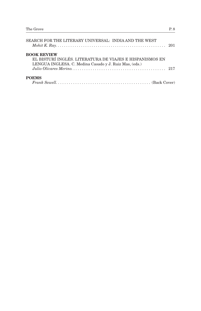| SEARCH FOR THE LITERARY UNIVERSAL: INDIA AND THE WEST                          |  |
|--------------------------------------------------------------------------------|--|
| <b>BOOK REVIEW</b><br>EL BISTURÍ INGLÉS. LITERATURA DE VIAJES E HISPANISMOS EN |  |
| LENGUA INGLESA. C. Medina Casado y J. Ruiz Mas. (eds.)                         |  |
| <b>POEMS</b>                                                                   |  |
|                                                                                |  |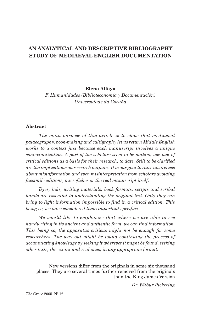# **AN ANALYTICAL AND DESCRIPTIVE BIBLIOGRAPHY STUDY OF MEDIAEVAL ENGLISH DOCUMENTATION**

**Elena Alfaya**

*F. Humanidades (Biblioteconomía y Documentación) Universidade da Coruña*

# **Abstract**

*The main purpose of this article is to show that mediaeval palaeography, book-making and calligraphy let us return Middle English works to a context just because each manuscript involves a unique contextualization. A part of the scholars seem to be making use just of critical editions as a basis for their research, to date. Still to be clarified are the implications on research outputs. It is our goal to raise awareness about misinformation and even misinterpretation from scholars avoiding facsimile editions, microfiches or the real manuscript itself.*

*Dyes, inks, writing materials, book formats, scripts and scribal hands are essential to understanding the original text. Only they can bring to light information impossible to find in a critical edition. This being so, we have considered them important specifics.*

*We would like to emphasize that where we are able to see handwriting in its ancient and authentic form, we can find information. This being so, the apparatus criticus might not be enough for some researchers. The way out might be found continuing the process of accumulating knowledge by seeking it wherever it might be found, seeking other texts, the extant and real ones, in any appropriate format.*

New versions differ from the originals in some six thousand places. They are several times further removed from the originals than the King James Version

*Dr. Wilbur Pickering*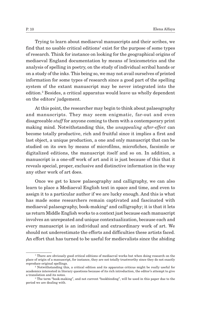Trying to learn about mediaeval manuscripts and their scribes, we find that no usable critical editions $^{\rm l}$  exist for the purpose of some types of research. Think for instance on looking for the geographical origins of mediaeval England documentation by means of lexicometrics and the analysis of spelling in poetry, on the study of individual scribal hands or on a study of the inks. This being so, we may not avail ourselves of printed information for some types of research since a good part of the spelling system of the extant manuscript may be never integrated into the edition.2 Besides, a critical apparatus would leave us wholly dependent on the editors' judgement.

At this point, the researcher may begin to think about palaeography and manuscripts. They may seem enigmatic, far-out and even disagreeable *stuff* for anyone coming to them with a contemporary print making mind. Notwithstanding this, the *unappealing after-effect* can become totally productive, rich and fruitful since it implies a first and last object, a unique production, a one and only manuscript that can be studied on its own by means of microfilms, microfiches, facsimile or digitalized editions, the manuscript itself and so on. In addition, a manuscript is a one-off work of art and it is just because of this that it reveals special, proper, exclusive and distinctive information in the way any other work of art does.

Once we get to know palaeography and calligraphy, we can also learn to place a Mediaeval English text in space and time, and even to assign it to a particular author if we are lucky enough. And this is what has made some researchers remain captivated and fascinated with mediaeval palaeography, book-making $^{\rm 3}$  and calligraphy; it is that it lets us return Middle English works to a context just because each manuscript involves an unrepeated and unique contextualization, because each and every manuscript is an individual and extraordinary work of art. We should not underestimate the efforts and difficulties these artists faced. An effort that has turned to be useful for medievalists since the abiding

<sup>&</sup>lt;sup>1</sup> There are obviously good critical editions of mediaeval works but when doing research on the place of origin of a manuscript, for instance, they are not totally trustworthy since they do not exactly reproduce original spellings.

<sup>&</sup>lt;sup>2</sup> Notwithstanding this, a critical edition and its apparatus criticus might be really useful for academics interested in literary questions because of its rich introduction, the editor's attempt to give a translation and its notes.

<sup>&</sup>lt;sup>3</sup> The term "book-making", and not current "bookbinding", will be used in this paper due to the period we are dealing with.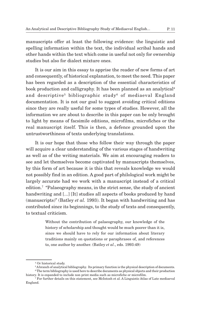manuscripts offer at least the following evidence: the linguistic and spelling information within the text, the individual scribal hands and other hands within the text which come in useful not only for ownership studies but also for dialect mixture ones.

It is our aim in this essay to apprise the reader of new forms of art and consequently, of historical explanation, to meet the need. This paper has been regarded as a description of the essential characteristics of book production and calligraphy. It has been planned as an analytical<sup>4</sup> and descriptive<sup>5</sup> bibliographic study<sup>6</sup> of mediaeval England documentation. It is not our goal to suggest avoiding critical editions since they are really useful for some types of studies. However, all the information we are about to describe in this paper can be only brought to light by means of facsimile editions, microfilms, microfiches or the real manuscript itself. This is then, a defence grounded upon the untrustworthiness of texts underlying translations.

It is our hope that those who follow their way through the paper will acquire a clear understanding of the various stages of handwriting as well as of the writing materials. We aim at encouraging readers to see and let themselves become captivated by manuscripts themselves, by this form of art because it is this that reveals knowledge we would not possibly find in an edition. A good part of philological work might be largely accurate had we work with a manuscript instead of a critical edition.7 "Palaeography means, in the strict sense, the study of ancient handwriting and [...] [It] studies all aspects of books produced by hand (manuscripts)" (Batley *et al.* 1993). It began with handwriting and has contributed since its beginnings, to the study of texts and consequently, to textual criticism.

> Without the contribution of palaeography, our knowledge of the history of scholarship and thought would be much poorer than it is, since we should have to rely for our information about literary traditions mainly on quotations or paraphrases of, and references to, one author by another. (Batley *et al*., eds. 1993:49)

<sup>4</sup> Or historical study.

<sup>&</sup>lt;sup>5</sup> A branch of analytical bibliography. Its primary function is the physical description of documents. <sup>6</sup> The term bibliography is used here to describe documents as physical objects and their production

history. It is expanded to include non print media such as microfiche or microfilm.

<sup>7</sup> For further details on this statement, see McIntosh et al. A Linguistic Atlas of Late mediaeval England.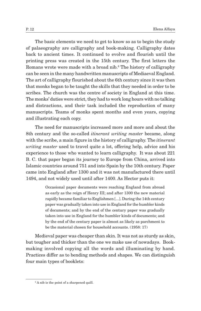The basic elements we need to get to know so as to begin the study of palaeography are calligraphy and book-making. Calligraphy dates back to ancient times. It continued to evolve and flourish until the printing press was created in the 15th century. The first letters the Romans wrote were made with a broad nib.8 The history of calligraphy can be seen in the many handwritten manuscripts of Mediaeval England. The art of calligraphy flourished about the 6th century since it was then that monks began to be taught the skills that they needed in order to be scribes. The church was the centre of society in England at this time. The monks' duties were strict, they had to work long hours with no talking and distractions, and their task included the reproduction of many manuscripts. Teams of monks spent months and even years, copying and illustrating each copy.

The need for manuscripts increased more and more and about the 8th century and the so-called *itinerant writing master* became, along with the scribe, a main figure in the history of calligraphy. The *itinerant writing master* used to travel quite a lot, offering help, advice and his experience to those who wanted to learn calligraphy. It was about 221 B. C. that paper began its journey to Europe from China, arrived into Islamic countries around 751 and into Spain by the 10th century. Paper came into England after 1300 and it was not manufactured there until 1494, and not widely used until after 1400. As Hector puts it:

> Occasional paper documents were reaching England from abroad as early as the reign of Henry III; and after 1300 the new material rapidly became familiar to Englishmen [...]. During the 14th century paper was gradually taken into use in England for the humbler kinds of documents; and by the end of the century paper was gradually taken into use in England for the humbler kinds of documents; and by the end of the century paper is almost as likely as parchment to be the material chosen for household accounts. (1958: 17)

Medieval paper was cheaper than skin. It was not as sturdy as skin, but tougher and thicker than the one we make use of nowadays. Bookmaking involved copying all the words and illuminating by hand. Practices differ as to bending methods and shapes. We can distinguish four main types of booklets:

<sup>8</sup> A nib is the point of a sharpened quill.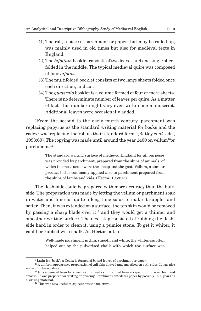- (1) The roll, a piece of parchment or paper that may be rolled up, was mainly used in old times but also for medieval texts in England.
- (2) The *bifolium* booklet consists of two leaves and one single sheet folded in the middle. The typical medieval quire was composed of four *bifolia*.
- (3) The multifolded booklet consists of two large sheets folded once each direction, and cut.
- (4) The *quaternio* booklet is a volume formed of four or more sheets. There is no determinate number of leaves per quire. As a matter of fact, this number might vary even within one manuscript. Additional leaves were occasionally added.

"From the second to the early fourth century, parchment was replacing papyrus as the standard writing material for books and the codex9 was replacing the roll as their standard form" (Batley *et al.* eds., 1993:60). The copying was made until around the year  $1400$  on vellum<sup>10</sup>or parchment:<sup>11</sup>

> The standard writing surface of medieval England for all purposes was provided by parchment, prepared from the skins of animals, of which the most usual were the sheep and the goat. Vellum, a similar product [...] is commonly applied also to parchment prepared from the skins of lambs and kids. (Hector, 1958:15)

The flesh-side could be prepared with more accuracy than the hairside. The preparation was made by letting the vellum or parchment soak in water and lime for quite a long time so as to make it suppler and softer. Then, it was extended on a surface; the top skin would be removed by passing a sharp blade over  $it^{12}$  and they would get a thinner and smoother writing surface. The next step consisted of rubbing the fleshside hard in order to clean it, using a pumice stone. To get it whiter, it could be rubbed with chalk. As Hector puts it:

> Well-made parchment is thin, smooth and white, the whiteness often helped out by the pulverised chalk with which the surface was

<sup>9</sup> Latin for "book". A Codex is formed of bound leaves of parchment or paper.

<sup>&</sup>lt;sup>10</sup> A uniform appearance preparation of calf skin shaved and smoothed on both sides. It was also made of unborn calves.

<sup>&</sup>lt;sup>11</sup> It is a general term for sheep, calf or goat skin that had been scraped until it was clean and smooth. It was prepared for writing or printing. Parchment antedates paper by possibly 1500 years as a writing material.

<sup>&</sup>lt;sup>12</sup> This was also useful to squeeze out the moisture.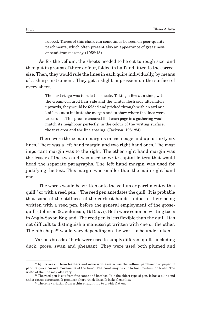rubbed. Traces of this chalk can sometimes be seen on poor-quality parchments, which often present also an appearance of greasiness or semi-transparency. (1958:15)

As for the vellum, the sheets needed to be cut to rough size, and then put in groups of three or four, folded in half and fitted to the correct size. Then, they would rule the lines in each quire individually, by means of a sharp instrument. They got a slight impression on the surface of every sheet.

> The next stage was to rule the sheets. Taking a few at a time, with the cream-coloured hair side and the whiter flesh side alternately upwards, they would be folded and pricked through with an awl or a knife point to indicate the margin and to show where the lines were to be ruled. This process ensured that each page in a gathering would match its neighbour perfectly, in the colour of the writing surface, the text area and the line spacing. (Jackson, 1981:84)

There were three main margins in each page and up to thirty six lines. There was a left hand margin and two right hand ones. The most important margin was to the right. The other right hand margin was the lesser of the two and was used to write capital letters that would head the separate paragraphs. The left hand margin was used for justifying the text. This margin was smaller than the main right hand one.

The words would be written onto the vellum or parchment with a quill<sup>13</sup> or with a reed pen.<sup>14</sup> The reed pen antedates the quill. The probable that some of the stiffness of the earliest hands is due to their being written with a reed pen, before the general employment of the goosequill' (Johnson & Jenkinson, 1915:xvi). Both were common writing tools in Anglo-Saxon England. The reed pen is less flexible than the quill. It is not difficult to distinguish a manuscript written with one or the other. The nib shape<sup>15</sup> would vary depending on the work to be undertaken.

Various breeds of birds were used to supply different quills, including duck, goose, swan and pheasant. They were used both plumed and

<sup>&</sup>lt;sup>13</sup> Quills are cut from feathers and move with ease across the vellum, parchment or paper. It permits quick cursive movements of the hand. The point may be cut to fine, medium or broad. The width of the line may also vary.

<sup>&</sup>lt;sup>14</sup> The reed pen is cut from fine canes and bamboo. It is the oldest type of pen. It has a blunt end and a coarse structure. It produces short, thick lines. It lacks flexibility.

<sup>&</sup>lt;sup>15</sup> There is variation from a thin straight nib to a wide flat one.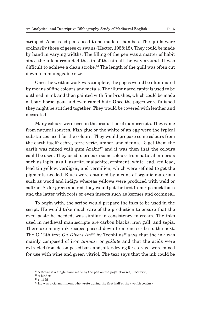stripped. Also, reed pens used to be made of bamboo. The quills were ordinarily those of geese or swans (Hector, 1958:18). They could be made by hand in varying widths. The filling of the pen was a matter of habit since the ink surrounded the tip of the nib all the way around. It was difficult to achieve a clean stroke.16 The length of the quill was often cut down to a manageable size.

Once the written work was complete, the pages would be illuminated by means of fine colours and metals. The illuminated capitals used to be outlined in ink and then painted with fine brushes, which could be made of boar, horse, goat and even camel hair. Once the pages were finished they might be stitched together. They would be covered with leather and decorated.

Many colours were used in the production of manuscripts. They came from natural sources. Fish glue or the white of an egg were the typical substances used for the colours. They would prepare some colours from the earth itself: ochre, terre verte, umber, and sienna. To get them the earth was mixed with gum Arabic $17$  and it was then that the colours could be used. They used to prepare some colours from natural minerals such as lapis lazuli, azurite, malachite, orpiment, white lead, red lead, lead tin yellow, verdigris, and vermilion, which were refined to get the pigments needed. Blues were obtained by means of organic materials such as wood and indigo whereas yellows were produced with weld or saffron. As for green and red, they would get the first from ripe buckthorn and the latter with roots or even insects such as kermes and cochineal.

To begin with, the scribe would prepare the inks to be used in the script. He would take much care of the production to ensure that the even paste he needed, was similar in consistency to cream. The inks used in medieval manuscripts are carbon blacks, iron gall, and sepia. There are many ink recipes passed down from one scribe to the next. The C 12th text *On Divers Art*<sup>18</sup> by Teophilus<sup>19</sup> says that the ink was mainly composed of iron *tannate* or *gallate* and that the acids were extracted from decomposed bark and, after drying for storage, were mixed for use with wine and green vitriol. The text says that the ink could be

<sup>&</sup>lt;sup>16</sup> A stroke is a single trace made by the pen on the page. (Parkes, 1979:xxvi)

 $^{\scriptscriptstyle 17}$  A binder.

<sup>&</sup>lt;sup>18</sup> c. 1125

<sup>&</sup>lt;sup>19</sup> He was a German monk who wrote during the first half of the twelfth century..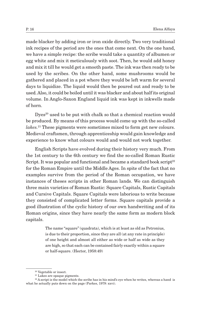made blacker by adding iron or iron oxide directly. Two very traditional ink recipes of the period are the ones that come next. On the one hand, we have a simple recipe: the scribe would take a quantity of albumen or egg white and mix it meticulously with soot. Then, he would add honey and mix it till he would get a smooth paste. The ink was then ready to be used by the scribes. On the other hand, some mushrooms would be gathered and placed in a pot where they would be left warm for several days to liquidize. The liquid would then be poured out and ready to be used. Also, it could be boiled until it was blacker and about half its original volume. In Anglo-Saxon England liquid ink was kept in inkwells made of horn.

Dyes<sup>20</sup> used to be put with chalk so that a chemical reaction would be produced. By means of this process would come up with the so-called *lakes.*21 These pigments were sometimes mixed to form get new colours. Medieval craftsmen, through apprenticeship would gain knowledge and experience to know what colours would and would not work together.

English Scripts have evolved during their history very much. From the 1st century to the 6th century we find the so-called Roman Rustic Script. It was popular and functional and became a standard book script<sup>22</sup> for the Roman Empire until the Middle Ages. In spite of the fact that no examples survive from the period of the Roman occupation, we have instances of theses scripts in other Roman lands. We can distinguish three main varieties of Roman Rustic: Square Capitals, Rustic Capitals and Cursive Capitals. Square Capitals were laborious to write because they consisted of complicated letter forms. Square capitals provide a good illustration of the cyclic history of our own handwriting and of its Roman origins, since they have nearly the same form as modern block capitals.

> The name "square" (quadrata), which is at least as old as Petronius, is due to their proportion, since they are all (at any rate in principle) of one height and almost all either as wide or half as wide as they are high, so that each can be contained fairly exactly within a square or half-square. (Hector, 1958:49)

<sup>20</sup> Vegetable or insect.

<sup>21</sup> Lakes are opaque pigments.

 $22$  A script is the model which the scribe has in his mind's eye when he writes, whereas a hand is what he actually puts down on the page (Parkes, 1979: xxvi).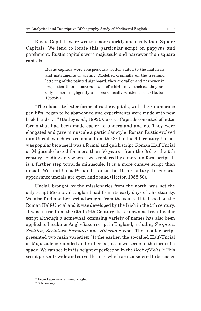Rustic Capitals were written more quickly and easily than Square Capitals. We tend to locate this particular script on papyrus and parchment. Rustic capitals were majuscule and narrower than square capitals.

> Rustic capitals were conspicuously better suited to the materials and instruments of writing. Modelled originally on the freehand lettering of the painted signboard, they are taller and narrower in proportion than square capitals, of which, nevertheless, they are only a more negligently and economically written form. (Hector, 1958:49)

"The elaborate letter forms of rustic capitals, with their numerous pen lifts, began to be abandoned and experiments were made with new book hands [...]" (Batley *et al.*, 1993). Cursive Capitals consisted of letter forms that had been made easier to understand and do. They were elongated and gave minuscule a particular style. Roman Rustic evolved into Uncial, which was common from the 3rd to the 6th century. Uncial was popular because it was a formal and quick script. Roman Half Uncial or Majuscule lasted for more than 50 years –from the 3rd to the 9th century– ending only when it was replaced by a more uniform script. It is a further step towards minuscule. It is a more cursive script than uncial. We find Uncial<sup>23</sup> hands up to the 10th Century. In general appearance uncials are open and round (Hector, 1958:50).

Uncial, brought by the missionaries from the north, was not the only script Mediaeval England had from its early days of Christianity. We also find another script brought from the south. It is based on the Roman Half-Uncial and it was developed by the Irish in the 5th century. It was in use from the 6th to 9th Century. It is known as Irish Insular script although a somewhat confusing variety of names has also been applied to Insular or Anglo-Saxon script in England, including *Scriptura Scottica*, *Scriptura Saxonica* and *Hiberno*-Saxon. The Insular script presented two main varieties: (1) the earlier, the so-called Half-Uncial or Majuscule is rounded and rather fat; it shows serifs in the form of a spade. We can see it in its height of perfection in the *Book of Kells*. <sup>24</sup> This script presents wide and curved letters, which are considered to be easier

<sup>23</sup> From Latin «uncial,» «inch-high».

<sup>24 8</sup>th century.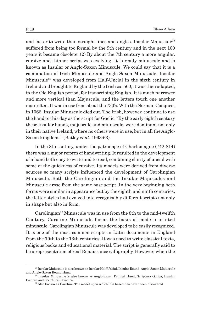and faster to write than straight lines and angles. Insular Majuscule<sup>25</sup> suffered from being too formal by the 9th century and in the next 100 years it became obsolete. (2) By about the 7th century a more angular, cursive and thinner script was evolving. It is really minuscule and is known as Insular or Anglo-Saxon Minuscule. We could say that it is a combination of Irish Minuscule and Anglo-Saxon Minuscule. Insular Minuscule26 was developed from Half-Uncial in the sixth century in Ireland and brought to England by the Irish ca. 560; it was then adapted, in the Old English period, for transcribing English. It is much narrower and more vertical than Majuscule, and the letters touch one another more often. It was in use from about the 730's. With the Norman Conquest in 1066, Insular Minuscule died out. The Irish, however, continue to use the hand to this day as the script for Gaelic. "By the early eighth century these Insular hands, majuscule and minuscule, were dominant not only in their native Ireland, where no others were in use, but in all the Anglo-Saxon kingdoms" (Batley *et al.* 1993:63).

In the 8th century, under the patronage of Charlemagne (742-814) there was a major reform of handwriting. It resulted in the development of a hand both easy to write and to read, combining clarity of uncial with some of the quickness of cursive. Its models were derived from diverse sources so many scripts influenced the development of Carolingian Minuscule. Both the Carolingian and the Insular Majuscules and Minuscule arose from the same base script. In the very beginning both forms were similar in appearance but by the eighth and ninth centuries, the letter styles had evolved into recognisably different scripts not only in shape but also in form.

Carolingian<sup>27</sup> Minuscule was in use from the 8th to the mid-twelfth Century. Caroline Minuscule forms the basis of modern printed minuscule. Carolingian Minuscule was developed to be easily recognized. It is one of the most common scripts in Latin documents in England from the 10th to the 13th centuries. It was used to write classical texts, religious books and educational material. The script is generally said to be a representation of real Renaissance calligraphy. However, when the

<sup>25</sup> Insular Majuscule is also known as Insular Half Uncial, Insular Round, Anglo-Saxon Majuscule and Anglo-Saxon Round Hand.

<sup>26</sup> Insular Minuscule is also known as Anglo-Saxon Pointed Hand, Scriptura Gotica, Insular Pointed and Scriptura Saxonica.

<sup>&</sup>lt;sup>27</sup> Also known as Caroline. The model upon which it is based has never been discovered.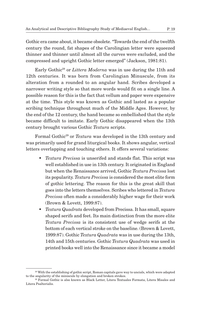Gothic era came about, it became obsolete. "Towards the end of the twelfth century the round, fat shapes of the Carolingian letter were squeezed thinner and thinner until almost all the curves were excluded, and the compressed and upright Gothic letter emerged" (Jackson, 1981:81).

Early Gothic28 or *Littera Moderna* was in use during the 11th and 12th centuries. It was born from Carolingian Minuscule, from its alteration from a rounded to an angular hand. Scribes developed a narrower writing style so that more words would fit on a single line. A possible reason for this is the fact that vellum and paper were expensive at the time. This style was known as Gothic and lasted as a popular scribing technique throughout much of the Middle Ages. However, by the end of the 12 century, the hand became so embellished that the style became difficult to imitate. Early Gothic disappeared when the 13th century brought various Gothic *Textura* scripts.

Formal Gothic29 or *Textura* was developed in the 13th century and was primarily used for grand liturgical books. It shows angular, vertical letters overlapping and touching others. It offers several variations:

- *Textura Precissa* is unserifed and stands flat. This script was well established in use in 13th century. It originated in England but when the Renaissance arrived, Gothic *Textura Precissa* lost its popularity. *Textura Precissa* is considered the most elite form of gothic lettering. The reason for this is the great skill that goes into the letters themselves. Scribes who lettered in *Textura Precissa* often made a considerably higher wage for their work (Brown & Lovett, 1999:87).
- *Textura Quadrata* developed from Precissa. It has small, square shaped serifs and feet. Its main distinction from the more elite *Textura Precissa* is its consistent use of wedge serifs at the bottom of each vertical stroke on the baseline. (Brown & Lovett, 1999:87). Gothic *Textura Quadrata* was in use during the 13th, 14th and 15th centuries. Gothic *Textura Quadrata* was used in printed books well into the Renaissance since it became a model

<sup>&</sup>lt;sup>28</sup> With the establishing of gothic script, Roman capitals gave way to uncials, which were adapted to the angularity of the miniscule by elongation and broken strokes.

<sup>29</sup> Formal Gothic is also known as Black Letter, Litera Textuales Formata, Litera Misales and Litera Psalterialis.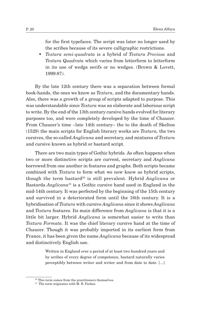for the first typefaces. The script was later no longer used by the scribes because of its severe calligraphic restrictions.

*• Textura semi-quadrata* is a hybrid of *Textura Precissa* and *Textura Quadrata* which varies from letterform to letterform in its use of wedge serifs or no wedges. (Brown & Lovett, 1999:87).

By the late 12th century there was a separation between formal book-hands, the ones we know as *Textura*, and the documentary hands. Also, there was a growth of a group of scripts adapted to purpose. This was understandable since *Textura* was an elaborate and laborious script to write. By the end of the 13th century cursive hands evolved for literary purposes too, and were completely developed by the time of Chaucer. From Chaucer's time –late 14th century– the to the death of Skelton (1529) the main scripts for English literary works are *Textura,* the two cursives, the so-called *Anglicana* and secretary, and mixtures of *Textura* and cursive known as hybrid or bastard script.

There are two main types of Gothic hybrids. As often happens when two or more distinctive scripts are current, secretary and *Anglicana* borrowed from one another in features and graphs. Both scripts became combined with *Textura* to form what we now know as hybrid scripts, though the term bastard<sup>30</sup> is still prevalent. Hybrid *Anglicana* or Bastarda *Anglicana*31 is a Gothic cursive hand used in England in the mid-14th century. It was perfected by the beginning of the 15th century and survived in a deteriorated form until the 16th century. It is a hybridisation of *Textura* with cursive *Anglicana* since it shows *Anglicana* and *Textura* features. Its main difference from *Anglicana* is that it is a little bit larger. Hybrid *Anglicana* is somewhat easier to write than *Textura Formata*. It was the chief literary cursive hand at the time of Chaucer. Though it was probably imported in its earliest form from France, it has been given the name *Anglicana* because of its widespread and distinctively English use.

> Written in England over a period of at least two hundred years and by scribes of every degree of competence, bastard naturally varies perceptibly between writer and writer and from date to date. [...]

<sup>30</sup> This term comes from the practitioners themselves.

<sup>&</sup>lt;sup>31</sup> The term originates with M. B. Parkes.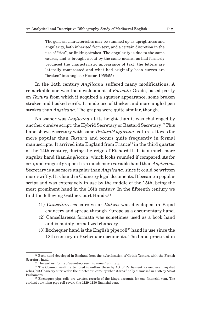The general characteristics may be summed up as uprightness and angularity, both inherited from text, and a certain discretion in the use of "ties", or linking-strokes. The angularity is due to the same causes, and is brought about by the same means, as had formerly produced the characteristic appearance of text: the letters are laterally compressed and what had originally been curves are "broken" into angles. (Hector, 1958:55)

In the 14th century *Anglicana* suffered many modifications. A remarkable one was the development of *Formata* Grade, based partly on *Textura* from which it acquired a squarer appearance, some broken strokes and hooked serifs. It made use of thicker and more angled pen strokes than *Anglicana*. The graphs were quite similar, though.

No sooner was *Anglicana* at its height than it was challenged by another cursive script: the Hybrid Secretary or Bastard Secretary.32 This hand shows Secretary with some *Textura*/*Anglicana* features. It was far more popular than *Textura* and occurs quite frequently in formal manuscripts. It arrived into England from France<sup>33</sup> in the third quarter of the 14th century, during the reign of Richard II. It is a much more angular hand than *Anglicana*, which looks rounded if compared. As for size, and range of graphs it is a much more variable hand than *Anglicana*. Secretary is also more angular than *Anglicana*, since it could be written more swiftly. It is found in Chancery legal documents. It became a popular script and was extensively in use by the middle of the 15th, being the most prominent hand in the 16th century. In the fifteenth century we find the following Gothic Court Hands:<sup>34</sup>

- (1) *Cancellaresca* cursive or *Italica* was developed in Papal chancery and spread through Europe as a documentary hand.
- (2) Cancellaresca formata was sometimes used as a book hand and is mainly formalized chancery.
- $(3)$  Exchequer hand is the English pipe roll<sup>35</sup> hand in use since the 12th century in Exchequer documents. The hand practised in

<sup>&</sup>lt;sup>32</sup> Book hand developed in England from the hybridisation of Gothic Textura with the French Secretary hand.

<sup>&</sup>lt;sup>33</sup> The earliest forms of secretary seem to come from Italy.

<sup>&</sup>lt;sup>34</sup> The Commonwealth attempted to outlaw these by Act of Parliament as medieval, royalist relics, but Chancery survived to the nineteenth century when it was finally dismissed in 1836 by Act of Parliament.

<sup>35</sup> Exchequer pipe rolls are written records of the king's accounts for one financial year. The earliest surviving pipe roll covers the 1129-1130 financial year.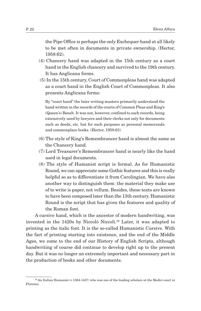the Pipe Office is perhaps the only Exchequer hand at all likely to be met often in documents in private ownership. (Hector, 1958:62).

- (4) Chancery hand was adapted in the 15th century as a court hand in the English chancery and survived to the 19th century. It has Anglicana forms.
- (5) In the 15th century, Court of Commonpleas hand was adapted as a court hand in the English Court of Commonpleas. It also presents Anglicana forms:

By "court hand" the later writing masters primarily understood the hand written in the records of the courts of Common Pleas and King's (Queen's) Bench. It was not, however, confined to such records, being extensively used by lawyers and their clerks not only for documents such as deeds, etc. but for such purposes as personal memoranda and commonplace books. (Hector, 1958:63)

- (6) The style of King's Remembrancer hand is almost the same as the Chancery hand.
- (7) Lord Treasurer's Remembrancer hand is nearly like the hand used in legal documents.
- (8) The style of Humanist script is formal. As for Humanistic Round, we can appreciate some Gothic features and this is really helpful so as to differentiate it from Carolingian. We have also another way to distinguish them: the material they make use of to write is paper, not vellum. Besides, these texts are known to have been composed later than the 13th century. Humanistic Round is the script that has given the features and quality of the Roman font.

A cursive hand, which is the ancestor of modern handwriting, was invented in the 1420s by Niccolò Niccoli.36 Later, it was adapted to printing as the italic font. It is the so-called Humanistic Cursive. With the fact of printing starting into existence, and the end of the Middle Ages, we come to the end of our History of English Scripts, although handwriting of course did continue to develop right up to the present day. But it was no longer an extremely important and necessary part in the production of books and other documents.

<sup>36</sup> An Italian Humanist (c.1364-1437) who was one of the leading scholars at the Medici court in Florence.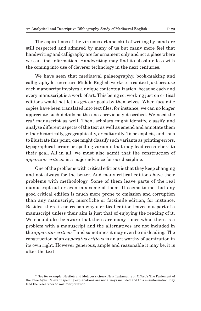The aspirations of the virtuous art and skill of writing by hand are still respected and admired by many of us but many more feel that handwriting and calligraphy are for ornament only and not a place where we can find information. Handwriting may find its absolute loss with the coming into use of cleverer technology in the next centuries.

We have seen that mediaeval palaeography, book-making and calligraphy let us return Middle English works to a context just because each manuscript involves a unique contextualization, because each and every manuscript is a work of art. This being so, working just on critical editions would not let us get our goals by themselves. When facsimile copies have been translated into text files, for instance, we can no longer appreciate such details as the ones previously described. We need the *real* manuscript as well. Then, scholars might identify, classify and analyse different aspects of the text as well as emend and annotate them either historically, geographically, or culturally. To be explicit, and thus to illustrate this point, one might classify such variants as printing errors, typographical errors or spelling variants that may lead researchers to their goal. All in all, we must also admit that the construction of *apparatus criticus* is a major advance for our discipline.

One of the problems with critical editions is that they keep changing and not always for the better. And many critical editions have their problems with methodology. Some of them leave parts of the real manuscript out or even mix some of them. It seems to me that any good critical edition is much more prone to omission and corruption than any manuscript, microfiche or facsimile edition, for instance. Besides, there is no reason why a critical edition leaves out part of a manuscript unless their aim is just that of enjoying the reading of it. We should also be aware that there are many times when there is a problem with a manuscript and the alternatives are not included in the *apparatus criticus*37 and sometimes it may even be misleading*.* The construction of an *apparatus criticus* is an art worthy of admiration in its own right. However generous, ample and reasonable it may be, it is after the text.

<sup>37</sup> See for example: Nestle's and Metzger's Greek New Testaments or Offord's The Parlement of the Thre Ages. Relevant spelling explanations are not always included and this misinformation may lead the researcher to misinterpretation.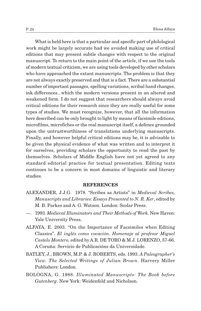What is held here is that a particular and specific part of philological work might be largely accurate had we avoided making use of critical editions that may present subtle changes with respect to the original manuscript. To return to the main point of the article, if we use the tools of modern textual criticism, we are using tools developed by other scholars who have approached the extant manuscripts. The problem is that they are not always exactly preserved and that is a fact. There are a substantial number of important passages, spelling variations, scribal hand changes, ink differences...which the modern versions present in an altered and weakened form. I do not suggest that researchers should always avoid critical editions for their research since they are really useful for some types of studies. We must recognize, however, that all the information here described can be only brought to light by means of facsimile editions, microfilms, microfiches or the real manuscript itself, a defence grounded upon the untrustworthiness of translations underlying manuscripts. Finally, and however helpful critical editions may be, it is advisable to be given the physical evidence of what was written and to interpret it for ourselves, providing scholars the opportunity to read the past by themselves. Scholars of Middle English have not yet agreed to any standard editorial practice for textual presentation. Editing texts continues to be a concern in most domains of linguistic and literary studies.

### **REFERENCES**

- ALEXANDER, J.J.G. 1978. "Scribes as Artists" in *Medieval Scribes, Manuscripts and Libraries: Essays Presented to N. R. Ker*, edited by M. B. Parkes and A. G. Watson. London: Scolar Press.
- —. 1993. *Medieval Illuminators and Their Methods of Work.* New Haven: Yale University Press.
- ALFAYA, E. 2003. "On the Importance of Facsimiles when Editing Classics". *El inglés como vocación. Homenaje al profesor Miguel Castelo Montero,* edited by A.R. DE TORO & M.J. LORENZO, 57-66. A Coruña: Servicio de Publicacións da Universidade.
- BATLEY, J., BROWN, M.P. & J. ROBERTS, eds. 1993. *A Paleographer's View. The Selected Writings of Julian Brown.* Harvery Miller Publishers: London.
- BOLOGNA, G. 1988. *Illuminated Manuscripts: The Book before Gutenberg*. New York: Weidenfeld and Nicholson.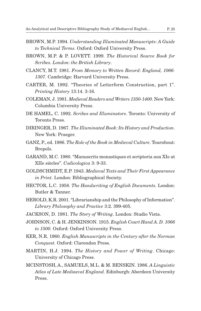- BROWN, M.P. 1994. *Understanding Illuminated Manuscripts: A Guide to Technical Terms*. Oxford: Oxford University Press.
- BROWN, M.P. & P. LOVETT. 1999. *The Historical Source Book for Scribes. London: the British Library*.
- CLANCY, M.T. 1981. *From Memory to Written Record: England, 1066- 1307.* Cambridge: Harvard University Press.
- CARTER, M. 1992. "Theories of Letterform Construction, part 1". *Printing History* 13:14. 3-16.
- COLEMAN, J. 1981. *Medieval Readers and Writers 1350-1400*. New York: Columbia University Press.
- DE HAMEL, C. 1992. *Scribes and Illuminators*. Toronto: University of Toronto Press.
- DIRINGER, D. 1967. *The Illuminated Book: Its History and Production*. New York: Praeger.
- GANZ, P., ed. 1986. *The Role of the Book in Medieval Culture*. Tournhout: Brepols.
- GARAND, M.C. 1980. "Manuscrits monastiques et scriptoria aux XIe at XIIe siècles". *Codicologica* 3: 9-33.
- GOLDSCHMIDT, E.P. 1943. *Medieval Texts and Their First Appearance in Print*. London: Bibliographical Society.
- HECTOR, L.C. 1958. *The Handwriting of English Documents*. London: Butler & Tanner.
- HEROLD, K.R. 2001. "Librarianship and the Philosophy of Information". *Library Philosophy and Practice* 3:2. 399-405.
- JACKSON, D. 1981. *The Story of Writing*. London: Studio Vista.
- JOHNSON, C. & H. JENKINSON. 1915. *English Court Hand A. D. 1066 to 1500.* Oxford: Oxford University Press.
- KER, N.R. 1960. *English Manuscripts in the Century after the Norman Conquest.* Oxford: Clarendon Press.
- MARTIN, H.J. 1994. *The History and Power of Writing*. Chicago: University of Chicago Press.
- MCINSTOSH, A., SAMUELS, M.L. & M. BENSKIN. 1986. *A Linguistic Atlas of Late Mediaeval England.* Edinburgh: Aberdeen University Press.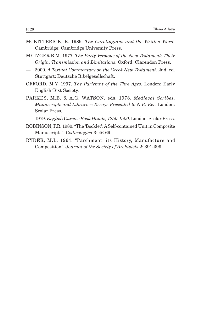- MCKITTERICK, R. 1989. *The Carolingians and the Written Word.* Cambridge: Cambridge University Press.
- METZGER B.M. 1977. *The Early Versions of the New Testament: Their Origin, Transmission and Limitations*. Oxford: Clarendon Press.
- —. 2000. *A Textual Commentary on the Greek New Testament.* 2nd. ed. Stuttgart: Deutsche Bibelgesellschaft.
- OFFORD, M.Y. 1997. *The Parlemnt of the Thre Ages.* London: Early English Text Society.
- PARKES, M.B, & A.G. WATSON, eds. 1978. *Medieval Scribes, Manuscripts and Libraries: Essays Presented to N.R. Ker*. London: Scolar Press.
- —. 1979. *English Cursive Book Hands, 1250-1500*. London: Scolar Press.
- ROBINSON, P.R. 1980. "The 'Booklet': A Self-contained Unit in Composite Manuscripts". *Codicologica* 3: 46-69.
- RYDER, M.L. 1964. "Parchment: its History, Manufacture and Composition". *Journal of the Society of Archivists* 2: 391-399.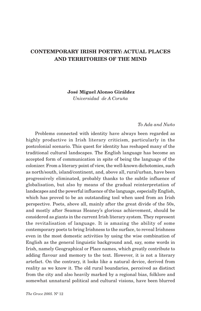# **CONTEMPORARY IRISH POETRY: ACTUAL PLACES AND TERRITORIES OF THE MIND**

 **José Miguel Alonso Giráldez**

*Universidad de A Coruña*

# *To Ada and Nuño*

Problems connected with identity have always been regarded as highly productive in Irish literary criticism, particularly in the postcolonial scenario. This quest for identity has reshaped many of the traditional cultural landscapes. The English language has become an accepted form of communication in spite of being the language of the colonizer. From a literary point of view, the well-known dichotomies, such as north/south, island/continent, and, above all, rural/urban, have been progressively eliminated, probably thanks to the subtle influence of globalisation, but also by means of the gradual reinterpretation of landscapes and the powerful influence of the language, especially English, which has proved to be an outstanding tool when used from an Irish perspective. Poets, above all, mainly after the great divide of the 50s, and mostly after Seamus Heaney's glorious achievement, should be considered as giants in the current Irish literary system. They represent the revitalisation of language. It is amazing the ability of some contemporary poets to bring Irishness to the surface, to reveal Irishness even in the most domestic activities by using the wise combination of English as the general linguistic background and, say, some words in Irish, namely Geographical or Place names, which greatly contribute to adding flavour and memory to the text. However, it is not a literary artefact. On the contrary, it looks like a natural device, derived from reality as we know it. The old rural boundaries, perceived as distinct from the city and also heavily marked by a regional bias, folklore and somewhat unnatural political and cultural visions, have been blurred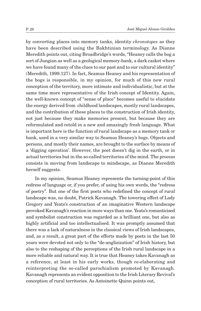by converting places into memory tanks, identity *chronotopes* as they have been described using the Bakhtinian terminology. As Dianne Meredith points out, citing Broadbridge's words, "Heaney calls the bog a sort of Jungian as well as a geological memory-bank, a dark casket where we have found many of the clues to our past and to our cultural identity" (Meredith, 1999:127). In fact, Seamus Heaney and his representation of the bogs is responsible, in my opinion, for much of this new rural conception of the territory, more intimate and individualistic, but at the same time more representative of the Irish concept of Identity. Again, the well-known concept of "sense of place" becomes useful to elucidate the energy derived from childhood landscapes, mostly rural landscapes, and the contribution of these places to the construction of Irish identity, not just because they make memories present, but because they are reformulated and retold in a new and amazingly fresh language. What is important here is the function of rural landscape as a memory tank or bank, used in a very similar way to Seamus Heaney's bogs. Objects and persons, and mostly their names, are brought to the surface by means of a 'digging operation'. However, the poet doesn't dig in the earth, or in actual territories but in the so-called territories of the mind. The process consists in moving from landscape to mindscape, as Dianne Meredith herself suggests.

In my opinion, Seamus Heaney represents the turning-point of this redress of language or, if you prefer, of using his own words, the "redress of poetry". But one of the first poets who redefined the concept of rural landscape was, no doubt, Patrick Kavanagh. The towering effect of Lady Gregory and Yeats's construction of an imaginative Western landscape provoked Kavanagh's reaction in more ways than one. Yeats's romanticised and symbolist construction was regarded as a brilliant one, but also as highly artificial and too intellectualised. It was promptly assumed that there was a lack of naturalness in the classical views of Irish landscapes, and, as a result, a great part of the efforts made by poets in the last 50 years were devoted not only to the "de-anglisization" of Irish history, but also to the reshaping of the perceptions of the Irish rural landscape in a more reliable and natural way. It is true that Heaney takes Kavanagh as a reference, at least in his early works, though re-elaborating and reinterpreting the so-called parochialism promoted by Kavanagh. Kavanagh represents an evident opposition to the Irish Literary Revival's conception of rural territories. As Antoinette Quinn points out,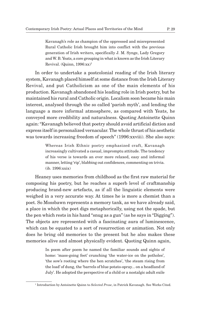Kavanagh's role as champion of the oppressed and misrepresented Rural Catholic Irish brought him into conflict with the previous generation of Irish writers, specifically J. M. Synge, Lady Gregory and W. B. Yeats, a core grouping in what is known as the Irish Literary Revival. (Quinn,  $1996:xx$ )<sup>1</sup>

In order to undertake a postcolonial reading of the Irish literary system, Kavanagh placed himself at some distance from the Irish Literary Revival, and put Catholicism as one of the main elements of his production. Kavanagh abandoned his leading role in Irish poetry, but he maintained his rural and Catholic origin. Localism soon became his main interest, analysed through the so called 'parish myth', and lending the language a more informal atmosphere, as compared with Yeats, he conveyed more credibility and naturalness. Quoting Antoinette Quinn again: "Kavanagh believed that poetry should avoid artificial diction and express itself in personalized vernacular. The whole thrust of his aesthetic was towards increasing freedom of speech" (1996:xxviii). She also says:

> Whereas Irish Ethnic poetry emphasized craft, Kavanagh increasingly cultivated a casual, impromptu attitude. The tendency of his verse is towards an ever more relaxed, easy and informal manner, letting 'rip', blabbing out confidences, commenting on trivia. (ib. 1996:xxix)

Heaney uses memories from childhood as the first raw material for composing his poetry, but he reaches a superb level of craftmanship producing brand-new artefacts, as if all the linguistic elements were weighed in a very accurate way. At times he is more a chemist than a poet. So Mossbawn represents a memory tank, as we have already said, a place in which the poet digs metaphorically, using not the spade, but the pen which rests in his hand "snug as a gun" (as he says in "Digging"). The objects are represented with a fascinating aura of luminescence, which can be equated to a sort of resurrection or animation. Not only does he bring old memories to the present but he also makes these memories alive and almost physically evident. Quoting Quinn again,

> In poem after poem he named the familiar sounds and sights of home: 'mass-going feet' crunching 'the water-ice on the potholes', 'the sow's rooting where the hen scratches', 'the steam rising from the load' of dung, the 'barrels of blue potato-spray... on a headland of July'. He adopted the perspective of a child or a nostalgic adult exile

<sup>1</sup> Introduction by Antoinette Quinn to *Selected Prose*, in Patrick Kavanagh. See Works Cited.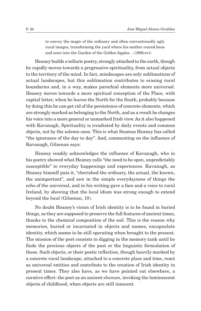to convey the magic of the ordinary and often conventionally ugly rural images, transforming the yard where his mother reared hens and sows into the Garden of the Golden Apples... (1996:xvi)

Heaney builds a telluric poetry, strongly attached to the earth, though he rapidly moves towards a progressive spirituality, from actual objects to the territory of the mind. In fact, mindscapes are only sublimations of actual landscapes, but this sublimation contributes to erasing rural boundaries and, in a way, makes parochial elements more universal. Heaney moves towards a more spiritual conception of the Place, with capital letter, when he leaves the North for the South, probably because by doing this he can get rid of the persistence of concrete elements, which are strongly marked as belonging to the North, and as a result he changes his voice into a more general or unmarked Irish view. As it also happened with Kavanagh, Spirituality is irradiated by daily events and common objects, not by the solemn ones. This is what Seamus Heaney has called "the ignorance of the day to day". And, commenting on the influence of Kavanagh, Gilsenan says:

Heaney readily acknowledges the influence of Kavanagh, who in his poetry showed what Heaney calls "the need to be open, unpredictably susceptible" to everyday happenings and experiences. Kavanagh, as Heaney himself puts it, "cherished the ordinary, the actual, the known, the unimportant", and saw in the simple everydayness of things the echo of the universal, and in his writing gave a face and a voice to rural Ireland, by showing that the local idiom was strong enough to extend beyond the local (Gilsenan, 18).

No doubt Heaney's vision of Irish identity is to be found in buried things, as they are supposed to preserve the full features of ancient times, thanks to the chemical composition of the soil. This is the reason why memories, buried or incarnated in objects and names, encapsulate identity, which seems to be still operating when brought to the present. The mission of the poet consists in digging in the memory tank until he finds the precious objects of the past or the linguistic formulation of these. Such objects, or their poetic reflection, though heavily marked by a concrete rural landscape, attached to a concrete place and time, react as universal entities and contribute to the creation of Irish identity in present times. They also have, as we have pointed out elsewhere, a curative effect: the poet as an ancient *shaman*, invoking the luminescent objects of childhood, when objects are still innocent.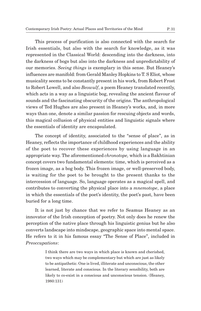This process of purification is also connected with the search for Irish essentials, but also with the search for knowledge, as it was represented in the Classical World: descending into the darkness, into the darkness of bogs but also into the darkness and unpredictability of our memories. *Seeing things* is exemplary in this sense. But Heaney's influences are manifold: from Gerald Manley Hopkins to T. S Eliot, whose musicality seems to be constantly present in his work, from Robert Frost to Robert Lowell, and also *Beowulf*, a poem Heaney translated recently, which acts in a way as a linguistic bog, revealing the ancient flavour of sounds and the fascinating obscurity of the origins. The anthropological views of Ted Hughes are also present in Heaney's works, and, in more ways than one, denote a similar passion for rescuing objects and words, this magical collusion of physical entities and linguistic signals where the essentials of identity are encapsulated.

The concept of identity, associated to the "sense of place", as in Heaney, reflects the importance of childhood experiences and the ability of the poet to recover these experiences by using language in an appropriate way. The aforementioned *chronotope,* which is a Bakhtinian concept covers two fundamental elements: time, which is perceived as a frozen image, as a bog body. This frozen image, or well-preserved body, is waiting for the poet to be brought to the present thanks to the intercession of language. So, language operates as a magical spell, and contributes to converting the physical place into a *mnemotope*, a place in which the essentials of the poet's identity, the poet's past, have been buried for a long time.

It is not just by chance that we refer to Seamus Heaney as an innovator of the Irish conception of poetry. Not only does he renew the perception of the native place through his linguistic genius but he also converts landscape into mindscape, geographic space into mental space. He refers to it in his famous essay "The Sense of Place", included in *Preoccupations*:

> I think there are two ways in which place is known and cherished, two ways which may be complementary but which are just as likely to be antipathetic. One is lived, illiterate and unconscious, the other learned, literate and conscious. In the literary sensibility, both are likely to co-exist in a conscious and unconscious tension. (Heaney, 1980:131)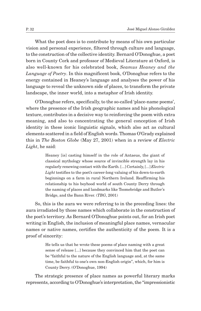What the poet does is to contribute by means of his own particular vision and personal experience, filtered through culture and language, to the construction of the collective identity. Bernard O'Donoghue, a poet born in County Cork and professor of Medieval Literature at Oxford, is also well-known for his celebrated book, *Seamus Heaney and the Language of Poetry*. In this magnificent book, O'Donoghue refers to the energy contained in Heaney's language and analyses the power of his language to reveal the unknown side of places, to transform the private landscape, the inner world, into a metaphor of Irish identity.

O'Donoghue refers, specifically, to the so-called 'place-name poems', where the presence of the Irish geographic names and his phonological texture, contributes in a decisive way to reinforcing the poem with extra meaning, and also to concentrating the general conception of Irish identity in these iconic linguistic signals, which also act as cultural elements scattered in a field of English words. Thomas O'Grady explained this in *The Boston Globe* (May 27, 2001) when in a review of *Electric Light*, he said:

> Heaney [is] casting himself in the role of Antaeus, the giant of classical mythology whose source of invincible strength lay in his regularly renewing contact with the Earth. [...] Certainly, [...] *Electric Light* testifies to the poet's career-long valuing of his down-to-earth beginnings on a farm in rural Northern Ireland. Reaffirming his relationship to his boyhood world of south County Derry through the naming of places and landmarks like Toomebridge and Butler's Bridge, and the Bann River. (*TBG*, 2001)

So, this is the aura we were referring to in the preceding lines: the aura irradiated by those names which collaborate in the construction of the poet's territory. As Bernard O'Donoghue points out, for an Irish poet writing in English, the inclusion of meaningful place names, vernacular names or native names, certifies the authenticity of the poem. It is a proof of sincerity:

> He tells us that he wrote these poems of place naming with a great sense of release [...] because they convinced him that the poet can be "faithful to the nature of the English language and, at the same time, be faithful to one's own non-English origin", which, for him is County Derry. (O'Donoghue, 1994)

The strategic presence of place names as powerful literary marks represents, according to O'Donoghue's interpretation, the "impressionistic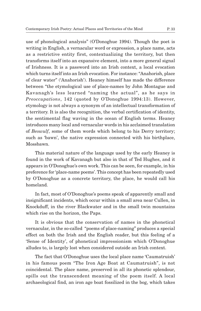use of phonological analysis" (O'Donoghue 1994). Though the poet is writing in English, a vernacular word or expression, a place name, acts as a restrictive entity first, contextualizing the territory, but then transforms itself into an expansive element, into a more general signal of Irishness. It is a password into an Irish context, a local evocation which turns itself into an Irish evocation. For instance: "Anahorish, place of clear water" ('Anahorish'). Heaney himself has made the difference between "the etymological use of place-names by John Montague and Kavanagh's less learned "naming the actual", as he says in *Preoccupations*, 142 (quoted by O'Donoghue 1994:13). However, etymology is not always a synonym of an intellectual transformation of a territory. It is also the recognition, the verbal certification of identity, the sentimental flag waving in the ocean of English terms. Heaney introduces many local and vernacular words in his acclaimed translation of *Beowulf*, some of them words which belong to his Derry territory; such as 'bawn', the native expression connected with his birthplace, Mossbawn.

This material nature of the language used by the early Heaney is found in the work of Kavanagh but also in that of Ted Hughes, and it appears in O'Donoghue's own work. This can be seen, for example, in his preference for 'place-name poems'. This concept has been repeatedly used by O'Donoghue as a concrete territory, the place, he would call his homeland.

In fact, most of O'Donoghue's poems speak of apparently small and insignificant incidents, which occur within a small area near Cullen, in Knockduff, in the river Blackwater and in the small twin mountains which rise on the horizon, the Paps.

It is obvious that the conservation of names in the phonetical vernacular, in the so-called "poems of place-naming" produces a special effect on both the Irish and the English reader, but this feeling of a 'Sense of Identity', of phonetical impressionism which O'Donoghue alludes to, is largely lost when considered outside an Irish context.

The fact that O'Donoghue uses the local place name 'Caumatruish' in his famous poem "The Iron Age Boat at Caumatruish", is not coincidental. The place name, preserved in all its phonetic splendour, spills out the transcendent meaning of the poem itself. A local archaeological find, an iron age boat fossilized in the bog, which takes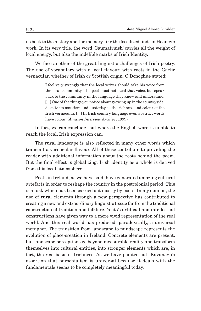us back to the history and the memory, like the fossilized finds in Heaney's work. In its very title, the word 'Caumatruish' carries all the weight of local energy, but also the indelible marks of Irish Identity.

We face another of the great linguistic challenges of Irish poetry. The use of vocabulary with a local flavour, with roots in the Gaelic vernacular, whether of Irish or Scottish origin. O'Donoghue stated:

> I feel very strongly that the local writer should take his voice from the local community. The poet must not steal that voice, but speak back to the community in the language they know and understand. [...] One of the things you notice about growing up in the countryside, despite its ascetism and austerity, is the richness and colour of the Irish vernacular. [...] In Irish country language even abstract words have colour. (*Amazon Interview Archive*, 1999)

In fact, we can conclude that where the English word is unable to reach the local, Irish expression can.

The rural landscape is also reflected in many other words which transmit a vernacular flavour. All of these contribute to providing the reader with additional information about the roots behind the poem. But the final effect is globalizing. Irish identity as a whole is derived from this local atmosphere.

Poets in Ireland, as we have said, have generated amazing cultural artefacts in order to reshape the country in the postcolonial period. This is a task which has been carried out mostly by poets. In my opinion, the use of rural elements through a new perspective has contributed to creating a new and extraordinary linguistic tissue far from the traditional construction of tradition and folklore. Yeats's artificial and intellectual constructions have given way to a more vivid representation of the real world. And this real world has produced, paradoxically, a universal metaphor. The transition from landscape to mindscape represents the evolution of place-creation in Ireland. Concrete elements are present, but landscape perceptions go beyond measurable reality and transform themselves into cultural entities, into stronger elements which are, in fact, the real basis of Irishness. As we have pointed out, Kavanagh's assertion that parochialism is universal because it deals with the fundamentals seems to be completely meaningful today.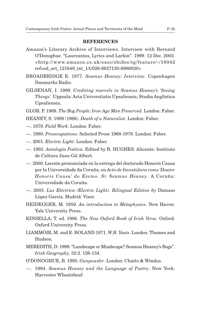# **REFERENCES**

- Amazon's Literary Archive of Interviews. Interview with Bernard O'Donoghue. "Laureantes, Lyrics and Larkin". 1999. 12 Dec. 2003. <http://www.amazon.co.uk/exec/obidos/tg/feature/-/18042 ref=ed\_art\_121649\_txt\_1/t/026-6627130-6986020>
- BROADBRIDGE E. 1977. *Seamus Heaney: Interview*. Copenhagen Danmarks Radio.
- GILSENAN, I. 1999. *Crediting marvels in Seamus Heaney's 'Seeing Things'*. Uppsala: Acta Universitatis Upsaliensis, Studia Anglística Upsaliensia.
- GLOB, P. 1969. *The Bog People: Iron-Age Man Preserved.* London: Faber.

HEANEY, S. 1999 (1966). *Death of a Naturalist*. London: Faber.

- —. 1979. *Field Work.* London: Faber.
- —. 1980. *Preoccupations*. Selected Prose 1968-1978. London: Faber.
- —. 2001. *Electric Light*. London: Faber.
- —. 1993. *Antología Poética*. Edited by B. HUGHES. Alicante: Instituto de Cultura Juan Gil Albert.
- —. 2000. Lección pronunciada en la entrega del doctorado Honoris Causa por la Universidade da Coruña, en *Acto de Investidura como 'Doutor Honoris Causa' do Excmo. Sr Seamus Heaney*. A Coruña: Universidade da Coruña.
- —. 2003. *Luz Eléctrica (Electric Light). Bilingual Edition by* Dámaso López García. Madrid: Visor.
- HEIDEGGER, M. 1959. *An introduction to Metaphysics.* New Haven: Yale University Press.
- KINSELLA, T. ed. 1986. *The New Oxford Book of Irish Verse*. Oxford: Oxford University Press.
- LIAMMÓIR, M. and E. BOLAND 1971. *W.B. Yeats*. London: Thames and Hudson.
- MEREDITH, D. 1999. "Landscape or Mindscape? Seamus Heaney's Bogs". *Irish Geography,* 32:2. 126-134.
- O'DONOGHUE, B. 1995. *Gunpowder*. London: Chatto & Windus.
- —. 1994. *Seamus Heaney and the Language of Poetry*. New York: Harvester Wheatsheaf.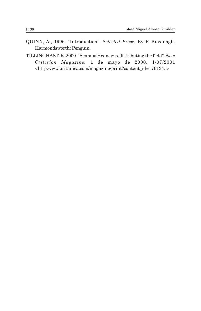- QUINN, A., 1996. "Introduction". *Selected Prose.* By P. Kavanagh. Harmondsworth: Penguin.
- TILLINGHAST, R. 2000. "Seamus Heaney: redistributing the field". *New Criterion Magazine.* 1 de mayo de 2000. 1/07/2001 <http:www.británica.com/magazine/print?content\_id=176134. >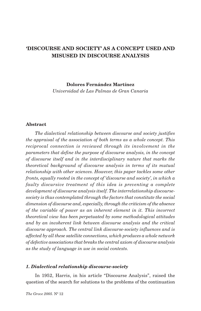# **'DISCOURSE AND SOCIETY' AS A CONCEPT USED AND MISUSED IN DISCOURSE ANALYSIS**

**Dolores Fernández Martínez** *Universidad de Las Palmas de Gran Canaria*

## **Abstract**

*The dialectical relationship between discourse and society justifies the appraisal of the association of both terms as a whole concept. This reciprocal connection is reviewed through its involvement in the parameters that define the purpose of discourse analysis, in the concept of discourse itself and in the interdisciplinary nature that marks the theoretical background of discourse analysis in terms of its mutual relationship with other sciences. However, this paper tackles some other fronts, equally rooted in the concept of 'discourse and society', in which a faulty discursive treatment of this idea is preventing a complete development of discourse analysis itself. The interrelationship discoursesociety is thus contemplated through the factors that constitute the social dimension of discourse and, especially, through the criticism of the absence of the variable of power as an inherent element in it. This incorrect theoretical view has been perpetuated by some methodological attitudes and by an incoherent link between discourse analysis and the critical discourse approach. The central link discourse-society influences and is affected by all these satellite connections, which produces a whole network of defective associations that breaks the central axiom of discourse analysis as the study of language in use in social contexts.*

## *1. Dialectical relationship discourse-society*

In 1952, Harris, in his article "Discourse Analysis", raised the question of the search for solutions to the problems of the continuation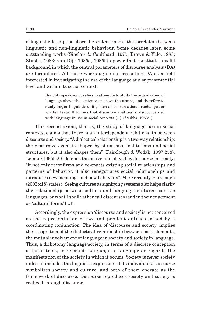of linguistic description above the sentence and of the correlation between linguistic and non-linguistic behaviour. Some decades later, some outstanding works (Sinclair & Coulthard, 1975; Brown & Yule, 1983; Stubbs, 1983; van Dijk 1985a, 1985b) appear that constitute a solid background in which the central parameters of discourse analysis (DA) are formulated. All these works agree on presenting DA as a field interested in investigating the use of the language at a suprasentential level and within its social context:

> Roughly speaking, it refers to attempts to study the organization of language above the sentence or above the clause, and therefore to study larger linguistic units, such as conversational exchanges or written texts. It follows that discourse analysis is also concerned with language in use in social contexts [...]. (Stubbs, 1983:1)

This second axiom, that is, the study of language use in social contexts, claims that there is an interdependent relationship between discourse and society. "A dialectical relationship is a two-way relationship: the discursive event is shaped by situations, institutions and social structures, but it also shapes them" (Fairclough & Wodak, 1997:258). Lemke (1995b:20) defends the active role played by discourse in society: "it not only reconfirms and re-enacts existing social relationships and patterns of behavior, it also renegotiates social relationships and introduces new meanings and new behaviors". More recently, Fairclough (2003b:18) states: "Seeing cultures as signifying systems also helps clarify the relationship between culture and language: cultures exist as languages, or what I shall rather call discourses (and in their enactment as 'cultural forms' [...]".

Accordingly, the expression 'discourse and society' is not conceived as the representation of two independent entities joined by a coordinating conjunction. The idea of 'discourse and society' implies the recognition of the dialectical relationship between both elements, the mutual involvement of language in society and society in language. Thus, a dichotomy language/society, in terms of a discrete conception of both items, is rejected. Language is language as regards the manifestation of the society in which it occurs. Society is never society unless it includes the linguistic expression of its individuals. Discourse symbolizes society and culture, and both of them operate as the framework of discourse. Discourse reproduces society and society is realized through discourse.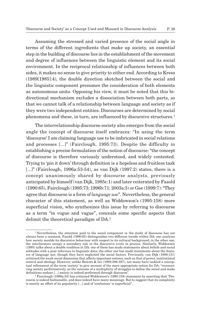Assuming the stressed and varied presence of the social angle in terms of the different ingredients that make up society, an essential step in the building of discourse lies in the establishment of the movement and degree of influences between the linguistic element and its social environment. In the reciprocal relationship of influences between both sides, it makes no sense to give priority to either end. According to Kress (1989[1985]:4), the double direction sketched between the social and the linguistic component presumes the consideration of both elements as autonomous units. Opposing his view, it must be noted that this bidirectional mechanism excludes a dissociation between both parts, so that we cannot talk of a relationship between language and society as if they were two independent entities. Discourses are determined by social phenomena and these, in turn, are influenced by discursive structures.1

The interrelationship discourse-society also emerges from the social angle the concept of discourse itself embraces: "In using the term 'discourse' I am claiming language use to be imbricated in social relations and processes [...]" (Fairclough, 1995:73). Despite the difficulty in establishing a precise formulation of the notion of discourse: "the concept of discourse is therefore variously understood, and widely contested. Trying to 'pin it down' through definition is a hopeless and fruitless task [...]" (Fairclough, 1996a:53-54), as van Dijk (1997:2) states, there is a concept unanimously shared by discourse analysts, previously anticipated by himself (van Dijk, 1985c:1) and later reiterated by Fasold (1990:65), Fairclough (1995:73; 1996b:71; 2003a:3) or Gee (1999:7): "They agree that discourse is a form of *language use*". Nevertheless, the general character of this statement, as well as Widdowson's (1995:158) more superficial vision, who synthesizes this issue by referring to discourse as a term "in vogue and vague", conceals some specific aspects that delimit the theoretical paradigm of DA.2

<sup>1</sup> Nevertheless, the attention paid to the social component in the study of discourse has not always been a constant. Fasold (1990:65) distinguishes two different trends within DA: one analyses how society moulds its discursive behaviour with respect to its cultural background; in the other one, the interlocutors occupy a secondary role in the discursive event in process. Similarly, Widdowson (1995) talks about a double tradition in DA: one of them has made statements about beliefs and social attitudes with a poor reference to linguistic data; the other one has made statements about the features of language use, though they have neglected the social factors. Previously, van Dijk (1988:131) criticized the weak social dimension that affects important notions, such as that of power, institutional control and ideology. However, unlike Bowers & Iwi (1993:386-387), not many have tackled a conceptual refinement of the term 'society' to give account of the more appropriate notion for DA: "reconceiving society performatively, as the outcome of a multiplicity of struggles to define the social and make definitions endure [...] society is indeed performed through discourse".

<sup>2</sup> Fairclough (1996a:53) has criticized Widdowson's (1995:158) statement by asserting that "Discourse is indeed fashionable, and does indeed have many meanings. But to suggest that its complexity is merely an effect of its popularity [...] and of 'confusions' is superficial".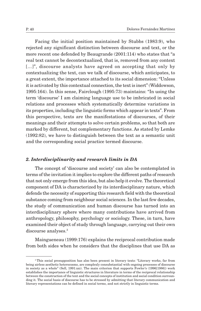Facing the initial position maintained by Stubbs (1983:9), who rejected any significant distinction between discourse and text, or the more recent one defended by Beaugrande (2001:114) who states that "a real text cannot be decontextualized, that is, removed from any context [...]", discourse analysts have agreed on accepting that only by contextualizing the text, can we talk of discourse, which anticipates, to a great extent, the importance attached to its social dimension: "Unless it is activated by this contextual connection, the text is inert" (Widdowson, 1995:164). In this sense, Fairclough (1995:73) maintains: "In using the term 'discourse' I am claiming language use to be imbricated in social relations and processes which systematically determine variations in its properties, including the linguistic forms which appear in texts". From this perspective, texts are the manifestations of discourses, of their meanings and their attempts to solve certain problems, so that both are marked by different, but complementary functions. As stated by Lemke (1992:82), we have to distinguish between the text as a semantic unit and the corresponding social practice termed discourse.

#### *2. Interdisciplinarity and research limits in DA*

The concept of 'discourse and society' can also be contemplated in terms of the invitation it implies to explore the different paths of research that not only emerge from this idea, but also help it evolve. The theoretical component of DA is characterized by its interdisciplinary nature, which defends the necessity of supporting this research field with the theoretical substance coming from neighbour social sciences. In the last few decades, the study of communication and human discourse has turned into an interdisciplinary sphere where many contributions have arrived from anthropology, philosophy, psychology or sociology. These, in turn, have examined their object of study through language, carrying out their own discourse analyses.<sup>3</sup>

Maingueneau (1999:176) explains the reciprocal contribution made from both sides when he considers that the disciplines that use DA as

<sup>3</sup> This social presupposition has also been present in literary texts: "Literary works, far from being airless aesthetic heterocosms, are complexly consubstantial with ongoing processes of discourse in society as a whole" (Sell, 1991:xxi). The main criterion that supports Fowler's (1996[1986]) work establishes the importance of linguistic structures in literature in terms of the reciprocal relationship between the construction of the text and the social concepts of institution and social condition surrounding it. The social basis of discourse has to be stressed by admitting that literary communication and literary representations can be defined in social terms, and not strictly in linguistic terms.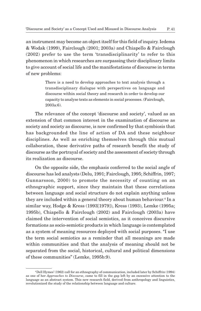an instrument may become an object itself for this field of inquiry. Iedema & Wodak (1999), Fairclough (2001; 2003a) and Chiapello & Fairclough (2002) prefer to use the term 'transdisciplinarity' to refer to this phenomenon in which researches are surpassing their disciplinary limits to give account of social life and the manifestations of discourse in terms of new problems:

> There is a need to develop approaches to text analysis through a transdisciplinary dialogue with perspectives on language and discourse within social theory and research in order to develop our capacity to analyse texts as elements in social processes. (Fairclough,  $2003a.6$

The relevance of the concept 'discourse and society', valued as an extension of that common interest in the examination of discourse as society and society as discourse, is now confirmed by that symbiosis that has backgrounded the line of action of DA and these neighbour disciplines. As well as enriching themselves through this mutual collaboration, these derivative paths of research benefit the study of discourse as the portrayal of society and the assessment of society through its realization as discourse.

On the opposite side, the emphasis conferred to the social angle of discourse has led analysts (Delu, 1991; Fairclough, 1995; Schiffrin, 1997; Gunnarsson, 2000) to promote the necessity of counting on an ethnographic support, since they maintain that these correlations between language and social structure do not explain anything unless they are included within a general theory about human behaviour.<sup>4</sup> In a similar way, Hodge & Kress (1993[1979]), Kress (1993), Lemke (1995a; 1995b), Chiapello & Fairclough (2002) and Fairclough (2003a) have claimed the intervention of social semiotics, as it conceives discursive formations as socio-semiotic products in which language is contemplated as a system of meaning resources deployed with social purposes. "I use the term social semiotics as a reminder that all meanings are made within communities and that the analysis of meaning should not be separated from the social, historical, cultural and political dimensions of these communities" (Lemke, 1995b:9).

<sup>4</sup> Dell Hymes' (1962) call for an ethnography of communication, included later by Schiffrin (1994) as one of her *Approaches to Discourse*, came to fill in the gap left by an excessive attention to the language as an abstract system. This new research field, derived from anthropology and linguistics, revolutionized the study of the relationship between language and culture.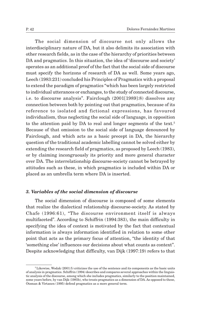The social dimension of discourse not only allows the interdisciplinary nature of DA, but it also delimits its association with other research fields, as in the case of the hierarchy of priorities between DA and pragmatics. In this situation, the idea of 'discourse and society' operates as an additional proof of the fact that the social side of discourse must specify the horizons of research of DA as well. Some years ago, Leech (1983:231) concluded his Principles of Pragmatics with a proposal to extend the paradigm of pragmatics "which has been largely restricted to individual utterances or exchanges, to the study of connected discourse, i.e. to discourse analysis". Fairclough (2001[1989]:8) dissolves any connection between both by pointing out that pragmatics, because of its reference to isolated and fictional expressions, has favoured individualism, thus neglecting the social side of language, in opposition to the attention paid by DA to real and longer segments of the text.<sup>5</sup> Because of that omission to the social side of language denounced by Fairclough, and which acts as a basic precept in DA, the hierarchy question of the traditional academic labelling cannot be solved either by extending the research field of pragmatics, as proposed by Leech (1983), or by claiming incongruously its priority and more general character over DA. The interrelationship discourse-society cannot be betrayed by attitudes such as these, in which pragmatics is included within DA or placed as an umbrella term where DA is inserted.

## *3. Variables of the social dimension of discourse*

The social dimension of discourse is composed of some elements that realize the dialectical relationship discourse-society. As stated by Chafe (1996:61), "The discourse environment itself is always multifaceted". According to Schiffrin (1994:383), the main difficulty in specifying the idea of context is motivated by the fact that contextual information is always information identified in relation to some other point that acts as the primary focus of attention, "the identity of that 'something else' influences our decisions about what counts as context". Despite acknowledging that difficulty, van Dijk (1997:19) refers to that

<sup>&</sup>lt;sup>5</sup> Likewise, Wodak (2001:5) criticizes the use of the sentence and its components as the basic units of analysis in pragmatics. Schiffrin (1994) describes and compares several approaches within the linguistic analysis of the discourse, among which she includes pragmatics, similarly to the position maintained, some years before, by van Dijk (1985b), who treats pragmatics as a dimension of DA. As opposed to these, Ötsman & Virtanen (1995) defend pragmatics as a more general term.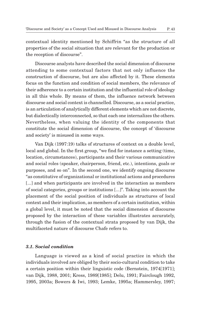contextual identity mentioned by Schiffrin "as the structure of all properties of the social situation that are relevant for the production or the reception of discourse".

Discourse analysts have described the social dimension of discourse attending to some contextual factors that not only influence the construction of discourse, but are also affected by it. These elements focus on the function and condition of social members, the relevance of their adherence to a certain institution and the influential role of ideology in all this whole. By means of them, the influence network between discourse and social context is channelled. Discourse, as a social practice, is an articulation of analytically different elements which are not discrete, but dialectically interconnected, so that each one internalizes the others. Nevertheless, when valuing the identity of the components that constitute the social dimension of discourse, the concept of 'discourse and society' is misused in some ways.

Van Dijk (1997:19) talks of structures of context on a double level, local and global. In the first group, "we find for instance a setting (time, location, circumstances), participants and their various communicative and social roles (speaker, chairperson, friend, etc.), intentions, goals or purposes, and so on". In the second one, we identify ongoing discourse "as constitutive of organizational or institutional actions and procedures [...] and when participants are involved in the interaction as members of social categories, groups or institutions [...]". Taking into account the placement of the social position of individuals as structures of local context and their implication, as members of a certain institution, within a global level, it must be noted that the social dimension of discourse proposed by the interaction of these variables illustrates accurately, through the fusion of the contextual strata proposed by van Dijk, the multifaceted nature of discourse Chafe refers to.

#### *3.1. Social condition*

Language is viewed as a kind of social practice in which the individuals involved are obliged by their socio-cultural condition to take a certain position within their linguistic code (Bernstein, 1974[1971]; van Dijk, 1988, 2001; Kress, 1989[1985]; Delu, 1991; Fairclough 1992, 1995, 2003a; Bowers & Iwi, 1993; Lemke, 1995a; Hammersley, 1997;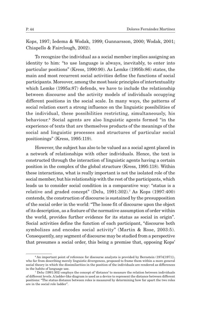Kops, 1997; Iedema & Wodak, 1999; Gunnarsson, 2000; Wodak, 2001; Chiapello & Fairclough, 2002).

To recognize the individual as a social member implies assigning an identity to him: "to use language is always, inevitably, to enter into particular positions" (Kress, 1990:90). As Lemke (1995b:86) states, the main and most recurrent social activities define the functions of social participants. Moreover, among the most basic principles of intertextuality which Lemke (1995a:87) defends, we have to include the relationship between discourse and the activity models of individuals occupying different positions in the social scale. In many ways, the patterns of social relation exert a strong influence on the linguistic possibilities of the individual, these possibilities restricting, simultaneously, his behaviour.6 Social agents are also linguistic agents formed "in the experience of texts that are themselves products of the meanings of the social and linguistic processes and structures of particular social positionings" (Kress, 1995:119).

However, the subject has also to be valued as a social agent placed in a network of relationships with other individuals. Hence, the text is constructed through the interaction of linguistic agents having a certain position in the complex of the global structure (Kress, 1995:118). Within these interactions, what is really important is not the isolated role of the social member, but his relationship with the rest of the participants, which leads us to consider social condition in a comparative way: "status is a relative and graded concept" (Delu, 1991:302).7 As Kops (1997:400) contends, the construction of discourse is sustained by the presupposition of the social order in the world: "The loose fit of discourse upon the object of its description, as a feature of the normative assumption of order within the world, provides further evidence for its status as social in origin". Social activities define the function of each participant, "discourse both symbolizes and encodes social activity" (Martin & Rose, 2003:5). Consequently, any segment of discourse may be studied from a perspective that presumes a social order, this being a premise that, opposing Kops'

<sup>6</sup> An important point of reference for discourse analysts is provided by Bernstein (1974[1971]), who far from describing merely linguistic divergences, proposed to frame them within a more general social theory in which the dissimilarities in the position of the individuals are rendered as differences in the habits of language use.

 $^7$  Delu (1991:302) employs the concept of 'distance' to measure the relation between individuals of different levels. A ladder-like diagram is used as a device to represent the distance between different positions: "The status distance between roles is measured by determining how far apart the two roles are in the social role ladder".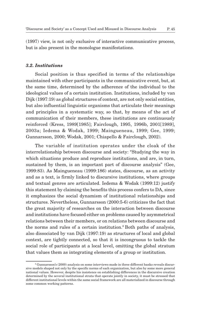(1997) view, is not only exclusive of interactive communicative process, but is also present in the monologue manifestations.

## *3.2. Institutions*

Social position is thus specified in terms of the relationships maintained with other participants in the communicative event, but, at the same time, determined by the adherence of the individual to the ideological values of a certain institution. Institutions, included by van Dijk (1997:19) as global structures of context, are not only social entities, but also influential linguistic organisms that articulate their meanings and principles in a systematic way, so that, by means of the act of communication of their members, these institutions are continuously reinforced (Kress, 1989[1985]; Fairclough, 1995, 1996b, 2001[1989], 2003a; Iedema & Wodak, 1999; Maingueneau, 1999; Gee, 1999; Gunnarsson, 2000; Wodak, 2001; Chiapello & Fairclough, 2002).

The variable of institution operates under the cloak of the interrelationship between discourse and society: "Studying the way in which situations produce and reproduce institutions, and are, in turn, sustained by them, is an important part of discourse analysis" (Gee, 1999:83). As Maingueneau (1999:186) states, discourse, as an activity and as a text, is firmly linked to discursive institutions, where groups and textual genres are articulated. Iedema & Wodak (1999:12) justify this statement by claiming the benefits this process confers to DA, since it emphasizes the social dynamism of institutional relationships and structures. Nevertheless, Gunnarsson (2000:5-6) criticizes the fact that the great majority of researches on the interaction between discourse and institutions have focused either on problems caused by asymmetrical relations between their members, or on relations between discourse and the norms and rules of a certain institution.8 Both paths of analysis, also dissociated by van Dijk (1997:19) as structures of local and global context, are tightly connected, so that it is incongruous to tackle the social role of participants at a local level, omitting the global stratum that values them as integrating elements of a group or institution.

<sup>8</sup> Gunnarsson's (2000) analysis on some interviews made in three different banks reveals discursive models shaped not only by the specific norms of each organization, but also by some more general national values. However, despite his insistence on establishing differences in the discursive creation determined by the several institutional strata that operate jointly in society, it must be stressed that different institutional levels within the same social framework are all materialized in discourse through some common working patterns.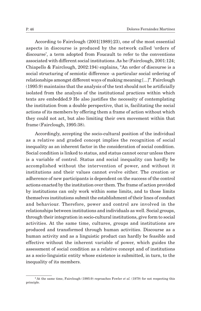According to Fairclough (2001[1989]:23), one of the most essential aspects in discourse is produced by the network called 'orders of discourse', a term adopted from Foucault to refer to the conventions associated with different social institutions. As he (Fairclough, 2001:124; Chiapello & Fairclough, 2002:194) explains, "An order of discourse is a social structuring of semiotic difference -a particular social ordering of relationships amongst different ways of making meaning [...]". Fairclough (1995:9) maintains that the analysis of the text should not be artificially isolated from the analysis of the institutional practices within which texts are embedded.9 He also justifies the necessity of contemplating the institution from a double perspective, that is, facilitating the social actions of its members by offering them a frame of action without which they could not act, but also limiting their own movement within that frame (Fairclough, 1995:38).

Accordingly, accepting the socio-cultural position of the individual as a relative and graded concept implies the recognition of social inequality as an inherent factor in the consideration of social condition. Social condition is linked to status, and status cannot occur unless there is a variable of control. Status and social inequality can hardly be accomplished without the intervention of power, and without it institutions and their values cannot evolve either. The creation or adherence of new participants is dependent on the success of the control actions enacted by the institution over them. The frame of action provided by institutions can only work within some limits, and to those limits themselves institutions submit the establishment of their lines of conduct and behaviour. Therefore, power and control are involved in the relationships between institutions and individuals as well. Social groups, through their integration in socio-cultural institutions, give form to social activities. At the same time, cultures, groups and institutions are produced and transformed through human activities. Discourse as a human activity and as a linguistic product can hardly be feasible and effective without the inherent variable of power, which guides the assessment of social condition as a relative concept and of institutions as a socio-linguistic entity whose existence is submitted, in turn, to the inequality of its members.

<sup>&</sup>lt;sup>9</sup> At the same time, Fairclough (1995:9) reproaches Fowler *et al.* (1979) for not respecting this principle.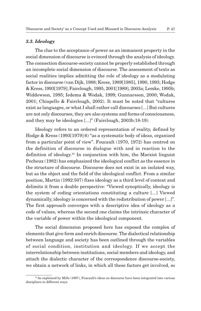## *3.3. Ideology*

The clue to the acceptance of power as an immanent property in the social dimension of discourse is evinced through the analysis of ideology. The connection discourse-society cannot be properly established through an incomplete social dimension of discourse. The assessment of texts as social realities implies admitting the role of ideology as a modulating factor in discourse (van Dijk, 1988; Kress, 1989[1985], 1990, 1993; Hodge & Kress, 1993[1979]; Fairclough, 1995, 2001[1989], 2003a; Lemke, 1995b; Widdowson, 1995; Iedema & Wodak, 1999; Gunnarsson, 2000; Wodak, 2001; Chiapello & Fairclough, 2002). It must be noted that "cultures exist as languages, or what I shall rather call discourses [...] But cultures are not only discourses, they are also systems and forms of consciousness, and they may be ideologies [...]" (Fairclough, 2003b:18-19).

Ideology refers to an ordered representation of reality, defined by Hodge & Kress (1993[1979]:6) "as a systematic body of ideas, organized from a particular point of view". Foucault (1970, 1972) has centred on the definition of discourse in dialogue with and in reaction to the definition of ideology.10 In conjunction with him, the Marxist linguist Pecheux (1982) has emphasized the ideological conflict as the essence in the structure of discourse. Discourse does not exist in an isolated way, but as the object and the field of the ideological conflict. From a similar position, Martin (1992:507) fixes ideology as a third level of context and delimits it from a double perspective: "Viewed synoptically, ideology is the system of coding orientations constituting a culture [...] Viewed dynamically, ideology is concerned with the redistribution of power [...]". The first approach converges with a descriptive idea of ideology as a code of values, whereas the second one claims the intrinsic character of the variable of power within the ideological component.

The social dimension proposed here has exposed the complex of elements that give form and enrich discourse. The dialectical relationship between language and society has been outlined through the variables of social condition, institution and ideology. If we accept the interrelationship between institutions, social members and ideology, and attach the dialectic character of the correspondence discourse-society, we obtain a network of links, in which all these factors get involved, so

 $10$  As explained by Mills (1997), Foucault's ideas on discourse have been integrated into various disciplines in different ways.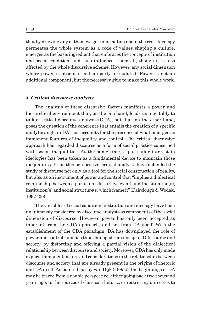that by drawing any of them we get information about the rest. Ideology permeates the whole system as a code of values shaping a culture, emerges as the basic ingredient that embraces the concepts of institution and social condition, and thus influences them all, though it is also affected by the whole discursive scheme. However, any social dimension where power is absent is not properly articulated. Power is not an additional component, but the necessary glue to make this whole work.

#### *4. Critical discourse analysis*

The analysis of these discursive factors manifests a power and hierarchical environment that, on the one hand, leads us inevitably to talk of critical discourse analysis (CDA), but that, on the other hand, poses the question of the coherence that entails the creation of a specific analytic angle in DA that accounts for the presence of what emerges as immanent features of inequality and control. The critical discursive approach has regarded discourse as a form of social practice concerned with social inequalities. At the same time, a particular interest in ideologies has been taken as a fundamental device to maintain those inequalities. From this perspective, critical analysts have defended the study of discourse not only as a tool for the social construction of reality, but also as an instrument of power and control that "implies a dialectical relationship between a particular discursive event and the situation(s), institution(s) and social structure(s) which frame it" (Fairclough & Wodak, 1997:258).

The variables of social condition, institution and ideology have been unanimously considered by discourse analysts as components of the social dimension of discourse. However, power has only been accepted as inherent from the CDA approach, and not from DA itself. With the establishment of the CDA paradigm, DA has downplayed the role of power and control, and has thus damaged the concept of Ôdiscourse and society' by distorting and offering a partial vision of the dialectical relationship between discourse and society. Moreover, CDA has only made explicit immanent factors and considerations in the relationship between discourse and society that are already present in the origins of rhetoric and DA itself. As pointed out by van Dijk (1985c), the beginnings of DA may be traced from a double perspective, either going back two thousand years ago, to the sources of classical rhetoric, or restricting ourselves to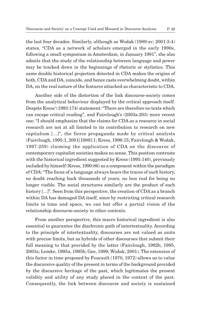the last four decades. Similarly, although as Wodak (1989:xv; 2001:3-4) states, "CDA as a network of scholars emerged in the early 1990s, following a small symposium in Amsterdam, in January 1991", she also admits that the study of the relationship between language and power may be tracked down in the beginnings of rhetoric or stylistics. This same double historical projection detected in CDA makes the origins of both, CDA and DA, coincide, and hence casts overwhelming doubt, within DA, on the real nature of the features attached as characteristic to CDA.

Another side of the distortion of the link discourse-society comes from the analytical behaviour displayed by the critical approach itself. Despite Kress' (1993:174) statement: "There are therefore no texts which can escape critical reading", and Fairclough's (2003a:203) more recent one: "I should emphasize that the claims for CDA as a resource in social research are not at all limited to its contribution to research on new capitalism [...]", the fierce propaganda made by critical analysts (Fairclough, 1995:1, 2001[1989]:1; Kress, 1996:15; Fairclough & Wodak, 1997:259) claiming the application of CDA on the discourse of contemporary capitalist societies makes no sense. This position contrasts with the historical ingredient suggested by Kress (1995:140), previously included by himself (Kress, 1990:86) as a component within the paradigm of CDA: "The focus of a language always bears the traces of such history, no doubt reaching back thousands of years, no less real for being no longer visible. The social structures similarly are the product of such history [...]". Seen from this perspective, the creation of CDA as a branch within DA has damaged DA itself, since by restricting critical research limits in time and space, we can but offer a partial vision of the relationship discourse-society in other contexts.

From another perspective, this macro historical ingredient is also essential to guarantee the diachronic path of intertextuality. According to the principle of intertextuality, discourses are not valued as units with precise limits, but as hybrids of other discourses that submit their full meaning to that provided by the latter (Fairclough, 1992b, 1995, 2003a; Lemke, 1995a, 1995b; Gee, 1999; Wodak, 2001). The extension of this factor in time proposed by Foucault (1970, 1972) allows us to value the discursive quality of the present in terms of the background provided by the discursive heritage of the past, which legitimates the present validity and utility of any study placed in the context of the past. Consequently, the link between discourse and society is sustained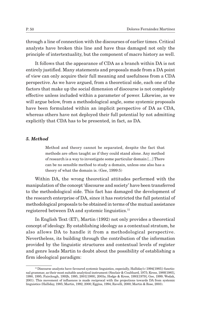through a line of connection with the discourses of earlier times. Critical analysts have broken this line and have thus damaged not only the principle of intertextuality, but the component of macro history as well.

It follows that the appearance of CDA as a branch within DA is not entirely justified. Many statements and proposals made from a DA point of view can only acquire their full meaning and usefulness from a CDA perspective. As we have argued, from a theoretical side, each one of the factors that make up the social dimension of discourse is not completely effective unless included within a parameter of power. Likewise, as we will argue below, from a methodological angle, some systemic proposals have been formulated within an implicit perspective of DA as CDA, whereas others have not deployed their full potential by not admitting explicitly that CDA has to be presented, in fact, as DA.

## *5. Method*

Method and theory cannot be separated, despite the fact that methods are often taught as if they could stand alone. Any method of research is a way to investigate some particular domain [...] There can be no sensible method to study a domain, unless one also has a theory of what the domain is. (Gee, 1999:5)

Within DA, the wrong theoretical attitudes performed with the manipulation of the concept 'discourse and society' have been transferred to the methodological side. This fact has damaged the development of the research enterprise of DA, since it has restricted the full potential of methodological proposals to be obtained in terms of the mutual assistance registered between DA and systemic linguistics.<sup>11</sup>

In English Text (ET), Martin (1992) not only provides a theoretical concept of ideology. By establishing ideology as a contextual stratum, he also allows DA to handle it from a methodological perspective. Nevertheless, its building through the contribution of the information provided by the linguistic structures and contextual levels of register and genre leads Martin to doubt about the possibility of establishing a firm ideological paradigm:

<sup>11</sup> Discourse analysts have favoured systemic linguistics, especially, Halliday's (1994[1985]) functional grammar, as their most suitable analytical instrument (Sinclair & Coulthard, 1975; Kress, 1989[1985], 1990, 1995; Fairclough, 1992b, 1995, 2001[1989], 2003a; Hodge & Kress, 1993[1979]; Gee, 1999; Wodak, 2001). This movement of influences is made reciprocal with the projections towards DA from systemic linguistics (Halliday, 1985; Martin, 1992, 2000; Eggins, 1994; Ravelli, 2000; Martin & Rose, 2003).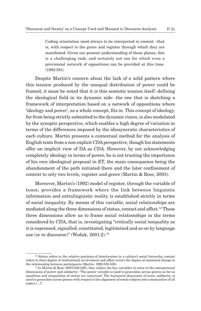Coding orientation need always to be interpreted in context –that is, with respect to the genre and register through which they are manifested. Given our present understanding of these planes, this is a challenging task; and certainly not one for which even a provisional network of oppositions can be provided at this time. (1992:581)

Despite Martin's concern about the lack of a solid pattern where this tension produced by the unequal distribution of power could be framed, it must be noted that it is this semiotic tension itself -defining the ideological field in its dynamic side- the one that is sketching a framework of interpretation based on a network of oppositions where 'ideology and power', as a whole concept, fits in. This concept of ideology, far from being strictly submitted to the dynamic vision, is also modulated by the synoptic perspective, which enables a high degree of variation in terms of the differences imposed by the idiosyncratic characteristics of each culture. Martin presents a contextual method for the analysis of English texts from a non explicit CDA perspective, though his statements offer an implicit view of DA as CDA. However, by not acknowledging completely ideology in terms of power, he is not trusting the importance of his own ideological proposal in ET, the main consequence being the abandonment of the path initiated there and the later confinement of context to only two levels, register and genre (Martin & Rose, 2003).

Moreover, Martin's (1992) model of register, through the variable of tenor, provides a framework where the link between linguistic information and extralinguistic reality is established strictly in terms of social inequality. By means of this variable, social relationships are mediated along the three dimensions of status, contact and affect.12 These three dimensions allow us to frame social relationships in the terms considered by CDA, that is, investigating "critically social inequality as it is expressed, signalled, constituted, legitimized and so on by language use (or in discourse)" (Wodak, 2001:2).<sup>13</sup>

 $12$  Status refers to the relative positions of interlocutors in a culture's social hierarchy, contact refers to their degree of institutional involvement and affect covers the degree of emotional charge in the relationship between participants (Martin, 1992:523-536).

<sup>13</sup> In Martin & Rose (2003:248-249), they reduce the key variables in tenor to the interpersonal dimensions of power and solidarity: "The power variable is used to generalize across genres as far as equalities and inequalities of status are concerned. The horizontal dimension of tenor, solidarity, is used to generalize across genres with respect to the alignment of social subjects into communities of all orders [...]".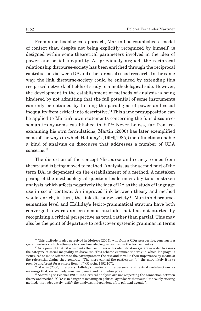From a methodological approach, Martin has established a model of context that, despite not being explicitly recognized by himself, is designed within some theoretical parameters involved in the idea of power and social inequality. As previously argued, the reciprocal relationship discourse-society has been enriched through the reciprocal contributions between DA and other areas of social research. In the same way, the link discourse-society could be enhanced by extending this reciprocal network of fields of study to a methodological side. However, the development in the establishment of methods of analysis is being hindered by not admitting that the full potential of some instruments can only be obtained by turning the paradigms of power and social inequality from critical into descriptive.14 This same presupposition can be applied to Martin's own statements concerning the four discoursesemantics systems established in ET.15 Nevertheless, far from reexamining his own formulations, Martin (2000) has later exemplified some of the ways in which Halliday's (1994[1985]) metafunctions enable a kind of analysis on discourse that addresses a number of CDA concerns.16

The distortion of the concept 'discourse and society' comes from theory and is being moved to method. Analysis, as the second part of the term DA, is dependent on the establishment of a method. A mistaken posing of the methodological question leads inevitably to a mistaken analysis, which affects negatively the idea of DA as the study of language use in social contexts. An improved link between theory and method would enrich, in turn, the link discourse-society.17 Martin's discoursesemantics level and Halliday's lexico-grammatical stratum have both converged towards an erroneous attitude that has not started by recognizing a critical perspective as total, rather than partial. This may also be the point of departure to rediscover systemic grammar in terms

 $14$  This attitude is also perceived in Melrose (2005), who from a CDA perspective, constructs a system network which attempts to show how ideology is realized in the text semantics.

<sup>&</sup>lt;sup>15</sup> As a proof of that, Martin omits the usefulness of his identification system in order to assess the category of social inequality in discourse. This scheme examines the way in which language is structured to make reference to the participants in the text and to value their importance by means of the referential chains they generate: "The more central the participant [...] the more likely it is to provide a referent for a phoric item [...]" (Martin, 1992:107).

 $16$  Martin (2000) interprets Halliday's ideational, interpersonal and textual metafunctions as meanings that, respectively, construct, enact and naturalize power.

<sup>&</sup>lt;sup>17</sup> According to Scheuer (2003:144), critical analysts are not respecting the connection between theory and method: "CDA is in danger of insisting on political agendas without simultaneously offering methods that adequately justify the analysis, independent of its political agenda".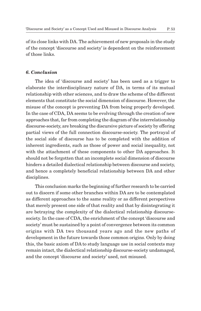of its close links with DA. The achievement of new proposals in the study of the concept 'discourse and society' is dependent on the reinforcement of those links.

## *6. Conclusion*

The idea of 'discourse and society' has been used as a trigger to elaborate the interdisciplinary nature of DA, in terms of its mutual relationship with other sciences, and to draw the scheme of the different elements that constitute the social dimension of discourse. However, the misuse of the concept is preventing DA from being properly developed. In the case of CDA, DA seems to be evolving through the creation of new approaches that, far from completing the diagram of the interrelationship discourse-society, are breaking the discursive picture of society by offering partial views of the full connection discourse-society. The portrayal of the social side of discourse has to be completed with the addition of inherent ingredients, such as those of power and social inequality, not with the attachment of these components to other DA approaches. It should not be forgotten that an incomplete social dimension of discourse hinders a detailed dialectical relationship between discourse and society, and hence a completely beneficial relationship between DA and other disciplines.

This conclusion marks the beginning of further research to be carried out to discern if some other branches within DA are to be contemplated as different approaches to the same reality or as different perspectives that merely present one side of that reality and that by disintegrating it are betraying the complexity of the dialectical relationship discoursesociety. In the case of CDA, the enrichment of the concept 'discourse and society' must be sustained by a point of convergence between its common origins with DA two thousand years ago and the new paths of development in the future towards those common origins. Only by doing this, the basic axiom of DA to study language use in social contexts may remain intact, the dialectical relationship discourse-society undamaged, and the concept 'discourse and society' used, not misused.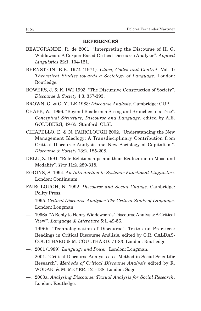## **REFERENCES**

- BEAUGRANDE, R. de 2001. "Interpreting the Discourse of H. G. Widdowson: A Corpus-Based Critical Discourse Analysis". *Applied Linguistics* 22:1. 104-121.
- BERNSTEIN, B.B. 1974 (1971). *Class, Codes and Control*. Vol. 1: *Theoretical Studies towards a Sociology of Language.* London: Routledge.
- BOWERS, J. & K. IWI 1993. "The Discursive Construction of Society". *Discourse & Society* 4:3. 357-393.
- BROWN, G. & G. YULE 1983: *Discourse Analysis*. Cambridge: CUP.
- CHAFE, W. 1996. "Beyond Beads on a String and Branches in a Tree". *Conceptual Structure, Discourse and Language*, edited by A.E. GOLDBERG, 49-65. Stanford: CLSI.
- CHIAPELLO, E. & N. FAIRCLOUGH 2002. "Understanding the New Management Ideology: A Transdisciplinary Contribution from Critical Discourse Analysis and New Sociology of Capitalism". *Discourse & Society* 13:2. 185-208.
- DELU, Z. 1991. "Role Relationships and their Realization in Mood and Modality". *Text* 11:2. 289-318.
- EGGINS, S. 1994. *An Introduction to Systemic Functional Linguistics*. London: Continuum.
- FAIRCLOUGH, N. 1992. *Discourse and Social Change*. Cambridge: Polity Press.
- —. 1995. *Critical Discourse Analysis: The Critical Study of Language*. London: Longman.
- —. 1996a. "A Reply to Henry Widdowson´s 'Discourse Analysis: A Critical View'". *Language & Literature* 5:1. 49-56.
- —. 1996b. "Technologisation of Discourse". Texts and Practices: Readings in Critical Discourse Análisis, edited by C.R. CALDAS-COULTHARD & M. COULTHARD. 71-83. London: Routledge.
- —. 2001 (1989). *Language and Power*. London: Longman.
- —. 2001. "Critical Discourse Analysis as a Method in Social Scientific Research". *Methods of Critical Discourse Analysis* edited by R. WODAK, & M. MEYER. 121-138. London: Sage.
- —. 2003a. *Analysing Discourse: Textual Analysis for Social Research*. London: Routledge.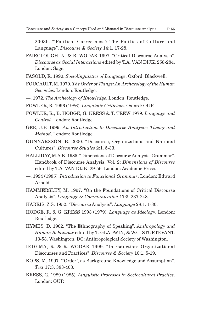- —. 2003b. "'Political Correctness': The Politics of Culture and Language". *Discourse & Society* 14:1. 17-28.
- FAIRCLOUGH, N. & R. WODAK 1997. "Critical Discourse Analysis". *Discourse as Social Interactions* edited by T.A. VAN DIJK. 258-284. London: Sage.
- FASOLD, R. 1990. *Sociolinguistics of Language*. Oxford: Blackwell.
- FOUCAULT, M. 1970. *The Order of Things: An Archaeology of the Human Sciencies.* London: Routledge.
- —. 1972. *The Archeology of Knowledge*. London: Routledge.
- FOWLER, R. 1996 (1986). *Linguistic Criticism*. Oxford: OUP.
- FOWLER, R., B. HODGE, G. KRESS & T. TREW 1979. *Language and Control.* London: Routledge.
- GEE, J.P. 1999. *An Introduction to Discourse Analysis: Theory and Method*. London: Routledge.
- GUNNARSSON, B. 2000. "Discourse, Organizations and National Cultures". *Discourse Studies* 2:1. 5-33.
- HALLIDAY, M.A.K. 1985. "Dimensions of Discourse Analysis: Grammar". Handbook of Discourse Analysis. Vol. 2: *Dimensions of Discourse* edited by T.A. VAN DIJK, 29-56. London: Academic Press.
- —. 1994 (1985). *Introduction to Functional Grammar*. London: Edward Arnold.
- HAMMERSLEY, M. 1997. "On the Foundations of Critical Discourse Analysis". *Language & Communication* 17:3. 237-248.
- HARRIS, Z.S. 1952. "Discourse Analysis". *Language* 28:1. 1-30.
- HODGE, R. & G. KRESS 1993 (1979). *Language as Ideology*. London: Routledge.
- HYMES, D. 1962. "The Ethnography of Speaking". *Anthropology and Human Behaviour* edited by T. GLADWIN, & W.C. STURTEVANT. 13-53. Washington, DC: Anthropological Society of Washington.
- IEDEMA, R. & R. WODAK 1999. "Introduction: Organizational Discourses and Practices". *Discourse & Society* 10:1. 5-19.
- KOPS, M. 1997. "'Order', as Background Knowledge and Assumption". *Text* 17:3. 383-403.
- KRESS, G. 1989 (1985). *Linguistic Processes in Sociocultural Practice*. London: OUP.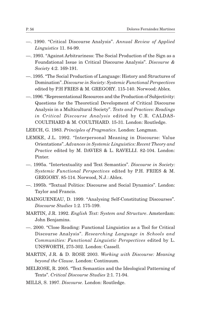- —. 1990. "Critical Discourse Analysis". *Annual Review of Applied Linguistics* 11. 84-99.
- —. 1993. "Against Arbitrariness: The Social Production of the Sign as a Foundational Issue in Critical Discourse Analysis". *Discourse & Society* 4:2. 169-191.
- —. 1995. "The Social Production of Language: History and Structures of Domination". *Discourse in Society: Systemic Functional Perspectives* edited by P.H FRIES & M. GREGORY. 115-140. Norwood: Ablex.
- —. 1996. "Representational Resources and the Production of Subjectivity: Questions for the Theoretical Development of Critical Discourse Analysis in a Multicultural Society". *Texts and Practices: Readings in Critical Discourse Analysis* edited by C.R. CALDAS-COULTHARD & M. COULTHARD. 15-31. London: Routledge.
- LEECH, G. 1983. *Principles of Pragmatics*. London: Longman.
- LEMKE, J.L. 1992. "Interpersonal Meaning in Discourse: Value Orientations". *Advances in Systemic Linguistics: Recent Theory and Practice* edited by M. DAVIES & L. RAVELLI. 82-104. London: Pinter.
- —. 1995a. "Intertextuality and Text Semantics". *Discourse in Society: Systemic Functional Perspectives* edited by P.H. FRIES & M. GREGORY. 85-114. Norwood, N.J.: Ablex.
- —. 1995b. "Textual Politics: Discourse and Social Dynamics". London: Taylor and Francis.
- MAINGUENEAU, D. 1999. "Analysing Self-Constituting Discourses". *Discourse Studies* 1:2. 175-199.
- MARTIN, J.R. 1992. *English Text: System and Structure*. Amsterdam: John Benjamins.
- —. 2000. "Close Reading: Functional Linguistics as a Tool for Critical Discourse Analysis". *Researching Language in Schools and Communities: Functional Linguistic Perspectives* edited by L. UNSWORTH, 275-302. London: Cassell.
- MARTIN, J.R. & D. ROSE 2003. *Working with Discourse: Meaning beyond the Clause*. London: Continuum.
- MELROSE, R. 2005. "Text Semantics and the Ideological Patterning of Texts". *Critical Discourse Studies* 2:1. 71-94.
- MILLS, S. 1997. *Discourse*. London: Routledge.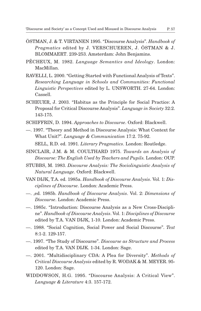- ÖSTMAN, J. & T. VIRTANEN 1995. "Discourse Analysis". *Handbook of Pragmatics* edited by J. VERSCHUEREN, J. ÖSTMAN & J. BLOMMAERT. 239-253. Amsterdam: John Benjamins.
- PÊCHEUX, M. 1982. *Language Semantics and Ideology*. London: MacMillan.
- RAVELLI, L. 2000. "Getting Started with Functional Analysis of Texts". *Researching Language in Schools and Communities: Functional Linguistic Perspectives* edited by L. UNSWORTH. 27-64. London: Cassell.
- SCHEUER, J. 2003. "Habitus as the Principle for Social Practice: A Proposal for Critical Discourse Analysis". *Language in Society* 32:2. 143-175.
- SCHIFFRIN, D. 1994. *Approaches to Discourse*. Oxford: Blackwell.
- —. 1997. "Theory and Method in Discourse Analysis: What Context for What Unit?". *Language & Communication* 17:2. 75-92.

SELL, R.D. ed. 1991. *Literary Pragmatics*. London: Routledge.

- SINCLAIR, J.M. & M. COULTHARD 1975. *Towards an Analysis of Discourse: The English Used by Teachers and Pupils.* London: OUP.
- STUBBS, M. 1983. *Discourse Analysis: The Sociolinguistic Analysis of Natural Language*. Oxford: Blackwell.
- VAN DIJK, T.A. ed. 1985a. *Handbook of Discourse Analysis*. Vol. 1: *Disciplines of Discourse*. London: Academic Press.
- —. ,ed. 1985b. *Handbook of Discourse Analysis*. Vol. 2: *Dimensions of Discourse*. London: Academic Press.
- —. 1985c. "Introduction: Discourse Analysis as a New Cross-Discipline". *Handbook of Discourse Analysis*. Vol. 1: *Disciplines of Discourse* edited by T.A. VAN DIJK, 1-10. London: Academic Press.
- —. 1988. "Social Cognition, Social Power and Social Discourse". *Text* 8:1-2. 129-157.
- —. 1997. "The Study of Discourse". *Discourse as Structure and Process* edited by T.A. VAN DIJK. 1-34. London: Sage.
- —. 2001. "Multidisciplinary CDA: A Plea for Diversity". *Methods of Critical Discourse Analysis* edited by R. WODAK & M. MEYER. 95- 120. London: Sage.
- WIDDOWSON, H.G. 1995. "Discourse Analysis: A Critical View". *Language & Literature* 4:3. 157-172.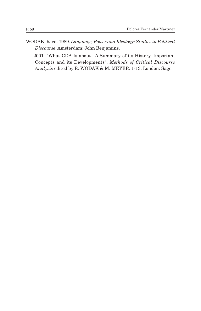- WODAK, R. ed. 1989. *Language, Power and Ideology: Studies in Political Discourse*. Amsterdam: John Benjamins.
- —. 2001. "What CDA Is about –A Summary of its History, Important Concepts and its Developments". *Methods of Critical Discourse Analysis* edited by R. WODAK & M. MEYER. 1-13. London: Sage.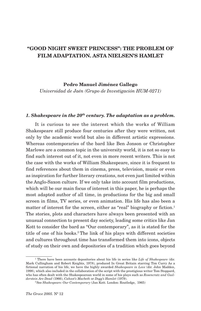## **"GOOD NIGHT SWEET PRINCESS": THE PROBLEM OF FILM ADAPTATION. ASTA NIELSEN'S HAMLET**

**Pedro Manuel Jiménez Gallego**

*Universidad de Jaén (Grupo de Investigación HUM-0271)*

## *1. Shakespeare in the 20th century. The adaptation as a problem.*

It is curious to see the interest which the works of William Shakespeare still produce four centuries after they were written, not only by the academic world but also in different artistic expressions. Whereas contemporaries of the bard like Ben Jonson or Christopher Marlowe are a common topic in the university world, it is not so easy to find such interest out of it, not even in more recent writers. This is not the case with the works of William Shakespeare, since it is frequent to find references about them in cinema, press, television, music or even as inspiration for further literary creations, not even just limited within the Anglo-Saxon culture. If we only take into account film productions, which will be our main focus of interest in this paper, he is perhaps the most adapted author of all time, in productions for the big and small screen in films, TV series, or even animation. His life has also been a matter of interest for the screen, either as "real" biography or fiction.<sup>1</sup> The stories, plots and characters have always been presented with an unusual connection to present day society, leading some critics like Jan Kott to consider the bard as "Our contemporary", as it is stated for the title of one of his books.2 The link of his plays with different societies and cultures throughout time has transformed them into icons, objects of study on their own and depositories of a tradition which goes beyond

<sup>1</sup> There have been accounts depositories about his life in series like *Life of Shakespeare* (dir. Mark Cullingham and Robert Knights, 1978), produced In Great Britain starring Tim Curry As a fictional narration of his life, we have the highly awarded *Shakespeare in Love* (dir. John Madden, 1998), which also included in the collaboration of the script with the prestigious writer Tom Stoppard, who has often dealt with the Shakespearean world in some of his plays such as *Rosencratz and Guilderstein Are Dead* (1966), *Cahoot's Macbeth* or *Dogg's Hamlet* (1979).

<sup>2</sup> See *Shakespeare: Our Contemporary* (Jan Kott. London: Routledge, 1965)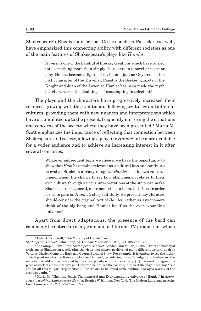Shakespeare's Elizabethan period. Critics such as Patrick Cruttwell, have emphasized this connecting ability with different societies as one of the main features of Shakespeare's plays like *Hamlet*:

> *Hamlet* is one of the handful of literary creations which have turned into something more than simply characters in a novel or poem or play. He has become a figure of myth; and just as Odysseus is the myth character of the Traveller, Faust is the Seeker, Quixote of the Knight and Juan of the Lover, so Hamlet has been made the myth [...] character of the doubting self-contempting intellectual.<sup>3</sup>

The plays and the characters have progressively increased their richness, growing with the traditions of following centuries and different cultures, providing them with new nuances and interpretations which have accumulated up to the present, frequently mirroring the situations and concerns of the society where they have been presented.4 Maria M. Scott emphasizes the importance of reflecting that connection between Shakespeare and society, allowing a play like *Hamlet* to be more available for a wider audience and to achieve an increasing interest in it after several centuries:

> Whatever subsequent texts we choose, we have the opportunity to show that *Hamlet* remains relevant as a cultural icon and continues to evolve. Students already recognize *Hamlet* as a known cultural phenomenon; the chance to see how phenomenon relates to their own culture through various interpretations of the story can make Shakespeare in general, more accessible to them. [...] Thus, in order for us to pass on *Hamlet's* story faithfully, we present-day Horatios should consider the original text of *Hamlet*, rather as astronomers think of the big bang and Hamlet itself as the ever-expanding universe.5

Apart from direct adaptations, the presence of the bard can commonly be noticed in a large amount of film and TV productions which

<sup>3</sup> Patrick Cruttwell, "The Morality of Hamlet." in

*Shakespeare: Hamlet,* John Jump, ed. London: MacMillan, 1968, 174-188, esp. 175

<sup>4</sup> As example, John Jump (*Shakespeare: Hamlet.* London: MacMillan, 1968:23) traces a history of criticism on Shakespeare, collecting the views, not always positive, of many different writers, such as Voltaire, Harley Granville Barker, o George Bernard Shaw. For example, it is curious to see the highly critical position which Voltaire adopts about *Hamlet*, considering it as a "a vulgar and barbarian drama which would not be tolerated by the vilest populace of France or Italy; [...] one would imagine this piece of work of a drunken savage." However, he praises the poetic qualities of the play in stating: "But amidst all this vulgar irregularities [...] there are to be found some sublime passages worthy of the greatest genius."

<sup>5</sup> Maria M. "Cheating death: The immortal and Ever-expanding universe of Hamlet" in *Approaches to teaching Shakespeare's Hamlet,* Bernice W. Kliman. New York: The Modern Language Association of America, 2002:239-243, esp. 242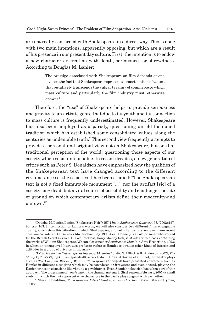are not really concerned with Shakespeare in a direct way. This is done with two main intentions, apparently opposing, but which are a result of his presence in our present day culture. First, the intention is to endow a new character or creation with depth, seriousness or shrewdness. According to Douglas M. Lanier:

> The prestige associated with Shakespeare on film depends at one level on the fact that Shakespeare represents a constellation of values that putatively transcends the vulgar tyranny of commerce to which mass culture and particularly the film industry must, otherwise answer.6

Therefore, the "use" of Shakespeare helps to provide seriousness and gravity to an artistic genre that due to its youth and its connection to mass culture is frequently underestimated. However, Shakespeare has also been employed as a parody, questioning an old fashioned tradition which has established some consolidated values along the centuries as undeniable truth.7 This second view frequently attempts to provide a personal and original view not on Shakespeare, but on that traditional perception of the world, questioning those aspects of our society which seem untouchable. In recent decades, a new generation of critics such as Peter S. Donaldson have emphasized how the qualities of the Shakepearean text have changed according to the different circumstances of the societies it has been studied: "The Shakespearean text is not a fixed immutable monument [...], nor the artifact [sic] of a society long dead, but a vital source of possibility and challenge, the site or ground on which contemporary artists define their modernity-and our own."8

<sup>6</sup> Douglas M. Lanier, Lanier, "Shakescorp Noir" (157-180) in *Shakespeare Quarterly* 53, (2002):157- 80, esp. 163. In connection to Lanier's words, we will also consider two different films of arguable quality, which show this situation in which Shakespeare, and not other writers, not even more recent ones, are considered. In *The Rock* (dir. Michael Bay, 1995) Sean Connery is an old prisoner who worked for the British Secret Service. His old, reckless, hairy, shabby look, is at odds with a book containing the works of William Shakespeare. We can also consider *Renaissance Man* (dir. Amy Heckerling, 1993) in which an unemployed literature professor refers to Hamlet to awaken other kinds of interest and attitudes in a group of privates in the army.

<sup>7</sup> TV series such as *The Simpsons* (episode, 14, series 13; dir. N. Affleck & B. Anderson, 2002), *The Monty Python's Flying Circus* (episode 43, series 4; dir. J. Howard Davies. et al., 1974), or theatre plays such as *The Complete Works of William Shakespeare* (Abridged) have presented characters such as Hamlet in different situations which may be considered as irreverent and even absurd, playing the Danish prince in situations like visiting a psychiatrist. Even Spanish television has taken part of this approach. The programme *Buenafuente* in the channel Antena 3, (first season, February, 2005) a small sketch in which the mot representative characters in the bard's plays argued with each other.

<sup>8</sup> Peter S. Donaldson, *Shakespearean Films/ Shakespearean Directors*. Boston: Marvin Hyman, 1990:x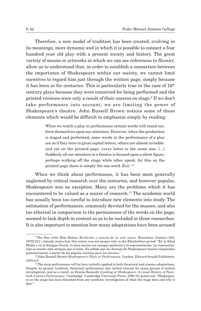Therefore, a new model of tradition has been created, evolving in its meanings, more dynamic and in which it is possible to connect a four hundred year old play with a present society and history. The great variety of means or artworks in which we can see references to *Hamlet*, allow us to understand that, in order to establish a connection between the importance of Shakespeare within our society, we cannot limit ourselves to regard him just through the written page, simply because it has been so for centuries. This is particularly true in the case of  $16<sup>th</sup>$ century plays because they were conceived for being performed and the printed versions were only a result of their success on stage.9 If we don't take performance into account, we are limiting the power of Shakespeare's theatre. John Russell Brown notices some of these elements which would be difficult to emphasize simply by reading:

> When we watch a play in performance certain words will stand out, force themselves upon our attention. However, when the production is staged and performed, some words in the performance of a play are as if they were in great capital letters, others are almost invisible: and yet on the printed page, every letter is the same size. [...] Suddenly all our attention in a theatre is focused upon a silent figure, perhaps walking off the stage while other speak: for this on the printed page there is simply the one word: *Exit*. 10

When we think about performance, it has been most generally neglected by critical research over the centuries, and however popular, Shakespeare was no exception. Many are the problems which it has encountered to be valued as a source of research.<sup>11</sup> The academic world has usually been too careful to introduce new elements into study. The estimation of performances, commonly devoted for the masses, and also too ethereal in comparison to the permanence of the words on the page, seemed to lack depth in content so as to be included in those researches. It is also important to mention how many adaptations have been accused

<sup>9</sup> The film critic Béla Balasz (*Evolución y esencia de un arte nuevo.* Barcelona: Gustavo Gili, 1978]:211), already states how this action was not proper only in the Elizabethan period: "En la Edad Media y en la Antigua Grecia, la obra escrita era siempre posterior a la representación. La representación es mucho más antigua que el texto. Es sabido que los dramas de Shakespeare fueron compuestos posteriormente a partir de los papeles escritos para los actores."

<sup>10</sup> John Russell Brown *Shakespeare's Plays in Performance.* London: Edward Arnold Publishers,

 $11$ <sup>The</sup> term performance will be here initially applied to both theatrical and cinema adaptations. Despite its greater tradition, theatrical performance also lacked interest for many groups of critical investigation, and as a result, as Dennis Kennedy (*Looking at Shakespeare: A visual History of Twentieth-Century Performance.* Cambridge: Cambridge University Press, 1993:15) points out: "Shakespeare on the stage has been detached from any aesthetic investigation of what the stage does and why it does."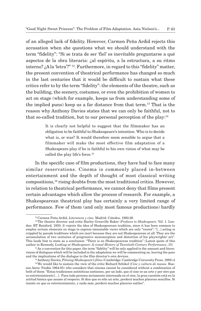of an alleged lack of fidelity. However, Carmen Peña Ardid rejects this accusation when she questions what we should understand with the term "fidelity": "Si se trata de ser 'fiel' es inevitable preguntarse a qué aspectos de la obra literaria: ¿al espíritu, a la estructura, a su ritmo interno? ¿A la 'letra'?" 12. Furthermore, in regard to this "fidelity" matter, the present convention of theatrical performance has changed so much in the last centuries that it would be difficult to sustain what these critics refer to by the term "fidelity": the elements of the theatre, such as the building, the scenery, costumes, or even the prohibition of women to act on stage (which for example, keeps us from understanding some of the implied puns) keep us a far distance from that term.13 That is the reason why Anthony Davies states that we can only be faithful, not to that so-called tradition, but to our personal perception of the play:14

> It is clearly not helpful to suggest that the filmmaker has an obligation to be faithful to Shakespeare's intention. Who is to decide what is, or was? It would therefore seem sensible to argue that a filmmaker will make the most effective film adaptation of a Shakespeare play if he is faithful to his own vision of what may be called the play life's force.15

In the specific case of film productions, they have had to face many similar reservations. Cinema is commonly placed in-between entertainment and the depth of thought of most classical writing compositions,16 rising doubts from the most traditional critics. However, in relation to theatrical performance, we cannot deny that films present certain advantages which allow the process of research. For example, a Shakespearean theatrical play has certainly a very limited range of performance. Few of them (and only most famous productions) hardly

<sup>12</sup> Carmen Peña Ardid, *Literatura y cine.* Madrid: Cátedra, 1992:26

<sup>13</sup> The theatre director and critic Harley Granville Baker (*Prefaces to Shakespeare.* Vol. 1. London: BT Batsford, 1930: 2) rejects the idea of Shakespearean tradition, since it has been common to employ certain elements on stage to express immutable views which are only "recent": "[...] acting is crippled by pseudo traditions which are inert because they are not Shakespearean at all: They are the accumulation of two centuries of progressive misconception and distortion of his playwrights' art". This leads him to state as a conclusion: "There is no Shakespearean tradition" (Latest quote of this author in Kennedy, *Looking at Shakespeare: A visual History of Twentieth-Century Performance*, 15)

<sup>14</sup> As a convention for this paper, the term "fidelity" will be only applied to the amount and literariness of dialogues which will be included in the adaptation we will be commenting on, leaving the pace and the implications of the dialogue to the film director's own devices.

<sup>15</sup> Anthony Davies, *Filming Shakespeare's films* (Cambridge: Cambridge University Press, 1988):4

<sup>16</sup> We would like to sustain the view of the critic Richard Schikel (*Cine y cultura de masas.* Buenos Aires: Paidós 1964:85) who considers that cinema cannot be considered without a combination of both of them: "Estas tradiciones antitéticas sostienen, por un lado, que el cine es un arte y por otro que es entretenimiento [...]. Para toda persona seriamente interesada en el cine, la gran cuestión está en la actitud básica que asume al respecto. Si dice que es sólo un arte, perderá muchos placeres sencillos. Si insiste en que es entretenimiento, y nada más, perderá muchos placeres sutiles".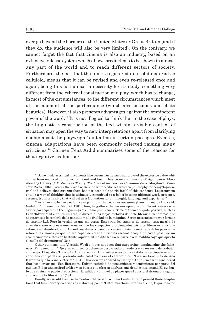ever go beyond the borders of the United States or Great Britain (and if they do, the audience will also be very limited). On the contrary, we cannot forget the fact that cinema is also an industry, based on an extensive release system which allows productions to be shown in almost any part of the world and to reach different sectors of society. Furthermore, the fact that the film is registered in a solid material as celluloid, means that it can be revised and even re-released once and again, being this fact almost a necessity for its study, something very different from the ethereal construction of a play, which has to change, in most of the circumstances, to the different circumstances which meet at the moment of the performance (which also becomes one of its beauties). However, it also presents advantages against the omnipotent power of the word.17 It is not illogical to think that in the case of plays, the linguistic reconstruction of the text within a visible context of situation may open the way to new interpretations apart from clarifying doubts about the playwright's intention in certain passages. Even so, cinema adaptations have been commonly rejected raising many criticisms.18 Carmen Peña Ardid summarizes some of the reasons for that negative evaluation:

 $17$  Some modern critical movements like deconstructivism disapprove of the excessive value which has been endowed to the written word and how it has become a measure of significance. Mary Alemany Galway (*A Postmodern Theory. The Voice of the other in Canadian Film.* Maryland: Scarecrow Press, 2002:8) states the vision of Derrida who: "criticizes western philosophy for being 'logocentric' and believes that structuralism has not been able to rid itself of this tendency. Logocentrism entails a way of thinking that is ultimately committed to a belief in some ultimate word, presence, essence, truth or reality that will act as a foundation for all thought, language and experience."

<sup>18</sup> As an example, we would like to point out the book *Los escritores frente al cine* by Harry M. Geduld. Fundamentos: Madrid, 1981. Here, he gathers the various opinions of different writers who saw or participated in the beginnings of cinema productions. Some of them are quite positive, such as Leon Tolstoi: "[El cine] es un ataque directo a los viejos métodos del arte literario. Tendremos que adaptarnos a lo sombrío de la pantalla y a la frialdad de la máquina. Serán necesarias nuevas formas de escribir [...]. Pero la verdad es que me gusta. Estos rápidos cambios de escena, esta mezcla de emoción y sensaciones e mucho mejor que los compactos y prolongados párrafos literarios a los que estamos acostumbrados [...]. Cuando estaba escribiendo el cadáver viviente me tiraba de los pelos y me retorcía las manos porque no era capaz de crear suficientes escenas apoque no podía pasar de un acontecimiento a otro con bastante rapidez. El maldito teatro se parecía a la maldita soga que aprieta el cuello del dramaturgo" (24).

Other opinions, like Virginia Woolf's, have not been that supporting, emphasizing the falseness of the medium: "Ojo y cerebro son cruelmente desgarrados cuando tratan en serio de trabajar en pareja. El ojo dice 'He aquí a Ana Karenina'. Una voluptuosa dama vestida de terciopelo negro y adornada con perlas se presenta ante nosotros. Pero el cerebro dice: 'Esta no tiene más de Ana Karenina que la reina Victoria' " (104). This view was shared by Henry Arthur Jones who considered that book creations "Son literatura. Exigen seriedad de pensamiento y sentimiento por parte del público. Piden una actitud crítica y en base a ella ofrecen disfrute emocional e intelectual. Es evidente que el cine no puede proporcionar la calidad y el nivel de placer que sí aporta el drama dialogado: el placer de la literatura" (181) .

Finally, we would also like to mention the view of William Faulkner, who praised those adaptations that took literary creations as a starting point: "Entre mis obras llevadas al cine, lo que más me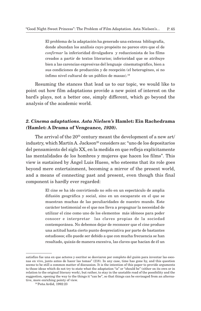El problema de la adaptación ha generado una extensa bibliografía, donde abundan los análisis cuyo propósito no parece otro que el de *confirmar* la inferioridad divulgadora y reduccionista de los films creados a partir de textos literarios; inferioridad que se atribuye bien a las carencias expresivas del lenguaje cinematográfico, bien a sus condiciones de producción y de recepción (el heterogéneo, si no ínfimo nivel cultural de un público de masas).19

Resuming the stances that lead us to our topic, we would like to point out how film adaptations provide a new point of interest on the bard's plays, not a better one, simply different, which go beyond the analysis of the academic world.

## *2. Cinema adaptations. Asta Nielsen's* **Hamlet: Ein Rachedrama** *(***Hamlet: A Drama of Vengeance***, 1920).*

The arrival of the  $20<sup>th</sup>$  century meant the development of a new art/ industry, which Martín A. Jackson<sup>20</sup> considers as: "uno de los depositarios del pensamiento del siglo XX, en la medida en que refleja explícitamente las mentalidades de los hombres y mujeres que hacen los films". This view is sustained by Ángel Luis Hueso, who esteems that its role goes beyond mere entertainment, becoming a mirror of the present world, and a means of connecting past and present, even though this final component is hardly ever regarded:

> El cine se ha ido convirtiendo no sólo en un espectáculo de amplia difusión geográfica y social, sino en un escaparate en el que se muestran muchas de las peculiaridades de nuestro mundo. Este carácter testimonial es el que nos lleva a propugnar la necesidad de utilizar el cine como uno de los elementos más idóneos para poder conocer e interpretar las claves propias de la sociedad contemporánea. No debemos dejar de reconocer que el cine produce una actitud hasta cierto punto despreciativa por parte de bastantes estudiosos; ello puede ser debido a que con mucha frecuencia se han resaltado, quizás de manera excesiva, las claves que hacían de él un

satisfizo fue una en que actores y escritor se desviaron por completo del guión para inventar las escenas en vivo, junto antes de hacer las tomas" (218). In any case, time has gone by, and this question seems to be still a common matter of discussion. It is the intention of this paper to provide arguments to those ideas which do not try to state what the adaptation "is" or "should be" (either on its own or in relation to the original literary work), but rather, to stay in the unstable road of the possibility and the suggestion, opening the way to the things it "can be", so that things can be envisaged from an alternative, more enriching pointy of view.

<sup>19</sup> Peña Ardid, 1992:23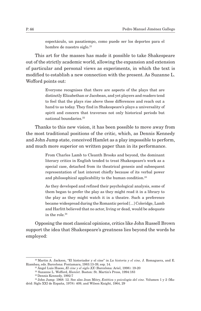espectáculo, un pasatiempo, como puede ser los deportes para el hombre de nuestro siglo.<sup>21</sup>

This art for the masses has made it possible to take Shakespeare out of the strictly academic world, allowing the expansion and extension of particular and personal views as experiments, in which the text is modified to establish a new connection with the present. As Suzanne L. Wofford points out:

> Everyone recognises that there are aspects of the plays that are distinctly Elizabethan or Jacobean, and yet players and readers tend to feel that the plays rise above these differences and reach out a hand to us today. They find in Shakespeare's plays a universality of spirit and concern that traverses not only historical periods but national boundaries<sup>22</sup>

Thanks to this new vision, it has been possible to move away from the most traditional positions of the critic, which, as Dennis Kennedy and John Jump state, conceived Hamlet as a play impossible to perform, and much more superior on written paper than in its performance.

> From Charles Lamb to Cleanth Brooks and beyond, the dominant literary critics in English tended to treat Shakespeare's work as a special case, detached from its theatrical genesis and subsequent representation of last interest chiefly because of its verbal power and philosophical applicability to the human condition.<sup>23</sup>

> As they developed and refined their psychological analysis, some of them began to prefer the play as they might read it in a library to the play as they might watch it in a theatre. Such a preference became widespread during the Romantic period [...] Coleridge, Lamb and Harlitt believed that no actor, living or dead, would be adequate in the role.<sup>24</sup>

Opposing the most classical opinions, critics like John Russell Brown support the idea that Shakespeare's greatness lies beyond the words he employed:

<sup>20</sup> Martin A. Jackson, "El historiador y el cine" in *La historia y el cine,* J. Romaguera, and E. Riambau, eds. Barcelona: Fontamara, 1983:13-39, esp. 14.

<sup>21</sup> Ángel Luis Hueso, *El cine y el siglo XX* (Barcelona: Ariel, 1998): 19-20

<sup>22</sup> Suzanne L. Wofford, *Hamlet*. Boston: St. Martin's Press, 1994:183

<sup>23</sup> Dennis Kennedy, 1992:7

<sup>24</sup> John Jump: 1968: 12. See also Jean Mitry, *Estética y psicología del cine.* Volumen 1 y 2 (Madrid: Siglo XXI de España, 1978): 409, and Wilson Knight, 1964, 29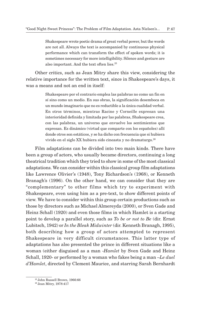Shakespeare wrote poetic drama of great verbal power, but the words are not all. Always the text is accompanied by continuous physical performance which can transform the effect of spoken words; it is sometimes necessary for more intelligibility. Silence and gesture are also important. And the text often lies.25

Other critics, such as Jean Mitry share this view, considering the relative importance for the written text, since in Shakespeare's days, it was a means and not an end in itself:

> Shakespeare por el contrario emplea las palabras no como un fin en sí sino como un medio. En sus obras, la significación desemboca en un mundo imaginario que no es reductible a la única cualidad verbal. En otros términos, mientras Racine y Corneille expresan una interioridad definida y limitada por las palabras, Shakespeare crea, con las palabras, un universo que envuelve los sentimientos que expresan. Es dinámico (virtud que comparte con los españoles) allí donde otros son estáticos, y se ha dicho con frecuencia que si hubiera vivido en el siglo XX hubiera sido cineasta y no dramaturgo.<sup>26</sup>

Film adaptations can be divided into two main kinds. There have been a group of actors, who usually became directors, continuing a long theatrical tradition which they tried to show in some of the most classical adaptations. We can consider within this classical group film adaptations like Lawrence Olivier's (1948), Tony Richardson's (1968), or Kenneth Branagh's (1996). On the other hand, we can consider that they are "complementary" to other films which try to experiment with Shakespeare, even using him as a pre-text, to show different points of view. We have to consider within this group certain productions such as those by directors such as Michael Almereyda (2000), or Sven Gade and Heinz Schall (1920) and even those films in which Hamlet is a starting point to develop a parallel story, such as *To be or not to Be* (dir. Ernst Lubitsch, 1942) or *In the Bleak Midwinter* (dir. Kenneth Branagh, 1995), both describing how a group of actors attempted to represent Shakespeare in very difficult circumstances. This latter type of adaptations has also presented the prince in different situations like a woman (either disguised as a man -*Hamlet* by Sven Gade and Heinz Schall, 1920- or performed by a woman who fakes being a man –*Le duel d'Hamlet*, directed by Clement Maurice, and starring Sarah Bernhardt

<sup>25</sup> John Russell Brown, 1966:66

<sup>26</sup> Jean Mitry, 1978:417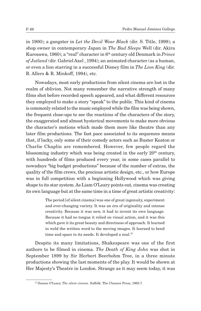in 1900); a gangster in *Let the Devil Wear Black* (dir. S. Title, 1999); a shop owner in contemporary Japan in *The Bad Sleeps* Well (dir. Akira Kurosawa, 1960); a "real" character in 6th century old Denmark in *Prince of Jutland* (dir. Gabriel Axel , 1994); an animated character (as a human, or even a lion starring in a successful Disney film in *The Lion King* (dir. R. Allers & R. Minkoff, 1994), etc.

Nowadays, most early productions from silent cinema are lost in the realm of oblivion. Not many remember the narrative strength of many films shot before recorded speech appeared, and what different resources they employed to make a story "speak" to the public. This kind of cinema is commonly related to the music employed while the film was being shown, the frequent close-ups to see the reactions of the characters of the story, the exaggerated and almost hysterical movements to make more obvious the character's motions which made them more like theatre than any later film productions. The fast pace associated to its sequences means that, if lucky, only some of their comedy actors such as Buster Keaton or Charlie Chaplin are remembered. However, few people regard the blossoming industry which was being created in the early  $20<sup>th</sup>$  century, with hundreds of films produced every year, in some cases parallel to nowadays "big budget productions" because of the number of extras, the quality of the film crews, the precious artistic design, etc., or how Europe was in full competition with a beginning Hollywood which was giving shape to its star system. As Liam O'Leary points out, cinema was creating its own language but at the same time in a time of great artistic creativity:

> The period [of silent cinema] was one of great ingenuity, experiment and ever-changing variety. It was an era of originality and intense creativity. Because it was new, it had to invent its own language. Because it had no tongue it relied on visual action, and it was this which gave it its great beauty and directness of approach. It learned to weld the written word to the moving images. It learned to bend time and space to its needs. It developed a soul.<sup>27</sup>

Despite its many limitations, Shakespeare was one of the first authors to be filmed in cinema. *The Death of King John* was shot in September 1899 by Sir Herbert Beerbohm Tree, in a three minute productions showing the last moments of the play. It would be shown at Her Majesty's Theatre in London. Strange as it may seem today, it was

<sup>27</sup> Dennis O'Leary, *The silent cinema*. Suffolk: The Chaucer Press, 1965:7.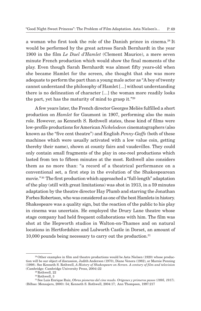a woman who first took the role of the Danish prince in cinema.28 It would be performed by the great actress Sarah Bernhardt in the year 1900 in the film *Le Duel d'Hamlet* (Clement Maurice), a mere seven minute French production which would show the final moments of the play. Even though Sarah Bernhardt was almost fifty years-old when she became Hamlet for the screen, she thought that she was more adequate to perform the part than a young male actor as "A boy of twenty cannot understand the philosophy of Hamlet [...] without understanding there is no delineation of character [...] the woman more readily looks the part, yet has the maturity of mind to grasp it."29

A few years later, the French director Georges Meliès fulfilled a short production on *Hamlet* for Gaumont in 1907, performing also the main role. However, as Kenneth S. Rothwell states, these kind of films were low-profile productions for American *Nickelodeon* cinematographers (also known as the "five cent theatre") and English *Penny-Gaffs* (both of these machines which were usually activated with a low value coin, getting thereby their name), shown at county fairs and vaudevilles. They could only contain small fragments of the play in one-reel productions which lasted from ten to fifteen minutes at the most. Rothwell also considers them as no more than: "a record of a theatrical performance on a conventional set, a first step in the evolution of the Shakespearean movie." 30 The first production which approached a "full-length" adaptation of the play (still with great limitations) was shot in 1913, in a 59 minutes adaptation by the theatre director Hay Plumb and starring the Jonathan Forbes Robertson, who was considered as one of the best Hamlets in history. Shakespeare was a quality sign, but the reaction of the public to his play in cinema was uncertain. He employed the Drury Lane theatre whose stage company had held frequent collaborations with him. The film was shot at the Hepworth studios in Walton-on-Thames and on natural locations in Hertfordshire and Lulworth Castle in Dorset, an amount of  $10,000$  pounds being necessary to carry out the production.<sup>31</sup>

<sup>28</sup> Other examples in film and theatre productions would be Asta Nielsen (1920) whose production will be our object of discussion, Judith Anderson (1970), Diane Venora (1982), or Marnie Penning (1998). See Kenneth S. Rothwell, *A History of Shakespeare on Screen. A century of film and television* (Cambridge: Cambridge University Press, 2004):22

<sup>29</sup> Rothwell, 22

<sup>30</sup> Rothwell, 3

<sup>31</sup> See Luis Enrique Ruiz, *Obras pioneras del cine mudo. Orígenes y primeros pasos (1895, 1917)*. (Bilbao: Mensajero, 2000): 54; Kenneth S. Rothwell, 2004:17; Ann Thompson, 1997:217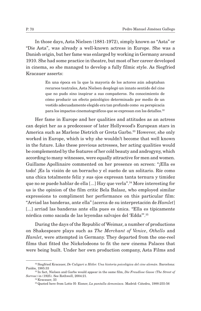In those days, Asta Nielsen (1881-1972), simply known as "Asta" or "Die Asta", was already a well-known actress in Europe. She was a Danish origin, but her fame was enlarged by working in Germany around 1910. She had some practice in theatre, but most of her career developed in cinema, so she managed to develop a fully filmic style. As Siegfried Kracauer asserts:

> En una época en la que la mayoría de los actores aún adoptaban recursos teatrales, Asta Nielsen desplegó un innato sentido del cine que no pudo sino inspirar a sus compañeros. Su conocimiento de cómo producir un efecto psicológico determinado por medio de un vestido adecuadamente elegido era tan profundo como su perspicacia para los impactos cinematográficos que se expresan con los detalles.32

Her fame in Europe and her qualities and attitudes as an actress can depict her as a predecessor of later Hollywood's European stars in America such as Marlene Dietrich or Greta Garbo.<sup>33</sup> However, she only worked in Europe, which is why she wouldn't become that well known in the future. Like these previous actresses, her acting qualities would be complemented by the features of her cold beauty and androgyny, which according to many witnesses, were equally attractive for men and women. Guillame Apollinaire commented on her presence on screen: "¡Ella es todo! ¡Es la visión de un borracho y el sueño de un solitario. Ríe como una chica totalmente feliz y sus ojos expresan tanta ternura y timidez que no se puede hablar de ella [...] Hay que verla".34 More interesting for us is the opinion of the film critic Bela Balasz, who employed similar expressions to compliment her performance on this particular film: "Arriad las banderas, ante ella" [acerca de su interpretación de *Hamlet*] [...] arriad las banderas ante ella pues es única. "Ella es típicamente" nórdica como sacada de las leyendas salvajes del 'Edda'".35

During the days of the Republic of Weimar, a number of productions on Shakespeare plays such as *The Merchant of Venice*, *Othello* and *Hamlet*, were attempted in Germany. They departed from the one-reel films that fitted the Nickelodeons to fit the new cinema Palaces that were being built. Under her own production company, Asta Films and

<sup>32</sup> Siegfried Kracauer, *De Caligari a Hitler. Una historia psicológica del cine alemán*. Barcelona: Paidós, 1985:33

<sup>33</sup> In fact, Nielsen and Garbo would appear in the same film, *Die Freudlose Gasse (The Street of Sorrow*) in (1925). See Rothwell, 2004:21.

<sup>34</sup> Kracauer, 33

<sup>35</sup> Quoted here from Lotte H- Eisner, *La pantalla demoníaca*. Madrid: Cátedra, 1988:255-56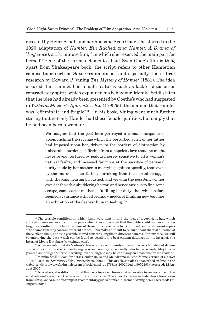directed by Heinz Schall and her husband Sven Gade, she starred in the 1920 adaptation of *Hamlet: Ein Rachedrama Hamlet: A Drama of Vengeance*), a 131 minute film,<sup>36</sup> in which she reserved the main part for herself.37 One of the curious elements about Sven Gade's film is that, apart from Shakespeare book, the script refers to other Hamletian compositions such as Saxo Grammaticus', and especially, the critical research by Edward P. Vining *The Mystery of Hamlet* (1881). The idea assured that Hamlet had female features such as lack of decision or contradictory spirit, which explained his behaviour. Monika Seidl states that the idea had already been presented by Goethe's who had suggested in *Wilhelm Meister's Apprenticeship* (1795/96) the opinion that Hamlet was "effeminate and fragile".38 In his book, Vining went much further stating that not only Hamlet had these female qualities, but simply that he had been born a woman:

> We imagine that the poet here portrayed a woman incapable of accomplishing the revenge which the perturbed spirit of her father had imposed upon her, driven to the borders of distraction by unbearable burdens, suffering from a hopeless love that she might never reveal, tortured by jealousy, sorely sensitive to all a woman's natural faults, and incensed far more at the sacrifice of personal purity made by her mother in marrying again so speedily, than even by the murder of her father; shrinking from the mortal struggle with the king, fearing bloodshed, and viewing the possibility of her own death with a shuddering horror, and hence anxious to find some escape, some easier method of fulfilling her duty; that which before seemed at variance with all ordinary modes of thinking now becomes an exhibition of the deepest human feeling. 39

<sup>&</sup>lt;sup>36</sup> The terrible conditions in which films were kept in and the lack of a copyright law, which allowed cinema owners to cut those parts which they considered that the public could find less interesting, has resulted in the fact that most of those films have come to us crippled, so that different copies of the same film may contain different scenes. This makes difficult to be sure about the real duration of these silent films, and it is possible to find different lengths in different sources. For our case, we will be employing the data which can be found at possible the best cinema database in the internet, the Internet Movie Database (www.imdb.com).

<sup>&</sup>lt;sup>37</sup> When we refer to Asta Nielsen's character, we will mainly consider her as a female, but depending on the situation she is introducing on screen we may occasionally refer to her as male. May this be granted as indulgence for this writing, even though it may be confusing on occasions for the reader.

<sup>38</sup> Monika Seidl "Room for Asta: Gender Roles and Melodrama in Asta Filmic Version of *Hamlet* (1920)", (208-16) *Literature/Film Quarterly* 30, 2002:3. This article can also be consulted on-line in the website: <http://www.findarticles.com/p/articles/mi\_qa3768/is\_200201/ai\_n9057293> accessed: 12 August 2005)

<sup>39</sup> Nowadays, it is difficult to find this book for sale. However, it is possible to review some of the most relevant excerpts of the book in different web sites. The excerpts herein included have been taken from: <http://shea.mit.edu/ramparts/commentaryguides/hamlet\_a\_woman/vining.htm> (accessed: 12th August 2005)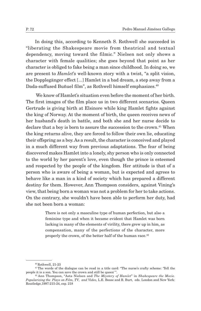In doing this, according to Kenneth S. Rothwell she succeeded in "liberating the Shakespeare movie from theatrical and textual dependency, moving toward the filmic." Nielsen not only shows a character with female qualities; she goes beyond that point as her character is obliged to fake being a man since childhood. In doing so, we are present to *Hamlet*'s well-known story with a twist, "a split vision, the Dopplegänger effect [...] Hamlet in a bad dream, a step away from a Dada-suffused Buñuel film", as Rothwell himself emphasizes.40

We know of Hamlet's situation even before the moment of her birth. The first images of the film place us in two different scenarios. Queen Gertrude is giving birth at Elsinore while king Hamlet fights against the king of Norway. At the moment of birth, the queen receives news of her husband's death in battle, and both she and her nurse decide to declare that a boy is born to assure the succession to the crown.<sup>41</sup> When the king returns alive, they are forced to follow their own lie, educating their offspring as a boy. As a result, the character is conceived and played in a much different way from previous adaptations. The fear of being discovered makes Hamlet into a lonely, shy person who is only connected to the world by her parent's love, even though the prince is esteemed and respected by the people of the kingdom. Her attitude is that of a person who is aware of being a woman, but is expected and agrees to behave like a man in a kind of society which has prepared a different destiny for them. However, Ann Thompson considers, against Vining's view, that being born a woman was not a problem for her to take actions. On the contrary, she wouldn't have been able to perform her duty, had she not been born a woman:

> There is not only a masculine type of human perfection, but also a feminine type and when it became evident that Hamlet was born lacking in many of the elements of virility, there grew up in him, as compensation, many of the perfections of the character, more properly the crown, of the better half of the human race.<sup>42</sup>

<sup>40</sup> Rothwell, 21-23

<sup>41</sup> The words of the dialogue can be read in a title card: "The nurse's crafty scheme: 'Tell the people it is a son. You can save the crown and still be queen' ".

<sup>42</sup> Ann Thompson, "Asta Nielsen and *The Miystery of Hamlet*" in *Shakespeare the Movie. Popularizing the Plays on Film, TV, and Video,* L.E. Boose and R. Burt, eds. London and New York: Routledge,1997:215-24, esp. 218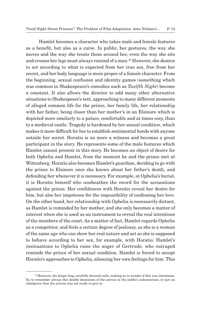Hamlet becomes a character who takes male and female features as a benefit, but also as a curse. In public, her gestures, the way she moves and the way she treats those around her, even the way she sits and crosses her legs must always remind of a man.<sup>43</sup> However, she desires to act according to what is expected from her true sex, free from her secret, and her body language is more proper of a female character. From the beginning, sexual confusion and identity games (something which was common in Shakespeare's comedies such as *Twelfth Night*) become a constant. It also allows the director to add many other alternative situations to Shakespeare's text, approaching to many different moments of alleged common life for the prince, her family life, her relationship with her father, being closer than her mother's in an Elsinore which is depicted more similarly to a palace, comfortable and at times cosy, than to a medieval castle. Tragedy is hardened by her sexual condition, which makes it more difficult for her to establish sentimental bonds with anyone outside her secret. Horatio is no more a witness and becomes a great participant in the story. He represents some of the male features which Hamlet cannot present in this story. He becomes an object of desire for both Ophelia and Hamlet, from the moment he and the prince met at Wittenberg. Horatio also becomes Hamlet's guardian, deciding to go with the prince to Elsinore once she knows about her father's death, and defending her whenever it is necessary. For example, at Ophelia's burial, it is Horatio himself who unsheathes the sword for the accusations against the prince. Her confidences with Horatio reveal her desire for him, but also her impotence for the impossibility of confessing her love. On the other hand, her relationship with Ophelia is necessarily distant, as Hamlet is reminded by her mother, and she only becomes a matter of interest when she is used as an instrument to reveal the real intentions of the members of the court. As a matter of fact, Hamlet regards Ophelia as a competitor, and feels a certain degree of jealousy, as she is a woman of the same age who can show her real nature and act as she is supposed to behave according to her sex, for example, with Horatio. Hamlet's insinuations to Ophelia raise the anger of Gertrude, who outraged reminds the prince of her sexual condition. Hamlet is forced to accept Horatio's approaches to Ophelia, silencing her own feelings for him. This

<sup>43</sup> However, she keeps long, carefully dressed nails, making us to wonder if this was intentionally, to remember always this double dimension of the actress in the public's subconscious, or just an indulgence that the actress was not ready to give in.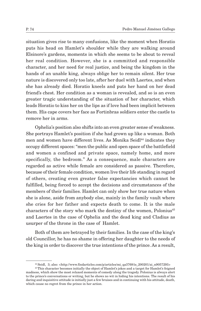situation gives rise to many confusions, like the moment when Horatio puts his head on Hamlet's shoulder while they are walking around Elsinore's gardens, moments in which she seems to be about to reveal her real condition. However, she is a committed and responsible character, and her need for real justice, and being the kingdom in the hands of an unable king, always oblige her to remain silent. Her true nature is discovered only too late, after her duel with Laertes, and when she has already died. Horatio kneels and puts her hand on her dead friend's chest. Her condition as a woman is revealed, and so is an even greater tragic understanding of the situation of her character, which leads Horatio to kiss her on the lips as if love had been implicit between them. His cape covers her face as Fortinbras soldiers enter the castle to remove her in arms.

Ophelia's position also shifts into an even greater sense of weakness. She portrays Hamlet's position if she had grown up like a woman. Both men and women have different lives. As Monika Seidl<sup>44</sup> indicates they occupy different spaces: "men the public and open space of the battlefield and women a confined and private space, namely home, and more specifically, the bedroom." As a consequence, male characters are regarded as active while female are considered as passive. Therefore, because of their female condition, women live their life standing in regard of others, creating even greater false expectancies which cannot be fulfilled, being forced to accept the decisions and circumstances of the members of their families. Hamlet can only show her true nature when she is alone, aside from anybody else, mainly in the family vault where she cries for her father and expects death to come. It is the male characters of the story who mark the destiny of the women, Polonius<sup>45</sup> and Laertes in the case of Ophelia and the dead king and Cladius as usurper of the throne in the case of Hamlet.

Both of them are betrayed by their families. In the case of the king's old Councillor, he has no shame in offering her daughter to the needs of the king in order to discover the true intentions of the prince. As a result,

<sup>44</sup> Seidl, 3; also: <http://www.findarticles.com/p/articles/mi\_qa3768/is\_200201/ai\_n9057293>

<sup>45</sup> This character becomes initially the object of Hamlet's jokes and a target for Hamlet's feigned madness, which show the most relaxed moments of comedy along the tragedy. Polonius is always alert to the prince's conversations or writing, but he shows no wit in hiding his intentions. The result of his daring and inquisitive attitude is initially just a few bruises and in continuing with his attitude, death, which cause no regret from the prince in her action.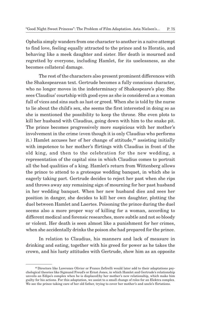Ophelia simply wanders from one character to another in a naïve attempt to find love, feeling equally attracted to the prince and to Horatio, and behaving like a meek daughter and sister. Her death is mourned and regretted by everyone, including Hamlet, for its uselessness, as she becomes collateral damage.

The rest of the characters also present prominent differences with the Shakespearean text. Gertrude becomes a fully conscious character, who no longer moves in the indeterminacy of Shakespeare's play. She sees Claudius' courtship with good eyes as she is considered as a woman full of vices and sins such as lust or greed. When she is told by the nurse to lie about the child's sex, she seems the first interested in doing so as she is mentioned the possibility to keep the throne. She even plots to kill her husband with Claudius, going down with him to the snake pit. The prince becomes progressively more suspicious with her mother's involvement in the crime (even though it is only Claudius who performs it.) Hamlet accuses her of her change of attitude,<sup>46</sup> assisting initially with impotence to her mother's flirtings with Claudius in front of the old king, and then to the celebration for the new wedding, a representation of the capital sins in which Claudius comes to portrait all the bad qualities of a king. Hamlet's return from Wittenberg allows the prince to attend to a grotesque wedding banquet, in which she is eagerly taking part. Gertrude decides to reject her past when she rips and throws away any remaining sign of mourning for her past husband in her wedding banquet. When her new husband dies and sees her position in danger, she decides to kill her own daughter, plotting the duel between Hamlet and Laertes. Poisoning the prince during the duel seems also a more proper way of killing for a woman, according to different medical and forensic researches, more subtle and not so bloody or violent. Her death is seen almost like a punishment for her crimes, when she accidentally drinks the poison she had prepared for the prince.

In relation to Claudius, his manners and lack of measure in drinking and eating, together with his greed for power as he takes the crown, and his lusty attitudes with Gertrude, show him as an opposite

<sup>46</sup> Directors like Lawrence Olivier or Franco Zefirelli would later add to their adaptations psychological theories like Sigmund Freud's or Ernst Jones, in which Hamlet and Gertrude's relationship unveils an Edipo's complex when he is displaced)by her mother's new relationship, which make him guilty for his actions. For this adaptation, we assist to a small change of roles for an Elektra complex. We see the prince taking care of her old father, trying to cover her mother's and uncle's flirtations.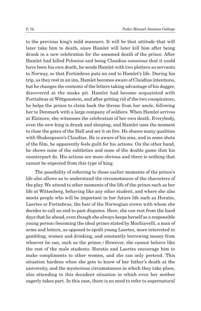to the previous king's mild manners. It will be that attitude that will later take him to death, since Hamlet will later kill him after being drunk in a new celebration for the assumed death of the prince. After Hamlet had killed Polonius and being Claudius conscious that it could have been his own death, he sends Hamlet with two plotters as servants to Norway, so that Fortimbras puts an end to Hamlet's life. During his trip, as they rest in an inn, Hamlet becomes aware of Claudius intentions, but he changes the contents of the letters taking advantage of his dagger, discovered at the snake pit. Hamlet had become acquainted with Fortinbras at Wittgenstein, and after getting rid of the two conspirators, he helps the prince to claim back the throne from her uncle, following her to Denmark with a large company of soldiers. When Hamlet arrives at Elsinore, she witnesses the celebration of her own death. Everybody, even the new king is drunk and sleeping, and Hamlet uses the moment to close the gates of the Hall and set it on fire. He shares many qualities with Shakespeare's Claudius. He is aware of his sins, and in some shots of the film, he apparently feels guilt for his actions. On the other hand, he shows none of the subtleties and none of the double game that his counterpart do. His actions are more obvious and there is nothing that cannot be expected from this type of king.

The possibility of referring to those earlier moments of the prince's life also allows us to understand the circumstances of the characters of the play. We attend to other moments of the life of the prince such as her life at Wittenberg, behaving like any other student, and where she also meets people who will be important in her future life such as Horatio, Laertes or Fortinbras, the heir of the Norwegian crown with whom she decides to call an end to past disputes. Here, she can rest from the hard days that lie ahead, even though she always keeps herself as a responsible young person (becoming the ideal prince stated by Machiavelli, a man of arms and letters, as opposed to spoilt young Laertes, more interested in gambling, women and drinking, and constantly borrowing money from whoever he can, such as the prince.) However, she cannot behave like the rest of the male students. Horatio and Laertes encourage him to make compliments to other women, and she can only pretend. This situation hardens when she gets to know of her father's death at the university, and the mysterious circumstances in which they take place, also attending to this decadent situation in which even her mother eagerly takes part. In this case, there is no need to refer to supernatural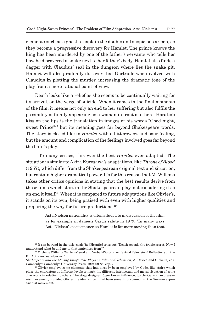elements such as a ghost to explain the doubts and suspicions arisen, as they become a progressive discovery for Hamlet. The prince knows the king has been murdered by one of the father's servants who tells her how he discovered a snake next to her father's body. Hamlet also finds a dagger with Claudius' seal in the dungeon where lies the snake pit. Hamlet will also gradually discover that Gertrude was involved with Claudius in plotting the murder, increasing the dramatic tone of the play from a more rational point of view.

Death looks like a relief as she seems to be continually waiting for its arrival, on the verge of suicide. When it comes in the final moments of the film, it means not only an end to her suffering but also fulfils the possibility of finally appearing as a woman in front of others. Horatio's kiss on the lips is the translation in images of his words "Good night, sweet Prince"<sup>47</sup> but its meaning goes far beyond Shakespeare words. The story is closed like in *Hamlet* with a bittersweet and sour feeling, but the amount and complication of the feelings involved goes far beyond the bard's play.

To many critics, this was the best *Hamlet* ever adapted. The situation is similar to Akira Kurosawa's adaptations, like *Throne of Blood* (1957), which differ from the Shakespearean original text and situation, but contain higher dramatical power. It's for this reason that M. Willems takes other critics opinions in stating that the best results derive from those films which start in the Shakespearean play, not considering it as an end it itself.48 When it is compared to future adaptations like Olivier's, it stands on its own, being praised with even with higher qualities and preparing the way for future productions:49

> Asta Nielsen nationality is often alluded to in discussion of the film, as for example in James's Card's salute in 1979: "In many ways Asta Nielsen's performance as Hamlet is far more moving than that

<sup>47</sup> It can be read in the title card: "he [Horatio] cries out: 'Death reveals thy tragic secret. Now I understand what bound me to that matchless form'."

<sup>48</sup> Michelle Willems "Verbal-Visual and Verbal-Pictorial or Textual Television? Reflections on the BBC Shakespeare Series." in

*Shakespeare and the Moving Image: The Plays on Film and Television,* A. Davies and S. Wells, eds. Cambridge: Cambridge University Press, 1994:69-85, esp. 72

<sup>49</sup> Olivier employs some elements that had already been employed by Gade, like stairs which place the characters at different levels to mark the different intellectual and moral situation of some characters in relation to others. The stage designer Roger Furse, influenced by the German expressionist movement, provided Olivier the idea, since it had been something common in the German expressionist movement.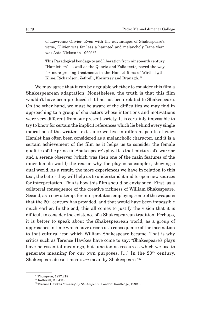of Lawrence Olivier. Even with the advantages of Shakespeare's verse, Olivier was far less a haunted and melancholy Dane than was Asta Nielsen in 1920".<sup>50</sup>

This Paradogical bondage to and liberation from nineteenth century "Hamletism" as well as the Quarto and Folio texts, paved the way for more probing treatments in the Hamlet films of Wirth, Lyth, Kline, Richardson, Zefirelli, Kozintsev and Branagh. <sup>51</sup>

We may agree that it can be arguable whether to consider this film a Shakespearean adaptation. Nonetheless, the truth is that this film wouldn't have been produced if it had not been related to Shakespeare. On the other hand, we must be aware of the difficulties we may find in approaching to a group of characters whose intentions and motivations were very different from our present society. It is certainly impossible to try to know for certain the implicit references which lie behind every single indication of the written text, since we live in different points of view. Hamlet has often been considered as a melancholic character, and it is a certain achievement of the film as it helps us to consider the female qualities of the prince in Shakespeare's play. It is that mixture of a warrior and a serene observer (which was then one of the main features of the inner female world) the reason why the play is so complex, showing a dual world. As a result, the more experiences we have in relation to this text, the better they will help us to understand it and to open new sources for interpretation. This is how this film should be envisioned. First, as a collateral consequence of the creative richness of William Shakespeare. Second, as a new attempt for interpretation employing some of the weapons that the  $20<sup>th</sup>$  century has provided, and that would have been impossible much earlier. In the end, this all comes to justify the vision that it is difficult to consider the existence of a Shakespearean tradition. Perhaps, it is better to speak about the Shakespearean world, as a group of approaches in time which have arisen as a consequence of the fascination to that cultural icon which William Shakespeare became. That is why critics such as Terence Hawkes have come to say: "Shakespeare's plays have no essential meanings, but function as resources which we use to generate meaning for our own purposes. [...] In the 20<sup>th</sup> century, Shakespeare doesn't mean: *we* mean by Shakespeare."52

<sup>50</sup> Thompson, 1997:218

<sup>51</sup> Rothwell, 2004:25

<sup>52</sup> Terence Hawkes *Meaning by Shakespeare*. London: Routledge, 1992:3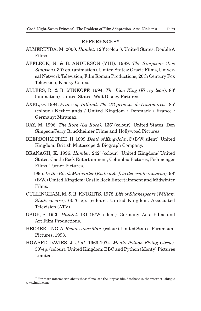#### **REFERENCES53**

- ALMEREYDA, M. 2000. *Hamlet.* 123' (colour). United States: Double A Films.
- AFFLECK, N. & B. ANDERSON (VIII). 1989. *The Simpsons* (*Los Simpson*). 30'/ ep. (animation). United States: Gracie Films, Universal Network Television, Film Roman Productions, 20th Century Fox Television, Klasky-Csupo.
- ALLERS, R. & B. MINKOFF. 1994. *The Lion King* (*El rey león*). 88' (animation). United States: Walt Disney Pictures.
- AXEL, G. 1994. *Prince of Jutland, The* (*El príncipe de Dinamarca*). 85' (colour.) Netherlands / United Kingdom / Denmark / France / Germany: Miramax.
- BAY, M. 1996. *The Rock (La Roca).* 136' (colour). United States: Don Simpson/Jerry Bruckheimer Films and Hollywood Pictures.
- BEERBOHM TREE, H. 1899. *Death of King John*. 3' (B/W; silent). United Kingdom: British Mutoscope & Biograph Company.
- BRANAGH, K. 1996. *Hamlet.* 242' (colour). United Kingdom/ United States: Castle Rock Entertainment, Columbia Pictures, Fishmonger Films, Turner Pictures.
- —. 1995. *In the Bleak Midwinter* (*En lo más frío del crudo invierno*). 98' (B/W.) United Kingdom: Castle Rock Entertainment and Midwinter Films.
- CULLINGHAM, M. & R. KNIGHTS. 1978. *Life of Shakespeare* (*William Shakespeare*). 60'/6 ep. (colour). United Kingdom: Associated Television (ATV)
- GADE, S. 1920. *Hamlet.* 131' (B/W; silent). Germany: Asta Films and Art Film Productions.
- HECKERLING, A. *Renaissance Man*. (colour). United States: Paramount Pictures, 1993.
- HOWARD DAVIES, J. *et al*. 1969-1974. *Monty Python Flying Circus*. 30'/ep. (colour). United Kingdom: BBC and Python (Monty) Pictures Limited.

<sup>53</sup> For more information about these films, see the largest film database in the internet: <http:// www.imdb.com>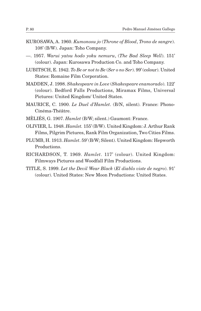- KUROSAWA, A. 1960. *Kumonosu jo* (*Throne of Blood*, *Trono de sangre*). 108' (B/W). Japan: Toho Company.
- —. 1957. *Warui yatsu hodo yoku nemuru*, (*The Bad Sleep Well*). 151' (colour). Japan: Kurosawa Production Co. and Toho Company.
- LUBITSCH, E. 1942. *To Be or not to Be* (*Ser o no Ser*). 99' (colour). United States: Romaine Film Corporation.
- MADDEN, J. 1998. *Shakespeare in Love* (*Shakespeare enamorado*). 122' (colour). Bedford Falls Productions, Miramax Films, Universal Pictures: United Kingdom/ United States.
- MAURICE, C. 1900. *Le Duel d'Hamlet*. (B/N, silent). France: Phono-Cinéma-Théâtre.
- MÈLIÉS, G. 1907. *Hamlet* (B/W; silent.) Gaumont: France.
- OLIVIER, L. 1948. *Hamlet.* 155' (B/W). United Kingdom: J. Arthur Rank Films, Pilgrim Pictures, Rank Film Organization, Two Cities Films.
- PLUMB, H. 1913. *Hamlet*. 59' (B/W; Silent). United Kingdom: Hepworth Productions.
- RICHARDSON, T. 1969. *Hamlet*. 117' (colour). United Kingdom: Filmways Pictures and Woodfall Film Productions.
- TITLE, S. 1999. *Let the Devil Wear Black* (*El diablo viste de negro*). 91' (colour). United States: New Moon Productions: United States.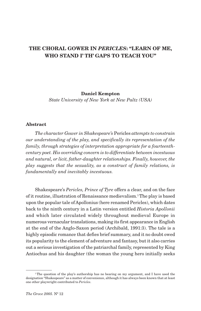# **THE CHORAL GOWER IN** *PERICLES***: "LEARN OF ME, WHO STAND I' TH' GAPS TO TEACH YOU"**

**Daniel Kempton**

*State University of New York at New Paltz (USA)*

#### **Abstract**

*The character Gower in Shakespeare's* Pericles *attempts to constrain our understanding of the play, and specifically its representation of the family, through strategies of interpretation appropriate for a fourteenthcentury poet. His overriding concern is to differentiate between incestuous and natural, or licit, father-daughter relationships. Finally, however, the play suggests that the sexuality, as a construct of family relations, is fundamentally and inevitably incestuous.*

Shakespeare's *Pericles, Prince of Tyre* offers a clear, and on the face of it routine, illustration of Renaissance medievalism.1 The play is based upon the popular tale of Apollonius (here renamed Pericles), which dates back to the ninth century in a Latin version entitled *Historia Apollonii* and which later circulated widely throughout medieval Europe in numerous vernacular translations, making its first appearance in English at the end of the Anglo-Saxon period (Archibald, 1991:3). The tale is a highly episodic romance that defies brief summary, and it no doubt owed its popularity to the element of adventure and fantasy, but it also carries out a serious investigation of the patriarchal family, represented by King Antiochus and his daughter (the woman the young hero initially seeks

<sup>&</sup>lt;sup>1</sup> The question of the play's authorship has no bearing on my argument, and I have used the designation "Shakespeare" as a matter of convenience, although it has always been known that at least one other playwright contributed to *Pericles*.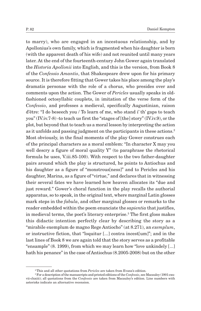to marry), who are engaged in an incestuous relationship, and by Apollonius's own family, which is fragmented when his daughter is born (with the apparent death of his wife) and not reunited until many years later. At the end of the fourteenth-century John Gower again translated the *Historia Apollonii* into English, and this is the version, from Book 8 of the *Confessio Amantis*, that Shakespeare drew upon for his primary source. It is therefore fitting that Gower takes his place among the play's dramatis personae with the role of a chorus, who presides over and comments upon the action. The Gower of *Pericles* usually speaks in oldfashioned octosyllabic couplets, in imitation of the verse form of the *Confessio*, and professes a medieval, specifically Augustinian, raison d'être: "I do beseech you / To learn of me, who stand i' th' gaps to teach you" (IV.iv.7-8) -to teach us first the "stages of [the] story" (IV.iv.9), or the plot, but beyond that to teach us a moral lesson by interpreting the action as it unfolds and passing judgment on the participants in these actions.2 Most obviously, in the final moments of the play Gower construes each of the principal characters as a moral emblem: "In character X may you well descry a figure of moral quality Y" (to paraphrase the rhetorical formula he uses, V.iii.85-100). With respect to the two father-daughter pairs around which the play is structured, he points to Antiochus and his daughter as a figure of "monstrous[ness]" and to Pericles and his daughter, Marina, as a figure of "virtue," and declares that in witnessing their several fates we have learned how heaven allocates its "due and just reward." Gower's choral function in the play recalls the authorial apparatus, so to speak, in the original text, where marginal Latin glosses mark steps in the *fabula*, and other marginal glosses or remarks to the reader embedded within the poem enunciate the *sapientia* that justifies, in medieval terms, the poet's literary enterprise.3 The first gloss makes this didactic intention perfectly clear by describing the story as a "mirabile exemplum de magno Rege Antiocho" (at 8.271), an *exemplum*, or instructive fiction, that "loquitur [...] contra incest[um]"; and in the last lines of Book 8 we are again told that the story serves as a profitable "ensample" (8. 1999), from which we may learn how "love unkindely [...] hath his penance" in the case of Antiochus (8.2005-2008) but on the other

<sup>2</sup> This and all other quotations from *Pericles* are taken from Evans's edition.

<sup>3</sup> For a description of the manuscripts and printed editions of the *Confessio*, see Macauley (1901:cxxvii-clxxiii); all quotations from the *Confessio* are taken from Macauley's edition. Line numbers with asterisks indicate an alternative recension.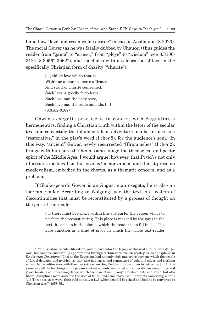hand how "love and reson wolde acorde" in case of Apollonius (8.2023). The moral Gower (as he was fatally dubbed by Chaucer) thus guides the reader from "game" to "ernest," from "pleye" to "wisdom" (see 8.3106- 3124, 8.3056\*-3062\*), and concludes with a celebration of love in the specifically Christian form of charity ("charite"):

> [...] thilke love which that is Withinne a mannes herte affirmed, And stant of charite confermed, Such love is goodly forto have, Such love mai the body save, Such love mai the soule amende, [...] (8.3162-3167)

Gower's exegetic practice is in concert with Augustinian hermeneutics, finding a Christian truth within the letter of the secular text and converting the fabulous tale of adventure to a better use as a "restorative," in the play's word  $(I.chor.8)$ , for the audience's soul.<sup>4</sup> In this way, "ancient" Gower, newly resurrected "[f]rom ashes" (I.chor.2), brings with him onto the Renaissance stage the theological and poetic spirit of the Middle Ages. I would argue, however, that *Pericles* not only illustrates medievalism but is *about* medievalism, and that it presents medievalism, embodied in the chorus, as a thematic concern, and as a problem.

If Shakespeare's Gower is an Augustinian exegete, he is also an Iserean reader. According to Wolgang Iser, the text is a system of discontinuities that must be reconstituted by a process of thought on the part of the reader:

> [...] there must be a place within this system for the person who is to perform the reconstituting. This place is marked by the gaps in the text -it consists in the blanks which the reader is to fill in. [...] The gaps function as a kind of pivot on which the whole text-reader

<sup>4</sup> For Augustine, secular literature, and in particular the legacy of classical culture, was dangerous, but could be successfully appropriated through certain hermeneutic strategies, as he explains in *De doctrina Christiana*: "Just as the Egyptians had not only idols and grave burdens which the people of Israel detested and avoided, so they also had vases and ornaments of gold and silver and clothing which the Israelites took with them secretly when they fled, as if to put them to better use.[...] In the same way all the teachings of the pagans contain not only simulated and superstitious imaginings and grave burdens of unnecessary labor, which each one of us [...] ought to abominate and avoid, but also liberal disciplines more suited to the uses of truth, and some most useful precepts concerning morals [...]. These are, as it were, their gold and silver [...] [which] should be seized and held to be converted to Christian uses" (1958:75).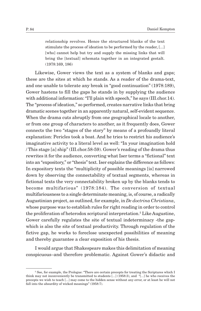relationship revolves. Hence the structured blanks of the text stimulate the process of ideation to be performed by the reader, [...] [who] cannot help but try and supply the missing links that will bring the [textual] schemata together in an integrated gestalt. (1978:169, 186)

Likewise, Gower views the text as a system of blanks and gaps; these are the sites at which he stands. As a reader of the drama-text, and one unable to tolerate any break in "good continuation" (1978:189), Gower hastens to fill the gaps he stands in by supplying the audience with additional information: "I'll plain with speech," he says (III.chor.14). The "process of ideation," so performed, creates narrative links that bring dramatic scenes together in an apparently natural, self-evident sequence. When the drama cuts abruptly from one geographical locale to another, or from one group of characters to another, as it frequently does, Gower connects the two "stages of the story" by means of a profoundly literal explanation: Pericles took a boat. And he tries to restrict his audience's imaginative activity to a literal level as well: "In your imagination hold / This stage [a] ship" (III.chor.58-59). Gower's reading of the drama thus rewrites it for the audience, converting what Iser terms a "fictional" text into an "expository," or "thesis" text. Iser explains the difference as follows: In expository texts the "multiplicity of possible meanings [is] narrowed down by observing the connectability of textual segments, whereas in fictional texts the very connectability broken up by the blanks tends to become multifarious" (1978:184). The conversion of textual multifariousness to a single determinate meaning, is, of course, a radically Augustinian project, as outlined, for example, in *De doctrina Christiana*, whose purpose was to establish rules for right reading in order to control the proliferation of heterodox scriptural interpretation.<sup>5</sup> Like Augustine, Gower carefully regulates the site of textual indeterminacy -the gapwhich is also the site of textual productivity. Through regulation of the fictive gap, he works to foreclose unexpected possibilities of meaning and thereby guarantee a clear exposition of his thesis.

I would argue that Shakespeare makes this delimitation of meaning conspicuous–and therefore problematic. Against Gower's didactic and

<sup>&</sup>lt;sup>5</sup> See, for example, the Prologue: "There are certain precepts for treating the Scriptures which I think may not inconveniently be transmitted to students [...] (1958:3), and "[...] he who receives the precepts we wish to teach [...] may come to the hidden sense without any error, or at least he will not fall into the absurdity of wicked meanings" (1958:7).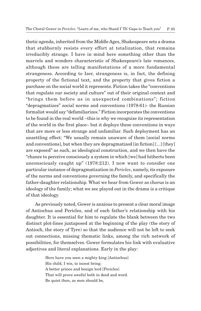thetic agenda, inherited from the Middle Ages, Shakespeare sets a drama that stubbornly resists every effort at totalization, that remains irreducibly strange. I have in mind here something other than the marvels and wonders characteristic of Shakespeare's late romances, although these are telling manifestations of a more fundamental strangeness. According to Iser, strangeness is, in fact, the defining property of the fictional text, and the property that gives fiction a purchase on the social world it represents. Fiction takes the "conventions that regulate our society and culture" out of their original context and "brings them before us in unexpected combinations"; fiction "depragmatizes" social norms and conventions (1978:61)- the Russian formalist would say "defamiliarizes." Fiction incorporates the conventions to be found in the real world –this is why we recognize its representation of the world in the first place– but it deploys these conventions in ways that are more or less strange and unfamiliar. Such deployment has an unsettling effect: "We usually remain unaware of them [social norms and conventions], but when they are depragmatized [in fiction] [...] [they] are exposed" as such, as ideological construction, and we then have the "chance to perceive consciously a system in which [we] had hitherto been unconsciously caught up" (1978:212). I now want to consider one particular instance of depragmatization in *Pericles*, namely, its exposure of the norms and conventions governing the family, and specifically the father-daughter relationship. What we hear from Gower as chorus is an ideology of the family; what we see played out in the drama is a critique of that ideology.

As previously noted, Gower is anxious to present a clear moral image of Antiochus and Pericles, and of each father's relationship with his daughter. It is essential for him to regulate the blank between the two distinct plot-lines juxtaposed at the beginning of the play (the story of Antioch, the story of Tyre) so that the audience will not be left to seek out connections, missing thematic links, among the rich network of possibilities, for themselves. Gower formulates his link with evaluative adjectives and literal explanations. Early in the play:

> Here have you seen a mighty king [Antiochus] His child, I wis, to incest bring; A better prince and benign lord [Pericles] That will prove aweful both in deed and word. Be quiet then, as men should be,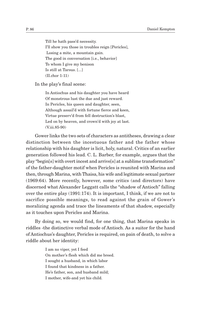Till he hath pass'd necessity. I'll show you those in troubles reign [Pericles], Losing a mite, a mountain gain. The good in conversation [i.e., behavior] To whom I give my benison Is still at Tarsus. [...] (II.chor 1-11)

In the play's final scene:

In Antiochus and his daughter you have heard Of monstrous lust the due and just reward. In Pericles, his queen and daughter, seen, Although assail'd with fortune fierce and keen, Virtue preserv'd from fell destruction's blast, Led on by heaven, and crown'd with joy at last. (V.iii.85-90)

Gower links the two sets of characters as antitheses, drawing a clear distinction between the incestuous father and the father whose relationship with his daughter is licit, holy, natural. Critics of an earlier generation followed his lead. C. L. Barber, for example, argues that the play "begin[s] with overt incest and arrive[s] at a sublime transformation" of the father-daughter motif when Pericles is reunited with Marina and then, through Marina, with Thaisa, his wife and legitimate sexual partner (1969:64). More recently, however, some critics (and directors) have discerned what Alexander Leggatt calls the "shadow of Antioch" falling over the entire play (1991:174). It is important, I think, if we are not to sacrifice possible meanings, to read against the grain of Gower's moralizing agenda and trace the lineaments of that shadow, especially as it touches upon Pericles and Marina.

By doing so, we would find, for one thing, that Marina speaks in riddles -the distinctive verbal mode of Antioch. As a suitor for the hand of Antiochus's daughter, Pericles is required, on pain of death, to solve a riddle about her identity:

> I am no viper, yet I feed On mother's flesh which did me breed. I sought a husband, in which labor I found that kindness in a father. He's father, son, and husband mild; I mother, wife-and yet his child.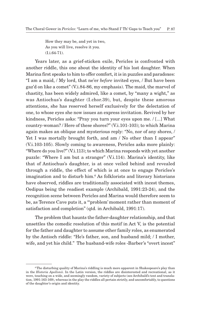How they may be, and yet in two, As you will live, resolve it you. (I.i.64-71).

Years later, as a grief-sticken exile, Pericles is confronted with another riddle, this one about the identity of his lost daughter. When Marina first speaks to him to offer comfort, it is in puzzles and paradoxes: "I am a maid, / My lord, that ne'er *before* invited eyes, / But have been gaz'd on like a comet" (V.i.84-86, my emphasis). The maid, the marvel of chastity, has been widely admired, like a comet, by "many a wight," as was Antiochus's daughter (I.chor.39), but, despite these amorous attentions, she has reserved herself exclusively for the delectation of one, to whose eyes she now issues an express invitation. Revived by her kindness, Pericles asks: "Pray you turn your eyes upon me. / [...] What country-woman? / Here of these shores?" (V.i.101-103); to which Marina again makes an oblique and mysterious reply: "No, nor of any shores, / Yet I was mortally brought forth, and am / No other than I appear" (V.i.103-105). Slowly coming to awareness, Pericles asks more plainly: "Where do you live?" (V.i.113); to which Marina responds with yet another puzzle: "Where I am but a stranger" (V.i.114). Marina's identity, like that of Antiochus's daughter, is at once veiled behind and revealed through a riddle, the effect of which is at once to engage Pericles's imagination and to disturb him.<sup>6</sup> As folklorists and literary historians have observed, riddles are traditionally associated with incest themes, Oedipus being the readiest example (Archibald, 1991:23-24), and the recognition scene between Pericles and Marina would therefore seem to be, as Terence Cave puts it, a "'problem' moment rather than moment of satisfaction and completion" (qtd. in Archibald, 1991:17).

The problem that haunts the father-daughter relationship, and that unsettles the comedic resolution of this motif in Act V, is the potential for the father and daughter to assume other family roles, as enumerated by the Antioch riddle: "He's father, son, and husband mild; / I mother, wife, and yet his child." The husband-wife roles -Barber's "overt incest"

<sup>&</sup>lt;sup>6</sup> The disturbing quality of Marina's riddling is much more apparent in Shakespeare's play than in the *Historia Apollonii*. In the Latin version, the riddles are disinterested and recreational, as it were, touching on a wide, and seemingly random, variety of subjects (see Archibald's text and translation, 1991:163-169), whereas in the play the riddles all pertain strictly, and uncomfortably, to questions of the daughter's origin and identity.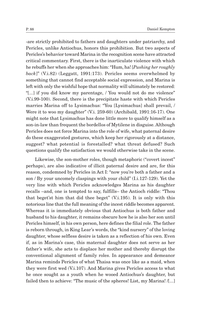-are strictly prohibited to fathers and daughters under patriarchy, and Pericles, unlike Antiochus, honors this prohibition. But two aspects of Pericles's behavior toward Marina in the recognition scene have attracted critical commentary. First, there is the inarticulate violence with which he rebuffs her when she approaches him: "Hum, ha! [*Pushing her roughly back*]" (V.i.82) (Leggatt, 1991:173). Pericles seems overwhelmed by something that cannot find acceptable social expression, and Marina is left with only the wishful hope that normality will ultimately be restored: "[...] if you did know my parentage, / You would not do me violence" (V.i.99-100). Second, there is the precipitate haste with which Pericles marries Marina off to Lysimachus: "You [Lysimachus] shall prevail, / Were it to woo my daughter" (V.i. 259-60) (Archibald, 1991:16-17). One might note that Lysimachus has done little more to qualify himself as a son-in-law than frequent the bordellos of Mytilene in disguise. Although Pericles does not force Marina into the role of wife, what paternal desire do these exaggerated gestures, which keep her rigorously at a distance, suggest? what potential is forestalled? what threat defused? Such questions qualify the satisfaction we would otherwise take in the scene.

Likewise, the son-mother roles, though metaphoric ("covert incest" perhaps), are also indicative of illicit paternal desire and are, for this reason, condemned by Pericles in Act I: "now you're both a father and a son / By your uncomely claspings with your child" (I.i.127-129). Yet the very line with which Pericles acknowledges Marina as his daughter recalls –and, one is tempted to say, fulfills– the Antioch riddle: "Thou that beget'st him that did thee beget" (V.i.195). It is only with this notorious line that the full meaning of the incest riddle becomes apparent. Whereas it is immediately obvious that Antiochus is both father and husband to his daughter, it remains obscure how he is also her son until Pericles himself, in his own person, here defines the filial role. The father is reborn through, in King Lear's words, the "kind nursery" of the loving daughter, whose selfless desire is taken as a reflection of his own. Even if, as in Marina's case, this maternal daughter does not serve as her father's wife, she acts to displace her mother and thereby disrupt the conventional alignment of family roles. In appearance and demeanor Marina reminds Pericles of what Thaisa was once like as a maid, when they were first wed (V.i.107). And Marina gives Pericles access to what he once sought as a youth when he wooed Antiochus's daughter, but failed then to achieve: "The music of the spheres! List, my Marina! /[...]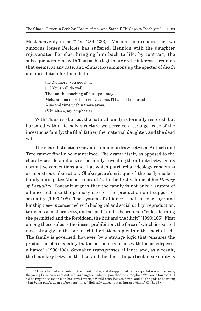Most heavenly music!" (V.i.229, 233).7 Marina thus repairs the two amorous losses Pericles has suffered. Reunion with the daughter rejuvenates Pericles, bringing him back to life; by contrast, the subsequent reunion with Thaisa, his legitimate erotic interest -a reunion that seems, at any rate, anti-climactic-summons up the specter of death and dissolution for them both:

> [...] No more, you gods! [...] [...] You shall do well That on the touching of her lips I may Melt, and no more be seen. O, come, [Thaisa,] be buried A second time within these arms. (V.iii.40-44, my emphasis)

With Thaisa so buried, the natural family is formally restored, but harbored within its holy structure we perceive a strange trace of the incestuous family: the filial father, the maternal daughter, and the dead wife.

The clear distinction Gower attempts to draw between Antioch and Tyre cannot finally be maintained. The drama itself, as opposed to the choral gloss, defamiliarizes the family, revealing the affinity between its normative conventions and that which patriarchal ideology condemns as monstrous aberration. Shakespeare's critique of the early-modern family anticipates Michel Foucault's. In the first volume of his *History of Sexuality*, Foucault argues that the family is not only a system of alliance but also the primary site for the production and support of sexuality (1990:108). The system of alliance –that is, marriage and kinship ties– is concerned with biological and social utility (reproduction, transmission of property, and so forth) and is based upon "rules defining the permitted and the forbidden, the licit and the illicit" (1990:106). First among these rules is the incest prohibition, the force of which is exerted most strongly on the parent-child relationship within the marital cell. The family is governed, however, by a strange logic that "ensures the production of a sexuality that is not homogeneous with the privileges of alliance" (1990:108). Sexuality transgresses alliance and, as a result, the boundary between the licit and the illicit. In particular, sexuality is

<sup>7</sup> Disenchanted after solving the incest riddle, and disappointed in his expectations of marriage, the young Pericles says of Antiochus's daughter, adopting an obscene metaphor: "You are a fair viol [...] / Who finger'd to make man his lawful music, / Would draw heaven down, and all the gods to hearken; / But being play'd upon before your time, / Hell only danceth at so harsh a chime" (I.i.81-83).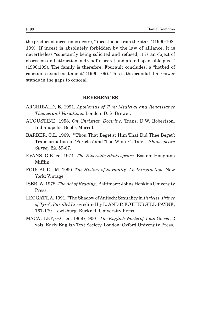the product of incestuous desire, "'incestuous' from the start" (1990:108- 109). If incest is absolutely forbidden by the law of alliance, it is nevertheless "constantly being solicited and refused; it is an object of obsession and attraction, a dreadful secret and an indispensable pivot" (1990:109). The family is therefore, Foucault concludes, a "hotbed of constant sexual incitement" (1990:109). This is the scandal that Gower stands in the gaps to conceal.

#### **REFERENCES**

- ARCHIBALD, E. 1991. *Apollonius of Tyre: Medieval and Renaissance Themes and Variations*. London: D. S. Brewer.
- AUGUSTINE. 1958. *On Christian Doctrine*. Trans. D.W. Robertson. Indianapolis: Bobbs-Merrill.
- BARBER, C.L. 1969. "'Thou That Beget'st Him That Did Thee Beget': Transformation in 'Pericles' and 'The Winter's Tale.'" *Shakespeare Survey* 22. 59-67.
- EVANS. G.B. ed. 1974. *The Riverside Shakespeare*. Boston: Houghton Mifflin.
- FOUCAULT, M. 1990. *The History of Sexuality: An Introduction*. New York: Vintage.
- ISER, W. 1978. *The Act of Reading*. Baltimore: Johns Hopkins University Press.
- LEGGATT, A. 1991. "The Shadow of Antioch: Sexuality in *Pericles, Prince of Tyre*". *Parallel Lives* edited by L. AND P. FOTHERGILL-PAYNE, 167-179. Lewisburg: Bucknell University Press.
- MACAULEY, G.C. ed. 1969 (1900). *The English Works of John Gower*. 2 vols. Early English Text Society. London: Oxford University Press.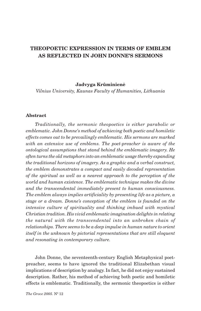## **THEOPOETIC EXPRESSION IN TERMS OF EMBLEM AS REFLECTED IN JOHN DONNE'S SERMONS**

**Jadvyga Krûminiene .**

*Vilnius University, Kaunas Faculty of Humanities, Lithuania*

### **Abstract**

*Traditionally, the sermonic theopoetics is either parabolic or emblematic. John Donne's method of achieving both poetic and homiletic effects comes out to be prevailingly emblematic. His sermons are marked with an extensive use of emblems. The poet-preacher is aware of the ontological assumptions that stand behind the emblematic imagery. He often turns the old metaphors into an emblematic usage thereby expanding the traditional horizons of imagery. As a graphic and a verbal construct, the emblem demonstrates a compact and easily decoded representation of the spiritual as well as a nearest approach to the perception of the world and human existence. The emblematic technique makes the divine and the transcendental immediately present to human consciousness. The emblem always implies artificiality by presenting life as a picture, a stage or a dream. Donne's conception of the emblem is founded on the intensive culture of spirituality and thinking imbued with mystical Christian tradition. His vivid emblematic imagination delights in relating the natural with the transcendental into an unbroken chain of relationships. There seems to be a deep impulse in human nature to orient itself in the unknown by pictorial representations that are still eloquent and resonating in contemporary culture.*

John Donne, the seventeenth-century English Metaphysical poetpreacher, seems to have ignored the traditional Elizabethan visual implications of description by analogy. In fact, he did not enjoy sustained description. Rather, his method of achieving both poetic and homiletic effects is emblematic. Traditionally, the sermonic theopoetics is either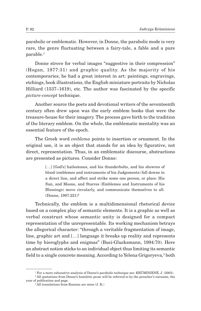parabolic or emblematic. However, in Donne, the parabolic mode is very rare, the genre fluctuating between a fairy-tale, a fable and a pure parable.1

Donne strove for verbal images "suggestive in their compression" (Hogan, 1977:31) and graphic quality. As the majority of his contemporaries, he had a great interest in art: paintings, engravings, etchings, book illustrations, the English miniature portraits by Nicholas Hilliard (1537–1619), etc. The author was fascinated by the specific *picture-concept* technique.

Another source the poets and devotional writers of the seventeenth century often drew upon was the early emblem books that were the treasure-house for their imagery. The process gave birth to the tradition of the literary emblem. On the whole, the emblematic mentality was an essential feature of the epoch.

The Greek word *emblema* points to insertion or ornament. In the original use, it is an object that stands for an idea by figurative, not direct, representation. Thus, in an emblematic discourse, abstractions are presented as pictures. Consider Donne:

> [...] [God's] hailestones, and his thunderbolts, and his showres of blood (emblemes and instruments of his Judgements) fall downe in a direct line, and affect and strike some one person, or place: His Sun, and Moone, and Starres (Emblemes and Instruments of his Blessings) move circularly, and communicate themselves to all. (Donne, 1987:221)2

Technically, the emblem is a multidimensional rhetorical device based on a complex play of semantic elements. It is a graphic as well as verbal construct whose semantic unity is designed for a compact representation of the unrepresentable. Its working mechanism betrays the allegorical character: "through a veritable fragmentation of image, line, graphic art and […] language it breaks up reality and represents time by hieroglyphs and enigmas" (Buci-Glucksmann, 1994:70). Here an abstract notion sticks to an individual object thus limiting its semantic field to a single concrete meaning. According to Yelena Grigoryeva,<sup>3</sup> both

<sup>1</sup> For a more exhaustive analysis of Donne's parabolic technique see: KRÛMINIENË, J. (2003).

<sup>&</sup>lt;sup>2</sup> All quotations from Donne's homiletic prose will be referred to by the preacher's surname, the year of publication and page.

<sup>3</sup> All translations from Russian are mine (J. K.)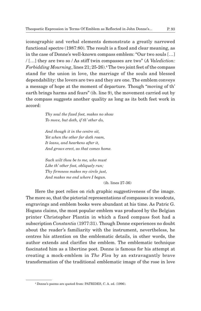iconographic and verbal elements demonstrate a greatly narrowed functional spectre (1987:80). The result is a fixed and clear meaning, as in the case of Donne's well-known compass emblem: "Our two souls […] / […] they are two so / As stiff twin compasses are two" (*A Valediction: Forbidding Mourning*, lines 21; 25-26).4 The two joint feet of the compass stand for the union in love, the marriage of the souls and blessed dependability: the lovers are two and they are one. The emblem conveys a message of hope at the moment of departure. Though "moving of th' earth brings harms and fears" (ib. line 9), the movement carried out by the compass suggests another quality as long as its both feet work in accord:

> *Thy soul the fixed foot, makes no show To move, but doth, if th' other do,*

*And though it in the centre sit, Yet when the other far doth roam, It leans, and hearkens after it, And grows erect, as that comes home.*

*Such wilt thou be to me, who must Like th' other foot, obliquely run; Thy firmness makes my circle just, And makes me end where I begun.*

(ib. lines 27-36)

Here the poet relies on rich graphic suggestiveness of the image. The more so, that the pictorial representations of compasses in woodcuts, engravings and emblem books were abundant at his time. As Patric G. Hogans claims, the most popular emblem was produced by the Belgian printer Christopher Plantin in which a fixed compass foot had a subscription *Constantia* (1977:31). Though Donne experiences no doubt about the reader's familiarity with the instrument, nevertheless, he centres his attention on the emblematic details, in other words, the author extends and clarifies the emblem. The emblematic technique fascinated him as a libertine poet. Donne is famous for his attempt at creating a mock-emblem in *The Flea* by an extravagantly brave transformation of the traditional emblematic image of the rose in love

<sup>4</sup> Donne's poems are quoted from: PATRIDES, C. A. ed. (1996).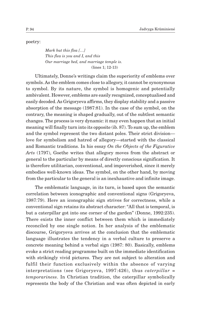poetry:

*Mark but this flea […] This flea is you and I, and this Our marriage bed, and marriage temple is.* (lines 1; 12-13)

Ultimately, Donne's writings claim the superiority of emblems over symbols. As the emblem comes close to allegory, it cannot be synonymous to symbol. By its nature, the symbol is homogenic and potentially ambivalent. However, emblems are easily recognized, conceptualised and easily decoded. As Grigoryeva affirms, they display stability and a passive absorption of the message (1987:81). In the case of the symbol, on the contrary, the meaning is shaped gradually, out of the subtlest semantic changes. The process is very dynamic: it may even happen that an initial meaning will finally turn into its opposite (ib. 87). To sum up, the emblem and the symbol represent the two distant poles. Their strict division love for symbolism and hatred of allegory—started with the classical and Romantic traditions. In his essay *On the Objects of the Figurative Arts* (1797), Goethe writes that allegory moves from the abstract or general to the particular by means of directly conscious signification. It is therefore utilitarian, conventional, and impoverished, since it merely embodies well-known ideas. The symbol, on the other hand, by moving from the particular to the general is an inexhaustive and infinite image.

The emblematic language, in its turn, is based upon the semantic correlation between iconographic and conventional signs (Grigoryeva, 1987:79). Here an iconographic sign strives for correctness, while a conventional sign retains its abstract character: "All that is temporal, is but a caterpillar got into one corner of the garden" (Donne, 1992:235). There exists the inner conflict between them which is immediately reconciled by one single notion. In her analysis of the emblematic discourse, Grigoryeva arrives at the conclusion that the emblematic language illustrates the tendency in a verbal culture to preserve a concrete meaning behind a verbal sign (1987: 80). Basically, emblems evoke a strict reading programme built on the immediate identification with strikingly vivid pictures. They are not subject to alteration and fulfil their function exclusively within the absence of varying interpretations (see Grigoryeva, 1997:426), thus *caterpillar* = *temporariness*. In Christian tradition, the caterpillar symbolically represents the body of the Christian and was often depicted in early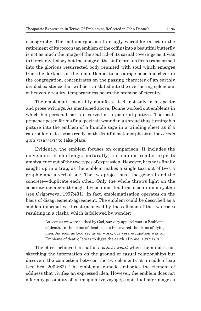iconography. The metamorphosis of an ugly wormlike insect in the retirement of its cocoon (an emblem of the coffin) into a beautiful butterfly is not as much the image of the soul rid of its carnal coverings as it was in Greek mythology but the image of the sinful broken flesh transformed into the glorious resurrected body reunited with soul which emerges from the darkness of the tomb. Donne, to encourage hope and cheer in the congregation, concentrates on the passing character of an earthly divided existence that will be translated into the everlasting splendour of heavenly reality: temporariness bears the promise of eternity.

The emblematic mentality manifests itself not only in his poetic and prose writings. As mentioned above, Donne worked out emblems in which his personal portrait served as a pictorial pattern. The poetpreacher posed for his final portrait wound in a shroud thus turning his picture into the emblem of a humble sage in a winding sheet as if a caterpillar in its cocoon ready for the fruitful metamorphosis of the *vermis quia resurrexit* to take place.

Evidently, the emblem focuses on comparison. It includes the movement of challenge: naturally, an emblem-reader expects ambivalence out of the two types of expression. However, he/she is finally caught up in a trap, as the emblem makes a single text out of two, a graphic and a verbal one. The two projections—the general and the concrete—duplicate each other. Only the whole throws light on the separate members through division and final inclusion into a system (see Grigoryeva, 1997:431). In fact, emblematization operates on the basis of disagreement-agreement. The emblem could be described as a sudden informative thrust (achieved by the collision of the two codes resulting in a clash), which is followed by wonder:

> As soon as we were clothed by God, our very apparel was an Embleme of death. In the skins of dead beasts he covered the skins of dying men. As soon as God set us on work, our very occupation was an Embleme of death; It was to digge the earth. (Donne, 1987:179)

The effect achieved is that of a *short circuit* when the mind is not sketching the information on the ground of casual relationships but discovers the connection between the two elements at a sudden leap (see Eco, 2002:62). The emblematic mode embodies the element of oddness that vivifies an expressed idea. However, the emblem does not offer any possibility of an imaginative voyage, a spiritual pilgrimage as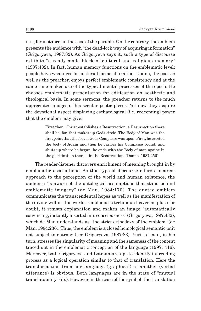it is, for instance, in the case of the parable. On the contrary, the emblem presents the audience with "the dead-lock way of acquiring information" (Grigoryeva, 1987:82). As Grigoryeva says it, such a type of discourse exhibits "a ready-made block of cultural and religious memory" (1997:432). In fact, human memory functions on the emblematic level: people have weakness for pictorial forms of fixation. Donne, the poet as well as the preacher, enjoys perfect emblematic consistency and at the same time makes use of the typical mental processes of the epoch. He chooses emblematic presentation for edification on aesthetic and theological basis. In some sermons, the preacher returns to the much appreciated images of his secular poetic pieces. Yet now they acquire the devotional aspect displaying eschatological (i.e. redeeming) power that the emblem may give:

> First then, Christ establishes a Resurrection, a Resurrection there shall be, for, that makes up Gods circle. The Body of Man was the first point that the foot of Gods Compasse was upon: First, he erected the body of Adam and then he carries his Compasse round, and shuts up where he began, he ends with the Body of man againe in the glorification thereof in the Resurrection. (Donne, 1987:256)

The reader/listener discovers enrichment of meaning brought in by emblematic associations. As this type of discourse offers a nearest approach to the perception of the world and human existence, the audience "is aware of the ontological assumptions that stand behind emblematic imagery" (de Man, 1984:170). The quoted emblem communicates the transcendental hopes as well as the manifestation of the divine will in this world. Emblematic technique leaves no place for doubt, it resists explanation and makes an image "automatically convincing, instantly inserted into consciousness" (Grigoryeva, 1997:432), which de Man understands as "the strict orthodoxy of the emblem" (de Man, 1984:236). Thus, the emblem is a closed homological semantic unit not subject to entropy (see Grigoryeva, 1987:83). Yuri Lotman, in his turn, stresses the singularity of meaning and the sameness of the content traced out in the emblematic conception of the language (1997: 416). Moreover, both Grigoryeva and Lotman are apt to identify its reading process as a logical operation similar to that of translation. Here the transformation from one language (graphical) to another (verbal utterance) is obvious. Both languages are in the state of "mutual translatability" (ib.). However, in the case of the symbol, the translation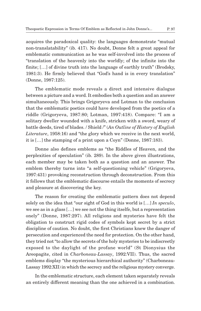acquires the paradoxical quality: the languages demonstrate "mutual non-translatability" (ib. 417). No doubt, Donne felt a great appeal for emblematic communication as he was self-involved into the process of "translation of the heavenly into the worldly; of the infinite into the finite; […] of divine truth into the language of earthly truth" (Brodsky, 1981:3). He firmly believed that "God's hand is in every translation" (Donne, 1987:125).

The emblematic mode reveals a direct and intensive dialogue between a picture and a word. It embodies both a question and an answer simultaneously. This brings Grigoryeva and Lotman to the conclusion that the emblematic poetics could have developed from the poetics of a riddle (Grigoryeva, 1987:80; Lotman, 1997:418). Compare: "I am a solitary dweller wounded with a knife, stricken with a sword, weary of battle deeds, tired of blades. / Shield /" (*An Outline of History of English Literature*, 1958:16) and "the glory which we receive in the next world, it is […] the stamping of a print upon a Coyn" (Donne, 1987:183).

Donne also defines emblems as "the Riddles of Heaven, and the perplexities of speculation" (ib. 289). In the above given illustrations, each member may be taken both as a question and an answer. The emblem thereby turns into "a self-questioning vehicle" (Grigoryeva, 1997:431) provoking reconstruction through deconstruction. From this it follows that the emblematic discourse entails the moments of secrecy and pleasure at discovering the key.

The reason for creating the emblematic pattern does not depend solely on the idea that "our sight of God in this world is […] *In speculo*, we see as in a glass […] we see not the thing itselfe, but a representation onely" (Donne, 1987:297). All religions and mysteries have felt the obligation to construct rigid codes of symbols kept secret by a strict discipline of caution. No doubt, the first Christians knew the danger of persecution and experienced the need for protection. On the other hand, they tried not "to allow the secrets of the holy mysteries to be indiscreetly exposed to the daylight of the profane world" (St Dionysius the Areopagite, cited in *Charboneau-Lassay*, 1992:VII). Thus, the sacred emblems display "the mysterious hierarchical authority" (Charboneau-Lassay 1992:XII) in which the secrecy and the religious mystery converge.

In the emblematic structure, each element taken separately reveals an entirely different meaning than the one achieved in a combination.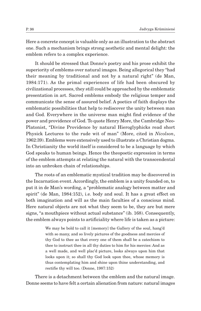Here a concrete concept is valuable only as an illustration to the abstract one. Such a mechanism brings strong aesthetic and mental delight: the emblem refers to a complex experience.

It should be stressed that Donne's poetry and his prose exhibit the superiority of emblems over natural images. Being allegorical they "had their meaning by traditional and not by a natural right" (de Man, 1984:171). As the primal experiences of life had been obscured by civilizational processes, they still could be approached by the emblematic presentation in art. Sacred emblems embody the religious temper and communicate the sense of assured belief. A poetics of faith displays the emblematic possibilities that help to rediscover the unity between man and God. Everywhere in the universe man might find evidence of the power and providence of God. To quote Henry More, the Cambridge Neo-Platonist, "Divine Providence by natural Hieroglyphicks read short Physick Lectures to the rude wit of man" (More, cited in *Nicolson*, 1962:39). Emblems were extensively used to illustrate a Christian dogma. In Christianity the world itself is considered to be a language by which God speaks to human beings. Hence the theopoetic expression in terms of the emblem attempts at relating the natural with the transcendental into an unbroken chain of relationships.

The roots of an emblematic mystical tradition may be discovered in the Incarnation event. Accordingly, the emblem is a unity founded on, to put it in de Man's wording, a "problematic analogy between matter and spirit" (de Man, 1984:152), i.e. body and soul. It has a great effect on both imagination and will as the main faculties of a conscious mind. Here natural objects are not what they seem to be, they are but mere signs, "a mouthpiece without actual substance" (ib. 168). Consequently, the emblem always points to artificiality where life is taken as a picture:

> We may be bold to call it [memory] the Gallery of the soul, hang'd with so many, and so lively pictures of the goodness and mercies of thy God to thee as that every one of them shall be a catechism to thee to instruct thee in all thy duties to him for his mercies: And as a well made, and well plac'd picture, looks always upon him that looks upon it; so shall thy God look upon thee, whose memory is thus contemplating him and shine upon thine understanding, and rectifie thy will too. (Donne, 1987:152)

There is a detachment between the emblem and the natural image. Donne seems to have felt a certain alienation from nature: natural images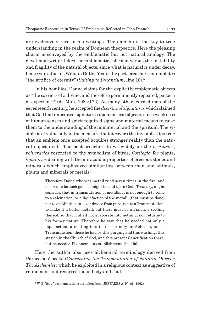are exclusively rare in his writings. The emblem is the key to true understanding in the realm of Donnean theopoetics. Here the pleasing charm is conveyed by the emblematic but not natural analogy. The devotional writer takes the emblematic cohesion versus the instability and fragility of the natural objects, since what is natural is under decay, hence vain. Just as William Butler Yeats, the poet-preacher contemplates "the artifice of eternity" (*Sailing to Byzantium*, line 10).5

In his homilies, Donne claims for the explicitly emblematic objects as "the carriers of a divine, and therefore permanently repeated, pattern of experience" (de Man, 1984:172). As many other learned men of the seventeenth century, he accepted the *doctrine of signatures* which claimed that God had imprinted signatures upon natural objects, since weakness of human senses and spirit required signs and material means to raise them to the understanding of the immaterial and the spiritual. The visible is of value only in the measure that it covers the invisible. It is true that an emblem once accepted acquires stronger reality than the natural object itself. The poet-preacher draws widely on the *bestiaries*, *volucraries* restricted to the symbolism of birds, *florilegia* for plants, *lopidaries* dealing with the miraculous properties of precious stones and minerals which emphasized similarities between man and animals, plants and minerals or metals:

> Therefore David who was metall tried seven times in the fire, and desired to be such gold as might be laid up in Gods Treasury, might consider, that in transmutation of metalls, it is not enough to come to a calcination, or a liquefaction of the metall, (that must be done) nor to an Ablution to sever drosse from pure, nor to a Transmutation, to make it a better metall, but there must be a Fixion, a settling thereof, so that it shall not evaporate into nothing, nor returne to his former nature. Therefore he saw that he needed not only a liquefaction, a melting into tears, nor only an Ablution, and a Transmutation, those he had by this purging and this washing, this station in the Church of God, and this present Sanctification there, but he needed Fixionem, an establishment. (ib. 190)

Here the author also uses alchemical terminology derived from Paracelsus' books (*Concerning the Transmutation of Natural Objects; The Alchemist*) which he exploited in a religious context as suggestive of refinement and resurrection of body and soul.

<sup>5</sup> W. B. Yeats' poem quotations are taken from: JEFFARES A. N. ed. (1962).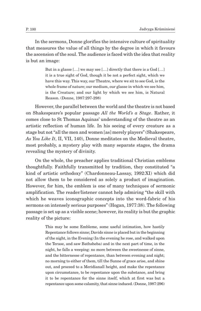In the sermons, Donne glorifies the intensive culture of spirituality that measures the value of all things by the degree in which it favours the ascension of the soul. The audience is faced with the idea that reality is but an image:

> But in a glasse […] we may see […] directly that there is a God […] it is a true sight of God, though it be not a perfect sight, which we have this way. This way, our Theatre, where we sit to see God, is the whole frame of nature; our medium, our glasse in which we see him, is the Creature; and our light by which we see him, is Natural Reason. (Donne, 1987:297-298)

However, the parallel between the world and the theatre is not based on Shakespeare's popular passage *All the World's a Stage*. Rather, it comes close to St Thomas Aquinas' understanding of the theatre as an artistic reflection of human life. In his seeing of every creature as a stage but not "all the men and women [as] merely players" (Shakespeare, *As You Like It*, II, VII, 140), Donne meditates on the Medieval theatre, most probably, a mystery play with many separate stages, the drama revealing the mystery of divinity.

On the whole, the preacher applies traditional Christian emblems thoughtfully. Faithfully transmitted by tradition, they constituted "a kind of artistic orthodoxy" (Chardonneau-Lassay, 1992:XI) which did not allow them to be considered as solely a product of imagination. However, for him, the emblem is one of many techniques of sermonic amplification. The reader/listener cannot help admiring "the skill with which he weaves iconographic concepts into the word-fabric of his sermons on intensely serious purposes" (Hogan, 1977:38). The following passage is set up as a visible scene; however, its reality is but the graphic reality of the picture:

> This may be some Embleme, some useful intimation, how hastily Repentance follows sinne; Davids sinne is placed but in the beginning of the night, in the Evening (In the evening he rose, and walked upon the Terase, and saw Bathsheba) and in the next part of time, in the night, he falls a weeping: no more between the sweetnesse of sinne, and the bitternesse of repentance, than between evening and night; no morning to either of them, till the Sunne of grace arise, and shine out, and proceed to a Meridianall height, and make the repentance upon circumstance, to be repentance upon the substance, and bring it to be repentance for the sinne itself, which at first was but a repentance upon some calamity, that sinne induced. (Donne, 1987:296)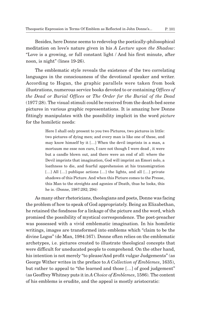Besides, here Donne seems to redevelop the poetically-philosophical meditation on love's nature given in his *A Lecture upon the Shadow*: "Love is a growing, or full constant light / And his first minute, after noon, is night" (lines 19-26).

The emblematic style reveals the existence of the two correlating languages in the consciousness of the devotional speaker and writer. According to Hogan, the graphic parallels were taken from book illustrations, numerous service books devoted to or containing *Offices of the Dead or Burial Offices* or *The Order for the Burial of the Dead* (1977:28). The visual stimuli could be received from the death-bed scene pictures in various graphic representations. It is amazing how Donne fittingly manipulates with the possibility implicit in the word *picture* for the homiletic needs:

> Here I shall only present to you two Pictures, two pictures in little: two pictures of dying men; and every man is like one of these, and may know himself by it […] When the devil imprints in a man, a mortuum me esse non curo, I care not though I were dead , it were but a candle blown out, and there were an end of all: where the Devil imprints that imagination, God will imprint an Emori nolo, a loathness to die, and fearful apprehension at his transmigration [...] All [...] publique actions [...] the lights, and all [...] private shadows of this Picture. And when this Picture comes to the Presse, this Man to the streights and agonies of Death, thus he looks, this he is. (Donne, 1987:292; 294)

As many other rhetoricians, theologians and poets, Donne was facing the problem of how to speak of God appropriately. Being an Elizabethan, he retained the fondness for a linkage of the picture and the word, which promised the possibility of mystical correspondence. The poet-preacher was possessed with a vivid emblematic imagination. In his homiletic writings, images are transformed into emblems which "claim to be the divine Logos" (de Man, 1984:167). Donne often relies on the emblematic archetypes, i.e. pictures created to illustrate theological concepts that were difficult for uneducated people to comprehend. On the other hand, his intention is not merely "to please/And profit vulgar Judgements" (as George Wither writes in the preface to *A Collection of Emblemes*, 1635), but rather to appeal to "the learned and those […] of good judgement" (as Geoffrey Whitney puts it in *A Choice of Emblemes*, 1586). The content of his emblems is erudite, and the appeal is mostly aristocratic: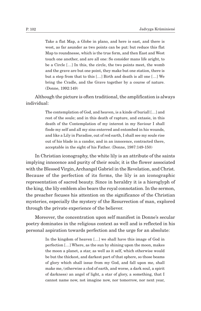Take a flat Map, a Globe in plano, and here is east, and there is west, as far asunder as two points can be put: but reduce this flat Map to roundnesse, which is the true form, and then East and West touch one another, and are all one: So consider mans life aright, to be a Circle […] In this, the circle, the two points meet, the womb and the grave are but one point, they make but one station, there is but a step from that to this […] Birth and death is all one […] We bring the Cradle, and the Grave together by a course of nature. (Donne, 1992:149)

Although the picture is often traditional, the amplification is always individual:

> The contemplation of God, and heaven, is a kinde of buriall […] and rest of the soule; and in this death of rapture, and extasie, in this death of the Contemplation of my interest in my Saviour I shall finde my self and all my sins enterred and entombed in his wounds, and like a Lily in Paradise, out of red earth, I shall see my soule rise out of his blade in a candor, and in an innocence, contracted there, acceptable in the sight of his Father. (Donne, 1987:149-150)

In Christian iconography, the white lily is an attribute of the saints implying innocence and purity of their souls; it is the flower associated with the Blessed Virgin, Archangel Gabriel in the Revelation, and Christ. Because of the perfection of its forms, the lily is an iconographic representation of sacred beauty. Since in heraldry it is a hieroglyph of the king, the lily emblem also bears the royal connotation. In the sermon, the preacher focuses his attention on the significance of the Christian mysteries, especially the mystery of the Resurrection of man, explored through the private experience of the believer.

Moreover, the concentration upon self manifest in Donne's secular poetry dominates in the religious context as well and is reflected in his personal aspiration towards perfection and the urge for an absolute:

> In the kingdom of heaven […] we shall have this image of God in perfection […] Where, as the sun by shining upon the moon, makes the moon a planet, a star, as well as it self, which otherwise would be but the thickest, and darkest part of that sphere, so those beams of glory which shall issue from my God, and fall upon me, shall make me, (otherwise a clod of earth, and worse, a dark soul, a spirit of darkness) an angel of light, a star of glory, a something, that I cannot name now, not imagine now, nor tomorrow, nor next year,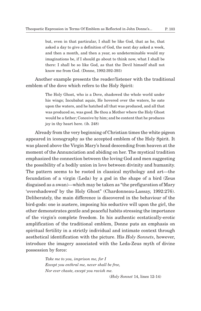but, even in that particular, I shall be like God, that as he, that asked a day to give a definition of God, the next day asked a week, and then a month, and then a year, so undeterminable would my imaginations be, if I should go about to think now, what I shall be there: I shall be so like God, as that the Devil himself shall not know me from God. (Donne, 1992:392-393)

Another example presents the reader/listener with the traditional emblem of the dove which refers to the Holy Spirit:

> The Holy Ghost, who is a Dove, shadowed the whole world under his wings; Incubabat aquis, He hovered over the waters, he sate upon the waters, and he hatched all that was produced, and all that was produced so, was good. Be thou a Mother where the Holy Ghost would be a father; Conceive by him; and be content that he produces joy in thy heart here. (ib. 248)

Already from the very beginning of Christian times the white pigeon appeared in iconography as the accepted emblem of the Holy Spirit. It was placed above the Virgin Mary's head descending from heaven at the moment of the Annunciation and abiding on her. The mystical tradition emphasized the connection between the loving God and men suggesting the possibility of a bodily union in love between divinity and humanity. The pattern seems to be rooted in classical mythology and art—the fecundation of a virgin (Leda) by a god in the shape of a bird (Zeus disguised as a swan)—which may be taken as "the prefiguration of Mary 'overshadowed' by the Holy Ghost" (Chardonneau-Lassay, 1992:276). Deliberately, the main difference is discovered in the behaviour of the bird-gods: one is austere, imposing his seductive will upon the girl, the other demonstrates gentle and peaceful habits stressing the importance of the virgin's complete freedom. In his authentic ecstatically-erotic amplification of the traditional emblem, Donne puts an emphasis on spiritual fertility in a strictly individual and intimate context through aesthetical identification with the picture. His *Holy Sonnets*, however, introduce the imagery associated with the Leda-Zeus myth of divine possession by force:

> *Take me to you, imprison me, for I Except you enthral me, never shall be free, Nor ever chaste, except you ravish me.*

(*Holy Sonnet* 14, lines 12-14)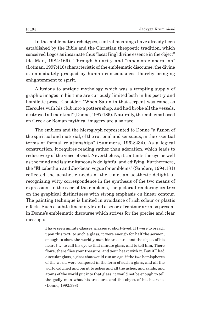In the emblematic archetypes, central meanings have already been established by the Bible and the Christian theopoetic tradition, which conceived Logos as incarnate thus "locat [ing] divine essence in the object" (de Man, 1984:169). Through binarity and "mnemonic operation" (Lotman, 1997:416) characteristic of the emblematic discourse, the divine is immediately grasped by human consciousness thereby bringing enlightenment to spirit.

Allusions to antique mythology which was a tempting supply of graphic images in his time are curiously limited both in his poetry and homiletic prose. Consider: "When Satan in that serpent was come, as Hercules with his club into a potters shop, and had broke all the vessels, destroyed all mankind" (Donne, 1987:186). Naturally, the emblems based on Greek or Roman mythical imagery are also rare.

The emblem and the hieroglyph represented to Donne "a fusion of the spiritual and material, of the rational and sensuous, in the essential terms of formal relationships" (Summers, 1962:234). As a logical construction, it requires reading rather than adoration, which leads to rediscovery of the voice of God. Nevertheless, it contents the eye as well as the mind and is simultaneously delightful and edifying. Furthermore, the "Elizabethan and Jacobean vogue for emblems" (Sanders, 1994:181) reflected the aesthetic needs of the time, an aesthetic delight at recognizing witty correspondence in the synthesis of the two means of expression. In the case of the emblems, the pictorial rendering centres on the graphical distinctness with strong emphasis on linear contour. The painting technique is limited in avoidance of rich colour or plastic effects. Such a subtle linear style and a sense of contour are also present in Donne's emblematic discourse which strives for the precise and clear message:

> I have seen minute-glasses; glasses so short-lived. If I were to preach upon this text, to such a glass, it were enough for half the sermon; enough to show the worldly man his treasure, and the object of his heart […] to call his eye to that minute glass, and to tell him, There flows, there flies your treasure, and your heart with it. But if I had a secular glass, a glass that would run an age; if the two hemispheres of the world were composed in the form of such a glass, and all the world calcined and burnt to ashes and all the ashes, and sands, and atoms of the world put into that glass, it would not be enough to tell the godly man what his treasure, and the object of his heart is. (Donne, 1992:398)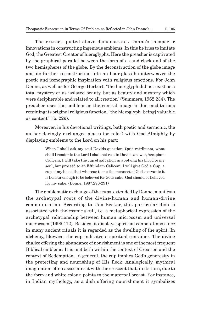The extract quoted above demonstrates Donne's theopoetic innovations in constructing ingenious emblems. In this he tries to imitate God, the Greatest Creator of hieroglyphs. Here the preacher is captivated by the graphical parallel between the form of a sand-clock and of the two hemispheres of the globe. By the deconstruction of the globe image and its further reconstruction into an hour-glass he interweaves the poetic and iconographic inspiration with religious emotions. For John Donne, as well as for George Herbert, "the hieroglyph did not exist as a total mystery or as isolated beauty, but as beauty and mystery which were decipherable and related to all creation" (Summers, 1962:234). The preacher uses the emblem as the central image in his meditations retaining its original religious function, "the hieroglyph [being] valuable as content" (ib. 229).

Moreover, in his devotional writings, both poetic and sermonic, the author daringly exchanges places (or roles) with God Almighty by displaying emblems to the Lord on his part:

> When I shall ask my soul Davids question, Quid retribuem, what shall I render to the Lord I shall not rest in Davids answer, Accepiam Calicem, I will take the cup of salvation in applying his blood to my soul, but proceed to an Effundam Calicem, I will give God a Cup, a cup of my blood that whereas to me the meanest of Gods servants it is honour enough to be believed for Gods sake: God should be believed for my sake. (Donne, 1987:290-291)

The emblematic exchange of the cups, extended by Donne, manifests the archetypal roots of the divine-human and human-divine communication. According to Udo Becker, this particular dish is associated with the cosmic skull, i.e. a metaphorical expression of the archetypal relationship between human microcosm and universal macrocosm (1995:112). Besides, it displays spiritual connotations since in many ancient rituals it is regarded as the dwelling of the spirit. In alchemy, likewise, the cup indicates a spiritual container. The divine chalice offering the abundance of nourishment is one of the most frequent Biblical emblems. It is met both within the context of Creation and the context of Redemption. In general, the cup implies God's generosity in the protecting and nourishing of His flock. Analogically, mythical imagination often associates it with the crescent that, in its turn, due to the form and white colour, points to the maternal breast. For instance, in Indian mythology, as a dish offering nourishment it symbolizes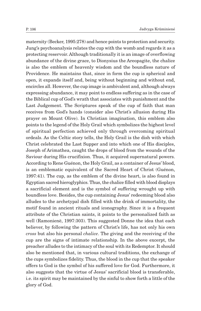maternity (Becker, 1995:278) and hence points to protection and security. Jung's psychoanalysis relates the cup with the womb and regards it as a protecting reservoir. Although traditionally it is an image of overflowing abundance of the divine grace, to Dionysius the Areopagite, the chalice is also the emblem of heavenly wisdom and the boundless nature of Providence. He maintains that, since in form the cup is spherical and open, it expands itself and, being without beginning and without end, encircles all. However, the cup image is ambivalent and, although always expressing abundance, it may point to endless suffering as in the case of the Biblical cup of God's wrath that associates with punishment and the Last Judgement. The Scriptures speak of the cup of faith that man receives from God's hands (consider also Christ's allusion during His prayer on Mount Olive). In Christian imagination, this emblem also points to the legend of the Holy Grail which symbolizes the highest level of spiritual perfection achieved only through overcoming spiritual ordeals. As the Celtic story tells, the Holy Grail is the dish with which Christ celebrated the Last Supper and into which one of His disciples, Joseph of Arimathea, caught the drops of blood from the wounds of the Saviour during His crucifixion. Thus, it acquired supernatural powers. According to Rene Guénon, the Holy Grail, as a container of Jesus' blood, is an emblematic equivalent of the Sacred Heart of Christ (Guénon, 1997:41). The cup, as the emblem of the divine heart, is also found in Egyptian sacred hieroglyphics. Thus, the chalice filled with blood displays a sacrificial element and is the symbol of suffering wrought up with boundless love. Besides, the cup containing Jesus' redeeming blood also alludes to the archetypal dish filled with the drink of immortality, the motif found in ancient rituals and iconography. Since it is a frequent attribute of the Christian saints, it points to the personalized faith as well (Ramonienë, 1997:303). This suggested Donne the idea that each believer, by following the pattern of Christ's life, has not only his own *cross* but also his personal *chalice*. The giving and the receiving of the cup are the signs of intimate relationship. In the above excerpt, the preacher alludes to the intimacy of the soul with its Redemptor. It should also be mentioned that, in various cultural traditions, the exchange of the cups symbolizes fidelity. Thus, the blood in the cup that the speaker offers to God is the symbol of his suffered love for God. Furthermore, it also suggests that the virtue of Jesus' sacrificial blood is transferable, i.e. its spirit may be maintained by the sinful to show forth a little of the glory of God.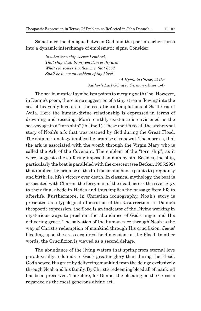Sometimes the dialogue between God and the poet-preacher turns into a dynamic interchange of emblematic signs. Consider:

> *In what torn ship soever I embark, That ship shall be my emblem of thy ark; What sea soever swallow me, that flood Shall be to me an emblem of thy blood.*

> > (*A Hymn to Christ, at the Author's Last Going to Germany,* lines 1-4)

The sea in mystical symbolism points to merging with God. However, in Donne's poem, there is no suggestion of a tiny stream flowing into the sea of heavenly love as in the ecstatic contemplations of St Teresa of Avila. Here the human-divine relationship is expressed in terms of drowning and rescuing. Man's earthly existence is envisioned as the sea-voyage in a "torn ship" (ib. line 1). These motifs recall the archetypal story of Noah's ark that was rescued by God during the Great Flood. The ship-ark analogy implies the promise of renewal. The more so, that the ark is associated with the womb through the Virgin Mary who is called the Ark of the Covenant. The emblem of the "torn ship", as it were, suggests the suffering imposed on man by sin. Besides, the ship, particularly the boat is paralleled with the crescent (see Becker, 1995:292) that implies the promise of the full moon and hence points to pregnancy and birth, i.e. life's victory over death. In classical mythology, the boat is associated with Charon, the ferryman of the dead across the river Styx to their final abode in Hades and thus implies the passage from life to afterlife. Furthermore, in Christian iconography, Noah's story is presented as a typological illustration of the Resurrection. In Donne's theopoetic expression, the flood is an indicator of the Divine working in mysterious ways to proclaim the abundance of God's anger and His delivering grace. The salvation of the human race through Noah is the way of Christ's redemption of mankind through His crucifixion. Jesus' bleeding upon the cross acquires the dimensions of the Flood. In other words, the Crucifixion is viewed as a second deluge.

The abundance of the living waters that spring from eternal love paradoxically redounds to God's greater glory than during the Flood. God showed His grace by delivering mankind from the deluge exclusively through Noah and his family. By Christ's redeeming blood all of mankind has been preserved. Therefore, for Donne, the bleeding on the Cross is regarded as the most generous divine act.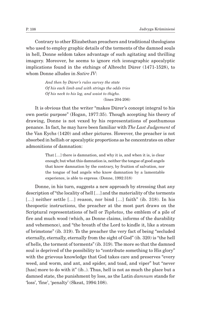Contrary to other Elizabethan preachers and traditional theologians who used to employ graphic details of the torments of the damned souls in hell, Donne seldom takes advantage of such agitating and thrilling imagery. Moreover, he seems to ignore rich iconographic apocalyptic implications found in the etchings of Albrecht Dürer (1471-1528), to whom Donne alludes in *Satire IV*:

> *And then by Dürer's rules survey the state Of his each limb and with strings the odds tries Of his neck to his leg, and waist to thighs.* (lines 204-206)

It is obvious that the writer "makes Dürer's concept integral to his own poetic purpose" (Hogan, 1977:35). Though accepting his theory of drawing, Donne is not vexed by his representations of posthumous penance. In fact, he may have been familiar with *The Last Judgement* of the Van Eychs (1420) and other pictures. However, the preacher is not absorbed in hellish or apocalyptic proportions as he concentrates on other admonitions of damnation:

> That […] there is damnation, and why it is, and when it is, is clear enough; but what this damnation is, neither the tongue of good angels that know damnation by the contrary, by fruition of salvation, nor the tongue of bad angels who know damnation by a lamentable experience, is able to express. (Donne, 1992:318)

Donne, in his turn, suggests a new approach by stressing that any description of "the locality of hell […] and the materiality of the torments [...] neither settle [...] reason, nor bind [...] faith" (ib. 318). In his theopoetic instructions, the preacher at the most part draws on the Scriptural representations of hell or *Tophetas*, the emblem of a pile of fire and much wood (which, as Donne claims, informs of the durability and vehemence), and "the breath of the Lord to kindle it, like a stream of brimstone" (ib. 319). To the preacher the very fact of being "secluded eternally, eternally, eternally from the sight of God" (ib. 320) is "the hell of hells, the torment of torments" (ib. 319). The more so that the damned soul is deprived of the possibility to "contribute something to His glory" with the grievous knowledge that God takes care and preserves "every weed, and worm, and ant, and spider, and toad, and viper" but "never [has] more to do with it" (ib..). Thus, hell is not as much the place but a damned state, the punishment by loss, as the Latin *damnum* stands for 'loss', 'fine', 'penalty' (Skeat, 1994:108).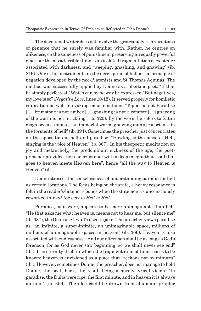The devotional writer does not involve the grotesquely rich variations of penance that he surely was familiar with. Rather, he centres on alikeness, on the sameness of punishment preserving an equally powerful emotion: the most terrible thing is an isolated fragmentation of existence associated with darkness, and "weeping, gnashing, and gnawing" (ib. 319). One of his instruments in the description of hell is the principle of negation developed by the neo-Platonists and St Thomas Aquinas. The method was successfully applied by Donne as a libertine poet: "If that be simply perfectest / Which can by no way be expressed / But negatives, my love is so" (*Negative Love*, lines 10-12). It served properly for homiletic edification as well in evoking pious emotions: "Tophet is not Paradise [...] brimstone is not amber [...] gnashing is not a comfort [...] gnawing of the worm is not a tickling" (ib. 320). By the worm he refers to Satan disguised as a snake, "an immortal worm [gnawing man's] conscience in the torments of hell" (ib. 394). Sometimes the preacher just concentrates on the opposition of hell and paradise: "Howling is the noise of Hell, singing is the voice of Heaven" (ib. 367). In his theopoetic meditation on joy and melancholy, the predominant sickness of the age, the poetpreacher provides the reader/listener with a deep insight that "soul that goes to heaven meets Heaven here", hence "all the way to Heaven is Heaven" (ib.).

Donne stresses the senselessness of understanding paradise or hell as certain locations. The focus being on the state, a heavy resonance is felt in the reader's/listener's bones when the statement is unconsciously reworked into *all the way to Hell is Hell*.

Paradise, as it were, appears to be more unimaginable than hell. "He that asks me what heaven is, means not to hear me, but silence me" (ib. 387), the Dean of St Paul's used to joke. The preacher views paradise as "an infinite, a super-infinite, an unimaginable space, millions of millions of unimaginable spaces in heaven" (ib. 366). Heaven is also associated with endlessness: "And our afternoon shall be as long as God's forenoon; for as God never saw beginning, so we shall never see end" (ib.). It is eternity itself in which the fragmentation of time ceases to be known: heaven is envisioned as a place that "reckons not by minutes" (ib.). However, sometimes Donne, the preacher, does not manage to hold Donne, the poet, back, the result being a purely lyrical vision: "In paradise, the fruits were ripe, the first minute, and in heaven it is always autumn" (ib. 356). The idea could be drawn from abundant graphic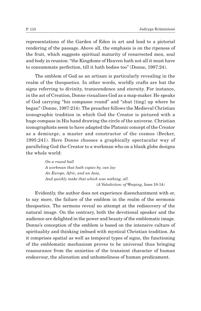representations of the Garden of Eden in art and lead to a pictorial rendering of the passage. Above all, the emphasis is on the ripeness of the fruit, which suggests spiritual maturity of resurrected men, soul and body in reunion: "the Kingdome of Heaven hath not all it must have to consummate perfection, till it hath bodies too" (Donne, 1987:24).

The emblem of God as an artisan is particularly revealing in the realm of the theopoetics. In other words, worldly crafts are but the signs referring to divinity, transcendence and eternity. For instance, in the act of Creation, Donne visualizes God as a map-maker. He speaks of God carrying "his compasse round" and "shut [ting] up where he began" (Donne, 1987:214). The preacher follows the Medieval Christian iconographic tradition in which God the Creator is pictured with a huge compass in His hand drawing the circle of the universe. Christian iconographists seem to have adapted the Platonic concept of the Creator as a demiurge, a master and constructor of the cosmos (Becker, 1995:241). Here Donne chooses a graphically spectacular way of paralleling God the Creator to a workman who on a blank globe designs the whole world:

> *On a round ball A workman that hath copies by, can lay An Europe, Afric, and an Asia, And quickly make that which was nothing, all.* (*A Valediction: of Weeping*, lines 10-14)

Evidently, the author does not experience disenchantment with or, to say more, the failure of the emblem in the realm of the sermonic theopoetics. The sermons reveal no attempt at the rediscovery of the natural image. On the contrary, both the devotional speaker and the audience are delighted in the power and beauty of the emblematic image. Donne's conception of the emblem is based on the intensive culture of spirituality and thinking imbued with mystical Christian tradition. As it comprises spatial as well as temporal types of signs, the functioning of the emblematic mechanism proves to be universal thus bringing reassurance from the anxieties of the transient character of human endeavour, the alienation and unhomeliness of human predicament.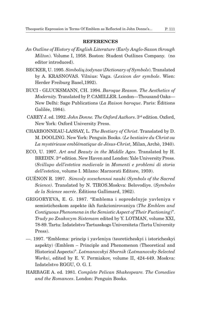## **REFERENCES**

- *An Outline of History of English Literature (Early Anglo-Saxon through Milton*). Volume I, 1958. Boston: Student Outlines Company. (no editor introduced).
- BECKER, U. 1995. *Simboliu zodynas* (*Dictionary of Symbols*). Translated *c ˇ*by A. KRASNOVAS. Vilnius: Vaga. (*Lexicon der symbole*. Wien: Herder Freiburg Basel,1992).
- BUCI GLUCKSMANN, CH. 1994. *Baroque Reason. The Aesthetics of Modernity.* Translated by P. CAMILLER. London—Thousand Oaks— New Delhi: Sage Publications (*La Raison baroque*. Paris: Éditions Galilée, 1984).
- CAREY J. ed. 1992. *John Donne. The Oxford Authors*. 3rd edition. Oxford, New York: Oxford University Press.
- CHARBONNEAU-LASSAY, L. *The Bestiary of Christ*. Translated by D. M. DOOLING. New York: Penguin Books. (*Le bestiaire du Christ ou La mystérieuse emblématique de Jésus-Christ*, Milan, Archè, 1940).
- ECO, U. 1997. *Art and Beauty in the Middle Ages*. Translated by H. BREDIN. 3rd edition. New Haven and London: Yale University Press. (*Svillupo dell'estetica medievale* in *Momenti e problemi di storia dell'estetica*, volume I. Milano: Marzorati Editore, 1959).
- GUÉNON R. 1997. *Simvoly sveschennoi nauki (Symbols of the Sacred Science)*. Translated by N. TIROS.Moskva: Belovodiye. (*Symboles de la Science sacrée*. Éditions Gallimard, 1962).
- GRIGORYEVA, E. G. 1987. "Emblema i sopredelnyje yavleniya v semioticheskom aspekte ikh funkcionirovaniya (*The Emblem and Contiguous Phenomena in the Semiotic Aspect of Their Fuctioning*)". *Trudy po Znakovym Sistemam* edited by Y. LOTMAN, volume XXI, 78-89. Tartu: Izdatelstvo Tartusskogo Universiteta (Tartu University Press).
- —. 1997. "Emblema: princip i yavleniya (teoreticheskyi i istoricheskyi aspekty) (Emblem – Principle and Phenomenon (Theoretical and Historical Aspects)". *Lotmanovskyi Sbornik (Lotmanovsky Selected Works)*, edited by E. V. Permiakov, volume II, 424-449. Moskva: Izdatelstvo RGGU, O. G. I.
- HARBAGE A. ed. 1981. *Complete Pelican Shakespeare. The Comedies and the Romances*. London: Penguin Books.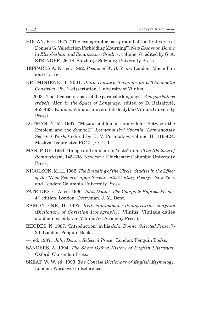- HOGAN, P. G. 1977. "The iconographic background of the first verse of Donne's 'A Valediction Forbidding Mourning'". *New Essays on Donne* in *Elizabethan and Renaissance Studies*, volume 57, edited by G. A. STRINGER, 26-44. Salzburg: Salzburg University Press.
- JEFFARES A. N. ed. 1962. *Poems of W. B. Yeats*. London: Macmillan and Co Ltd.
- KRÛMINIENE, J. 2001*. John Donne's Sermons as a Theopoetic* . *Construct*. Ph.D. dissertation, University of Vilnius.
- —. 2003. "The theopoetic space of the parabolic language". *Zmogus kalbos ˇ erdveje (Man in the Space of Language)* edited by D. Balšaityte, 453-463. Kaunas: Vilniaus universiteto leidykla (Vilnius University Press).
- LOTMAN, Y. M. 1997. "Mezdu emblemoi i simvolom (Between the Emblem and the Symbol)". *Lotmanovskyi Sbornik (Lotmanovsky Selected Works)* edited by E. V. Permiakov, volume II, 416-424. Moskva: Izdatelstvo RGGU, O. G. I.
- MAN, P. DE. 1984. "Image and emblem in Yeats" in his *The Rhetoric of Romanticism*, 145-238. New York, Chickester: Columbia University Press.
- NICOLSON, M. H. 1962. *The Breaking of the Circle. Studies in the Effect of the "New Science" upon Seventeenth Century Poetry*. New York and London: Columbia University Press.
- PATRIDES, C. A. ed. 1996. *John Donne. The Complete English Poems.* 4th edition. London: Everyman, J. M. Dent.
- RAMONIENE, D. 1997*. Krikscioniskosios ikonografijos zodynas . <sup>ˇ</sup> <sup>ˇ</sup> <sup>ˇ</sup> <sup>ˇ</sup> ˇ*(*Dictionary of Christian Iconography*). Vilnius: Vilniaus dailes *.* akademijos leidykla (Vilnius Art Academy Press).
- RHODES, N. 1987. "Introduction" in his *John Donne. Selected Prose*, 7- 30. London: Penguin Books.
- —. ed. 1987. *John Donne. Selected Prose*. London: Penguin Books.
- SANDERS, A. 1994. *The Short Oxford History of English Literature*. Oxford: Clarendon Press.
- SKEAT, W. W. ed. 1993. *The Concise Dictionary of English Etymology*. London: Wordsworth Reference.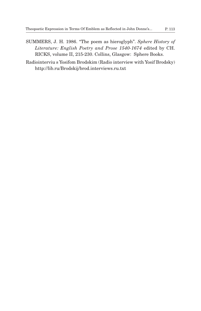- SUMMERS, J. H. 1986. "The poem as hieroglyph". *Sphere History of Literature: English Poetry and Prose 1540-1674* edited by CH. RICKS, volume II, 215-230. Collins, Glasgow: Sphere Books.
- Radiointerviu s Yosifom Brodskim (Radio interview with Yosif Brodsky) http://lib.ru/Brodskij/brod.interviews.ru.txt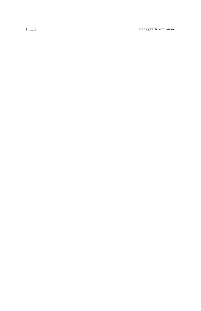P. 114 Jadvyga Krûminiene.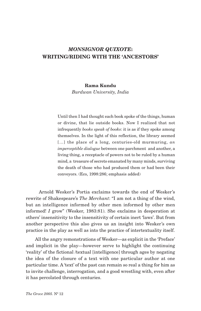# *MONSIGNOR QUIXOTE***: WRITING/RIDING WITH THE 'ANCESTORS'**

### **Rama Kundu**

*Burdwan University, India*

Until then I had thought each book spoke of the things, human or divine, that lie outside books. Now I realized that not infrequently *books speak of books*: it is as if they spoke among themselves. In the light of this reflection, the library seemed [...] the place of a long, centuries-old murmuring, *an imperceptible dialogue* between one parchment and another, a living thing, a receptacle of powers not to be ruled by a human mind, a treasure of secrets emanated by many minds, surviving the death of those who had produced them or had been their conveyors. (Eco, 1998:286; emphasis added)

Arnold Wesker's Portia exclaims towards the end of Wesker's rewrite of Shakespeare's *The Merchant*: "I am not a thing of the wind, but an intelligence informed by other men informed by other men informed! *I* grow" (Wesker, 1983:81). She exclaims in desperation at others' insensitivity to the insensitivity of certain inert 'laws'. But from another perspective this also gives us an insight into Wesker's own practice in the play as well as into the practice of intertextuality itself.

All the angry remonstrations of Wesker—as explicit in the 'Preface' and implicit in the play—however serve to highlight the continuing 'reality' of the fictional /textual [intelligence] through ages by negating the idea of the closure of a text with one particular author at one particular time. A 'text' of the past can remain so real a thing for him as to invite challenge, interrogation, and a good wrestling with, even after it has percolated through centuries.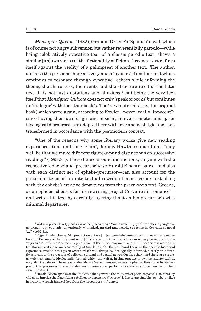*Monsignor Quixote* (1982), Graham Greene's 'Spanish' novel, which is of course not angry subversion but rather reverentially parodic—while being celebratively evocative too—of a classic parodic text, shows a similar [un]awareness of the fictionality of fiction. Greene's text defines itself against the 'reality' of a palimpsest of another text. The author, and also the personae, here are very much 'readers' of another text which continues to resonate through evocative echoes while informing the theme, the characters, the events and the structure itself of the later text. It is not just quotations and allusions, $<sup>1</sup>$  but being the very text</sup> itself that *Monsignor Quixote* does not only 'speak of books' but continues its 'dialogue' with the other book/s. The 'raw materials' (i.e., the original book) which were again, according to Fowler, "never [really] innocent"2 since having their own origin and mooring in even remoter and prior ideological discourses, are adapted here with love and nostalgia and then transformed in accordance with the postmodern context.

"One of the reasons why some literary works give new reading experiences time and time again", Jeremy Hawthorn maintains, "may well be that we make different figure-ground distinctions on successive readings" (1998:81). These figure-ground distinctions, varying with the respective 'ephebe' and 'precursor' (*a la* Harold Bloom)3 pairs—and also with each distinct set of ephebe-precursor—can also account for the particular tenor of an intertextual rewrite of some earlier text along with the ephebe's creative departures from the precursor's text. Greene, as an ephebe, chooses for his rewriting project Cervantes's 'romance' and writes his text by carefully layering it out on his precursor's with minimal departures.

<sup>1</sup> Watts represents a typical view as he places it as a 'comic novel' enjoyable for offering "ingenious present-day equivalents, variously whimsical, farcical and satiric, to scenes in Cervantes's novel  $\left[ \ldots \right]$ " (1997:81).

<sup>2</sup> Roger Fowler claims: "All production entails […] certain determinate techniques of transformation […] Because of the intervention of [this] stage […], this product can in no way be reduced to the 'expression', 'reflection' or mere reproduction of the initial raw materials. [...] Literary raw materials, for Marxist criticism, are essentially of two kinds. On the one hand there is the specific historical experience available to a given writer, which will always be ideologically informed, directly or indirectly relevant to the processes of political, cultural and sexual power. On the other hand there are previous writings, equally ideologically formed, which the writer, in that practice known as intertextuality, may also transform. These raw materials are 'never innocent' or easily pliable: they come to literary productive process with specific degrees of resistance, particular valencies and tendencies of their own" (1983:45).

 $3$  Harold Bloom speaks of the "dialectic that governs the relations of poets as poets" (1975:25), by which he implies the fructifying rebellion or departure ("swerve" is his term) that the 'ephebe' strikes in order to wrench himself free from the 'precursor's influence.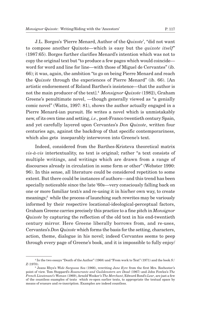J.L. Borges's 'Pierre Menard, Author of the *Quixote*', "did not want to compose another Quixote—which is easy but the *quixote itself*" (1987:65). Borges further clarifies Menard's intention which was not to copy the original text but "to produce a few pages which would coincide word for word and line for line—with those of Miguel de Cervantes" (ib. 66); it was, again, the ambition "to go on being Pierre Menard and reach the *Quixote* through the experiences of Pierre Menard" (ib. 66). [An artistic endorsement of Roland Barthes's insistence—that the author is not the main producer of the text].4 *Monsignor Quixote* (1982), Graham Greene's penultimate novel, —though generally viewed as "a genially comic novel" (Watts, 1997: 81), shows the author actually engaged in a Pierre Menard-ian pursuit. He writes a novel which is unmistakably new, of its own time and setting, *i.e*., post-Franco twentieth century Spain, and yet carefully layered upon Cervantes's *Don Quixote*, written four centuries ago, against the backdrop of that specific contemporariness, which also gets inseparably interwoven into Greene's text.

Indeed, considered from the Barthes-Kristeva theoretical matrix *vis-à-vis* intertextuality, no text is original; rather "a text consists of multiple writings, and writings which are drawn from a range of discourses already in circulation in some form or other" (Webster 1990: 96). In this sense, all literature could be considered repetition to some extent. But there could be instances of authors—and this trend has been specially noticeable since the late '60s—very consciously falling back on one or more familiar text/s and re-using it in his/her own way, to create meanings;<sup>5</sup> while the process of launching such rewrites may be variously informed by their respective locational-ideological-perceptual factors, Graham Greene carries precisely this practice to a fine pitch in *Monsignor Quixote* by capturing the reflection of the old text in his end-twentieth century mirror. Here Greene liberally borrows from, and re-uses, Cervantes's *Don Quixote* which forms the basis for the setting, characters, action, theme, dialogue in his novel; indeed Cervantes seems to peep through every page of Greene's book, and it is impossible to fully enjoy/

<sup>4</sup> In the two essays "Death of the Author" (1968) and "From work to Text" (1971) and the book *S/ Z* (1970).

<sup>5</sup> Jeans Rhys's *Wide Sargossa Sea* (1966), rewriting *Jane Eyre* from the first Mrs. Rochester's point of view. Tom Stoppard's *Rosencrantz and Guildenstern are Dead* (1967) and John Fowles's *The French Lieutenant's Woman* (1969), Arnold Wesker's *The Merchant*, Edward Bond's *Lear*, are just a few of the countless examples of texts which re-open earlier texts, to appropriate the textual space by means of erasure and re-inscription. Examples are indeed countless.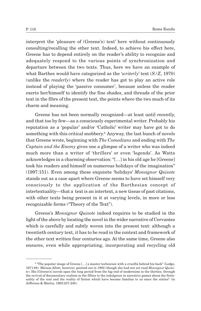interpret the 'pleasure of (Greene's) text' here without continuously consulting/recalling the other text. Indeed, to achieve his effect here, Greene has to depend entirely on the reader's ability to recognize and adequately respond to the various points of synchronization and departure between the two texts. Thus, here we have an example of what Barthes would have categorized as the '*writerly*' text (*S/Z*, 1970) (unlike the *readerly*) where the reader has got to play an active role instead of playing the 'passive consumer', because unless the reader exerts her/himself to identify the fine shades, and threads of the prior text in the fibre of the present text, the points where the two much of its charm and meaning.

Greene has not been normally recognized—at least until recently, and that too by few—as a consciously experimental writer. Probably his reputation as a 'popular' and/or 'Catholic' writer may have got to do something with this critical snobbery.<sup>6</sup> Anyway, the last bunch of novels that Greene wrote, beginning with *The Comedians* and ending with *The Captain and the Enemy* gives one a glimpse of a writer who was indeed much more than a writer of 'thrillers' or even 'legends'. As Watts acknowledges in a charming observation: "[…] in his old age he [Greene] took his readers and himself on numerous holidays of the imagination" (1997:151). Even among these exquisite 'holidays' *Monsignor Quixote* stands out as a case apart where Greene seems to have set himself very consciously to the application of the Barthesian concept of intertextuality—that a text is an intertext, a new tissue of past citations, with other texts being present in it at varying levels, in more or less recognizable forms ("Theory of the Text").

Greene's *Monsignor Quixote* indeed requires to be studied in the light of the above by locating the novel in the wider narrative of Cervantes which is carefully and subtly woven into the present text: although a twentieth century text, it has to be read in the context and framework of the other text written four centuries ago. At the same time, Greene also ensures, even while appropriating, incorporating and recycling old

<sup>&</sup>lt;sup>6</sup> "The popular image of Greene […] a master technician with a crucifix behind his back" (Lodge, 1971:88). Miriam Allott, however, pointed out in 1982 (though she had not yet read *Monsignor Quixote*): His [Greene's] novels span the long period from the fag end of modernism in the thirties, through the revival of documentary realism in the fifties to the indulgence in narrative games about the fictionality of the real and the reality of fiction which have become familiar to us since the sixties" (in Jefferson & Martin, 1982:237-248).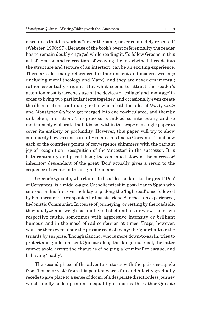discourses that his work is "never the same, never completely repeated" (Webster, 1990: 97). Because of the book's overt referentiality the reader has to remain doubly engaged while reading it. To follow Greene in this act of creation and re-creation, of weaving the intertwined threads into the structure and texture of an intertext, can be an exciting experience. There are also many references to other ancient and modern writings (including moral theology and Marx), and they are never ornamental; rather essentially organic. But what seems to attract the reader's attention most is Greene's use of the devices of 'collage' and 'montage' in order to bring two particular texts together, and occasionally even create the illusion of one continuing text in which both the tales of *Don Quixote* and *Monsignor Quixote* get merged into one re-circulated, and thereby unbroken, narration. The process is indeed so interesting and so meticulously elaborate that it is not within the scope of a single paper to cover its entirety or profundity. However, this paper will try to show summarily how Greene carefully relates his text to Cervantes's and how each of the countless points of convergence shimmers with the radiant joy of recognition—recognition of the 'ancestor' in the successor. It is both continuity and parallelism; the continued story of the successor/ inheritor/ descendant of the great 'Don' actually gives a rerun to the sequence of events in the original 'romance'.

Greene's Quixote, who claims to be a 'descendant' to the great 'Don' of Cervantes, is a middle-aged Catholic priest in post-Franco Spain who sets out on his first ever holiday trip along the 'high road' once followed by his 'ancestor'; as companion he has his friend Sancho—an experienced, hedonistic Communist. In course of journeying, or resting by the roadside, they analyze and weigh each other's belief and also review their own respective faiths, sometimes with aggressive intensity or brilliant humour, and in the mood of sad confession at times. Traps, however, wait for them even along the prosaic road of today: the 'guardia' take the truants by surprise. Though Sancho, who is more down-to-earth, tries to protect and guide innocent Quixote along the dangerous road, the latter cannot avoid arrest; the charge is of helping a 'criminal' to escape, and behaving 'madly'.

The second phase of the adventure starts with the pair's escapade from 'house-arrest': from this point onwards fun and hilarity gradually recede to give place to a sense of doom, of a desperate directionless journey which finally ends up in an unequal fight and death. Father Quixote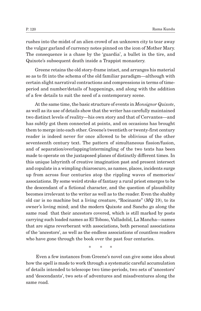rushes into the midst of an alien crowd of an unknown city to tear away the vulgar garland of currency notes pinned on the icon of Mother Mary. The consequence is a chase by the 'guardia', a bullet in the tire, and Quixote's subsequent death inside a Trappist monastery.

Greene retains the old story-frame intact, and arranges his material so as to fit into the schema of the old familiar paradigm—although with certain slight narratival contractions and compressions in terms of timeperiod and number/details of happenings, and along with the addition of a few details to suit the need of a contemporary scene.

At the same time, the basic structure of events in *Monsignor Quixote*, as well as its use of details show that the writer has carefully maintained two distinct levels of reality—his own story and that of Cervantes—and has subtly got them connected at points, and on occasions has brought them to merge into each other. Greene's twentieth or twenty-first century reader is indeed never for once allowed to be oblivious of the other seventeenth century text. The pattern of simultaneous fission/fusion, and of separation/overlapping/intermingling of the two texts has been made to operate on the juxtaposed planes of distinctly different times. In this unique labyrinth of creative imagination past and present intersect and copulate in a wimpling chiaroscuro, as names, places, incidents surge up from across four centuries atop the rippling waves of memories/ associations. By some weird stroke of fantasy a rural priest emerges to be the descendant of a fictional character, and the question of plausibility becomes irrelevant to the writer as well as to the reader. Even the shabby old car is no machine but a living creature, "Rocinante" (*MQ* 19), to its owner's loving mind; and the modern Quixote and Sancho go along the same road that their ancestors covered, which is still marked by posts carrying such loaded names as El Toboso, Valladolid, La Mancha—names that are signs reverberant with associations, both personal associations of the 'ancestors', as well as the endless associations of countless readers who have gone through the book over the past four centuries.

\* \* \*

 Even a few instances from Greene's novel can give some idea about how the spell is made to work through a systematic careful accumulation of details intended to telescope two time-periods, two sets of 'ancestors' and 'descendants', two sets of adventures and misadventures along the same road.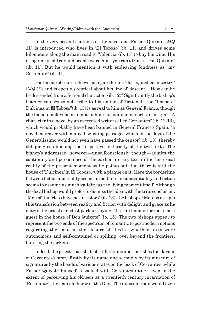In the very second sentence of the novel one 'Father Quixote' (*MQ* 11) is introduced who lives in 'El Toboso' (ib. 11) and drives some kilometers along the main road to 'Valencia' (ib. 11) to buy his wine. His is, again, an old car and people warn him "you can't trust it Don Quixote" (ib. 11). But he would mention it with endearing fondness as "my Rocinante" (ib. 11).

His bishop of course shows no regard for his "distinguished ancestry" (*MQ* 12) and is openly skeptical about his line of 'descent'. "How can he be descended from a fictional character" (ib. 12)? Significantly the bishop's listener refuses to subscribe to his notion of 'fictional'; the "house of Dulcinea in El Toboso"(ib. 13) is as real to him as General Franco, though the bishop makes no attempt to hide his opinion of such an 'origin': "A character in a novel by an overrated writer called Cervantes" (ib. 12-13), which would probably have been banned in General Franco's Spain: "a novel moreover with many disgusting passages which in the days of the Generalissimo would not even have passed the censor" (ib. 13), thereby obliquely establishing the respective historicity of the two texts. The bishop's addressee, however—unselfconsciously though—admits the continuity and persistence of the earlier literary text in the historical reality of the present moment as he points out that there is still the house of 'Dulcinea' in El Toboso, with a plaque on it. Here the borderline between fiction and reality seems to melt into unsubstantiality and fiction seems to assume as much validity as the living moment itself. Although the local bishop would prefer to dismiss the idea with the trite conclusion: "Men of that class have no ancestors" (ib. 13), the bishop of Motopo accepts this transfusion between reality and fiction with delight and grace as he enters the priest's modest parlour saying, "It is an honour for me to be a guest in the house of Don Quixote" (ib. 15). The two bishops appear to represent the two ends of the spectrum of romantic to postmodern notions regarding the issue of the closure of texts—whether texts were autonomous and self-contained or spilling over beyond the frontiers, bursting the jackets.

Indeed, the priest's parish itself still retains and cherishes the flavour of Cervantes's story, firstly by its name and secondly by its museum of signatures by the heads of various states on the book of Cervantes, while Father Quixote himself is soaked with Cervantes's tale—even to the extent of perceiving his old *seat* as a twentieth century incarnation of 'Rocinante', the lean old horse of the Don. The innocent man would even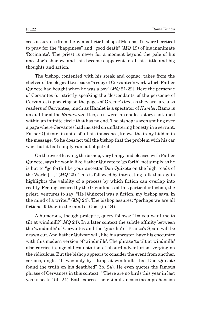seek assurance from the sympathetic bishop of Motopo, if it were heretical to pray for the "happiness" and "good death" (*MQ* 19) of his inanimate 'Rocinante'. The priest is never for a moment beyond the pale of his ancestor's shadow, and this becomes apparent in all his little and big thoughts and action.

The bishop, contented with his steak and cognac, takes from the shelves of theological textbooks "a copy of Cervantes's work which Father Quixote had bought when he was a boy" (*MQ* 21-22). Here the personae of Cervantes (or strictly speaking the 'descendants' of the personae of Cervantes) appearing on the pages of Greene's text as they are, are also readers of Cervantes, much as Hamlet is a spectator of *Hamlet*, Rama is an auditor of the *Ramayana*. It is, as it were, an endless story contained within an infinite circle that has no end. The bishop is seen smiling over a page where Cervantes had insisted on unflattering honesty in a servant. Father Quixote, in spite of all his innocence, knows the irony hidden in the message. So he does not tell the bishop that the problem with his car was that it had simply run out of petrol.

On the eve of leaving, the bishop, very happy and pleased with Father Quixote, says he would like Father Quixote to 'go forth', not simply as he is but to "go forth like your ancestor Don Quixote on the high roads of the World […]" (*MQ* 23). This is followed by interesting talk that again highlights the validity of a process by which fiction can overlap into reality. Feeling assured by the friendliness of this particular bishop, the priest, ventures to say: "He [Quixote] was a fiction, my bishop says, in the mind of a writer" (*MQ* 24). The bishop assures: "perhaps we are all fictions, father, in the mind of God" (ib. 24).

A humorous, though proleptic, query follows: "Do you want me to tilt at windmill?"(*MQ* 24). In a later context the subtle affinity between the 'windmills' of Cervantes and the 'guardia' of Franco's Spain will be drawn out. And Father Quixote will, like his ancestor, have his encounter with this modern version of 'windmills'. The phrase 'to tilt at windmills' also carries its age-old connotation of absurd adventurism verging on the ridiculous. But the bishop appears to consider the event from another, serious, angle. "It was only by tilting at windmills that Don Quixote found the truth on his deathbed" (ib. 24). He even quotes the famous phrase of Cervantes in this context: "'There are no birds this year in last year's nests'" (ib. 24). Both express their simultaneous incomprehension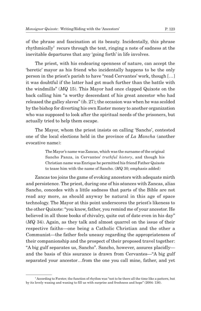of the phrase and fascination at its beauty. Incidentally, this phrase  $r$ hythmically<sup>7</sup> recurs through the text, ringing a note of sadness at the inevitable departures that any 'going forth' in life involves.

The priest, with his endearing openness of nature, can accept the 'heretic' mayor as his friend who incidentally happens to be the only person in the priest's parish to have "read Cervantes' work, though […] it was doubtful if the latter had got much further than the battle with the windmills" (*MQ* 15). This Mayor had once clapped Quixote on the back calling him "a worthy descendant of his great ancestor who had released the galley slaves" (ib. 27); the occasion was when he was scolded by the bishop for diverting his own Easter money to another organization who was supposed to look after the spiritual needs of the prisoners, but actually tried to help them escape.

The Mayor, whom the priest insists on calling 'Sancho', contested one of the local elections held in the province of *La Mancha* (another evocative name):

> The Mayor's name was Zancas, which was the surname of the original Sancho Panza, in Cervantes' *truthful history*, and though his Christian name was Enrique he permitted his friend Father Quixote to tease him with the name of Sancho. (*MQ* 30; emphasis added)

Zancas too joins the game of evoking ancestors with adequate mirth and persistence. The priest, during one of his séances with Zancas, alias Sancho, concedes with a little sadness that parts of the Bible are not read any more, as should anyway be natural in this age of space technology. The Mayor at this point underscores the priest's likeness to the other Quixote: "you know, father, you remind me of your ancestor. He believed in all those books of chivalry, quite out of date even in his day" (*MQ* 34). Again, as they talk and almost quarrel on the issue of their respective faiths—one being a Catholic Christian and the other a Communist—the father feels uneasy regarding the appropriateness of their companionship and the prospect of their proposed travel together: "A big gulf separates us, Sancho". Sancho, however, assures placidly and the basis of this ssurance is drawn from Cervantes—"A big gulf separated your ancestor…from the one you call mine, father, and yet

<sup>7</sup> According to Forster, the function of rhythm was "not to be there all the time like a pattern, but by its lovely waxing and waning to fill us with surprise and freshness and hope" (2004: 136).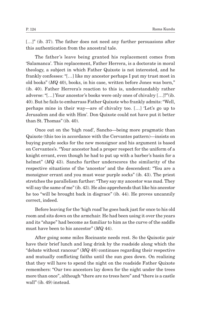[...]" (ib. 37). The father does not need any further persuasions after this authentication from the ancestral tale.

The father's leave being granted his replacement comes from 'Salamanca'. This replacement, Father Herrera, is a doctorate in moral theology, a subject in which Father Quixote is not interested, and he frankly confesses: "[…] like my ancestor perhaps I put my trust most in old books" (*MQ* 40), books, in his case, written before Jones was born," (ib. 40). Father Herrera's reaction to this is, understandably rather adverse: "[…] Your ancestor's books were only ones of chivalry […]?"(ib. 40). But he fails to embarrass Father Quixote who frankly admits: "Well, perhaps mine in their way—are of chivalry too. […] 'Let's go up to Jerusalem and die with Him'. Don Quixote could not have put it better than St. Thomas" (ib. 40).

Once out on the 'high road', Sancho—being more pragmatic than Quixote (this too in accordance with the Cervantes pattern)—insists on buying purple socks for the new monsignor and his argument is based on Cervantes's. "Your ancestor had a proper respect for the uniform of a knight errant, even though he had to put up with a barber's basin for a helmet" (*MQ* 43). Sancho further underscores the similarity of the respective situations of the 'ancestor' and the descendent: "You are a monsignor errant and you must wear purple socks" (ib. 43). The priest stretches the parallelism further: "They say my ancestor was mad. They will say the same of me" (ib. 43). He also apprehends that like his ancestor he too "will be brought back in disgrace" (ib. 44). He proves uncannily correct, indeed.

Before leaving for the 'high road' he goes back just for once to his old room and sits down on the armchair. He had been using it over the years and its "shape" had become as familiar to him as the curve of the saddle must have been to his ancestor" (*MQ* 44).

After going some miles Rocinante needs rest. So the Quixotic pair have their brief lunch and long drink by the roadside along which the "debate without rancour" (*MQ* 48) continues regarding their respective and mutually conflicting faiths until the sun goes down. On realizing that they will have to spend the night on the roadside Father Quixote remembers: "Our two ancestors lay down for the night under the trees more than once", although "there are no trees here" and "there is a castle wall" (ib. 49) instead.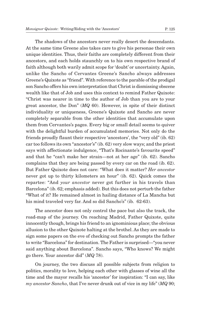The shadows of the ancestors never really desert the descendants. At the same time Greene also takes care to give his personae their own unique identities. Thus, their faiths are completely different from their ancestors, and each holds staunchly on to his own respective brand of faith although both warily admit scope for 'doubt' or uncertainty. Again, unlike the Sancho of Cervantes Greene's Sancho always addresses Greene's Quixote as "friend". With reference to the parable of the prodigal son Sancho offers his own interpretation that Christ is dismissing obscene wealth like that of Job and uses this context to remind Father Quixote: "Christ was nearer in time to the author of Job than you are to your great ancestor, the Don" (*MQ* 60). However, in spite of their distinct individuality or uniqueness, Greene's Quixote and Sancho are never completely separable from the other identities that accumulate upon them from Cervantes's pages. Every big or small detail seems to quiver with the delightful burden of accumulated memories. Not only do the friends proudly flaunt their respective 'ancestors', the "very old" (ib. 62) car too follows its own "ancestor's" (ib. 62) very slow ways; and the priest says with affectionate indulgence, "That's Rocinante's favourite speed" and that he "can't make her strain—not at her age" (ib. 62). Sancho complains that they are being passed by every car on the road (ib. 62). But Father Quixote does not care: "What does it matter? *Her ancestor* never got up to thirty kilometers an hour" (ib. 62). Quick comes the repartee: "And *your ancestor* never got further in his travels than Barcelona" (ib. 62; emphasis added). But this does not perturb the father "What of it? He remained almost in hailing distance of La Mancha but his mind traveled very far. And so did Sancho's" (ib. 62-63).

The ancestor does not only control the pace but also the track, the road-map of the journey. On reaching Madrid, Father Quixote, quite innocently though, brings his friend to an ignominious place; the obvious allusion to the other Quixote halting at the brothel. As they are made to sign some papers on the eve of checking out Sancho prompts the father to write "Barcelona" for destination. The Father is surprised—"you never said anything about Barcelona". Sancho says, "Who knows? We might go there. Your ancestor did" (*MQ* 78).

On journey, the two discuss all possible subjects from religion to politics, morality to love, helping each other with glasses of wine all the time and the mayor recalls his 'ancestor' for inspiration: "I can say, like *my ancestor Sancho*, that I've never drunk out of vice in my life" (*MQ* 90;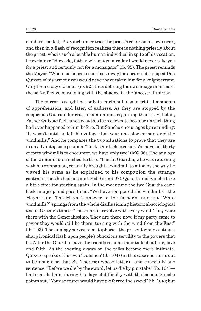emphasis added). As Sancho once tries the priest's collar on his own neck, and then in a flash of recognition realizes there is nothing priestly about the priest, who is such a lovable human individual in spite of his vocation, he exclaims: "How odd, father, without your collar I would never take you for a priest and certainly not for a monsignor" (ib. 92). The priest reminds the Mayor: "When his housekeeper took away his spear and stripped Don Quixote of his armour you would never have taken him for a knight errant. Only for a crazy old man" (ib. 92), thus defining his own image in terms of the self-reflexive paralleling with the shadow in the 'ancestral' mirror.

The mirror is sought not only in mirth but also in critical moments of apprehension, and later, of sadness. As they are stopped by the suspicious Guardia for cross-examinations regarding their travel plan, Father Quixote feels uneasy at this turn of events because no such thing had ever happened to him before. But Sancho encourages by reminding: "It wasn't until he left his village that your ancestor encountered the windmills." And he compares the two situations to prove that they are in an advantageous position. "Look. Our task is easier. We have not thirty or forty windmills to encounter, we have only two" (*MQ* 96). The analogy of the windmill is stretched further. "The fat Guardia, who was returning with his companion, certainly brought a windmill to mind by the way he waved his arms as he explained to his companion the strange contradictions he had encountered" (ib. 96-97). Quixote and Sancho take a little time for starting again. In the meantime the two Guardia come back in a jeep and pass them. "We have conquered the windmills", the Mayor said. The Mayor's answer to the father's innocent "What windmills?" springs from the whole disillusioning historical-sociological text of Greene's times: "The Guardia revolve with every wind. They were there with the Generalissimo. They are there now. If my party came to power they would still be there, turning with the wind from the East" (ib. 103). The analogy serves to metaphorise the present while casting a sharp ironical flash upon people's obnoxious servility to the powers that be. After the Guardia leave the friends resume their talk about life, love and faith. As the evening draws on the talks become more intimate. Quixote speaks of his own 'Dulcinea' (ib. 104) (in this case she turns out to be none else that St. Therese) whose letters—and especially one sentence: "Before we die by the sword, let us die by pin stabs" (ib. 104) had consoled him during his days of difficulty with the bishop. Sancho points out, "Your ancestor would have preferred the sword" (ib. 104); but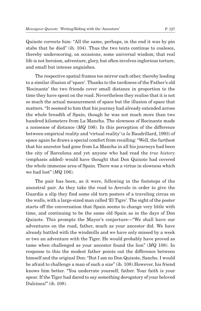Quixote corrects him: "All the same, perhaps, in the end it was by pin stabs that he died" (ib. 104). Thus the two texts continue to coalesce, thereby underscoring, on occasions, some universal wisdom; that real life is not heroism, adventure, glory, but often involves inglorious torture, and small but intense anguishes.

The respective spatial frames too mirror each other, thereby leading to a similar illusion of 'space'. Thanks to the tardiness of the Father's old 'Rocinante' the two friends cover small distance in proportion to the time they have spent on the road. Nevertheless they realise that it is not so much the actual measurement of space but the illusion of space that matters. "It seemed to him that his journey had already extended across the whole breadth of Spain, though he was not much more than two hundred kilometers from La Mancha. The slowness of Rocinante made a nonsense of distance (*MQ* 106). In this perception of the difference between empirical reality and 'virtual reality' (*a la* Baudrillard, 1993) of space again he draws a special comfort from recalling: "Well, the furthest that his ancestor had gone from La Mancha in all his journeys had been the city of Barcelona and yet anyone who had read the *true history* (emphasis added) would have thought that Don Quixote had covered the whole immense area of Spain. There was a virtue in slowness which we had lost" (*MQ* 106).

The pair has been, as it were, following in the footsteps of the ancestral pair. As they take the road to Arevalo in order to give the Guardia a slip they find some old torn posters of a traveling circus on the walls, with a large-sized man called 'El Tigre'. The sight of the poster starts off the conversation that Spain seems to change very little with time, and continuing to be the same old Spain as in the days of Don Quixote. This prompts the Mayor's conjecture—"We shall have our adventures on the road, father, much as your ancestor did. We have already battled with the windmills and we have only missed by a week or two an adventure with the Tiger. He would probably have proved as tame when challenged as your ancestor found the lion" (*MQ* 108). In response to this the modest father points out the difference between himself and the original Don: "But I am no Don Quixote, Sancho. I would be afraid to challenge a man of such a size" (ib. 108).However, his friend knows him better. "You underrate yourself, father. Your faith is your spear. If the Tiger had dared to say something derogatory of your beloved Dulcinea!" (ib. 108).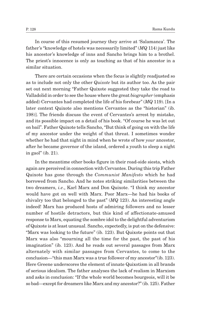In course of this resumed journey they arrive at 'Salamanca'. The father's "knowledge of hotels was necessarily limited" (*MQ* 114) just like his ancestor's knowledge of inns and Sancho brings him to a brothel. The priest's innocence is only as touching as that of his ancestor in a similar situation.

There are certain occasions when the focus is slightly readjusted so as to include not only the other *Quixote* but its author too. As the pair set out next morning "Father Quixote suggested they take the road to Valladolid in order to see the house where the great *biographer* (emphasis added) Cervantes had completed the life of his forebear" (*MQ* 119). [In a later context Quixote also mentions Cervantes as the "historian" (ib. 198)]. The friends discuss the event of Cervantes's arrest by mistake, and its possible impact on a detail of his book. "Of course he was let out on bail". Father Quixote tells Sancho, "But think of going on with the life of my ancestor under the weight of that threat. I sometimes wonder whether he had that night in mind when he wrote of how *your* ancestor, after he became governor of the island, ordered a youth to sleep a night in gaol" (ib. 21).

In the meantime other books figure in their road-side siesta, which again are perceived in connection with Cervantes. During this trip Father Quixote has gone through the *Communist Manifesto* which he had borrowed from Sancho. And he notes striking similarities between the two dreamers, *i.e*., Karl Marx and Don Quixote. "I think my ancestor would have got on well with Marx. Poor Marx—he had his books of chivalry too that belonged to the past" (*MQ* 123). An interesting angle indeed! Marx has produced hosts of admiring followers and no lesser number of hostile detractors, but this kind of affectionate-amused response to Marx, equating the sombre idol to the delightful adventurism of Quixote is at least unusual. Sancho, expectedly, is put on the defensive: "Marx was looking to the future" (ib. 123). But Quixote points out that Marx was also "mourning all the time for the past, the past of his imagination" (ib. 123). And he reads out several passages from Marx alternately with similar passages from Cervantes, to come to the conclusion—"this man Marx was a true follower of my ancestor"(ib. 123). Here Greene underscores the element of innate Quixotism in all brands of serious idealism. The father analyses the lack of realism in Marxism and asks in conclusion: "If the whole world becomes bourgeois, will it be so bad—except for dreamers like Marx and my ancestor?" (ib. 125). Father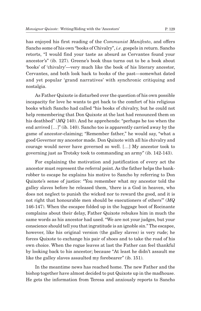has enjoyed his first reading of the *Communist Manifesto*, and offers Sancho some of his own "books of Chivalry", *i.e*. gospels in return. Sancho retorts, "I would find your taste as absurd as Cervantes found your ancestor's" (ib. 127). Greene's book thus turns out to be a book about 'books' of 'chivalry'—very much like the book of his literary ancestor, Cervantes, and both look back to books of the past—somewhat dated and yet popular 'grand narratives' with synchronic critiquing and nostalgia.

As Father Quixote is disturbed over the question of his own possible incapacity for love he wants to get back to the comfort of his religious books which Sancho had called "his books of chivalry, but he could not help remembering that Don Quixote at the last had renounced them on his deathbed" (*MQ* 140). And he apprehends: "perhaps he too when the end arrived […]" (ib. 140). Sancho too is apparently carried away by the game of ancestor-claiming; "Remember father," he would say, "what a good Governor my ancestor made. Don Quixote with all his chivalry and courage would never have governed so well. […] My ancestor took to governing just as Trotsky took to commanding an army" (ib. 142-143).

For explaining the motivation and justification of every act the ancestor must represent the referral point. As the father helps the bankrobber to escape he explains his motive to Sancho by referring to Don Quixote's sense of justice: "You remember what my ancestor told the galley slaves before he released them, 'there is a God in heaven, who does not neglect to punish the wicked nor to reward the good, and it is not right that honourable men should be executioners of others'" (*MQ* 146-147). When the escapee folded up in the luggage boot of Rocinante complains about their delay, Father Quixote rebukes him in much the same words as his ancestor had used. "We are not your judges, but your conscience should tell you that ingratitude is an ignoble sin." The escapee, however, like his original version (the galley slaves) is very rude; he forces Quixote to exchange his pair of shoes and to take the road of his own choice. When the rogue leaves at last the Father can feel thankful by looking back to his ancestor; because "At least he didn't assault me like the galley slaves assaulted my forebearer" (ib. 151).

In the meantime news has reached home. The new Father and the bishop together have almost decided to put Quixote up in the madhouse. He gets the information from Teresa and anxiously reports to Sancho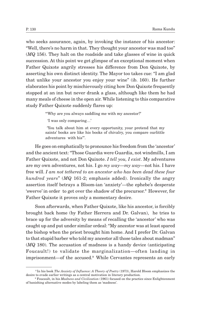who seeks assurance, again, by invoking the instance of his ancestor: "Well, there's no harm in that. They thought your ancestor was mad too" (*MQ* 156). They halt on the roadside and take glasses of wine in quick succession. At this point we get glimpse of an exceptional moment when Father Quixote angrily stresses his difference from Don Quixote, by asserting his own distinct identity. The Mayor too takes cue: "I am glad that unlike your ancestor you enjoy your wine" (ib. 160). He further elaborates his point by mischievously citing how Don Quixote frequently stopped at an inn but never drank a glass, although like them he had many meals of cheese in the open air. While listening to this comparative study Father Quixote suddenly flares up:

"'Why are you always saddling me with my ancestor?'

'I was only comparing…'

 'You talk about him at every opportunity, your pretend that my saints' books are like his books of chivalry, you compare ourlittle adventures with his'".

He goes on emphatically to pronounce his freedom from the 'ancestor' and the ancient text: "Those Guardia were Guardia, not windmills, I am Father Quixote, and not Don Quixote. *I tell you, I exist*. My adventures are my own adventures, not his. I go *my way*—*my way*—not his. I have free will. *I am not tethered to an ancestor who has been dead these four hundred years*" (*MQ* 161-2; emphasis added). Ironically the angry assertion itself betrays a Bloom-ian 'anxiety'—the ephebe's desperate 'swerve' in order to get over the shadow of the precursor.8 However, for Father Quixote it proves only a momentary desire.

Soon afterwards, when Father Quixote, like his ancestor, is forcibly brought back home (by Father Herrera and Dr. Galvan), he tries to brace up for the adversity by means of recalling the 'ancestor' who was caught up and put under similar ordeal: "My ancestor was at least spared the bishop when the priest brought him home. And I prefer Dr. Galvan to that stupid barber who told my ancestor all those tales about madman" (*MQ* 180). The accusation of madness is a handy device (anticipating Foucault!) to validate the marginalization—often landing in imprisonment—of the accused.9 While Cervantes represents an early

<sup>8</sup> In his book *The Anxiety of Influence: A Theory of Poetry* (1973), Harold Bloom emphasizes the desire to evade earlier writings as a central motivation in literary production.

<sup>9</sup> Foucault, in his *Madness and Civilization* (1961) focused on the practice since Enlightenment of banishing alternative modes by labeling them as 'madness'.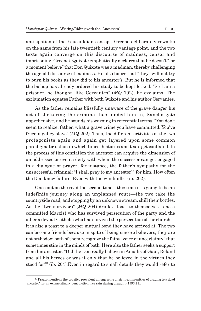anticipation of the Foucauldian concept, Greene deliberately reworks on the same from his late twentieth century vantage point, and the two texts again converge on this discourse of madness, censor and imprisoning. Greene's Quixote emphatically declares that he doesn't "for a moment believe" that Don Quixote was a madman, thereby challenging the age-old discourse of madness. He also hopes that "they" will not try to burn his books as they did to his ancestor's. But he is informed that the bishop has already ordered his study to be kept locked. "So I am a prisoner, he thought, like Cervantes" (*MQ* 192), he exclaims. The exclamation equates Father with both Quixote and his author Cervantes.

As the father remains blissfully unaware of the grave danger his act of sheltering the criminal has landed him in, Sancho gets apprehensive, and he sounds his warning in referential terms. "You don't seem to realize, father, what a grave crime you have committed. You've freed a galley slave" (*MQ* 202). Thus, the different activities of the two protagonists again and again get layered upon some common paradigmatic action in which times, histories and texts get conflated. In the process of this conflation the ancestor can acquire the dimension of an addressee or even a deity with whom the successor can get engaged in a dialogue or prayer; for instance, the father's sympathy for the unsuccessful criminal: "I shall pray to my ancestor<sup>10</sup> for him. How often the Don knew failure. Even with the windmills" (ib. 202).

Once out on the road the second time—this time it is going to be an indefinite journey along an unplanned route—the two take the countryside road, and stopping by an unknown stream, chill their bottles. As the "two survivors" (*MQ* 204) drink a toast to themselves—one a committed Marxist who has survived persecution of the party and the other a devout Catholic who has survived the persecution of the church it is also a toast to a deeper mutual bond they have arrived at. The two can become friends because in spite of being sincere believers, they are not orthodox; both of them recognize the faint "voice of uncertainty" that sometimes stirs in the minds of both. Here also the father seeks a support from his ancestor. "Did the Don really believe in Amadis of Gaul, Roland and all his heroes or was it only that he believed in the virtues they stood for?" (ib. 204).Even in regard to small details they would refer to

 $10$  Frazer mentions the practice prevalent among some ancient communities of praying to a dead 'ancestor' for an extraordinary benediction like rain during draught (1993:71).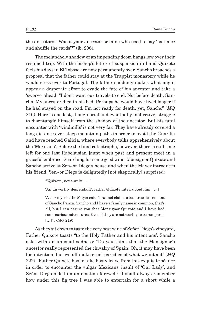the ancestors: "Was it your ancestor or mine who used to say 'patience and shuffle the cards'?" (ib. 206).

The melancholy shadow of an impending doom hangs low over their resumed trip. With the bishop's letter of suspension in hand Quixote feels his days in El Toboso are now permanently over. Sancho broaches a proposal that the father could stay at the Trappist monastery while he would cross over to Portugal. The father suddenly makes what might appear a desperate effort to evade the fate of his ancestor and take a 'swerve' ahead: "I don't want our travels to end. Not before death, Sancho. My ancestor died in his bed. Perhaps he would have lived longer if he had stayed on the road. I'm not ready for death, yet, Sancho" (*MQ* 210). Here is one last, though brief and eventually ineffective, struggle to disentangle himself from the shadow of the ancestor. But his fatal encounter with 'windmills' is not very far. They have already covered a long distance over steep mountain paths in order to avoid the Guardia and have reached Galicia, where everybody talks apprehensively about the 'Mexicans'. Before the final catastrophe, however, there is still time left for one last Rabelaisian jaunt when past and present meet in a graceful embrace. Searching for some good wine, Monsignor Quixote and Sancho arrive at Sen~or Diego's house and when the Mayor introduces his friend, Sen~or Diego is delightedly [not skeptically] surprised:

"'Quixote, not surely……'

'An unworthy descendant', father Quixote interrupted him. […]

'As for myself: the Mayor said, 'I cannot claim to be a true descendant of Sancho Panza. Sancho and I have a family name in common, that's all, but I can assure you that Monsignor Quixote and I have had some curious adventures. Even if they are not worthy to be compared […]'". (*MQ* 219)

As they sit down to taste the very best wine of Señor Diego's vineyard, Father Quixote toasts "to the Holy Father and his intentions'. Sancho asks with an unusual sadness: "Do you think that the Monsignor's ancestor really represented the chivalry of Spain: Oh, it may have been his intention, but we all make cruel parodies of what we intend" (*MQ* 222). Father Quixote has to take hasty leave from this exquisite séance in order to encounter the vulgar Mexicans' insult of 'Our Lady', and Señor Diego bids him an emotion farewell: "I shall always remember how under this fig tree I was able to entertain for a short while a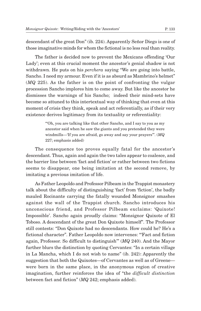descendant of the great Don" (ib. 224). Apparently Señor Diego is one of those imaginative minds for whom the fictional is no less real than reality.

The father is decided now to prevent the Mexicans offending 'Our Lady'; even at this crucial moment the ancestor's genial shadow is not withdrawn. He puts on his *perchera* saying "We are going into battle, Sancho. I need my armour. Even if it is as absurd as Mambrino's helmet" (*MQ* 225). As the father is on the point of confronting the vulgar procession Sancho implores him to come away. But like the ancestor he dismisses the warnings of his Sancho; indeed their mind-sets have become so attuned to this intertextual way of thinking that even at this moment of crisis they think, speak and act referentially, as if their very existence derives legitimacy from its textuality or referentiality:

> "'Oh, you are talking like that other Sancho, and I say to you as my ancestor said when he saw the giants and you pretended they were windmills—'If you are afraid, go away and say your prayers'". (*MQ* 227; emphasis added)

The consequence too proves equally fatal for the ancestor's descendant. Thus, again and again the two tales appear to coalesce, and the barrier line between 'fact and fiction' or rather between two fictions seems to disappear, one being imitation at the second remove, by imitating a previous imitation of life.

As Father Leopoldo and Professor Pilbeam in the Trappist monastery talk about the difficulty of distinguishing 'fact' from 'fiction', the badly mauled Rocinante carrying the fatally wounded Monsignor smashes against the wall of the Trappist church. Sancho introduces his unconscious friend, and Professor Pilbeam exclaims: 'Quixote! Impossible'. Sancho again proudly claims: "Monsignor Quixote of El Toboso. A descendant of the great Don Quixote himself". The Professor still contests: "Don Quixote had no descendants. How could he? He's a fictional character". Father Leopoldo now intervenes: "'Fact and fiction again, Professor. So difficult to distinguish'" (*MQ* 240). And the Mayor further blurs the distinction by quoting Cervantes: "In a certain village in La Mancha, which I do not wish to name" (ib. 242): Apparently the suggestion that both the Quixotes—of Cervantes as well as of Greene were born in the same place, in the anonymous region of creative imagination, further reinforces the idea of "the *difficult distinction* between fact and fiction" (*MQ* 242; emphasis added).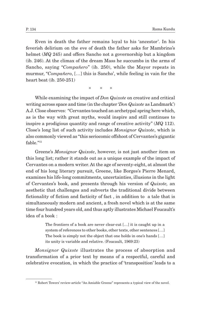Even in death the father remains loyal to his 'ancestor'. In his feverish delirium on the eve of death the father asks for Mambrino's helmet (*MQ* 245) and offers Sancho not a governorship but a kingdom (ib. 246). At the climax of the dream Mass he succumbs in the arms of Sancho, saying "*Compañero*" (ib. 250), while the Mayor repeats in murmur, "*Compañero*, […] this is Sancho', while feeling in vain for the heart beat (ib. 250-251)

\* \* \*

While examining the impact of *Don Quixote* on creative and critical writing across space and time (in the chapter '*Don Quixote* as Landmark') A.J. Close observes: "Cervantes touched an archetypal spring here which, as is the way with great myths, would inspire and still continues to inspire a prodigious quantity and range of creative activity" (*MQ* 112). Close's long list of such activity includes *Monsignor Quixote*, which is also commonly viewed as "this seriocomic offshoot of Cervantes's gigantic fable."11

Greene's *Monsignor Quixote*, however, is not just another item on this long list; rather it stands out as a unique example of the impact of Cervantes on a modern writer. At the age of seventy-eight, at almost the end of his long literary pursuit, Greene, like Borges's Pierre Menard, examines his life-long commitments, uncertainties, illusions in the light of Cervantes's book, and presents through his version of *Quixote,* an aesthetic that challenges and subverts the traditional divide between fictionality of fiction and facticity of fact , in addition to a tale that is simultaneously modern and ancient, a fresh novel which is at the same time four hundred years old, and thus aptly illustrates Michael Foucault's idea of a book :

> The frontiers of a book are never clear-cut […] it is caught up in a system of references to other books, other texts, other sentences […] The book is simply not the object that one holds in one's hands […] its unity is variable and relative. (Foucault, 1969:23)

*Monsignor Quixote* illustrates the process of absorption and transformation of a prior text by means of a respectful, careful and celebrative evocation, in which the practice of 'transposition' leads to a

<sup>&</sup>lt;sup>11</sup> Robert Towers' review-article "An Amiable Greene" represents a typical view of the novel.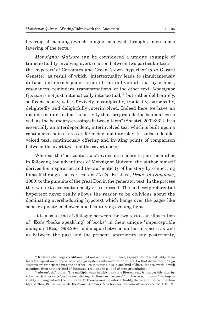layering of meanings which is again achieved through a meticulous layering of the texts.<sup>12</sup>

*Monsignor Quixote* can be considered a unique example of transtextuality involving overt relation between two particular texts the 'hypotext' of Cervantes and Greene's own 'hypertext' (*a la* Gerard Genette), as result of which intertextuality leads to simultaneously diffuse and enrich penetration of the individual text by echoes, resonances, reminders, transformations, of the other text. *Monsignor Quixote* is not just automatically intertextual,<sup>13</sup> but rather deliberately, self-consciously, self-reflexively, nostalgically, ironically, parodically, delightedly and delightfully interinvolved. Indeed here we have an instance of intertext as "an activity that foregrounds the boundaries as well as the boundary-crossings between texts" (Shastri, 2002:332). It is essentially an interdependent, interinvolved text which is built upon a continuous chain of cross-referencing and interplay. It is also a doublevoiced text, continuously offering and inviting points of comparison between the overt text and the covert one(s).

Whereas the 'horizontal axis' invites us readers to join the author in following the adventures of Monsignor Quixote, the author himself derives his inspiration and the authenticity of his story by connecting himself through the 'vertical axis' (*a la* Kristeva, *Desire in Language*, 1980) to the pursuits of the great Don in the generator text. In the process the two texts are continuously criss-crossed. The endlessly referential hypertext never really allows the reader to be oblivious about the dominating overshadowing hypotext which hangs over the pages like some exquisite, mellowed and beautifying evening light.

It is also a kind of dialogue between the two texts—an illustration of Eco's "books speak[ing] of books" in their unique "imperceptible dialogue" (Eco, 1998:286); a dialogue between authorial voices, as well as between the past and the present, anteriority and posteriority,

<sup>&</sup>lt;sup>12</sup> Kristeva challenges traditional notions of literary influence, saying that intertextuality denotes a transposition of one or several sign systems into another or others. So that discourses or sign systems are transposed into one another—so that meanings in one kind of discourse are overlaid with meanings from another kind of discourse, resulting in a kind of 'new articulation'.

<sup>&</sup>lt;sup>13</sup> Abram's definition: "The multiple ways in which any one literary text is inseparably interinvolved with other texts"; or the text stirring Barthes-ian 'pleasure' from the recognition of: "the impossibility of living outside the infinite text", thereby making intertextuality the very condition of textuality (Barthes, 1976:51-52) or Barthes' famous remark: "any text is a new issue of past citations" (1981:39).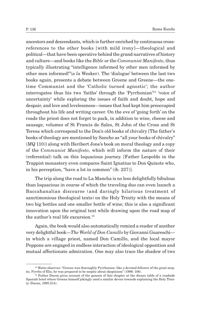ancestors and descendants, which is further enriched by continuous crossreferences to the other books [with mild irony]—theological and political—that have been operative behind the grand narratives of history and culture—and books like the *Bible* or the *Communist Manifesto*, thus typically illustrating "intelligence informed by other men informed by other men informed!"(*a la* Wesker). The 'dialogue' between the last two books again, presents a debate between Greene and Greene—the onetime Communist and the 'Catholic turned agnostic'; the author interrogates thus his two 'faiths' through the 'Pyrrhonian'14 'voice of uncertainty' while exploring the issues of faith and doubt, hope and despair, and love and lovelessness—issues that had kept him preoccupied throughout his life and writing career. On the eve of 'going forth' on the roads the priest does not forget to pack, in addition to wine, cheese and sausage, volumes of St Francis de Sales, St John of the Cross and St Teresa which correspond to the Don's old books of chivalry [The father's books of theology are mentioned by Sancho as "all your books of chivalry" (*MQ* 110)] along with Heribert Jone's book on moral theology and a copy of the *Communist Manifesto*, which will inform the nature of their (referential) talk on this loquacious journey. [Father Leopoldo in the Trappist monastery even compares Saint Ignatius to Don Quixote who, in his perception, "have a lot in common" (ib. 237)].

The trip along the road to La Mancha is no less delightfully bibulous than loquacious in course of which the traveling duo can even launch a Baccahanalian discourse (and daringly hilarious treatment of sanctimonious theological texts) on the Holy Trinity with the means of two big bottles and one smaller bottle of wine; this is also a significant innovation upon the original text while drawing upon the road map of the author's real life excursion.15

Again, the book would also automatically remind a reader of another very delightful book—*The World of Don Camillo* by Giovanni Guareschi in which a village priest, named Don Camillo, and the local mayor Peppone are engaged in endless interaction of ideological opposition and mutual affectionate admiration. One may also trace the shadow of two

<sup>&</sup>lt;sup>14</sup> Watts observes: "Greene was thoroughly Pyrrhonian: like a devoted follower of the great sceptic, Pyrrho of Elis, he was prepared to be sceptic about skepticism" (1996: 106).

<sup>&</sup>lt;sup>15</sup> Father Duran gives account of the genesis of this chapter at the dinner table of a roadside Spanish hotel where Greene himself jokingly used a similar device towards explaining the Holy Trinity (Duran, 1995:214).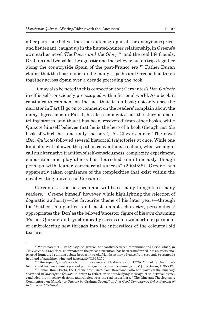other pairs: one fictive, the other autobiographical; the anonymous priest and lieutenant, caught up in the hunted-hunter relationship, in Greene's own earlier novel *The Power and the Glory*; 16 and the real life friends, Graham and Leopoldo, the agnostic and the believer, out on trips together along the countryside Spain of the post-Franco era.<sup>17</sup> Father Duran claims that the book sums up the many trips he and Greene had taken together across Spain over a decade preceding the book.

It may also be noted in this connection that Cervantes's *Don Quixote* itself is self-consciously preoccupied with a fictional world. As a book it continues to comment on the fact that it is a book; not only does the narrator in Part II go on to comment on the readers' complain about the many digressions in Part I, he also comments that the story is about telling stories, and that it has been 'recovered' from other books, while Quixote himself believes that he is the hero of a book (though not *the* book of which he is actually the hero!). As Glover claims: "The novel (*Don Quixote*) followed several historical trajectories at once. While one kind of novel followed the path of conventional realism, what we might call an alternative tradition of self-consciousness, complexity, experiment, elaboration and playfulness has flourished simultaneously, though perhaps with leaner commercial success" (2004:88). Greene has apparently taken cognizance of the complexities that exist within the novel-writing universe of Cervantes.

Cervantes's Don has been and will be so many things to so many readers,18 Greene himself, however, while highlighting the rejection of dogmatic authority—the favourite theme of his later years—through his 'Father', his gentlest and most amiable character, personalizes/ appropriates the 'Don' as the beloved 'ancestor' figure of his own charming 'Father Quixote' and synchronically carries on a wonderful experiment of embroidering new threads into the intrerstices of the colourful old texture.

<sup>16</sup> Watts notes: "[…] in *Monsignor Quixote*, the conflict between communist and cleric, which, in *The Power and the Glory*, culminated in the priest's execution, has been transformed into an affectionate, good-humoured running debate between two old friends as they advance from escapade to escapade in a land of sunshine, wine and hospitality"(1997:150).

<sup>17 &</sup>quot;*Monsignor Quixote* was born in the cemetery of Salamanca (in 1976). Miguel de Unamuno's tomb would become almost a place of pilgrimage for us on our summer jaunts" […] (Duran, 1995:212).

<sup>&</sup>lt;sup>18</sup> Ramón Rami Porta, the Greene enthusiast from Barcelona, who had traveled the itinerary described in *Monsignor Quixote* in order to reflect on the underlying message of this 'travel story', concluded that theology, doctrine and religion were the real issues here. ("The Itinerant Theologian: A Commentary on *Monsignor Quixote* by Graham Greene" in *Just Good Company: A Cyber Journal of Religion and Culture*).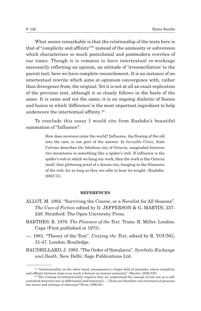What seems remarkable is that the relationship of the texts here is that of "complicity and affinity"19 instead of the animosity or subversion which characterizes so much postcolonial and postmodern rewrites of our times. Though it is common to have intertextual re-workings necessarily reflecting an opinion, an attitude of 'irreconciliation' to the parent text, here we have complete reconcilement. It is an instance of an intertextual rewrite which aims at optimum convergence with, rather than divergence from, the original. Yet it is not at all an exact replication of the previous text, although it so closely follows in the heels of the same. It is same and not the same; it is an ongoing dialectic of fission and fusion in which 'difference' is the most important ingredient to help underscore the intertextual affinity.20

To conclude this essay I would cite from Rushdie's beautiful summation of "Influence":

> How does newness enter the world? Influence, the flowing of the old into the new, is one part of the answer. In *Invisible Cities*, Italo Calvino describes the fabulous city of Octavia, suspended between two mountains in something like a spider's web. If influence is the spider's web in which we hang our work, then the work is like Octavia itself, that glittering jewel of a dream city, hanging in the filaments of the web, for as long as they are able to bear its weight. (Rushdie, 2003:73)

#### **REFERENCES**

- ALLOT, M. 1982. "Surviving the Course, or a Novelist for All Seasons". *The Uses of Fiction* edited by D. JEFFERSON & G. MARTIN, 237- 248. Stratford: The Open University Press.
- BARTHES, R. 1976. *The Pleasure of the Text.* Trans. R. Miller. London: Cape (First published in 1975).
- —. 1981. "Theory of the Text". *Untying the Text*, edited by R. YOUNG, 31-47. London: Routledge.
- BAUDRILLARD, J. 1993. "The Order of Simulacra". *Symbolic Exchange and Death*. New Delhi: Sage Publications Ltd.

<sup>&</sup>lt;sup>19</sup> "Intertextuality on the other hand, encompasses a larger field of interplay, where complicity and affinity between texts is as much a feature as mutual animosity" (Shastri, 2002:335)

 $20$  The Concept of intertextuality requires that we understand the concept of text not as a selfcontained structure but as differential and historical […] Texts are therefore not structures of presence but traces and tracings of otherness"(Frow, 1990:45).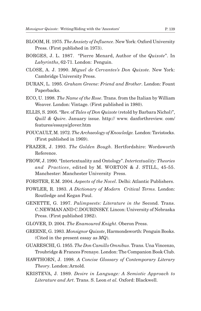- BLOOM, H. 1975. *The Anxiety of Influence*. New York: Oxford University Press. (First published in 1973).
- BORGES, J. L. 1987. "Pierre Menard, Author of the *Quixote*". In *Labyrinths*, 62-71. London: Penguin.
- CLOSE, A. J. 1990. *Miguel de Cervantes's Don Quixote.* New York: Cambridge University Press.
- DURAN, L. 1995. *Graham Greene: Friend and Brother*. London: Fount Paperbacks.
- ECO, U. 1998. *The Name of the Rose*. Trans. from the Italian by William Weaver. London: Vintage. (First published in 1980).
- ELLIS, S. 2005. "Rev. of *Tales of Don Quixote* (retold by Barbara Nichol)", *Quill & Quire*. January issue. http:// www. danforthreview. com/ features/essays/glover.htm
- FOUCAULT, M. 1972. *The Archaeology of Knowledge.* London: Tavistocks. (First published in 1969).
- FRAZER, J. 1993. *The Golden Bough*. Hertfordshire: Wordsworth Reference.
- FROW, J. 1990. "Intertextuality and Ontology". *Intertextuality: Theories and Practices*, edited by M. WORTON & J. STILL, 45-55. Manchester: Manchester University Press.
- FORSTER, E.M. 2004. *Aspects of the Novel*. Delhi: Atlantic Publishers.
- FOWLER, R. 1983. *A Dictionary of Modern Critical Terms.* London: Routledge and Kegan Paul.
- GENETTE, G. 1997. *Palimpsests: Literature in the* Second. Trans. C.NEWMAN AND C.DOUBINSKY. Lincon: University of Nebraska Press. (First published 1982).
- GLOVER, D. 2004. *The Enamoured Knight*. Oberon Press.
- GREENE, G. 1983. *Monsignor Quixote*, Harmondsworth: Penguin Books. (Cited in the present essay as *MQ*).
- GUARESCHI, G. 1955. *The Don Camillo Omnibus*. Trans. Una Vincenzo, Troubridge & Frances Frenaye. London: The Companion Book Club.
- HAWTHORN, J. 1998. *A Concise Glossary of Contemporary Literary Theory*. London: Arnold.
- KRISTEVA, J. 1989. *Desire in Language: A Semiotic Approach to Literature and Art*. Trans. S. Leon *et al.* Oxford: Blackwell.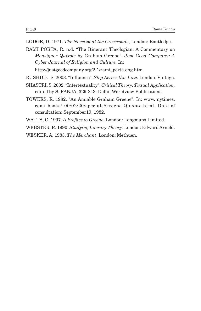LODGE, D. 1971. *The Novelist at the Crossroads*, London: Routledge.

RAMI PORTA, R. n.d. "The Itinerant Theologian: A Commentary on *Monsignor Quixote* by Graham Greene". *Just Good Company: A Cyber Journal of Religion and Culture.* In:

http://justgoodcompany.org/2.1/rami\_porta.eng.htm.

- RUSHDIE, S. 2003. "Influence". *Step Across this Line*. London: Vintage.
- SHASTRI, S. 2002. "Intertextuality". *Critical Theory: Textual Application,* edited by S. PANJA, 329-343. Delhi: Worldview Publications.
- TOWERS, R. 1982. "An Amiable Graham Greene". In: www. nytimes. com/ books/ 00/02/20/specials/Greene-Quixote.html. Date of consultation: September19, 1982.
- WATTS, C. 1997. *A Preface to Greene*. London: Longmans Limited.

WEBSTER, R. 1990. *Studying Literary Theory.* London: Edward Arnold.

WESKER, A. 1983. *The Merchant*. London: Methuen.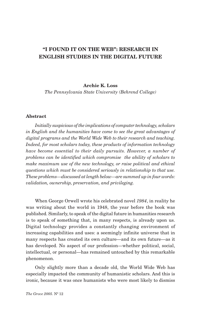# **"I FOUND IT ON THE WEB": RESEARCH IN ENGLISH STUDIES IN THE DIGITAL FUTURE**

# **Archie K. Loss**

*The Pennsylvania State University (Behrend College)*

### **Abstract**

*Initially suspicious of the implications of computer technology, scholars in English and the humanities have come to see the great advantages of digital programs and the World Wide Web to their research and teaching. Indeed, for most scholars today, these products of information technology have become essential to their daily pursuits. However, a number of problems can be identified which compromise the ability of scholars to make maximum use of the new technology, or raise political and ethical questions which must be considered seriously in relationship to that use. These problems—discussed at length below—are summed up in four words: validation, ownership, preservation, and privileging.*

When George Orwell wrote his celebrated novel *1984*, in reality he was writing about the world in 1948, the year before the book was published. Similarly, to speak of the digital future in humanities research is to speak of something that, in many respects, is already upon us. Digital technology provides a constantly changing environment of increasing capabilities and uses: a seemingly infinite universe that in many respects has created its own culture—and its own future—as it has developed. No aspect of our profession—whether political, social, intellectual, or personal—has remained untouched by this remarkable phenomenon.

Only slightly more than a decade old, the World Wide Web has especially impacted the community of humanistic scholars. And this is ironic, because it was once humanists who were most likely to dismiss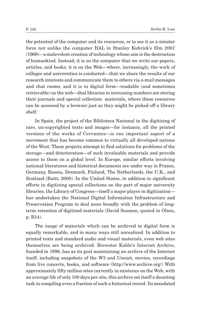the potential of the computer and its resources, or to see it as a sinister force not unlike the computer HAL in Stanley Kubrick's film *2001* (1969)—a malevolent creation of technology whose aim is the destruction of humankind. Instead, it is on the computer that we write our papers, articles, and books; it is on the Web—where, increasingly, the work of colleges and universities is conducted—that we share the results of our research interests and communicate them to others via e-mail messages and chat rooms; and it is in digital form—readable (and sometimes retrievable) on the web—that libraries in increasing numbers are storing their journals and special collection materials, where these resources can be accessed by a browser just as they might be picked off a library shelf.

In Spain, the project of the Biblioteca Nacional in the digitizing of rare, un-copyrighted texts and images—for instance, all the printed versions of the works of Cervantes—is one important aspect of a movement that has become common to virtually all developed nations of the West. These projects attempt to find solutions for problems of the storage—and deterioration—of such invaluable materials and provide access to them on a global level. In Europe, similar efforts involving national literatures and historical documents are under way in France, Germany, Russia, Denmark, Finland, The Netherlands, the U.K., and Scotland (Raitt, 2000). In the United States, in addition to significant efforts in digitizing special collections on the part of major university libraries, the Library of Congress—itself a major player in digitization has undertaken the National Digital Information Infrastructure and Preservation Program to deal more broadly with the problem of longterm retention of digitized materials (David Seaman, quoted in Olsen, p. B14).

The range of materials which can be archived in digital form is equally remarkable, and in many ways still unrealized. In addition to printed texts and standard audio and visual materials, even web sites themselves are being archived. Brewster Kahle's Internet Archive, founded in 1996, has as its goal maintaining an archive of the Internet itself, including snapshots of the W3 and Usenet, movies, recordings from live concerts, books, and software (http://www.archive.org/) With approximately fifty million sites currently in existence on the Web, with an average life of only 100 days per site, this archive set itself a daunting task in compiling even a fraction of such a historical record. Its mandated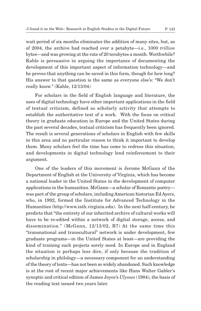wait period of six months eliminates the addition of many sites, but, as of 2004, the archive had reached over a petabyte—i.e., 1000 *trillion* bytes—and was growing at the rate of 20 terabytes a month. Worthwhile? Kahle is persuasive in arguing the importance of documenting the development of this important aspect of information technology—and he proves that anything can be saved in this form, though for how long? His answer to that question is the same as everyone else's: "We don't really know." (Kahle, 12/13/04)

For scholars in the field of English language and literature, the uses of digital technology have other important applications in the field of textual criticism, defined as scholarly activity that attempts to establish the authoritative text of a work. With the focus on critical theory in graduate education in Europe and the United States during the past several decades, textual criticism has frequently been ignored. The result is several generations of scholars in English with few skills in this area and no particular reason to think it important to develop them. Many scholars feel the time has come to redress this situation, and developments in digital technology lend reinforcement to their argument.

One of the leaders of this movement is Jerome McGann of the Department of English at the University of Virginia, which has become a national leader in the United States in the development of computer applications in the humanities. McGann—a scholar of Romantic poetry was part of the group of scholars, including American historian Ed Ayers, who, in 1992, formed the Institute for Advanced Technology in the Humanities (http://www.iath.virginia.edu). In the next half-century, he predicts that "the entirety of our inherited archive of cultural works will have to be re-edited within a network of digital storage, access, and dissemination." (McGann, 12/13/02, B7) At the same time this "transnational and transcultural" network is under development, few graduate programs—in the United States at least—are providing the kind of training such projects sorely need. In Europe and in England the situation is perhaps less dire, if only because the tradition of scholarship in philology—a necessary component for an understanding of the theory of texts—has not been so widely abandoned. Such knowledge is at the root of recent major achievements like Hans Walter Gabler's synoptic and critical edition of James Joyce's *Ulysses* (1984), the basis of the reading text issued two years later.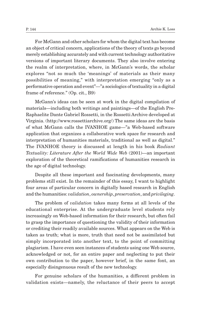For McGann and other scholars for whom the digital text has become an object of critical concern, applications of the theory of texts go beyond merely establishing accurately and with current technology authoritative versions of important literary documents. They also involve entering the realm of interpretation, where, in McGann's words, the scholar explores "not so much the 'meanings' of materials as their many possibilities of meaning," with interpretation emerging "only as a performative operation and event"—"a sociologics of textuality in a digital frame of reference." (Op. cit., B9)

McGann's ideas can be seen at work in the digital compilation of materials—including both writings and paintings—of the English Pre-Raphaelite Dante Gabriel Rossetti, in the Rossetti Archive developed at Virginia. (http://www.rossettiarchive.org/) The same ideas are the basis of what McGann calls the IVANHOE game—"a Web-based software application that organizes a collaborative work space for research and interpretation of humanities materials, traditional as well as digital." The IVANHOE theory is discussed at length in his book *Radiant Textuality: Literature After the World Wide Web* (2001)—an important exploration of the theoretical ramifications of humanities research in the age of digital technology.

Despite all these important and fascinating developments, many problems still exist. In the remainder of this essay, I want to highlight four areas of particular concern in digitally based research in English and the humanities: *validation*, *ownership*, *preservation*, and *privileging*.

The problem of *validation* takes many forms at all levels of the educational enterprise. At the undergraduate level students rely increasingly on Web-based information for their research, but often fail to grasp the importance of questioning the validity of their information or crediting their readily available sources. What appears on the Web is taken as truth; what is more, truth that need not be assimilated but simply incorporated into another text, to the point of committing plagiarism. I have even seen instances of students using one Web source, acknowledged or not, for an entire paper and neglecting to put their own contribution to the paper, however brief, in the same font, an especially disingenuous result of the new technology.

For genuine scholars of the humanities, a different problem in validation exists—namely, the reluctance of their peers to accept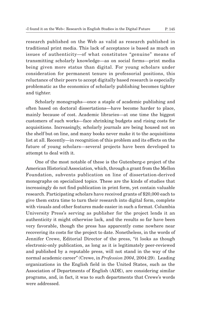research published on the Web as valid as research published in traditional print media. This lack of acceptance is based as much on issues of authenticity—of what constitutes "genuine" means of transmitting scholarly knowledge—as on social forms—print media being given more status than digital. For young scholars under consideration for permanent tenure in professorial positions, this reluctance of their peers to accept digitally based research is especially problematic as the economics of scholarly publishing becomes tighter and tighter.

Scholarly monographs—once a staple of academic publishing and often based on doctoral dissertations—have become harder to place, mainly because of cost. Academic libraries—at one time the biggest customers of such works—face shrinking budgets and rising costs for acquisitions. Increasingly, scholarly journals are being housed not on the shelf but on line, and many books never make it to the acquisitions list at all. Recently—in recognition of this problem and its effects on the future of young scholars—several projects have been developed to attempt to deal with it.

One of the most notable of these is the Gutenberg-e project of the American Historical Association, which, through a grant from the Mellon Foundation, subvents publication on line of dissertation-derived monographs on specialized topics. These are the kinds of studies that increasingly do not find publication in print form, yet contain valuable research. Participating scholars have received grants of \$20,000 each to give them extra time to turn their research into digital form, complete with visuals and other features made easier in such a format. Columbia University Press's serving as publisher for the project lends it an authenticity it might otherwise lack, and the results so far have been very favorable, though the press has apparently come nowhere near recovering its costs for the project to date. Nonetheless, in the words of Jennifer Crewe, Editorial Director of the press, "it looks as though electronic-only publication, as long as it is legitimately peer-reviewed and published by a reputable press, will not stand in the way of the normal academic career" (Crewe, in *Profession 2004*, 2004:29). Leading organizations in the English field in the United States, such as the Association of Departments of English (ADE), are considering similar programs, and, in fact, it was to such departments that Crewe's words were addressed.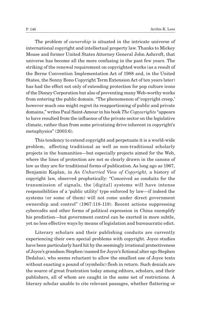The problem of *ownership* is situated in the intricate universe of international copyright and intellectual property law. Thanks to Mickey Mouse and former United States Attorney General John Ashcroft, that universe has become all the more confusing in the past few years. The striking of the renewal requirement on copyrighted works (as a result of the Berne Convention Implementation Act of 1988 and, in the United States, the Sonny Bono Copyright Term Extension Act of ten years later) has had the effect not only of extending protection for pop culture icons of the Disney Corporation but also of preventing many Web-worthy works from entering the public domain. "The phenomenon of 'copyright creep,' however much one might regret its reapportioning of public and private domains," writes Paul Saint-Amour in his book *The Copywrights* "appears to have resulted from the influence of the private sector on the legislative climate, rather than from some privatizing drive inherent in copyright's metaphysics" (2003:6).

This tendency to extend copyright and perpetuate it is a world-wide problem, affecting traditional as well as non-traditional scholarly projects in the humanities—but especially projects aimed for the Web, where the lines of protection are not so clearly drawn in the canons of law as they are for traditional forms of publication. As long ago as 1967, Benjamin Kaplan, in *An Unhurried View of Copyright,* a history of copyright law, observed prophetically: "Conceived as conduits for the transmission of signals, the [digital] systems will have intense responsibilities of a 'public utility' type enforced by law—if indeed the systems (or some of them) will not come under direct government ownership and control" (1967:118-119). Recent actions suppressing cybercafés and other forms of political expression in China exemplify his prediction—but government control can be exerted in more subtle, yet no less effective ways by means of legislation and bureaucratic edict.

Literary scholars and their publishing conduits are currently experiencing their own special problems with copyright. Joyce studies have been particularly hard hit by the seemingly irrational protectiveness of Joyce's grandson Stephen (named for Joyce's fictional alter ego Stephen Dedalus), who seems reluctant to allow the smallest use of Joyce texts without exacting a pound of (symbolic) flesh in return. Such denials are the source of great frustration today among editors, scholars, and their publishers, all of whom are caught in the same net of restrictions. A literary scholar unable to cite relevant passages, whether flattering or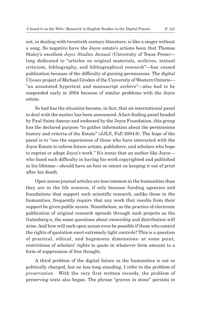not, in dealing with twentieth century literature, is like a singer without a song. So negative have the Joyce estate's actions been that Thomas Staley's excellent *Joyce Studies Annual* (University of Texas Press) long dedicated to "articles on original materials, archives, textual criticism, bibliography, and bibliographical research"—has ceased publication because of the difficulty of gaining permissions. The digital *Ulysses* project of Michael Groden of the University of Western Ontario— "an annotated hypertext and manuscript archive"—also had to be suspended early in 2004 because of similar problems with the Joyce estate.

So bad has the situation become, in fact, that an international panel to deal with the matter has been announced. A fact-finding panel headed by Paul Saint-Amour and endorsed by the Joyce Foundation, this group has the declared purpose "to gather information about the permissions history and criteria of the Estate" (*JJLS*, Fall 2004:9). The hope of the panel is to "use the experiences of those who have interacted with the Joyce Estate to inform future artists, publishers, and scholars who hope to reprint or adapt Joyce's work." It's ironic that an author like Joyce who faced such difficulty in having his work copyrighted and published in his lifetime—should have an heir so intent on keeping it out of print after his death.

Open access journal articles are less common in the humanities than they are in the life sciences, if only because funding agencies and foundations that support such scientific research, unlike those in the humanities, frequently require that any work that results from their support be given public access. Nonetheless, as the practice of electronic publication of original research spreads through such projects as the Gutenberg-e, the same questions about ownership and distribution will arise. And how will such open access even be possible if those who control the rights of quotation exert extremely tight controls? This is a question of practical, ethical, and hegemonic dimensions: at some point, restrictions of scholars' rights to quote in whatever form amount to a form of suppression of free thought.

A third problem of the digital future in the humanities is not so politically charged, but no less long standing. I refer to the problem of *preservation*. With the very first written records, the problem of preserving texts also began. The phrase "graven in stone" persists in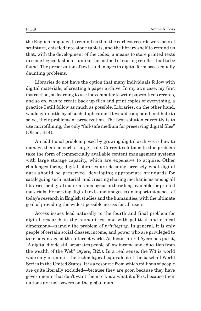the English language to remind us that the earliest records were acts of sculpture, chiseled into stone tablets, and the library shelf to remind us that, with the development of the codex, a means to store printed texts in some logical fashion—unlike the method of storing scrolls—had to be found. The preservation of texts and images in digital form poses equally daunting problems.

Libraries do not have the option that many individuals follow with digital materials, of creating a paper archive. In my own case, my first instruction, on learning to use the computer to write papers, keep records, and so on, was to create back up files and print copies of everything, a practice I still follow as much as possible. Libraries, on the other hand, would gain little by of such duplication. It would compound, not help to solve, their problems of preservation. The best solution currently is to use microfilming, the only "fail-safe medium for preserving digital files" (Olsen, B14).

An additional problem posed by growing digital archives is how to manage them on such a large scale. Current solutions to this problem take the form of commercially available content management systems with large storage capacity, which are expensive to acquire. Other challenges facing digital libraries are deciding precisely what digital data should be preserved, developing appropriate standards for cataloguing such material, and creating sharing mechanisms among all libraries for digital materials analogous to those long available for printed materials. Preserving digital texts and images is an important aspect of today's research in English studies and the humanities, with the ultimate goal of providing the widest possible access for all users.

Access issues lead naturally to the fourth and final problem for digital research in the humanities, one with political and ethical dimensions—namely the problem of *privileging*. In general, it is only people of certain social classes, income, and power who are privileged to take advantage of the Internet world. As historian Ed Ayers has put it, "A digital divide still separates people of low income and education from the wealth of the Web" (Ayers, B25). In a real sense, the W3 is world wide only in name—the technological equivalent of the baseball World Series in the United States. It is a resource from which millions of people are quite literally excluded—because they are poor, because they have governments that don't want them to know what it offers, because their nations are not powers on the global map.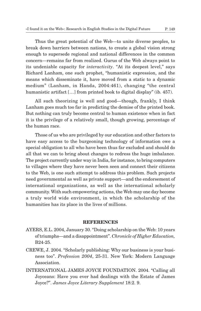Thus the great potential of the Web—to unite diverse peoples, to break down barriers between nations, to create a global vision strong enough to supersede regional and national differences in the common concern—remains far from realized. Gurus of the Web always point to its undeniable capacity for *interactivity*. "At its deepest level," says Richard Lanham, one such prophet, "humanistic expression, and the means which disseminate it, have moved from a static to a dynamic medium" (Lanham, in Handa, 2004:461), changing "the central humanistic artifact [...] from printed book to digital display" (ib. 457).

All such theorizing is well and good—though, frankly, I think Lanham goes much too far in predicting the demise of the printed book. But nothing can truly become central to human existence when in fact it is the privilege of a relatively small, though growing, percentage of the human race.

Those of us who are privileged by our education and other factors to have easy access to the burgeoning technology of information owe a special obligation to all who have been thus far excluded and should do all that we can to bring about changes to redress the huge imbalance. The project currently under way in India, for instance, to bring computers to villages where they have never been seen and connect their citizens to the Web, is one such attempt to address this problem. Such projects need governmental as well as private support—and the endorsement of international organizations, as well as the international scholarly community. With such empowering actions, the Web may one day become a truly world wide environment, in which the scholarship of the humanities has its place in the lives of millions.

#### **REFERENCES**

- AYERS, E.L. 2004, January 30. "Doing scholarship on the Web: 10 years of triumphs—and a disappointment". *Chronicle of Higher Education,* B24-25.
- CREWE, J. 2004. "Scholarly publishing: Why our business is your business too". *Profession 2004*, 25-31. New York: Modern Language Association.
- INTERNATIONAL JAMES JOYCE FOUNDATION. 2004. "Calling all Joyceans: Have you ever had dealings with the Estate of James Joyce?". *James Joyce Literary Supplement* 18:2. 9.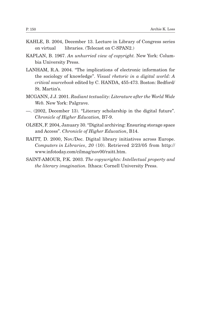- KAHLE, B. 2004, December 13. Lecture in Library of Congress series on virtual libraries. (Telecast on C-SPAN2.)
- KAPLAN, B. 1967. *An unhurried view of copyright.* New York: Columbia University Press.
- LANHAM, R.A. 2004. "The implications of electronic information for the sociology of knowledge". *Visual rhetoric in a digital world: A critical sourcebook* edited by C. HANDA, 455-473. Boston: Bedford/ St. Martin's.
- MCGANN, J.J. 2001. *Radiant textuality: Literature after the World Wide Web.* New York: Palgrave.
- —. (2002, December 13). "Literary scholarship in the digital future". *Chronicle of Higher Education,* B7-9.
- OLSEN, F. 2004, January 30. "Digital archiving: Ensuring storage space and Access". *Chronicle of Higher Education*, B14.
- RAITT, D. 2000, Nov./Dec. Digital library initiatives across Europe. *Computers in Libraries*, *20* (10). Retrieved 2/23/05 from http:// www.infotoday.com/cilmag/nov00/raitt.htm.
- SAINT-AMOUR, P.K. 2003. *The copywrights: Intellectual property and the literary imagination.* Ithaca: Cornell University Press.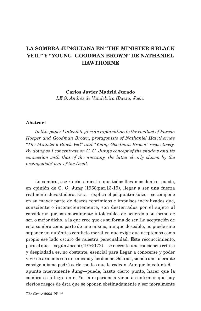# **LA SOMBRA JUNGUIANA EN "THE MINISTER'S BLACK VEIL" Y "YOUNG GOODMAN BROWN" DE NATHANIEL HAWTHORNE**

**Carlos Javier Madrid Jurado**

*I.E.S. Andrés de Vandelvira (Baeza, Jaén)*

### **Abstract**

*In this paper I intend to give an explanation to the conduct of Parson Hooper and Goodman Brown, protagonists of Nathaniel Hawthorne's "The Minister's Black Veil" and "Young Goodman Brown" respectively. By doing so I concentrate on C. G. Jung's concept of the shadow and its connection with that of the uncanny, the latter clearly shown by the protagonists' fear of the Devil.*

La sombra, ese rincón siniestro que todos llevamos dentro, puede, en opinión de C. G. Jung (1968:par.13-19), llegar a ser una fuerza realmente devastadora. Ésta—explica el psiquiatra suizo—se compone en su mayor parte de deseos reprimidos e impulsos incivilizados que, consciente o inconscientemente, son desterrados por el sujeto al considerar que son moralmente intolerables de acuerdo a su forma de ser, o mejor dicho, a la que cree que es su forma de ser. La aceptación de esta sombra como parte de uno mismo, aunque deseable, no puede sino suponer un auténtico conflicto moral ya que exige que aceptemos como propio ese lado oscuro de nuestra personalidad. Este reconocimiento, para el que —según Jacobi (1976:172)—se necesita una conciencia crítica y despiadada es, no obstante, esencial para llegar a conocerse y poder vivir en armonía con uno mismo y los demás. Sólo así, siendo uno tolerante consigo mismo podrá serlo con los que le rodean. Aunque la voluntad apunta nuevamente Jung—puede, hasta cierto punto, hacer que la sombra se integre en el Yo, la experiencia viene a confirmar que hay ciertos rasgos de ésta que se oponen obstinadamente a ser moralmente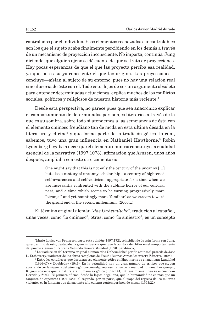controlados por el individuo. Esos elementos rechazados e incontrolables son los que el sujeto acaba finalmente percibiendo en los demás a través de un mecanismo de proyección inconsciente. No importa, continúa Jung diciendo, que alguien ajeno se dé cuenta de que se trata de proyecciones. Hay pocas esperanzas de que el que las proyecta perciba esa realidad, ya que no es su yo consciente el que las origina. Las proyecciones concluye—aíslan al sujeto de su entorno, pues no hay una relación real sino ilusoria de éste con él. Todo esto, lejos de ser un argumento obsoleto para entender determinadas actuaciones, explica muchos de los conflictos sociales, políticos y religiosos de nuestra historia más reciente.<sup>1</sup>

Desde esta perspectiva, no parece pues que sea anacrónico explicar el comportamiento de determinados personajes literarios a través de la que es su sombra, sobre todo si atendemos a las semejanzas de ésta con el elemento ominoso freudiano tan de moda en esta última década en la literatura y el cine<sup>2</sup> y que forma parte de la tradición gótica, la cual, sabemos, tuvo una gran influencia en Nathaniel Hawthorne.<sup>3</sup> Robin Lydenberg llegaba a decir que el elemento ominoso constituye la cualidad esencial de la narrativa (1997:1073), afirmación que Arnzen, unos años después, ampliaba con este otro comentario:

> One might say that this is not only the century of the uncanny […] but also a century of uncanny scholarship—a century of hightened self-awareness and self-criticism, appropriate for a time when we are incessantly confronted with the sublime horror of our cultural past, and a time which seems to be turning progressively more "strange" and yet hauntingly more "familiar" as we stream toward the grand end of the second millennium. (2003:1)

El término original alemán "*das Unheimliche*", traducido al español, unas veces, como "lo ominoso", otras, como "lo siniestro", es un concepto

<sup>1</sup> Marie Louise von Franz comparte esta opinión (1997:172), coincidiendo de esta forma con Jung, quien, al hilo de esto, destacaba la gran influencia que tuvo la sombra de Hitler en el comportamiento del pueblo alemán durante la Segunda Guerra Mundial (1970: par.444-57).

<sup>2</sup> La traducción del término original alemán "das Unheimliche" por "lo ominoso" procede de José L. Etcheverry, traductor de las obras completas de Freud (Buenos Aires: Amorrortu Editores. 1998).

<sup>3</sup> Entre los estudiosos que destacan ese elemento gótico en Hawthorne se encuentran Lundblad (1946/47) y Doubleday (1946). En la actualidad hay un gran número de críticos que siguen apostando por la vigencia del género gótico como algo representativo de la realidad humana. Por ejemplo, Kilgour sostiene que la naturaleza humana es gótica (1995:141). En esa misma línea se encuentran Derrida y Zizek. El primero afirma, desde la lógica hegeliana, que la humanidad no es más que un conjunto de espectros (1994:138); el segundo, por su parte, que el tropo del regreso de los muertos vivientes es la fantasía que da sustento a la cultura contemporánea de masas (1993:22).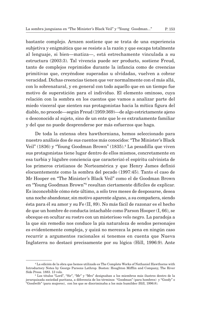bastante complejo. Arnzen sostiene que se trata de una experiencia subjetiva y enigmática que se resiste a la razón y que escapa totalmente al lenguaje, si bien—matiza—, está estrechamente vinculada a su estructura (2003:3). Tal vivencia puede ser producto, sostiene Freud, tanto de complejos reprimidos durante la infancia como de creencias primitivas que, creyéndose superadas u olvidadas, vuelven a cobrar veracidad. Dichas creencias tienen que ver normalmente con el más allá, con lo sobrenatural, y en general con todo aquello que en un tiempo fue motivo de superstición para el individuo. El elemento ominoso, cuya relación con la sombra en los cuentos que vamos a analizar parte del miedo visceral que sienten sus protagonistas hacia la mítica figura del diablo, no procede—según Freud (1959:369)—de algo estrictamente ajeno o desconocido al sujeto, sino de un ente que le es extrañamente familiar y del que no puede desprenderse por más esfuerzos que haga.

De toda la extensa obra hawthorniana, hemos seleccionado para nuestro análisis dos de sus cuentos más conocidos: "The Minister's Black Veil" (1836) y "Young Goodman Brown" (1835).4 La pesadilla que viven sus protagonistas tiene lugar dentro de ellos mismos, concretamente en esa turbia y lúgubre conciencia que caracterizó el espíritu calvinista de los primeros cristianos de Norteamérica y que Henry James definió elocuentemente como la sombra del pecado (1997:45). Tanto el caso de Mr Hooper en "The Minister's Black Veil" como el de Goodman Brown en "Young Goodman Brown"5 resultan ciertamente difíciles de explicar. Es inconcebible cómo éste último, a sólo tres meses de desposarse, desea una noche abandonar, sin motivo aparente alguno, a su compañera, siendo ésta para él su amor y su Fe (II, 89). No más fácil de razonar es el hecho de que un hombre de conducta intachable como Parson Hooper (I, 66), se obceque en ocultar su rostro con un misterioso velo negro. La paradoja a la que sin remedio nos conduce la pía naturaleza de sendos personajes es evidentemente compleja, y quizá no merezca la pena en ningún caso recurrir a argumentos racionales si tenemos en cuenta que Nueva Inglaterra no destacó precisamente por su lógica (Hill, 1996:9). Ante

<sup>4</sup> La edición de la obra que hemos utilizado es The Complete Works of Nathaniel Hawthorne with Introductory Notes by George Parsons Lathrop. Boston: Houghton Mifflin and Company, The River Side Press. 1883. 13 vols.

<sup>5</sup> Los títulos "Lord", "Sir", "Mr" y "Mrs" designaban a los miembros más ilustres dentro de la jerarquizada sociedad puritana, a diferencia de los términos "Goodman" (para hombres) y "Goody" o "Goodwife" (para mujeres), con los que se discriminaba a los más humildes (Hill, 1996:8).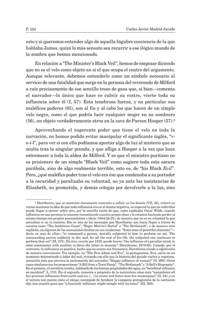esto y si queremos entender algo de aquella lúgubre conciencia de la que hablaba James, quizá lo más sensato sea recurrir a ese ilógico mundo de la sombra que hemos mencionado.

En relación a "The Minister's Black Veil", hemos de empezar diciendo que no es el velo como objeto en sí el que ocupa el centro del argumento. Aunque relevante, debemos entenderlo como un símbolo necesario al servicio de una fatalidad que surge en la persona del reverendo de Milford a raíz precisamente de ese sencillo trozo de gasa que, si bien—comenta el narrador—lo único que hace es cubrir su rostro, vierte toda su influencia sobre él (I, 57). Esta tenebrosa fuerza, y en particular sus maléficos poderes (65), son al fin y al cabo los que hacen de un simple velo negro, como el que podría lucir cualquier mujer en su sombrero (56), un objeto verdaderamente atroz en la cara de Parson Hooper (57).6

Aprovechando el sugerente poder que tiene el velo en toda la narración, no hemos podido evitar manipular el significante inglés, "ve-i-l", para ver si con ello podíamos aportar algo de luz al misterio que se oculta tras la singular prenda, y que aflige a Hooper a la vez que hace estremecer a toda la aldea de Milford. Y es que el ministro puritano no es prisionero de un simple "Black Veil" como sugiere toda esta oscura parábola, sino de algo realmente terrible, esto es, de "his Black *Evil*". Pero, ¿qué maléfico poder tras el velo era ése que condenaba a su portador a la oscuridad y paralizaba su voluntad, no ya ante las insistencias de Elizabeth, su prometida, y demás colegas por devolverle a la luz, sino

<sup>6</sup> Hawthorne, que se mostrara claramente contrario a influir en los demás (VII, 46), reiteró en varias ocasiones la idea de que toda influencia era en sí misma negativa, en especial la que un individuo puede llegar a ejercer sobre otro, por la sencilla razón de que, como explicaba Oscar Wilde, cuando influimos en una persona le estamos trasmitiendo nuestra propia alma y le estamos haciendo perder al mismo tiempo sus propios pensamientos e ideas (1944:24-25), de manera que no es su voluntad la que prevalece si no la nuestra. Ese es uno de los mensajes que Hawthorne nos hacía llegar a través de cuentos como "The Ambitious Guest", "Roger Malvin's Burial" o "The Birthmark", o de manera más explícita, en algunas de las anotaciones hechas en sus cuadernos. "Some man of powerful character" decía en una de ellas—"to command a person, morally subjected to him to perform an act. The commanding person suddenly to die; and, for all the rest of his life, the subjected one continues to perform that act" (IX, 272). En otra, escrita por 1838, puede leerse: "the influence of a peculiar mind, in close communion with another, to drive the latter to insanity" (Hawthorne, 1978:65). Cuando, por el contrario, la influencia es positiva, hecho que no ocurre con frecuencia, Hawthorne tiende a adjetivarla de manera conveniente. Por ejemplo, en "The New Adam and Eve", la protagonista, Eva, salva en un momento determinado a Adán del mal, evitando con ello que la historia del pecado vuelva a repetirse, actuación ésta que provoca la exclamación del narrador: "Happy influence of woman!" (II, 299). Otros casos similares nos los proporcionan "A Rill from a Town Pump", "The Birthmark" y "A Bell's Biography". En el primero, el novelista resalta, hablando de las buenas propiedades del agua, su "beneficial influence on mankind" (I, 170). En el segundo, comenta a propósito de la naturaleza cómo ésta "assimilates all her precious influences from earth and air, […] to create and foster man her masterpiece" (II, 54); y en el tercero nos cuenta cómo el obispo encargado de bendecir la campana protagonista de la narración dijo una oración para que "a heavenly influence might mingle with its tones" (III, 500).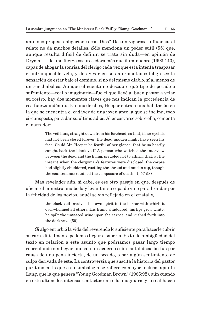ante sus propias obligaciones con Dios? De tan vigorosa influencia el relato no da muchos detalles. Sólo menciona un poder sutil (55) que, aunque resulta difícil de definir, se trata sin duda—en opinión de Dryden—, de una fuerza oscurecedora más que iluminadora (1993:140), capaz de ahogar la sonrisa del clérigo cada vez que ésta intenta traspasar el infranqueable velo, y de avivar en sus atormentados feligreses la sensación de estar bajo el dominio, si no del mismo diablo, sí al menos de un ser diabólico. Aunque el cuento no descubre qué tipo de pecado o sufrimiento—real o imaginario—fue el que llevó al buen pastor a velar su rostro, hay dos momentos claves que nos indican la procedencia de esa fuerza indómita. En uno de ellos, Hooper entra a una habitación en la que se encuentra el cadáver de una joven ante la que se inclina, todo circunspecto, para dar su último adiós. Al encorvarse sobre ella, comenta el narrador:

> The veil hung straight down from his forehead, so that, if her eyelids had not been closed forever, the dead maiden might have seen his face. Could Mr. Hooper be fearful of her glance, that he so hastily caught back the black veil? A person who watched the interview between the dead and the living, scrupled not to affirm, that, at the instant when the clergyman's features were disclosed, the corpse had slightly shuddered, rustling the shroud and muslin cap, though the countenance retained the composure of death. (I, 57-58)

Más revelador aún, si cabe, es ese otro pasaje en que, después de oficiar el ministro una boda y levantar su copa de vino para brindar por la felicidad de los novios, aquél se vio reflejado en el cristal y,

> the black veil involved his own spirit in the horror with which it overwhelmed all others. His frame shuddered, his lips grew white, he spilt the untasted wine upon the carpet, and rushed forth into the darkness. (59)

Si algo enturbió la vida del reverendo lo suficiente para hacerle cubrir su cara, difícilmente podemos llegar a saberlo. Es tal la ambigüedad del texto en relación a este asunto que podríamos pasar largo tiempo especulando sin llegar nunca a un acuerdo sobre si tal decisión fue por causa de una pena incierta, de un pecado, o por algún sentimiento de culpa derivada de éste. La controversia que suscita la historia del pastor puritano en lo que a su simbología se refiere es mayor incluso, apunta Lang, que la que genera "Young Goodman Brown" (1966:92), aún cuando en éste último los intensos contactos entre lo imaginario y lo real hacen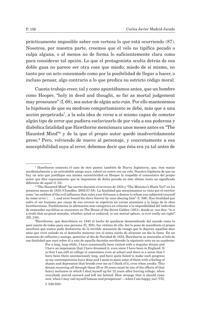prácticamente imposible saber con certeza lo que está ocurriendo (87). Nosotros, por nuestra parte, creemos que el velo no tipifica pecado o culpa alguna, o al menos no de forma lo suficientemente clara como para considerar tal opción. Lo que el protagonista oculta detrás de esa doble gasa no parece ser otra cosa que miedo; miedo de sí mismo, no tanto por un acto consumado como por la posibilidad de llegar a hacer, o incluso pensar, algo contrario a lo que predica su estricto código moral.

Cuesta trabajo creer, tal y como apuntábamos antes, que un hombre como Hooper, "holy in deed and thought, so far as mortal judgement may pronounce" (I, 68), sea autor de algún acto ruin. Por ello mantenemos la hipótesis de que su medroso comportamiento se debe, más que a una acción perpetrada7 , a la sola idea de verse a sí mismo capaz de cometer algún tipo de error que pudiera esclavizarlo de por vida a esa poderosa y diabólica fatalidad que Hawthorne mencionara unos meses antes en "The Haunted Mind"8 y de la que el propio autor quedó inadvertidamente preso.9 Pero, volviendo de nuevo al personaje, y concretamente a esa susceptibilidad suya al error, debemos decir que ésta era ya tal antes de

<sup>7</sup> Hawthorne comenta el caso de otro pastor, también de Nueva Inglaterra, que, tras matar accidentalmente a un entrañable amigo suyo, cubrió su rostro con un velo. Nuestra hipótesis de que no hay un acto que justifique esa misma excentricidad en Hooper la respalda el comentario del propio autor que dice expresamente que la imposición de dicha prenda en éste último tenía un significado diferente de aquél (I, 52).

<sup>8</sup> "The Haunted Mind" fue escrito durante el invierno de 1834 y "The Minister's Black Veil" en los primeros meses de 1835 (Chandler, 2002:57-58). La fatalidad que mencionamos es vista por el escritor como "an emblem of the evil influence that rules your fortunes; a demon to whom you subjected yourself by some error [ . . . ], and were bound his slave forever by once obeying him" (I, 346). Esa fatalidad que sufre el ser humano por causa de sus errores se repetiría en varias ocasiones a lo largo de la obra hawthorniana. Posiblemente la afirmación más categórica en relación a la imposibilidad del individuo de enmendar sus faltas se encuentre en The House of the Seven Gables (1851), donde se nos dice: "it is a truth that no great mistake, whether acted or endured, in our mortal sphere, is ever really set right" (III, 316).

<sup>9</sup> Hawthorne, que describiera en 1843 el hecho de quedarse desmembrado del mundo como la peor suerte de todas para una persona (II, 250), fue víctima de ello. Así lo pone de manifiesto el propio novelista que nunca pudo deshacerse de la terrible sensación de rezago que le dejaran aquellos doce años que vivió aislado en el domicilio materno con el único sueño de alcanzar un día la fama. En un momento de reflexión y sosiego, posterior al día de Navidad de 1854, Hawthorne se sinceraba al hilo de esa fatalidad que cayó sobre él a raíz de aquella decisión escribiendo la siguiente nota en su cuaderno:

For a long, long while, I have ocassionally been visited with a singular dream and I have an impression that I have dreamed it, even since I have been in England. It is that I am still at college or sometimes even at school and there is a sense that I have been there unconsciously long, and have quite failed to make such progress as my contemporaries have done and I seem to meet some of them with a feeling of shame and depression that broods over me as I think of it, even when awake. This dream recurring all through these 20 or 30 years must be one of the effects of that heavy seclusion in which I shut myself up for 12 years after leaving college, when everybody moved onward and left me behind. How strange that it should come now, when I may call myself famous and prosperous! —when I am happy, too! (VII,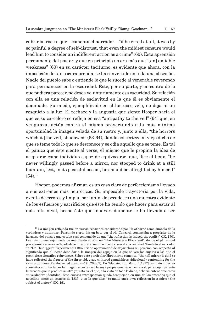cubrir su rostro que—comenta el narrador—"if he erred at all, it was by so painful a degree of self-distrust, that even the mildest censure would lead him to consider an indifferent action as a crime" (60). Esta aprensión permanente del pastor, y que en principio no era más que "[an] amiable weakness" (60) en su carácter taciturno, es evidente que ahora, con la imposición de tan oscura prenda, se ha convertido en toda una obsesión. Nadie del pueblo sabe o entiende lo que le sucede al venerable reverendo para permanecer en la oscuridad. Éste, por su parte, y en contra de lo que pudiera parecer, no desea voluntariamente esa oscuridad. Su relación con ella es una relación de esclavitud en la que él es obviamente el dominado. Su miedo, ejemplificado en el luctuoso velo, no deja ni un resquicio a la luz. El rechazo y la angustia que siente Hooper hacia el que es su carcelero se refleja en esa "antipathy to the veil" (64) que, en venganza, actúa contra sí mismo proyectando a la más mínima oportunidad la imagen velada de su rostro y, junto a ella, "the horrors which it [the veil] shadowed" (63-64), dando así certeza al viejo dicho de que se teme todo lo que se desconoce y se odia aquello que se teme. Es tal el pánico que éste siente al verse, el mismo que le propina la idea de aceptarse como individuo capaz de equivocarse, que, dice el texto, "he never willingly passed before a mirror, nor stooped to drink at a still fountain, lest, in its peaceful bosom, he should be affrighted by himself"  $(64).^{10}$ 

Hooper, podemos afirmar, es un caso claro de perfeccionismo llevado a sus extremos más neuróticos. Su impecable trayectoria por la vida, exenta de errores y limpia, por tanto, de pecado, es una muestra evidente de los esfuerzos y sacrificios que éste ha tenido que hacer para estar al más alto nivel, hecho éste que inadvertidamente le ha llevado a ser

<sup>10</sup> La imagen reflejada fue en varias ocasiones considerada por Hawthorne como símbolo de lo verdadero y auténtico. Paseando cierto día en bote por el río Concord, comentaba a propósito de lo hermoso del paisaje que estaba casi convencido de que "the reflection is indeed the reality" (IX, 170). Ese mismo mensaje queda de manifiesto no sólo en "The Minister's Black Veil", donde el pánico del protagonista a verse reflejado debe interpretarse como miedo visceral a la realidad. También el narrador en "Dr. Heidigger's Experiment" (1837) tiene oportunidad de dejar clara su posición con respecto al significado que el lector debe dar a la imagen del espejo en la que se ven los sujetos a los que el prestigioso científico rejuvenece. Sobre este particular Hawthorne comenta: "the tall mirror is said to have reflected the figures of the three old, gray, withered grandshires ridiculously contending for the skinny ugliness of a shrivelled grandam" (I, 268-69). En "Monsieur du Miroir" (1837) también muestra el escritor su interés por la imagen, en este caso la suya propia que tiene frente a sí, para dejar patente la zozobra que le produce su otro yo, esto es, el que, a la vista de todo lo dicho, debería entenderse como su verdadera identidad. Esta curiosa introspección quedó bosquejada en una de las entradas que el novelista anotó en octubre de 1835, y en la que dice: "to make one's own reflection in a mirror the subject of a story" (IX, 15).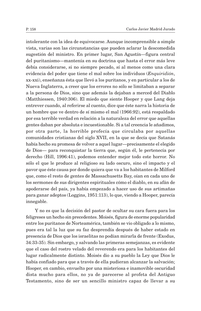intolerante con la idea de equivocarse. Aunque incomprensible a simple vista, varias son las circunstancias que pueden aclarar la descomedida sugestión del ministro. En primer lugar, San Agustín—figura central del puritanismo—mantenía en su doctrina que hasta el error más leve debía considerarse, si no siempre pecado, sí al menos como una clara evidencia del poder que tiene el mal sobre los individuos (*Enquiridión*, xx-xxi), enseñanza ésta que llevó a los puritanos, y en particular a los de Nueva Inglaterra, a creer que los errores no sólo se limitaban a separar a la persona de Dios, sino que además la dejaban a merced del Diablo (Matthiessen, 1940:306). El miedo que siente Hooper y que Lang deja entrever cuando, al referirse al cuento, dice que éste narra la historia de un hombre que ve dentro de sí mismo el mal (1966:92), está respaldado por esa terrible verdad en relación a la naturaleza del error que aquellas gentes daban por absoluta e incuestionable. Si a tal creencia le añadimos, por otra parte, la horrible profecía que circulaba por aquellas comunidades cristianas del siglo XVII, en la que se decía que Satanás había hecho su promesa de volver a aquel lugar—precisamente el elegido de Dios— para reconquistar la tierra que, según él, le pertenecía por derecho (Hill, 1996:41), podemos entender mejor todo este horror. No sólo el que le produce al religioso su lado oscuro, sino el impacto y el pavor que éste causa por donde quiera que va a los habitantes de Milford que, como el resto de gentes de Massachusetts Bay, oían en cada uno de los sermones de sus dirigentes espirituales cómo el diablo, en su afán de apoderarse del país, ya había empezado a hacer uso de sus artimañas para ganar adeptos (Loggins, 1951:113), lo que, viendo a Hooper, parecía innegable.

Y no es que la decisión del pastor de ocultar su cara fuera para los feligreses un hecho sin precedentes. Moisés, figura de enorme popularidad entre los puritanos de Norteamérica, también se vio obligado a lo mismo, pues era tal la luz que su faz desprendía después de haber estado en presencia de Dios que los israelitas no podían mirarla de frente (Exodus, 34:33-35). Sin embargo, y salvando las primeras semejanzas, es evidente que el caso del rostro velado del reverendo era para los habitantes del lugar radicalmente distinto. Moisés dio a su pueblo la Ley que Dios le había confiado para que a través de ella pudieran alcanzar la salvación; Hooper, en cambio, envuelto por una misteriosa e inamovible oscuridad dista mucho para ellos, no ya de parecerse al profeta del Antiguo Testamento, sino de ser un sencillo ministro capaz de llevar a su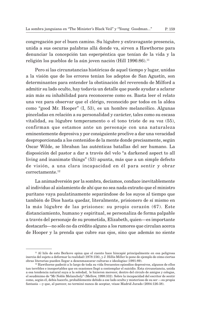congregación por el buen camino. Su lúgubre y extravagante presencia, unida a sus oscuras palabras allá donde va, sirven a Hawthorne para denunciar la concepción tan esperpéntica que tenían de la vida y la religión los pueblos de la aún joven nación (Hill 1996:86).<sup>11</sup>

Pero si las circunstancias históricas de aquel tiempo y lugar, unidas a la visión que de los errores tenían los adeptos de San Agustín, son determinantes para entender la obstinación del reverendo de Milford a admitir su lado oculto, hay todavía un detalle que puede ayudar a aclarar aún más su inhabilidad para reconocerse como es. Basta leer el relato una vez para observar que el clérigo, reconocido por todos en la aldea como "good Mr. Hooper" (I, 53), es un hombre melancólico. Algunas pinceladas en relación a su personalidad y carácter, tales como su escasa vitalidad, su lúgubre temperamento o el tono triste de su voz (55), confirman que estamos ante un personaje con una naturaleza eminentemente depresiva y por consiguiente proclive a dar una veracidad desproporcionada a los contenidos de la mente donde precisamente, según Oscar Wilde, se libraban las auténticas batallas del ser humano. La disposición del pastor a dar a través del velo "a darkened aspect to all living and inanimate things" (53) apunta, más que a un simple defecto de visión, a una clara incapacidad en él para sentir y obrar correctamente.12

La animadversión por la sombra, decíamos, conduce inevitablemente al individuo al aislamiento de ahí que no sea nada extraño que el ministro puritano vaya paulatinamente separándose de los suyos al tiempo que también de Dios hasta quedar, literalmente, prisionero de sí mismo en la más lúgubre de las prisiones: su propio corazón (67). Este distanciamiento, humano y espiritual, se personaliza de forma palpable a través del personaje de su prometida, Elizabeth, quien—es importante destacarlo—no sólo no da crédito alguno a los rumores que circulan acerca de Hooper y la prenda que cubre sus ojos, sino que además no siente

 $11$  Al hilo de esto Berkove opina que el cuento hace hincapié principalmente en esa peligrosa inercia del sujeto a deformar la realidad (1978:156), y J. Hillis Miller lo pone de ejemplo de cómo ciertas obras literarias pueden llegar a desenmascarar culturas e ideologías (1991:89).

<sup>12</sup> Hawthorne padeció a lo largo de toda su vida frecuentes episodios depresivos, algunos de ellos tan terribles e insoportables que en ocasiones llegó a contemplar el suicidio. Esta circunstancia, unida a esa tendencia natural suya a la soledad, le hicieron merecer, dentro del círculo de amigos y colegas, el seudónimo de "Mr Noble Melancholy" (Mellow, 1998:332). Sobre la incapacidad del escritor de sentir como, según él, debía hacerlo, probablemente debido a ese lado oculto y misterioso de su ser —su propia fantasía —y que, al parecer, no terminó nunca de aceptar, véase Madrid Jurado (2004:126-38).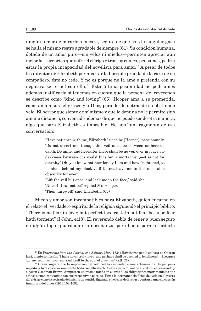ningún temor de mirarle a la cara, segura de que tras la singular gasa se halla el mismo rostro agradable de siempre (61). Su condición humana, dotada de un amor puro—sin velos ni miedos—permiten apreciar aún mejor las carencias que sufre el clérigo y tras las cuales, pensamos, podría estar la propia incapacidad del novelista para amar.13 A pesar de todos los intentos de Elizabeth por apartar la horrible prenda de la cara de su compañero, éste no cede. Y no es porque no la ame o pretenda con su negativa ser cruel con ella.14 Esta última posibilidad no podríamos además justificarla si tenemos en cuenta que la persona del reverendo se describe como "kind and loving" (66). Hooper ama a su prometida, como ama a sus feligreses y a Dios, pero desde detrás de su obstinado velo. El horror que siente de sí mismo y que lo domina no le permite sino amar a distancia, convencido además de que no puede ser de otra manera, algo que para Elizabeth es imposible. He aquí un fragmento de esa conversación:

> 'Have patience with me, Elizabeth!' cried he [Hooper], passionately. 'Do not desert me, though this veil must be between us here on earth. Be mine, and hereafter there shall be no veil over my face, no darkness between our souls! It is but a mortal veil,—it is not for eternity! Oh, you know not how lonely I am and how frightened, to be alone behind my black veil! Do not leave me in this miserable obscurity for ever!' 'Lift the veil but once, and look me in the face,' said she.

'Never! It cannot be!' replied Mr. Hooper.

'Then, farewell!' said Elizabeth. (63)

Miedo y amor son incompatibles para Elizabeth, quien encarna en el relato el verdadero espíritu de la religión siguiendo el principio bíblico: "There is no fear in love; but perfect love casteth out fear because fear hath torment" (I John, 4:18). El reverendo debía de tener a buen seguro en algún lugar guardada esa enseñanza, pero hasta para recordarla

<sup>&</sup>lt;sup>13</sup> En *Fragments from the Journal of a Solitary Man* (1834) Hawthorne ponía en boca de Oberon la siguiente confesión: "I have never truly loved, and perhaps shall be doomed to loneliness […] because [...] my soul has never married itself to the soul of a woman" (XII, 26).

<sup>14</sup> Crews sugiere que la imposición del velo podría responder a una artimaña de Hooper para impedir a toda costa su inminente boda con Elizabeth. A este respecto, añade el crítico, el reverendo y el joven Goodman Brown, comparten un mismo miedo en cuanto a las obligaciones matrimoniales que ambos tienen contraídas con sus respectivas parejas. Tanto la permanencia física del velo en el rostro del clérigo como la retirada del mismo en sentido figurado en el caso de Brown apuntan a una concepción inmadura del amor (1966:108-109).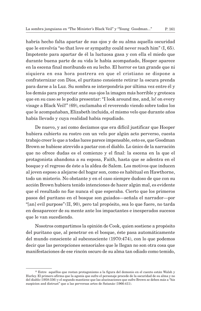habría hecho falta apartar de sus ojos y de su alma aquella oscuridad que le envolvía "so that love or sympathy could never reach him" (I, 65). Impotente para apartar de él la luctuosa gasa y con ella el miedo que durante buena parte de su vida le había acompañado, Hooper aparece en la escena final moribundo en su lecho. El horror es tan grande que ni siquiera en esa hora postrera en que el cristiano se dispone a confraternizar con Dios, el puritano consiente retirar la oscura prenda para darse a la Luz. Su sombra se interpondría por última vez entre él y los demás para proyectar ante sus ojos la imagen más horrible y grotesca que en su caso se le podía presentar: "I look around me, and, lo! on every visage a Black Veil!" (69), exclamaba el reverendo viendo sobre todos los que le acompañaban, Elizabeth incluida, el mismo velo que durante años había llevado y cuya realidad había repudiado.

De nuevo, y así como decíamos que era difícil justificar que Hooper hubiera cubierto su rostro con un velo por algún acto perverso, cuesta trabajo creer lo que a todas luces parece impensable, esto es, que Goodman Brown se hubiese atrevido a pactar con el diablo. Lo único de la narración que no ofrece dudas es el comienzo y el final: la escena en la que el protagonista abandona a su esposa, Faith, hasta que se adentra en el bosque y el regreso de éste a la aldea de Salem. Los motivos que inducen al joven esposo a alejarse del hogar son, como es habitual en Hawthorne, todo un misterio. No obstante y en el caso siempre dudoso de que con su acción Brown hubiera tenido intenciones de hacer algún mal, es evidente que el resultado no fue nunca el que esperaba. Cierto que los primeros pasos del puritano en el bosque son guiados—señala el narrador—por "[an] evil purpose"(II, 90), pero tal propósito, sea lo que fuere, no tarda en desaparecer de su mente ante los impactantes e inesperados sucesos que le van sucediendo.

Nosotros compartimos la opinión de Cook, quien sostiene a propósito del puritano que, al penetrar en el bosque, éste pasa automáticamente del mundo consciente al subconsciente (1970:474), con lo que podemos decir que las percepciones sensoriales que le llegan no son otra cosa que manifestaciones de ese rincón oscuro de su alma tan odiado como temido,

<sup>15</sup> Entre aquéllos que restan protagonismo a la figura del demonio en el cuento están Walsh y Hurley. El primero afirma que la agonía que sufre el personaje procede de la oscuridad de su alma y no del diablo (1958:336) y el segundo mantiene que las alucinaciones que sufre Brown se deben más a "his suspicion and distrust" que a las perversas artes de Satanás (1966:411).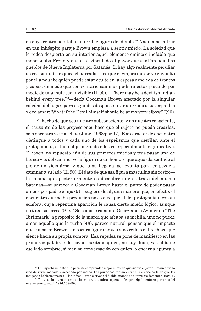en cuyo centro habitaba la terrible figura del diablo.15 Nada más entrar en tan inhóspito paraje Brown empieza a sentir miedo. La soledad que le rodea despierta en su interior aquel elemento ominoso inefable que mencionaba Freud y que está vinculado al pavor que sentían aquellos pueblos de Nueva Inglaterra por Satanás. Si hay algo realmente peculiar de esa solitud—explica el narrador—es que el viajero que se ve envuelto por ella no sabe quién puede estar oculto en la espesa arboleda de troncos y copas, de modo que con solitario caminar pudiera estar pasando por medio de una multitud invisible (II, 90). " 'There may be a devilish Indian behind every tree,'16—decía Goodman Brown afectado por la singular soledad del lugar, para segundos después mirar aterrado a sus espaldas y exclamar: 'What if the Devil himself should be at my very elbow!' "(90).

 El hecho de que sea nuestro subconsciente, y no nuestro consciente, el causante de las proyecciones hace que el sujeto no pueda crearlas, sólo encontrarse con ellas (Jung, 1968:par.17). Ese carácter de encuentro distingue a todos y cada uno de los espejismos que desfilan ante el protagonista, si bien el primero de ellos es especialmente significativo. El joven, no repuesto aún de sus primeros miedos y tras pasar una de las curvas del camino, ve la figura de un hombre que aguarda sentado al pie de un viejo árbol y que, a su llegada, se levanta para empezar a caminar a su lado (II, 90). El dato de que esa figura masculina sin rostro la misma que posteriormente se descubre que se trata del mismo Satanás—se parezca a Goodman Brown hasta el punto de poder pasar ambos por padre e hijo (91), sugiere de alguna manera que, en efecto, el encuentro que se ha producido no es otro que el del protagonista con su sombra, cuya repentina aparición le causa cierto miedo lógico, aunque no total sorpresa (91).17 Si, como le comenta Georgiana a Aylmer en "The Birthmark" a propósito de la marca que afeaba su mejilla, uno no puede amar aquello que le turba (48), parece natural pensar que el impacto que causa en Brown tan oscura figura no sea sino reflejo del rechazo que siente hacia su propia sombra. Esa repulsa se pone de manifiesto en las primeras palabras del joven puritano quien, no hay duda, ya sabía de ese lado sombrío, si bien su conversación con quien lo encarna apunta a

<sup>&</sup>lt;sup>16</sup> Hill aporta un dato que permite comprender mejor el miedo que siente el joven Brown ante la idea de verse rodeado y acechado por indios. Los puritanos tenían entre sus creencias la de que los indígenas de Norteamérica —los indios— eran siervos del diablo, cuando no auténticos demonios (1996:2).

<sup>&</sup>lt;sup>17</sup> Tanto en los sueños como en los mitos, la sombra se personifica principalmente en personas del mismo sexo (Jacobi, 1976:168-69).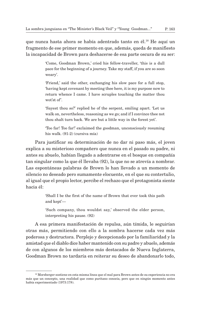que nunca hasta ahora se había adentrado tanto en él.18 He aquí un fragmento de ese primer momento en que, además, queda de manifiesto la incapacidad de Brown para deshacerse de esa parte oscura de su ser:

> 'Come, Goodman Brown,' cried his fellow-traveller, 'this is a dull pace for the beginning of a journey. Take my staff, if you are so soon weary'.

> 'Friend,' said the other, exchanging his slow pace for a full stop, 'having kept covenant by meeting thee here, it is my purpose now to return whence I came. I have scruples touching the matter thou wot'st of'.

> 'Sayest thou so?' replied he of the serpent, smiling apart. 'Let us walk on, nevertheless, reasoning as we go; and if I convince thee not thou shalt turn back. We are but a little way in the forest yet'.

> 'Too far! Too far!' exclaimed the goodman, unconsciously resuming his walk. (91-2) (cursiva mía)

Para justificar su determinación de no dar ni paso más, el joven explica a su misterioso compañero que nunca en el pasado su padre, ni antes su abuelo, habían llegado a adentrarse en el bosque en compañía tan singular como la que él llevaba (92), la que no se atrevía a nombrar. Las espontáneas palabras de Brown lo han llevado a un momento de silencio no deseado pero sumamente elocuente, en el que su contertulio, al igual que el propio lector, percibe el rechazo que el protagonista siente hacia él:

> 'Shall I be the first of the name of Brown that ever took this path and kept'—

> 'Such company, thou wouldst say,' observed the elder person, interpreting his pause. (92)

A esa primera manifestación de repulsa, aún tímida, le seguirían otras más, permitiendo con ello a la sombra hacerse cada vez más poderosa y destructora. Perplejo y decepcionado por la familiaridad y la amistad que el diablo dice haber mantenido con su padre y abuelo, además de con algunos de los miembros más destacados de Nueva Inglaterra, Goodman Brown no tardaría en reiterar su deseo de abandonarlo todo,

<sup>18</sup> Morsberger sostiene en esta misma línea que el mal para Brown antes de su experiencia no era más que un concepto, una realidad que como puritano conocía, pero que en ningún momento antes había experimentado (1973:178).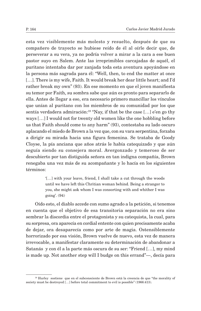esta vez visiblemente más molesto y resuelto, después de que su compañero de trayecto se hubiese reído de él al oírle decir que, de perseverar a su vera, ya no podría volver a mirar a la cara a ese buen pastor suyo en Salem. Ante las irreprimibles carcajadas de aquél, el puritano intentaba dar por zanjada toda esta aventura apoyándose en la persona más sagrada para él: "Well, then, to end the matter at once [...]. There is my wife, Faith. It would break her dear little heart; and I'd rather break my own" (93). En ese momento en que el joven manifiesta su temor por Faith, su sombra sabe que aún es pronto para separarlo de ella. Antes de llegar a eso, era necesario primero mancillar los vínculos que unían al puritano con los miembros de su comunidad por los que sentía verdadera admiración:<sup>19</sup> "Nay, if that be the case [...] e'en go thy ways […] I would not for twenty old women like the one hobbling before us that Faith should come to any harm" (93), contestaba su lado oscuro aplacando el miedo de Brown a la vez que, con su vara serpentina, forzaba a dirigir su mirada hacia una figura femenina. Se trataba de Goody Cloyse, la pía anciana que años atrás le había catequizado y que aún seguía siendo su consejera moral. Avergonzado y temeroso de ser descubierto por tan distiguida señora en tan indigna compañía, Brown renegaba una vez más de su acompañante y lo hacía en los siguientes términos:

> '[…] with your leave, friend, I shall take a cut through the woods until we have left this Chritian woman behind. Being a stranger to you, she might ask whom I was consorting with and whither I was going'. (94)

Oído esto, el diablo accede con sumo agrado a la petición, si tenemos en cuenta que el objetivo de esa transitoria separación no era sino sembrar la discordia entre el protagonista y su catequista, la cual, para su sorpresa, ora aparecía en cordial entente con quien precisamente acaba de dejar, ora desaparecía como por arte de magia. Ostensiblemente horrorizado por esa visión, Brown vuelve de nuevo, esta vez de manera irrevocable, a manifestar claramente su determinación de abandonar a Satanás y con él a la parte más oscura de su ser: "Friend […], my mind is made up. Not another step will I budge on this errand"—, decía para

<sup>19</sup> Hurley sostiene que en el subconsciente de Brown está la creencia de que "the morality of society must be destroyed […] before total commitment to evil is possible" (1966:413).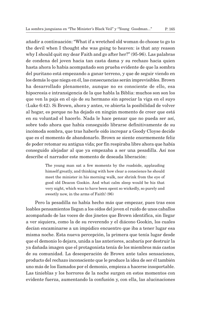añadir a continuación: "What if a wretched old woman do choose to go to the devil when I thought she was going to heaven: is that any reason why I should quit my dear Faith and go after her?" (95-96). Las palabras de condena del joven hacia tan casta dama y su rechazo hacia quien hasta ahora lo había acompañado son prueba evidente de que la sombra del puritano está empezando a ganar terreno, y que de seguir viendo en los demás lo que niega en él, las consecuencias serán imprevisibles. Brown ha desarrollado plenamente, aunque no es consciente de ello, esa hipocresía e intransigencia de la que habla la Biblia: muchos son son los que ven la paja en el ojo de su hermano sin apreciar la viga en el suyo (Luke 6:42). Si Brown, ahora y antes, ve abierta la posibilidad de volver al hogar, es porque no ha dejado en ningún momento de creer que está en su voluntad el hacerlo. Nada le hace pensar que no pueda ser así, sobre todo ahora que había conseguido librarse definitivamente de su incómoda sombra, que tras haberle oído increpar a Goody Cloyse decide que es el momento de abandonarlo. Brown se siente enormemente feliz de poder retomar su antigua vida; por fín respiraba libre ahora que había conseguido alejadar al que ya empezaba a ser una pesadilla. Así nos describe el narrador este momento de deseada liberación:

> The young man sat a few moments by the roadside, applauding himself greatly, and thinking with how clear a conscience he should meet the minister in his morning walk, nor shrink from the eye of good old Deacon Gookin. And what calm sleep would be his that very night, which was to have been spent so wickedly, so purely and sweetly now, in the arms of Faith! (96)

Pero la pesadilla no había hecho más que empezar, pues tras esos loables pensamientos llegan a los oídos del joven el ruido de unos caballos acompañado de las voces de dos jinetes que Brown identifica, sin llegar a ver siquiera, como la de su reverendo y el diácono Gookin, los cuales decían encaminarse a un impúdico encuentro que iba a tener lugar esa misma noche. Esta nueva percepción, la primera que tenía lugar desde que el demonio lo dejara, unida a las anteriores, acabaría por destruir la ya dañada imagen que el protagonista tenía de los miembros más castos de su comunidad. La desesperación de Brown ante tales sensaciones, producto del rechazo inconsciente que le produce la idea de ser él también uno más de los llamados por el demonio, empieza a hacerse insoportable. Las tinieblas y los horrores de la noche surgen en estos momentos con evidente fuerza, aumentando la confusión y, con ella, las alucinaciones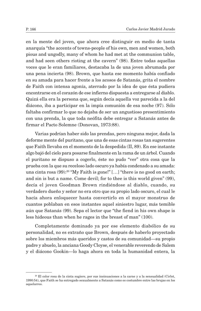en la mente del joven, que ahora cree distinguir en medio de tanta anarquía "the accents of towns-people of his own, men and women, both pious and ungodly, many of whom he had met at the communion table, and had seen others rioting at the cavern" (98). Entre todas aquellas voces que le eran familiares, destacaba la de una joven abrumada por una pena incierta (98). Brown, que hasta ese momento había confiado en su amada para hacer frente a los acosos de Satanás, grita el nombre de Faith con intensa agonía, aterrado por la idea de que ésta pudiera encontrarse en el corazón de ese infierno dispuesta a entregarse al diablo. Quizá ella era la persona que, según decía aquella voz parecida a la del diácono, iba a participar en la impía comunión de esa noche (97). Sólo faltaba confirmar lo que no dejaba de ser un angustioso presentimiento con una prenda, la que toda neófita debe entregar a Satanás antes de firmar el Pacto Solemne (Donovan, 1973:88).

Varias podrían haber sido las prendas, pero ninguna mejor, dada la deforme mente del puritano, que una de esas cintas rosas tan sugerentes que Faith llevaba en el momento de la despedida (II, 89). En ese instante algo bajó del cielo para posarse finalmente en la rama de un árbol. Cuando el puritano se dispuso a cogerlo, éste no pudo "ver" otra cosa que la prueba con la que su receloso lado oscuro ya había condenado a su amada: una cinta rosa  $(99)$ :<sup>20</sup> "My Faith is gone!" [...] "there is no good on earth; and sin is but a name. Come devil; for to thee is this world given" (99), decía el joven Goodman Brown rindiéndose al diablo, cuando, su verdadero dueño y señor no era otro que su propio lado oscuro, el cual le hacía ahora enloquecer hasta convertirlo en el mayor monstruo de cuantos poblaban en esos instantes aquel siniestro lugar, más temible aún que Satanás (99). Sepa el lector que "the fiend in his own shape is less hideous than when he rages in the breast of man" (100).

Completamente dominado ya por ese elemento diabólico de su personalidad, no es extraño que Brown, después de haberlo proyectado sobre los miembros más queridos y castos de su comunidad—su propio padre y abuelo, la anciana Goody Cloyse, el venerable reverendo de Salem y el diácono Gookin—lo haga ahora en toda la humanidad entera, la

 $20$  El color rosa de la cinta sugiere, por sus insinuaciones a la carne y a la sensualidad (Cirlot, 1990:54), que Faith se ha entregado sexualmente a Satanás como es costumbre entre las brujas en los aquelarres.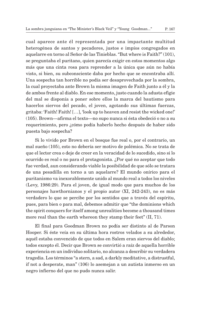cual aparece ante él representada por una impactante multitud heterogénea de santos y pecadores, justos e impíos congregados en aquelarre en torno al Señor de las Tinieblas. "But where is Faith?" (101), se preguntaba el puritano, quien parecía exigir en estos momentos algo más que una cinta rosa para reprender a la única que aún no había visto, si bien, su subconsciente daba por hecho que se encontraba allí. Una sospecha tan horrible no podía ser desaprovechada por la sombra, la cual proyectaba ante Brown la misma imagen de Faith junto a él y la de ambos frente al diablo. En ese momento, justo cuando la adusta efigie del mal se disponía a poner sobre ellos la marca del bautismo para hacerlos siervos del pecado, el joven, agotando sus últimas fuerzas, gritaba: 'Faith! Faith! […], 'look up to heaven and resist the wicked one!' (105). Brown—afirma el texto—no supo nunca si ésta obedeció o no a su requerimiento, pero ¿cómo podía haberlo hecho después de haber sido puesta bajo sospecha?

Si lo vivido por Brown en el bosque fue real o, por el contrario, un mal sueño (105), esto no debería ser motivo de polémica. No se trata de que el lector crea o deje de creer en la veracidad de lo sucedido, sino si lo ocurrido es real o no para el protagonista. ¿Por qué no aceptar que todo fue verdad, aun considerando viable la posibilidad de que sólo se tratara de una pesadilla en torno a un aquelarre? El mundo onírico para el puritanismo va inexorablemente unido al mundo real a todos los niveles (Levy, 1986:29). Para el joven, de igual modo que para muchos de los personajes hawthornianos y el propio autor (XI, 242-243), no es más verdadero lo que se percibe por los sentidos que a través del espíritu, pues, para bien o para mal, debemos admitir que "the dominions which the spirit conquers for itself among unrealities become a thousand times more real than the earth whereon they stamp their feet" (II, 71).

El final para Goodman Brown no podía ser distinto al de Parson Hooper. Si éste veía en su última hora rostros velados a su alrededor, aquél estaba convencido de que todos en Salem eran siervos del diablo; todos excepto él. Decir que Brown se convirtió a raíz de aquella horrible experiencia en un individuo solitario, no alcanza a describir su verdadera tragedia. Los términos "a stern, a sad, a darkly meditative, a distrustful, if not a desperate, man" (106) lo asemejan a un autista inmerso en un negro infierno del que no pudo nunca salir.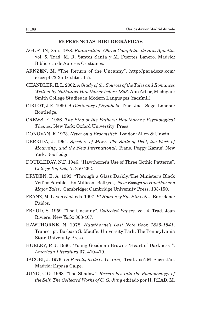## **REFERENCIAS BIBLIOGRÁFICAS**

- AGUSTÍN, San. 1988. *Enquiridión*. *Obras Completas de San Agustín*. vol. 5. Trad. M. R. Santos Santa y M. Fuertes Lanero. Madrid: Biblioteca de Autores Cristianos.
- ARNZEN, M. "The Return of the Uncanny". http://paradoxa.com/ excerpts/3-3intro.htm. 1-5.
- CHANDLER, E. L. 2002. *A Study of the Sources of the Tales and Romances Written by Nathaniel Hawthorne before 1853*. Ann Arbor, Michigan: Smith College Studies in Modern Languages (facsímil).
- CIRLOT, J.E. 1990. *A Dictionary of Symbols*. Trad. Jack Sage. London: Routledge.
- CREWS, F. 1966. *The Sins of the Fathers: Hawthorne's Psychological Themes*. New York: Oxford University Press.
- DONOVAN, F. 1973. *Never on a Broomstick*. London: Allen & Unwin.
- DERRIDA, J. 1994. *Specters of Marx. The State of Debt, the Work of Mourning, and the New International*. Trans. Peggy Kamuf. New York: Routledge.
- DOUBLEDAY, N.F. 1946. "Hawthorne's Use of Three Gothic Patterns". *College English,* 7: 250-262.
- DRYDEN, E. A. 1993. "Through a Glass Darkly:'The Minister's Black Veil' as Parable". En Millicent Bell (ed.), *New Essays on Hawthorne's Major Tales*. Cambridge: Cambridge University Press. 133-150.
- FRANZ, M. L. von *et al*. eds. 1997. *El Hombre y Sus Símbolos*. Barcelona: Paidós.
- FREUD, S. 1959. "The Uncanny". *Collected Papers*. vol. 4. Trad. Joan Riviere. New York: 368-407.
- HAWTHORNE, N. 1978. *Hawthorne's Lost Note Book 1835-1841*. Transcript. Barbara S. Mouffe. University Park: The Pennsylvania State University Press.
- HURLEY, P. J. 1966. "Young Goodman Brown's 'Heart of Darkness' ". *American Literatura* 37. 410-419.
- JACOBI, J. 1976. *La Psicología de C. G. Jung*. Trad. José M. Sacristán. Madrid: Espasa Calpe.
- JUNG, C.G. 1968. "The Shadow". *Researches into the Phenomelogy of the Self. The Collected Works of C. G. Jung* editado por H. READ, M.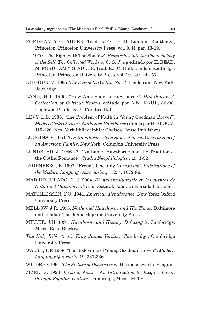- FORDHAM Y G. ADLER. Trad. R.F.C. Hull. London: Routledge, Princeton: Princeton University Press. vol. 9, II, par. 13-19.
- —. 1970. "The Fight with The Shadow". *Researches into the Phenomelogy of the Self. The Collected Works of C. G. Jung* editado por H. READ, M. FORDHAM Y G. ADLER. Trad. R.F.C. Hull. London: Routledge, Princeton: Princeton University Press. vol. 10, par. 444-57.
- KILGOUR, M. 1995. *The Rise of the Gothic Novel*. London and New York: Routledge.
- LANG, H.J. 1966. "How Ambigous is Hawthorne". *Hawthorne. A Collection of Critical Essays* editado por A.N. KAUL, 86-98. Englewood Cliffs, N. J.: Prentice Hall.
- LEVY, L.B. 1986. "The Problem of Faith in 'Young Goodman Brown'". *Modern Critical Views. Nathaniel Hawthorne* editado por H. BLOOM, 115-126. New York Philadelphia: Chelsea House Publishers.
- LOGGINS, V. 1951. *The Hawthornes: The Story of Seven Generations of an American Family*. New York: Columbia University Press.
- LUNDBLAD, J. 1946-47. "Nathaniel Hawthorne and the Tradition of the Gothic Romance". *Studia Neophilologica*, 19. 1-92.
- LYDENBERG, R. 1997. "Freud's Uncanny Narratives". *Publications of the Modern Language Association*, 112: 4. 1072-86.
- MADRID JURADO, C. J. 2004. *El mal involuntario en los cuentos de Nathaniel Hawthorne*. Tesis Doctoral. Jaén: Universidad de Jaén.
- MATTHIESSEN, F.O. 1941. *American Renaissance*. New York: Oxford University Press.
- MELLOW, J.R. 1998. *Nathaniel Hawthorne and His Times*. Baltimore and London: The Johns Hopkins University Press.
- MILLER, J.H. 1991. *Hawthorne and History: Defacing it*. Cambridge, Mass.: Basil Blackwell.
- *The Holy Bible (s.a.). King James Version*. Cambridge: Cambridge University Press.
- WALSH, T. F. 1958. "The Bedeviling of 'Young Goodman Brown'". *Modern Language Quarterly*, 19. 331-336.
- WILDE, O. 1994. *The Picture of Dorian Gray*. Harmondsworth: Penguin.
- ZIZEK, S. 1993. *Looking Awary: An Introduction to Jacques Lacan through Popular Culture*. Cambridge, Mass.: MITP.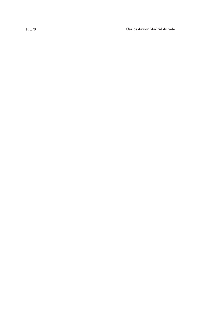P. 170 Carlos Javier Madrid Jurado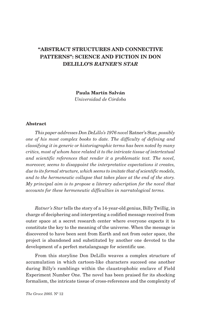# **"ABSTRACT STRUCTURES AND CONNECTIVE PATTERNS": SCIENCE AND FICTION IN DON DELILLO'S** *RATNER'S STAR*

**Paula Martín Salván** *Universidad de Córdoba*

### **Abstract**

*This paper addresses Don DeLillo's 1976 novel* Ratner's Star*, possibly one of his most complex books to date. The difficulty of defining and classifying it in generic or historiographic terms has been noted by many critics, most of whom have related it to the intricate tissue of intertextual and scientific references that render it a problematic text. The novel, moreover, seems to disappoint the interpretative expectations it creates, due to its formal structure, which seems to imitate that of scientific models, and to the hermeneutic collapse that takes place at the end of the story. My principal aim is to propose a literary adscription for the novel that accounts for these hermeneutic difficulties in narratological terms.*

*Ratner's Star* tells the story of a 14-year-old genius, Billy Twillig, in charge of deciphering and interpreting a codified message received from outer space at a secret research center where everyone expects it to constitute the key to the meaning of the universe. When the message is discovered to have been sent from Earth and not from outer space, the project is abandoned and substituted by another one devoted to the development of a perfect metalanguage for scientific use.

From this storyline Don DeLillo weaves a complex structure of accumulation in which cartoon-like characters succeed one another during Billy's ramblings within the claustrophobic enclave of Field Experiment Number One. The novel has been praised for its shocking formalism, the intricate tissue of cross-references and the complexity of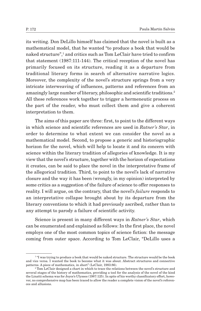its writing. Don DeLillo himself has claimed that the novel is built as a mathematical model, that he wanted "to produce a book that would be naked structure",<sup>1</sup> and critics such as Tom LeClair have tried to confirm that statement (1987:111-144). The critical reception of the novel has primarily focused on its structure, reading it as a departure from traditional literary forms in search of alternative narrative logics. Moreover, the complexity of the novel's structure springs from a very intricate interweaving of influences, patterns and references from an amazingly large number of literary, philosophic and scientific traditions.2 All these references work together to trigger a hermeneutic process on the part of the reader, who must collect them and give a coherent interpretation to them.

The aims of this paper are three: first, to point to the different ways in which science and scientific references are used in *Ratner's Star*, in order to determine to what extent we can consider the novel as a mathematical model. Second, to propose a generic and historiographic horizon for the novel, which will help to locate it and its concern with science within the literary tradition of allegories of knowledge. It is my view that the novel's structure, together with the horizon of expectations it creates, can be said to place the novel in the interpretative frame of the allegorical tradition. Third, to point to the novel's lack of narrative closure and the way it has been (wrongly, in my opinion) interpreted by some critics as a suggestion of the failure of science to offer responses to reality. I will argue, on the contrary, that the novel's *failure* responds to an interpretative collapse brought about by its departure from the literary conventions to which it had previously ascribed, rather than to any attempt to parody a failure of scientific activity.

Science is present in many different ways in *Ratner's Star*, which can be enumerated and explained as follows: In the first place, the novel employs one of the most common topics of science fiction: the message coming from outer space. According to Tom LeClair, "DeLillo uses a

<sup>&</sup>lt;sup>1</sup> "I was trying to produce a book that would be naked structure. The structure would be the book and vice versa. I wanted the book to become what it was about. Abstract structures and connective patterns. A piece of mathematics, in short" (LeClair, 1983:86).

<sup>2</sup> Tom LeClair designed a chart in which to trace the relations between the novel's structure and several stages of the history of mathematics, providing a tool for the analysis of the novel of the kind the Linatti schema was for Joyce's Ulysses (1987:125). In spite of his worthy classificatory effort, however, no comprehensive map has been traced to allow the reader a complete vision of the novel's references and allusions.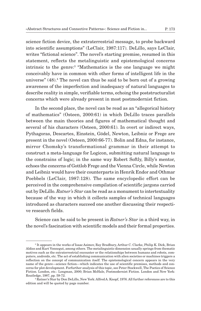science fiction device, the extraterrestrial message, to probe backward into scientific assumptions" (LeClair, 1987:117). DeLillo, says LeClair, writes "fictional science". The novel's starting premise, resumed in this statement, reflects the metalinguistic and epistemological concerns intrinsic to the genre:3 "Mathematics is the one language we might conceivably have in common with other forms of intelligent life in the universe" (48).4 The novel can thus be said to be born out of a growing awareness of the imperfection and inadequacy of natural languages to describe reality in simple, verifiable terms, echoing the poststructuralist concerns which were already present in most postmodernist fiction.

In the second place, the novel can be read as an "allegorical history of mathematics" (Osteen, 2000:61) in which DeLillo traces parallels between the main theories and figures of mathematical thought and several of his characters (Osteen, 2000:61). In overt or indirect ways, Pythagoras, Descartes, Einstein, Gödel, Newton, Leibniz or Frege are present in the novel (Osteen, 2000:66-77). Bolin and Edna, for instance, mirror Chomsky's transformational grammar in their attempt to construct a meta-language for Logicon, submitting natural language to the constrains of logic; in the same way Robert Softly, Billy's mentor, echoes the concerns of Gottlob Frege and the Vienna Circle, while Newton and Leibniz would have their counterparts in Henrik Endor and Othmar Poebbels (LeClair, 1987:128). The same encyclopedic effort can be perceived in the comprehensive compilation of scientific jargons carried out by DeLillo. *Ratner's Star* can be read as a monument to intertextuality because of the way in which it collects samples of technical languages introduced as characters succeed one another discussing their respective research fields.

Science can be said to be present in *Ratner's Star* in a third way, in the novel's fascination with scientific models and their formal properties.

<sup>3</sup> It appears in the works of Isaac Asimov, Ray Bradbury, Arthur C. Clarke, Philip K. Dick, Brian Aldiss and Kurt Vonnegut, among others. The metalinguistic dimension usually springs from thematic motives such as the extraterrestrial encounter or the relationships between humans and robots, computers, androids, etc. The act of establishing communication with alien societies or machines triggers a reflection on the concept of communication itself. The epistemological concern appears in the very name of the genre—science fiction—which indicates the use of scientific premises, methods and concerns for plot development. Forfurther analysis of this topic, see Peter Stockwell, The Poetics of Science Fiction. London, etc.: Longman, 2000; Brian McHale, Postmodernist Fiction. London and New York: Routledge, 1987, pp. 59-72.

<sup>4</sup> Ratner's Star by Don DeLillo, New York: Alfred A. Knopf, 1976. All further references are to this edition and will be quoted by page number.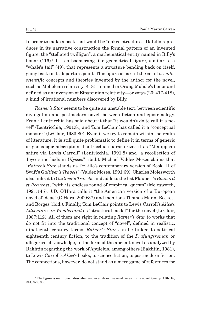In order to make a book that would be "naked structure", DeLillo reproduces in its narrative construction the formal pattern of an invented figure: the "stellated twilligon", a mathematical entity named in Billy's honor (116).<sup>5</sup> It is a boomerang-like geometrical figure, similar to a "whale's tail" (49), that represents a structure bending back on itself, going back to its departure point. This figure is part of the set of *pseudoscientific* concepts and theories invented by the author for the novel, such as Moholean relativity (418)—named in Orang Mohole's honor and defined as an inversion of Einsteinian relativity—or zorgs (20; 417-418), a kind of irrational numbers discovered by Billy.

*Ratner's Star* seems to be quite an unstable text: between scientific divulgation and postmodern novel, between fiction and epistemology. Frank Lentricchia has said about it that "it wouldn't do to call it a novel" (Lentricchia, 1991:8), and Tom LeClair has called it a "conceptual monster" (LeClair, 1983:80). Even if we try to remain within the realm of literature, it is still quite problematic to define it in terms of generic or genealogic adscription. Lentricchia characterizes it as "Menippean satire via Lewis Carroll" (Lentricchia, 1991:8) and "a recollection of Joyce's methods in *Ulysses*" (ibid.). Michael Valdez Moses claims that "*Ratner's Star* stands as DeLillo's contemporary version of Book III of Swift's *Gulliver's Travels*" (Valdez Moses, 1991:69). Charles Molesworth also links it to *Gulliver's Travels*, and adds to the list Flaubert's *Bouvard et Pecuchet*, "with its endless round of empirical quests" (Molesworth, 1991:145). J.D. O'Hara calls it "the American version of a European novel of ideas" (O'Hara, 2000:37) and mentions Thomas Mann, Beckett and Borges (ibid.). Finally, Tom LeClair points to Lewis Carroll's *Alice's Adventures in Wonderland* as "structural model" for the novel (LeClair, 1987:112). All of them are right in relating *Ratner's Star* to works that do not fit into the traditional concept of "novel", defined in realistic, nineteenth century terms. *Ratner's Star* can be linked to satirical eighteenth century fiction, to the tradition of the *Prüfungsroman* or allegories of knowledge, to the form of the ancient novel as analyzed by Bakhtin regarding the work of Apuleius, among others (Bakhtin, 1981), to Lewis Carroll's *Alice's* books, to science fiction, to postmodern fiction. The connections, however, do not stand as a mere game of references for

<sup>5</sup> The figure is mentioned, described and even drawn several times in the novel. See pp. 116-118; 241; 322; 388.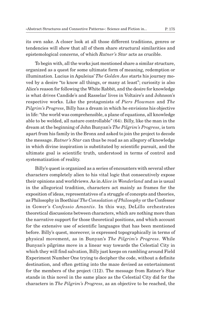its own sake. A closer look at all those different traditions, genres or tendencies will show that all of them share structural similarities and epistemological concerns, of which *Ratner's Star* acts as crucible.

To begin with, all the works just mentioned share a similar structure, organized as a quest for some ultimate form of meaning, redemption or illumination. Lucius in Apuleius' *The Golden Ass* starts his journey moved by a desire "to know all things, or many at least"; curiosity is also Alice's reason for following the White Rabbit, and the desire for knowledge is what drives Candide's and Rasselas' lives in Voltaire's and Johnson's respective works. Like the protagonists of *Piers Plowman* and *The Pilgrim's Progress*, Billy has a dream in which he envisions his objective in life: "the world was comprehensible, a plane of equations, all knowledge able to be welded, all nature controllable" (64). Billy, like the man in the dream at the beginning of John Bunyan's *The Pilgrim's Progress*, is torn apart from his family in the Bronx and asked to join the project to decode the message. *Ratner's Star* can thus be read as an allegory of knowledge in which divine inspiration is substituted by scientific pursuit, and the ultimate goal is scientific truth, understood in terms of control and systematization of reality.

Billy's quest is organized as a series of encounters with several other characters completely alien to his vital logic that consecutively expose their opinions and worldviews. As in *Alice in Wonderland* and as is usual in the allegorical tradition, characters act mainly as frames for the exposition of ideas, representatives of a struggle of concepts and theories, as Philosophy in Boethius' *The Consolation of Philosophy* or the Confessor in Gower's *Confessio Amantis*. In this way, DeLillo orchestrates theoretical discussions between characters, which are nothing more than the narrative support for those theoretical positions, and which account for the extensive use of scientific languages that has been mentioned before. Billy's quest, moreover, is expressed topographically in terms of physical movement, as in Bunyan's *The Pilgrim's Progress*. While Bunyan's pilgrims move in a linear way towards the Celestial City in which they will find salvation, Billy just keeps on rambling around Field Experiment Number One trying to decipher the code, without a definite destination, and often getting into the maze devised as entertainment for the members of the project (112). The message from Ratner's Star stands in this novel in the same place as the Celestial City did for the characters in *The Pilgrim's Progress*, as an objective to be reached, the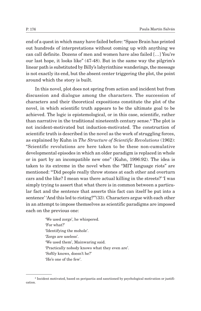end of a quest in which many have failed before: "Space Brain has printed out hundreds of interpretations without coming up with anything we can call definite. Dozens of men and women have also failed […] You're our last hope, it looks like" (47-48). But in the same way the pilgrim's linear path is substituted by Billy's labyrinthine wanderings, the message is not exactly its end, but the absent center triggering the plot, the point around which the story is built.

In this novel, plot does not spring from action and incident but from discussion and dialogue among the characters. The succession of characters and their theoretical expositions constitute the plot of the novel, in which scientific truth appears to be the ultimate goal to be achieved. The logic is epistemological, or in this case, scientific, rather than narrative in the traditional nineteenth century sense.<sup>6</sup> The plot is not incident-motivated but induction-motivated. The construction of scientific truth is described in the novel as the work of struggling forces, as explained by Kuhn in *The Structure of Scientific Revolutions* (1962): "Scientific revolutions are here taken to be these non-cumulative developmental episodes in which an older paradigm is replaced in whole or in part by an incompatible new one" (Kuhn, 1996:92). The idea is taken to its extreme in the novel when the "MIT language riots" are mentioned: "'Did people really throw stones at each other and overturn cars and the like? I mean was there actual killing in the streets?' 'I was simply trying to assert that what there is in common between a particular fact and the sentence that asserts this fact can itself be put into a sentence' 'And this led to rioting?'"(33). Characters argue with each other in an attempt to impose themselves as scientific paradigms are imposed each on the previous one:

> 'We used zorgs', he whispered. 'For what?' 'Identifying the mohole'. 'Zorgs are useless'. 'We used them', Mainwaring said. 'Practically nobody knows what they even are'. 'Softly knows, doesn't he?' 'He's one of the few'.

<sup>6</sup> Incident motivated, based on peripaetia and sanctioned by psychological motivation or justification.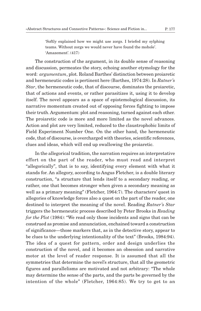'Softly explained how we might use zorgs. I briefed my sylphing teams. Without zorgs we would never have found the mohole'. 'Amazement'. (417)

The construction of the argument, in its double sense of reasoning and discussion, permeates the story, echoing another etymology for the word: *argumentum*, plot. Roland Barthes' distinction between proiaretic and hermeneutic codes is pertinent here (Barthes, 1974:28). In *Ratner's Star*, the hermeneutic code, that of discourse, dominates the proiaretic, that of actions and events, or rather parasitizes it, using it to develop itself. The novel appears as a space of epistemological discussion, its narrative momentum created out of opposing forces fighting to impose their truth. Argumentum: plot and reasoning, turned against each other. The proiaretic code is more and more limited as the novel advances. Action and plot are very limited, reduced to the claustrophobic limits of Field Experiment Number One. On the other hand, the hermeneutic code, that of discourse, is overcharged with theories, scientific references, clues and ideas, which will end up swallowing the proiaretic.

In the allegorical tradition, the narration requires an interpretative effort on the part of the reader, who must read and interpret "allegorically", that is to say, identifying every element with what it stands for. An allegory, according to Angus Fletcher, is a double literary construction, "a structure that lends itself to a secondary reading, or rather, one that becomes stronger when given a secondary meaning as well as a primary meaning" (Fletcher, 1964:7). The characters' quest in allegories of knowledge forces also a quest on the part of the reader, one destined to interpret the meaning of the novel. Reading *Ratner's Star* triggers the hermeneutic process described by Peter Brooks in *Reading for the Plot* (1984): "We read only those incidents and signs that can be construed as promise and annunciation, enchained toward a construction of significance—those markers that, as in the detective story, appear to be clues to the underlying intentionality of the text" (Brooks, 1984:94). The idea of a quest for pattern, order and design underlies the construction of the novel, and it becomes an obsession and narrative motor at the level of reader response. It is assumed that all the symmetries that determine the novel's structure, that all the geometric figures and parallelisms are motivated and not arbitrary: "The whole may determine the sense of the parts, and the parts be governed by the intention of the whole" (Fletcher, 1964:85). We try to get to an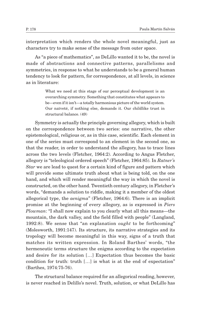interpretation which renders the whole novel meaningful, just as characters try to make sense of the message from outer space.

As "a piece of mathematics", as DeLillo wanted it to be, the novel is made of abstractions and connective patterns, parallelisms and symmetries, in response to what he understands to be a general human tendency to look for pattern, for correspondence, at all levels, in science as in literature:

> What we need at this stage of our perceptual development is an overarching symmetry. Something that constitutes what appears to be—even if it isn't—a totally harmonious picture of the world system. Our naïveté, if nothing else, demands it. Our childlike trust in structural balance. (49)

Symmetry is actually the principle governing allegory, which is built on the correspondence between two series: one narrative, the other epistemological, religious or, as in this case, scientific. Each element in one of the series must correspond to an element in the second one, so that the reader, in order to understand the allegory, has to trace lines across the two levels (Fletcher, 1964:2). According to Angus Fletcher, allegory is "teleological ordered speech" (Fletcher, 1964:85). In *Ratner's Star* we are lead to quest for a certain kind of figure and pattern which will provide some ultimate truth about what is being told, on the one hand, and which will render meaningful the way in which the novel is constructed, on the other hand. Twentieth century allegory, in Fletcher's words, "demands a solution to riddle, making it a member of the oldest allegorical type, the *aenigma*" (Fletcher, 1964:6). There is an implicit promise at the beginning of every allegory, as is expressed in *Piers Plowman*: "I shall now explain to you clearly what all this means—the mountain, the dark valley, and the field filled with people" (Langland, 1992:8). We sense that "an explanation *ought* to be forthcoming" (Molesworth, 1991:147). Its structure, its narrative strategies and its tropology will become meaningful in this way, signs of a truth that matches its written expression. In Roland Barthes' words, "the hermeneutic terms structure the enigma according to the expectation and desire for its solution […] Expectation thus becomes the basic condition for truth: truth […] is what is at the end of expectation" (Barthes, 1974:75-76).

The structural balance required for an allegorical reading, however, is never reached in Delillo's novel. Truth, solution, or what DeLillo has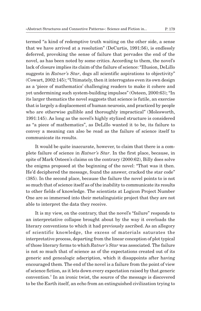termed "a kind of redemptive truth waiting on the other side, a sense that we have arrived at a resolution" (DeCurtis, 1991:56), is endlessly deferred, provoking the sense of failure that pervades the end of the novel, as has been noted by some critics. According to them, the novel's lack of closure implies its claim of the failure of science: "Illusion, DeLillo suggests in *Ratner's Star*, dogs all scientific aspirations to objectivity" (Cowart, 2002:145); "Ultimately, then it interrogates even its own design as a 'piece of mathematics' challenging readers to make it cohere and yet undermining such system-building impulses" (Osteen, 2000:63); "In its larger thematics the novel suggests that science is futile, an exercise that is largely a displacement of human neurosis, and practiced by people who are otherwise gullible and thoroughly impractical" (Molesworth, 1991:145). As long as the novel's highly stylized structure is considered as "a piece of mathematics", as DeLillo wanted it to be, its failure to convey a meaning can also be read as the failure of science itself to communicate its results.

It would be quite inaccurate, however, to claim that there is a complete failure of science in *Ratner's Star*. In the first place, because, in spite of Mark Osteen's claims on the contrary (2000:62), Billy does solve the enigma proposed at the beginning of the novel: "That was it then. He'd deciphered the message, found the answer, cracked the star code" (385). In the second place, because the failure the novel points to is not so much that of science itself as of the inability to communicate its results to other fields of knowledge. The scientists at Logicon Project Number One are so immersed into their metalinguistic project that they are not able to interpret the data they receive.

It is my view, on the contrary, that the novel's "failure" responds to an interpretative collapse brought about by the way it overloads the literary conventions to which it had previously ascribed. As an allegory of scientific knowledge, the excess of materials saturates the interpretative process, departing from the linear conception of plot typical of those literary forms to which *Ratner's Star* was associated. The failure is not so much that of science as of the expectations created out of its generic and genealogic adscription, which it disappoints after having encouraged them. The end of the novel is a failure from the point of view of science fiction, as it lets down every expectation raised by that generic convention.7 In an ironic twist, the source of the message is discovered to be the Earth itself, an echo from an extinguished civilization trying to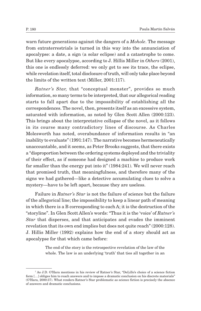warn future generations against the dangers of a *Mohole*. The message from extraterrestrials is turned in this way into the annunciation of apocalypse: a date, a sign (a solar eclipse) and a catastrophe to come. But like every apocalypse, according to J. Hillis Miller in *Others* (2001), this one is endlessly deferred: we only get to see its trace, the eclipse, while revelation itself, total disclosure of truth, will only take place beyond the limits of the written text (Miller, 2001:117).

*Ratner's Star,* that "conceptual monster", provides so much information, so many terms to be interpreted, that our allegorical reading starts to fall apart due to the impossibility of establishing all the correspondences. The novel, then, presents itself as an excessive system, saturated with information, as noted by Glen Scott Allen (2000:123). This brings about the interpretative collapse of the novel, as it follows in its course many contradictory lines of discourse. As Charles Molesworth has noted, overabundance of information results in "an inability to evaluate" (1991:147). The narrative becomes hermeneutically unaccountable, and it seems, as Peter Brooks suggests, that there exists a "disproportion between the ordering systems deployed and the triviality of their effect, as if someone had designed a machine to produce work far smaller than the energy put into it" (1984:241). We will never reach that promised truth, that meaningfulness, and therefore many of the signs we had gathered—like a detective accumulating clues to solve a mystery—have to be left apart, because they are useless.

Failure in *Ratner's Star* is not the failure of science but the failure of the allegorical line; the impossibility to keep a linear path of meaning in which there is a B corresponding to each A; it is the destruction of the "storyline". In Glen Scott Allen's words: "Thus it is the 'voice' of *Ratner's Star* that disperses, and that anticipates and evades the imminent revelation that its own end implies but does not quite reach" (2000:128). J. Hillis Miller (1992) explains how the end of a story should act as apocalypse for that which came before:

> The end of the story is the retrospective revelation of the law of the whole. The law is an underlying 'truth' that ties all together in an

<sup>7</sup> As J.D. O'Hara mentions in his review of Ratner's Star, "DeLillo's choice of a science fiction form [...] obliges him to reach answers and to impose a dramatic conclusion on his discrete materials" (O'Hara, 2000:37). What renders Ratner's Star problematic as science fiction is precisely the absence of answers and dramatic conclusions.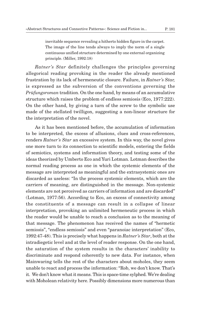inevitable sequence revealing a hitherto hidden figure in the carpet. The image of the line tends always to imply the norm of a single continuous unified structure determined by one external organizing principle. (Miller, 1992:18)

*Ratner's Star* definitely challenges the principles governing allegorical reading provoking in the reader the already mentioned frustration by its lack of hermeneutic closure. Failure, in *Ratner's Star,* is expressed as the subversion of the conventions governing the *Prüfungsroman* tradition. On the one hand, by means of an accumulative structure which raises the problem of endless semiosis (Eco, 1977:222). On the other hand, by giving a turn of the screw to the symbolic use made of the stellated twilligon, suggesting a non-linear structure for the interpretation of the novel.

As it has been mentioned before, the accumulation of information to be interpreted, the excess of allusions, clues and cross-references, renders *Ratner's Star* an excessive system. In this way, the novel gives one more turn to its connection to scientific models, entering the fields of semiotics, systems and information theory, and testing some of the ideas theorized by Umberto Eco and Yuri Lotman. Lotman describes the normal reading process as one in which the systemic elements of the message are interpreted as meaningful and the extrasystemic ones are discarded as useless: "In the process systemic elements, which are the carriers of meaning, are distinguished in the message. Non-systemic elements are not perceived as carriers of information and are discarded" (Lotman, 1977:56). According to Eco, an excess of connectivity among the constituents of a message can result in a collapse of linear interpretation, provoking an unlimited hermeneutic process in which the reader would be unable to reach a conclusion as to the meaning of that message. The phenomenon has received the names of "hermetic semiosis", "endless semiosis" and even "paranoiac interpretation" (Eco, 1992:47-48). This is precisely what happens in *Ratner's Star*, both at the intradiegetic level and at the level of reader response. On the one hand, the saturation of the system results in the characters' inability to discriminate and respond coherently to new data. For instance, when Mainwaring tells the rest of the characters about moholes, they seem unable to react and process the information: "Rob, we don't know. That's it. We don't know what it means. This is space-time sylphed. We're dealing with Moholean relativity here. Possibly dimensions more numerous than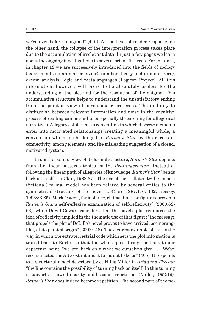we've ever before imagined" (410). At the level of reader response, on the other hand, the collapse of the interpretation process takes place due to the accumulation of irrelevant data. In just a few pages we learn about the ongoing investigations in several scientific areas. For instance, in chapter 12 we are successively introduced into the fields of zoology (experiments on animal behavior), number theory (definition of zero), dream analysis, logic and metalanguages (Logicon Project). All this information, however, will prove to be absolutely useless for the understanding of the plot and for the resolution of the enigma. This accumulative structure helps to understand the unsatisfactory ending from the point of view of hermeneutic processes. The inability to distinguish between relevant information and noise in the cognitive process of reading can be said to be specially threatening for allegorical narratives. Allegory establishes a convention in which discrete elements enter into motivated relationships creating a meaningful whole, a convention which is challenged in *Ratner's Star* by the excess of connectivity among elements and the misleading suggestion of a closed, motivated system.

From the point of view of its formal structure, *Ratner's Star* departs from the linear patterns typical of the *Prüfungsroman*. Instead of following the linear path of allegories of knowledge, *Ratner's Star* "bends back on itself" (LeClair, 1983:87). The use of the stellated twilligon as a (fictional) formal model has been related by several critics to the symmetrical structure of the novel (LeClair, 1987:116, 132; Keesey, 1993:83-85). Mark Osteen, for instance, claims that "the figure represents *Ratner's Star*'s self-reflexive examination of self-reflexivity" (2000:62- 63), while David Cowart considers that the novel's plot reinforces the idea of reflexivity implied in the thematic use of that figure: "the message that propels the plot of DeLillo's novel proves to have arrived, boomeranglike, at its point of origin" (2002:148). The clearest example of this is the way in which the extraterrestrial code which sets the plot into motion is traced back to Earth, so that the whole quest brings us back to our departure point: "we get back only what we ourselves give […] We've reconstructed the ARS extant and it turns out to be us" (405). It responds to a structural model described by J. Hillis Miller in *Ariadne's Thread*: "the line contains the possibility of turning back on itself. In this turning it subverts its own linearity and becomes repetition" (Miller, 1992:19). *Ratner's Star* does indeed become repetition. The second part of the no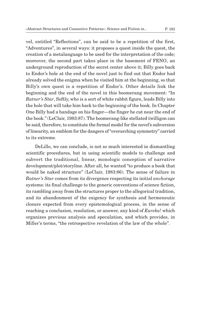vel, entitled "Reflections", can be said to be a repetition of the first, "Adventures", in several ways: it proposes a quest inside the quest, the creation of a metalanguage to be used for the interpretation of the code; moreover, the second part takes place in the basement of FENO, an underground reproduction of the secret center above it; Billy goes back to Endor's hole at the end of the novel just to find out that Endor had already solved the enigma when he visited him at the beginning, so that Billy's own quest is a repetition of Endor's. Other details link the beginning and the end of the novel in this boomerang movement: "In *Ratner's Star*, Softly, who is a sort of white rabbit figure, leads Billy into the hole that will take him back to the beginning of the book. In Chapter One Billy had a bandage on his finger—the finger he cut near the end of the book." (LeClair, 1983:87). The boomerang-like stellated twilligon can be said, therefore, to constitute the formal model for the novel's subversion of linearity, an emblem for the dangers of "overarching symmetry" carried to its extreme.

DeLillo, we can conclude, is not so much interested in dismantling scientific procedures, but in using scientific models to challenge and subvert the traditional, linear, monologic conception of narrative development/plot/storyline. After all, he wanted "to produce a book that would be naked structure" (LeClair, 1983:86). The sense of failure in *Ratner's Star* comes from its divergence respecting its initial *anchorage* systems: its final challenge to the generic conventions of science fiction, its rambling away from the structures proper to the allegorical tradition, and its abandonment of the exigency for synthesis and hermeneutic closure expected from every epistemological process, in the sense of reaching a conclusion, resolution, or answer, any kind of *Eureka*! which organizes previous analysis and speculation, and which provides, in Miller's terms, "the retrospective revelation of the law of the whole".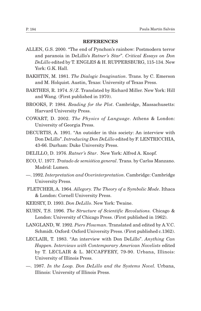### **REFERENCES**

- ALLEN, G.S. 2000. "The end of Pynchon's rainbow: Postmodern terror and paranoia in DeLillo's *Ratner's Star*". *Critical Essays on Don DeLillo* edited by T. ENGLES & H. RUPPERSBURG, 115-134. New York: G.K. Hall.
- BAKHTIN, M. 1981. *The Dialogic Imagination*. Trans. by C. Emerson and M. Holquist. Austin, Texas: University of Texas Press.
- BARTHES, R. 1974. *S/Z*. Translated by Richard Miller. New York: Hill and Wang. (First published in 1970).
- BROOKS, P. 1984. *Reading for the Plot*. Cambridge, Massachusetts: Harvard University Press.
- COWART, D. 2002. *The Physics of Language*. Athens & London: University of Georgia Press.
- DECURTIS, A. 1991. "An outsider in this society: An interview with Don DeLillo". *Introducing Don DeLillo* edited by F. LENTRICCHIA, 43-66. Durham: Duke University Press.
- DELILLO, D. 1976. *Ratner's Star*. New York: Alfred A. Knopf.
- ECO, U. 1977. *Tratado de semiótica general*. Trans. by Carlos Manzano. Madrid: Lumen.
- —. 1992. *Interpretation and Overinterpretation*. Cambridge: Cambridge University Press.
- FLETCHER, A. 1964. *Allegory. The Theory of a Symbolic Mode*. Ithaca & London: Cornell University Press.
- KEESEY, D. 1993. *Don DeLillo*. New York: Twaine.
- KUHN, T.S. 1996. *The Structure of Scientific Revolutions.* Chicago & London: University of Chicago Press. (First published in 1962).
- LANGLAND, W. 1992. *Piers Plowman*. Translated and edited by A.V.C. Schmidt. Oxford: Oxford University Press. (First published c.1362).
- LECLAIR, T. 1983. "An interview with Don DeLillo". *Anything Can Happen. Interviews with Contemporary American Novelists* edited by T. LECLAIR & L. MCCAFFERY, 79-90. Urbana, Illinois: University of Illinois Press.
- —. 1987. *In the Loop. Don DeLillo and the Systems Novel.* Urbana, Illinois: University of Illinois Press.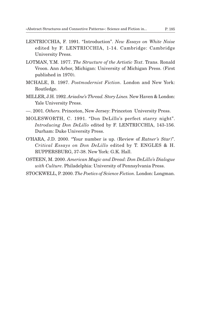- LENTRICCHIA, F. 1991. "Introduction". *New Essays on White Noise* edited by F. LENTRICCHIA, 1-14. Cambridge: Cambridge University Press.
- LOTMAN, Y.M. 1977. *The Structure of the Artistic Text*. Trans. Ronald Vroon. Ann Arbor, Michigan: University of Michigan Press. (First published in 1970).
- MCHALE, B. 1987. *Postmodernist Fiction*. London and New York: Routledge.
- MILLER, J.H. 1992. *Ariadne's Thread. Story Lines.* New Haven & London: Yale University Press.
- —. 2001. *Others.* Princeton, New Jersey: Princeton University Press.
- MOLESWORTH, C. 1991. "Don DeLillo's perfect starry night". *Introducing Don DeLillo* edited by F. LENTRICCHIA, 143-156. Durham: Duke University Press.
- O'HARA, J.D. 2000. "Your number is up. (Review of *Ratner's Star*)". *Critical Essays on Don DeLillo* edited by T. ENGLES & H. RUPPERSBURG, 37-38. New York: G.K. Hall.
- OSTEEN, M. 2000. *American Magic and Dread: Don DeLillo's Dialogue with Culture*. Philadelphia: University of Pennsylvania Press.
- STOCKWELL, P. 2000. *The Poetics of Science Fiction*. London: Longman.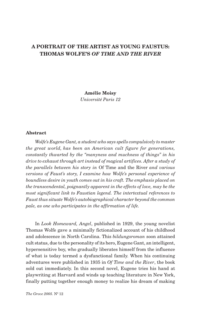# **A PORTRAIT OF THE ARTIST AS YOUNG FAUSTUS: THOMAS WOLFE'S** *OF TIME AND THE RIVER*

**Amélie Moisy**

*Université Paris 12*

### **Abstract**

*Wolfe's Eugene Gant, a student who says spells compulsively to master the great world, has been an American cult figure for generations, constantly thwarted by the "manyness and muchness of things" in his drive to exhaust through art instead of magical artifices. After a study of the parallels between his story in* Of Time and the River *and various versions of Faust's story, I examine how Wolfe's personal experience of boundless desire in youth comes out in his craft. The emphasis placed on the transcendental, poignantly apparent in the effects of love, may be the most significant link to Faustian legend. The intertextual references to Faust thus situate Wolfe's autobiographical character beyond the common pale, as one who participates in the affirmation of life.*

In *Look Homeward, Angel*, published in 1929, the young novelist Thomas Wolfe gave a minimally fictionalized account of his childhood and adolescence in North Carolina. This *bildungsroman* soon attained cult status, due to the personality of its hero, Eugene Gant, an intelligent, hypersensitive boy, who gradually liberates himself from the influence of what is today termed a dysfunctional family. When his continuing adventures were published in 1935 in *Of Time and the River*, the book sold out immediately. In this second novel, Eugene tries his hand at playwriting at Harvard and winds up teaching literature in New York, finally putting together enough money to realize his dream of making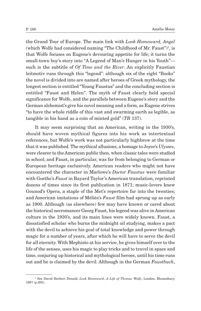the Grand Tour of Europe. The main link with *Look Homeward, Angel*  $(\hbox{which Wolfe had considered naming ``The Childhood of Mr. Faust'')^1, is}$ that Wolfe focuses on Eugene's devouring appetite for life; it turns the small-town boy's story into "A Legend of Man's Hunger in his Youth"such is the subtitle of *Of Time and the River*. An explicitly Faustian leitmotiv runs through this "legend": although six of the eight "Books" the novel is divided into are named after heroes of Greek mythology, the longest section is entitled "Young Faustus" and the concluding section is entitled "Faust and Helen". The myth of Faust clearly held special significance for Wolfe, and the parallels between Eugene's story and the German alchemist's give his novel meaning and a form, as Eugene strives "to have the whole riddle of this vast and swarming earth as legible, as tangible in his hand as a coin of minted gold" (*TR* 137).

It may seem surprising that an American, writing in the 1930's, should have woven mythical figures into his work as intertextual references, but Wolfe's work was not particularly highbrow at the time that it was published. The mythical allusions, a homage to Joyce's *Ulysses*, were clearer to the American public then, when classic tales were studied in school; and Faust, in particular, was far from belonging to German or European heritage exclusively. American readers who might not have encountered the character in Marlowe's *Doctor Faustus* were familiar with Goethe's *Faust* in Bayard Taylor's American translation, reprinted dozens of times since its first publication in 1871; music-lovers knew Gounod's Opera, a staple of the Met's repertoire far into the twenties; and American imitations of Méliès's *Faust* film had sprung up as early as 1900. Although (as elsewhere) few may have known or cared about the historical necromancer Georg Faust, his legend was alive in American culture in the 1930's, and its main lines were widely known. Faust, a dissatisfied scholar who burns the midnight oil studying, makes a pact with the devil to achieve his goal of total knowledge and power through magic for a number of years, after which he will have to serve the devil for all eternity. With Mephisto at his service, he gives himself over to the life of the senses, uses his magic to play tricks and to travel in space and time, conjuring up historical and mythological heroes, until his time runs out and he is claimed by the devil. Although in the German *Faustbuch*,

<sup>1</sup> See David Herbert Donald, *Look Homeward*, *A Life of Thomas Wolfe*, London, Bloomsbury, 1987 (p.205).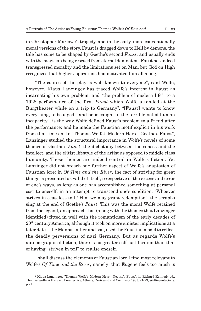in Christopher Marlowe's tragedy, and in the early, more conventionally moral versions of the story, Faust is dragged down to Hell by demons, the tale has come to be shaped by Goethe's second *Faust*, and usually ends with the magician being rescued from eternal damnation. Faust has indeed transgressed morality and the limitations set on Man, but God on High recognizes that higher aspirations had motivated him all along.

"The course of the play is well known to everyone", said Wolfe; however, Klaus Lanzinger has traced Wolfe's interest in Faust as incarnating his own problem, and "the problem of modern life", to a 1928 performance of the first *Faust* which Wolfe attended at the Burgtheater while on a trip to Germany2 . "[Faust] wants to know everything, to be a god—and he is caught in the terrible net of human incapacity", is the way Wolfe defined Faust's problem to a friend after the performance; and he made the Faustian motif explicit in his work from that time on. In "Thomas Wolfe's Modern Hero—Goethe's Faust", Lanzinger studied the structural importance in Wolfe's novels of some themes of Goethe's *Faust*: the dichotomy between the senses and the intellect, and the elitist lifestyle of the artist as opposed to middle class humanity. Those themes are indeed central in Wolfe's fiction. Yet Lanzinger did not broach one further aspect of Wolfe's adaptation of Faustian lore: in *Of Time and the River*, the fact of striving for great things is presented as valid of itself, irrespective of the excess and error of one's ways, so long as one has accomplished something at personal cost to oneself, in an attempt to transcend one's condition. "Whoever strives in ceaseless toil / Him we may grant redemption", the seraphs sing at the end of Goethe's *Faust*. This was the moral Wolfe retained from the legend, an approach that (along with the themes that Lanzinger identified) fitted in well with the romanticism of the early decades of 20th century America, although it took on more sinister implications at a later date—the Manns, father and son, used the Faustian model to reflect the deadly perversions of nazi Germany. But as regards Wolfe's autobiographical fiction, there is no greater self-justification than that of having "striven in toil" to realise oneself.

I shall discuss the elements of Faustian lore I find most relevant to Wolfe's *Of Time and the River*, namely: that Eugene feels too much is

<sup>2</sup> Klaus Lanzinger, "Thomas Wolfe's Modern Hero—Goethe's Faust", in Richard Kennedy ed., Thomas Wolfe, A Harvard Perspective, Athens, Croissant and Company, 1983, 21-29; Wolfe quotations: p.21.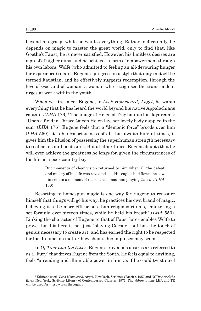beyond his grasp, while he wants everything. Rather ineffectually, he depends on magic to master the great world, only to find that, like Goethe's Faust, he is never satisfied. However, his limitless desires are a proof of higher aims, and he achieves a form of empowerment through his own labors. Wolfe (who admitted to feeling an all-devouring hunger for experience) relates Eugene's progress in a style that may in itself be termed Faustian, and he effectively suggests redemption, through the love of God and of woman, a woman who recognises the transcendent urges at work within the youth.

When we first meet Eugene, in *Look Homeward, Angel*, he wants everything that he has heard the world beyond his native Appalachians contains (*LHA* 176).<sup>3</sup> The image of Helen of Troy haunts his daydreams: "Upon a field in Thrace Queen Helen lay, her lovely body dappled in the sun" (*LHA* 176). Eugene feels that a "demonic force" broods over him (*LHA* 550): it is his consciousness of all that awaits him; at times, it gives him the illusion of possessing the superhuman strength necessary to realise his million desires. But at other times, Eugene doubts that he will ever achieve the greatness he longs for, given the circumstances of his life as a poor country boy—

> But moments of clear vision returned to him when all the defeat and misery of his life was revealed […] His eagles had flown; he saw himself, in a moment of reason, as a madman playing Caesar. (*LHA* 186)

Resorting to homespun magic is one way for Eugene to reassure himself that things will go his way: he practices his own brand of magic, believing it to be more efficacious than religious rituals, "muttering a set formula over sixteen times, while he held his breath" (*LHA* 550). Linking the character of Eugene to that of Faust later enables Wolfe to prove that his hero is not just "playing Caesar", but has the touch of genius necessary to create art, and has earned the right to be respected for his dreams, no matter how chaotic his impulses may seem.

In *Of Time and the River*, Eugene's ravenous desires are referred to as a "Fury" that drives Eugene from the South. He feels equal to anything, feels "a rending and illimitable power in him as if he could twist steel

<sup>3</sup> Editions used : *Look Homeward, Angel,* New York, Scribner Classics, 1957 and *Of Time and the River,* New York, Scribner Library of Contemporary Classics, 1971. The abbreviations LHA and TR will be used for these works throughout.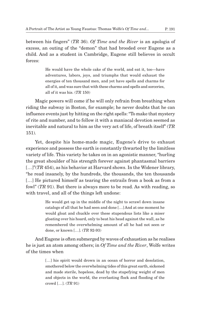between his fingers" (*TR* 36). *Of Time and the River* is an apologia of excess, an outing of the "demon" that had brooded over Eugene as a child. And as a student in Cambridge, Eugene still believes in occult forces:

> He would have the whole cake of the world, and eat it, too—have adventures, labors, joys, and triumphs that would exhaust the energies of ten thousand men, and yet have spells and charms for all of it, and was sure that with these charms and spells and sorceries, all of it was his. (*TR* 150)

Magic powers will come if he will only refrain from breathing when riding the subway in Boston, for example; he never doubts that he can influence events just by hitting on the right spells: "To make that mystery of rite and number, and to follow it with a maniacal devotion seemed as inevitable and natural to him as the very act of life, of breath itself" (*TR* 151).

Yet, despite his home-made magic, Eugene's drive to exhaust experience and possess the earth is constantly thwarted by the limitless variety of life. This variety he takes on in an agonistic manner, "hurling the great shoulder of his strength forever against phantasmal barriers […]"(*TR* 454), as his behavior at Harvard shows. In the Widener library, "he read insanely, by the hundreds, the thousands, the ten thousands [...] He pictured himself as tearing the entrails from a book as from a fowl" (*TR* 91). But there is always more to be read. As with reading, so with travel, and all of the things left undone:

> He would get up in the middle of the night to scrawl down insane catalogs of all that he had seen and done […] And at one moment he would gloat and chuckle over these stupendous lists like a miser gloating over his hoard, only to beat his head against the wall, as he remembered the overwhelming amount of all he had not seen or done, or known […]. (*TR* 92-93)

And Eugene is often submerged by waves of exhaustion as he realises he is just an atom among others; in *Of Time and the River*, Wolfe writes of the times when

> [...] his spirit would drown in an ocean of horror and desolation, smothered below the overwhelming tides of this great earth, sickened and made sterile, hopeless, dead by the stupefying weight of men and objects in the world, the everlasting flock and flooding of the crowd […]. (*TR* 91)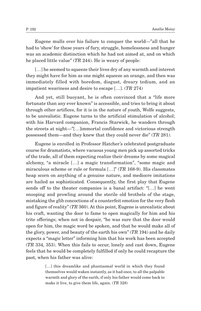Eugene mulls over his failure to conquer the world—"all that he had to 'show' for these years of fury, struggle, homelessness and hunger was an academic distinction which he had not aimed at, and on which he placed little value" (*TR* 244). He is weary of people:

[...] he seemed to squeeze their lives dry of any warmth and interest they might have for him as one might squeeze an orange, and then was immediately filled with boredom, disgust, dreary tedium, and an impatient weariness and desire to escape […]. (*TR* 274)

And yet, still buoyant, he is often convinced that a "life more fortunate than any ever known" is accessible, and tries to bring it about through other artifices, for it is in the nature of youth, Wolfe suggests, to be unrealistic. Eugene turns to the artificial stimulation of alcohol; with his Harvard companion, Francis Starwick, he wanders through the streets at night—"[…]immortal confidence and victorious strength possessed them—and they knew that they could never die" (*TR* 281).

Eugene is enrolled in Professor Hatcher's celebrated postgraduate course for dramatists, where vacuous young men pick up assorted tricks of the trade, all of them expecting realize their dreams by some magical alchemy, "a miracle […] a magic transformation", "some magic and miraculous scheme or rule or formula […]" (*TR* 168-9). His classmates heap scorn on anything of a genuine nature, and mediocre imitations are hailed as sophisticated. Consequently, the first play that Eugene sends off to the theater companies is a banal artifact: "[…] he went snooping and prowling around the sterile old brothels of the stage, mistaking the glib concoctions of a counterfeit emotion for the very flesh and figure of reality" (*TR* 360). At this point, Eugene is unrealistic about his craft, wanting the door to fame to open magically for him and his trite offerings; when not in despair, "he was sure that the door would open for him, the magic word be spoken, and that he would make all of the glory, power, and beauty of the earth his own" (*TR* 194) and he daily expects a "magic letter" informing him that his work has been accepted (*TR* 334, 353). When this fails to occur, lonely and cast down, Eugene feels that he would be completely fulfilled if only he could recapture the past, when his father was alive:

> [...] this dreamlike and phantasmal world in which they found themselves would waken instantly, as it had once, to all the palpable warmth and glory of the earth, if only his father would come back to make it live, to give them life, again. (*TR* 328)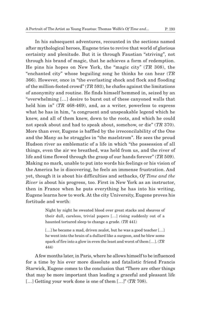In his subsequent adventures, recounted in the sections named after mythological heroes, Eugene tries to revive that world of glorious certainty and plenitude. But it is through Faustian "striving", not through his brand of magic, that he achieves a form of redemption. He pins his hopes on New York, the "magic city" (*TR* 308), the "enchanted city" whose beguiling song he thinks he can hear (*TR* 366). However, once in "the everlasting shock and flock and flooding of the million-footed crowd" (*TR* 593), he chafes against the limitations of anonymity and routine. He finds himself hemmed in, seized by an "overwhelming […] desire to burst out of these canyoned walls that held him in" (*TR* 468-469), and, as a writer, powerless to express what he has in him, "a congruent and unspeakable legend which he knew, and all of them knew, down to the roots, and which he could not speak about and had to speak about, somehow, or die" (*TR* 370). More than ever, Eugene is baffled by the irreconcilability of the One and the Many as he struggles in "the maelstrom". He sees the proud Hudson river as emblematic of a life in which "the possession of all things, even the air we breathed, was held from us, and the river of life and time flowed through the grasp of our hands forever" (*TR* 509). Making no mark, unable to put into words his feelings or his vision of the America he is discovering, he feels an immense frustration. And yet, though it is about his difficulties and setbacks, *Of Time and the River* is about his progress, too. First in New York as an instructor, then in France when he puts everything he has into his writing, Eugene learns how to work. At the city University, Eugene proves his fortitude and worth:

> Night by night he sweated blood over great stacks and sheaves of their dull, careless, trivial papers […] rising suddenly out of a haunted tortured sleep to change a grade. (*TR* 441)

> [...] he became a mad, driven zealot, but he was a good teacher [...] he went into the brain of a dullard like a surgeon, and he blew some spark of fire into a glow in even the least and worst of them […]. (*TR* 444)

A few months later, in Paris, where he allows himself to be influenced for a time by his ever more dissolute and fatalistic friend Francis Starwick, Eugene comes to the conclusion that "There are other things that may be more important than leading a graceful and pleasant life [...] Getting your work done is one of them [...]" (*TR* 708).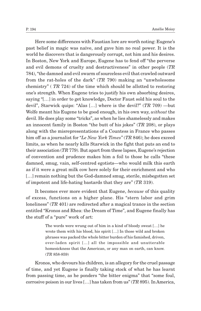Here some differences with Faustian lore are worth noting: Eugene's past belief in magic was naïve, and gave him no real power. It is the world he discovers that is dangerously corrupt, not him and his desires. In Boston, New York and Europe, Eugene has to fend off "the perverse and evil demons of cruelty and destructiveness" in other people (*TR* 784), "the damned and evil swarm of sourceless evil that crawled outward from the rat-holes of the dark" (*TR* 790) making an "unwholesome chemistry" ( *TR* 724) of the time which should be allotted to restoring one's strength. When Eugene tries to justify his own absorbing desires, saying "[…] in order to get knowledge, Doctor Faust sold his soul to the devil", Starwick quips: "Alas […] where is the devil?" (*TR* 709) —but Wolfe meant his Eugene to be good enough, in his own way, *without* the devil. He does play some "tricks", as when he lies shamelessly and makes an innocent family in Boston "the butt of his jokes" (*TR* 208), or plays along with the misrepresentations of a Countess in France who passes him off as a journalist for "*Le New York Times"* (*TR* 846); he does exceed limits, as when he nearly kills Starwick in the fight that puts an end to their association (*TR* 779). But apart from these lapses, Eugene's rejection of convention and prudence makes him a foil to those he calls "these damned, smug, vain, self-centred egotists—who would milk this earth as if it were a great milk cow here solely for their enrichment and who [...] remain nothing but the God-damned smug, sterile, misbegotten set of impotent and life-hating bastards that they are" (*TR* 319).

It becomes ever more evident that Eugene, *because* of this quality of excess, functions on a higher plane. His "stern labor and grim loneliness" (*TR* 401) are redirected after a magical trance in the section entitled "Kronos and Rhea: the Dream of Time", and Eugene finally has the stuff of a "pure" work of art:

> The words were wrung out of him in a kind of bloody sweat […] he wrote them with his blood, his spirit […] In those wild and broken phrases was packed the whole bitter burden of his famished, driven, over-laden spirit […] all the impossible and unutterable homesickness that the American, or any man on earth, can know. (*TR* 858-859)

Kronos, who devours his children, is an allegory for the cruel passage of time, and yet Eugene is finally taking stock of what he has learnt from passing time, as he ponders "the bitter enigma" that "some foul, corrosive poison in our lives […] has taken from us" (*TR* 895). In America,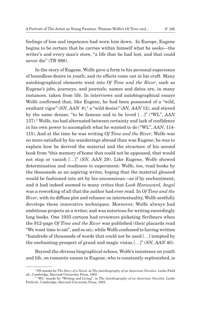feelings of loss and impotence had worn him down. In Europe, Eugene begins to be certain that he carries within himself what he seeks—the writer's and every man's store, "a life that he had lost, and that could never die" (*TR* 898).

In the story of Eugene, Wolfe gave a form to his personal experience of boundless desire in youth, and its effects come out in his craft. Many autobiographical elements went into *Of Time and the River*, such as Eugene's jobs, journeys, and journals; names and dates are, in many instances, taken from life. In interviews and autobiographical essays Wolfe confirmed that, like Eugene, he had been possessed of a "wild, exultant vigor" (*SN, AAN* 8),<sup>4</sup> a "wild desire" (*SN, AAN* 12), and stirred by the same dream: "to be famous and to be loved […]" ("WL", *AAN* 137).5 Wolfe, too had alternated between certainty and lack of confidence in his own power to accomplish what he wanted to do ("WL", *AAN*, 114- 115). And at the time he was writing *Of Time and the River*, Wolfe was no more satisfied by his wanderings abroad than was Eugene; he was to explain how he derived the material and the structure of his second book from "this memory of home that could not be appeased, that would not stop or vanish […]" (*SN, AAN* 29). Like Eugene, Wolfe showed determination and readiness to experiment: Wolfe, too, read books by the thousands as an aspiring writer, hoping that the material gleaned would be fashioned into art by his unconscious—as if by enchantment; and it had indeed seemed to many critics that *Look Homeward, Angel* was a reworking of all that the author had ever read. In *Of Time and the River*, with its diffuse plot and reliance on intertextuality, Wolfe zestfully develops these innovative techniques. Moreover, Wolfe always had ambitious projects as a writer, and was notorious for writing exceedingly long books. One 1935 cartoon had reviewers picketing Scribners when the 912-page *Of Time and the River* was published (their placards read "We want time to eat", and so on), while Wolfe confessed to having written "hundreds of thousands of words that could not be used […] tempted by the enchanting prospect of grand and magic vistas […]" (*SN, AAN* 40).

Beyond the obvious biographical echoes, Wolfe's insistence on youth and life, on romantic excess in Eugene, who is constantly replenished, is

<sup>4</sup> SN stands for *The Story of a Novel,* in *The Autobiography of an American Novelist,* Leslie Field ed., Cambridge, Harvard University Press, 1983.

<sup>5</sup> "WL" stands for "Writing and Living", in *The Autobiography of an American Novelist,* Leslie Field ed., Cambridge, Harvard University Press, 1983.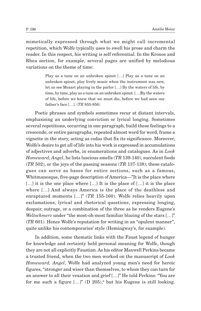mimetically expressed through what we might call incremental repetition, which Wolfe typically uses to swell his prose and charm the reader. In this respect, his writing is self referential. In the Kronos and Rhea section, for example, several pages are unified by melodious variations on the theme of time:

> Play us a tune on an unbroken spinet […] Play us a tune on an unbroken spinet, play lively music when the instrument was new, let us see Mozart playing in the parlor […] By the waters of life, by time, by time, play us a tune on an unbroken spinet. […]By the waters of life, before we knew that we must die, before we had seen our father's face […]. (*TR* 855-856)

Poetic phrases and symbols sometimes recur at distant intervals, emphasising an underlying conviction or lyrical longing. Sometimes several repetitions, occurring in one paragraph, build these feelings to a crescendo; or entire paragraphs, repeated almost word for word, frame a vignette in the story, acting as codas that fix its significance. Moreover, Wolfe's desire to get all of life into his work is expressed in accumulations of adjectives and adverbs, in enumerations and catalogues. As in *Look Homeward, Angel*, he lists luscious smells (*TR* 139-140), succulent foods (*TR* 502), or the joys of the passing seasons (*TR* 137-138); these catalogues can serve as bases for entire sections, such as a famous, Whitmanesque, five-page description of America—"It is the place where  $[\dots]$  it is the one place where  $[\dots]$  It is the place of  $[\dots]$  it is the place where […] And always America is the place of the deathless and enraptured moments […]" (*TR* 155-160). Wolfe relies heavily upon exclamations, lyrical and rhetorical questions, expressing longing, despair, outrage, or a combination of the three as he renders Eugene's *Weltschmerz* under "the most-oh-most familiar blazing of the stars […]" (*TR* 601). Hence Wolfe's reputation for writing in an "opulent manner", quite unlike his contemporaries' style (Hemingway's, for example).

In addition, some thematic links with the Faust legend of hunger for knowledge and certainty held personal meaning for Wolfe, though they are not all explicitly Faustian. As his editor Maxwell Perkins became a trusted friend, when the two men worked on the manuscript of *Look Homeward, Angel*, Wolfe had analyzed young men's need for heroic figures, "stronger and wiser than themselves, to whom they can turn for an answer to all their vexation and grief […]" He told Perkins: "You are for me such a figure  $[...]$ " (D 205), $^6$  but his Eugene is still looking.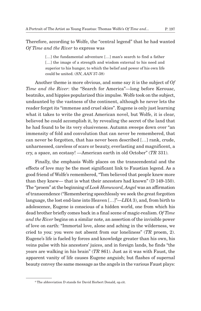Therefore, according to Wolfe, the "central legend" that he had wanted *Of Time and the River* to express was

> [...] the fundamental adventure [...] man's search to find a father [...] the image of a strength and wisdom external to his need and superior to his hunger, to which the belief and power of his own life could be united. (*SN, AAN* 37-38)

Another theme is more obvious, and some say it is the subject of *Of Time and the River*: the "Search for America"—long before Kerouac, beatniks, and hippies popularized this impulse. Wolfe took on the subject, undaunted by the vastness of the continent, although he never lets the reader forget its "immense and cruel skies". Eugene is only just learning what it takes to write the great American novel, but Wolfe, it is clear, believed he could accomplish it, by revealing the secret of the land that he had found to be its very elusiveness. Autumn sweeps down over "an immensity of fold and convolution that can never be remembered, that can never be forgotten, that has never been described […] rank, crude, unharnessed, careless of scars or beauty, everlasting and magnificent, a cry, a space, an ecstasy! —American earth in old October" (*TR* 331).

Finally, the emphasis Wolfe places on the transcendental and the effects of love may be the most significant link to Faustian legend. As a good friend of Wolfe's remembered, "Tom believed that people knew more than they knew— that is what their ancestors had known" (D 149-150). The "proem" at the beginning of *Look Homeward, Angel* was an affirmation of transcendence ("Remembering speechlessly we seek the great forgotten language, the lost end-lane into Heaven […]"—*LHA* 3), and, from birth to adolescence, Eugene is conscious of a hidden world, one from which his dead brother briefly comes back in a final scene of magic-realism. *Of Time and the River* begins on a similar note, an assertion of the invisible power of love on earth: "Immortal love, alone and aching in the wilderness, we cried to you: you were not absent from our loneliness" (*TR* proem, 2). Eugene's life is fueled by forces and knowledge greater than his own, his veins pulse with his ancestors' juices, and in foreign lands, he finds "the years are walking in his brain" (*TR* 861). Just as it was with Faust, the apparent vanity of life causes Eugene anguish; but flashes of supernal beauty convey the same message as the angels in the various Faust plays:

<sup>6</sup> The abbreviation D stands for David Herbert Donald, op.cit.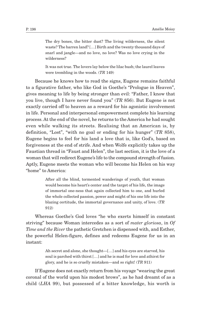The dry bones, the bitter dust? The living wilderness, the silent waste? The barren land? […] Birth and the twenty thousand days of snarl and jangle—and no love, no love? Was no love crying in the wilderness?

It was not true. The lovers lay below the lilac bush; the laurel leaves were trembling in the woods. (*TR* 149)

Because he knows how to read the signs, Eugene remains faithful to a figurative father, who like God in Goethe's "Prologue in Heaven", gives meaning to life by being stronger than evil: "Father, I know that you live, though I have never found you" (*TR* 856). But Eugene is not exactly carried off to heaven as a reward for his agonistic involvement in life. Personal and interpersonal empowerment complete his learning process. At the end of the novel, he returns to the America he had sought even while walking its streets. Realising that an American is, by definition, "Lost", "with no goal or ending for his hunger" (*TR* 858), Eugene begins to feel for his land a love that is, like God's, based on forgiveness at the end of strife. And when Wolfe explicitly takes up the Faustian thread in "Faust and Helen", the last section, it is the love of a woman that will redirect Eugene's life to the compound strength of fusion. Aptly, Eugene meets the woman who will become his Helen on his way "home" to America:

> After all the blind, tormented wanderings of youth, that woman would become his heart's center and the target of his life, the image of immortal one-ness that again collected him to one, and hurled the whole collected passion, power and might of his one life into the blazing certitude, the immortal governance and unity, of love. (*TR* 912)

Whereas Goethe's God loves "he who exerts himself in constant striving" because Woman intercedes as a sort of *mater gloriosa*, in *Of Time and the River* the pathetic Gretchen is dispensed with, and Esther, the powerful Helen-figure, defines and redeems Eugene for us in an instant:

> Ah secret and alone, she thought—[…] and his eyes are starved, his soul is parched with thirst […] and he is mad for love and athirst for glory, and he is so cruelly mistaken—and so right! (*TR* 911)

If Eugene does not exactly return from his voyage "wearing the great coronal of the world upon his modest brows", as he had dreamt of as a child (*LHA* 99), but possessed of a bitter knowledge, his worth is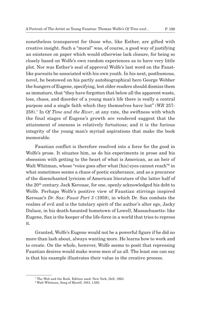nonetheless transparent for those who, like Esther, are gifted with creative insight. Such a "moral" was, of course, a good way of justifying an existence on paper which would otherwise lack closure, for being so closely based on Wolfe's own random experiences as to have very little plot. Nor was Esther's seal of approval Wolfe's last word on the Faustlike pursuits he associated with his own youth. In his next, posthumous, novel, he bestowed on his partly autobiographical hero George Webber the hungers of Eugene, specifying, lest older readers should dismiss them as immature, that "they have forgotten that below all the apparent waste, loss, chaos, and disorder of a young man's life there is really a central purpose and a single faith which they themselves have lost" (*WR* 257- 258).7 In *Of Time and the River*, at any rate, the swiftness with which the final stages of Eugene's growth are rendered suggest that the attainment of oneness is relatively fortuitous; and it is the furious integrity of the young man's myriad aspirations that make the book memorable.

Faustian conflict is therefore resolved into a force for the good in Wolfe's prose. It situates him, as do his experiments in prose and his obsession with getting to the heart of what is American, as an heir of Walt Whitman, whose "voice goes after what [his] eyes cannot reach"<sup>8</sup> in what sometimes seems a chaos of poetic exuberance, and as a precursor of the disenchanted lyricism of American literature of the latter half of the 20<sup>th</sup> century. Jack Kerouac, for one, openly acknowledged his debt to Wolfe. Perhaps Wolfe's positive view of Faustian stirrings inspired Kerouac's *Dr. Sax: Faust Part 3* (1959), in which Dr. Sax combats the realms of evil and is the tutelary spirit of the author's alter ego, Jacky Duluoz, in his death-haunted hometown of Lowell, Massachusetts: like Eugene, Sax is the keeper of the life-force in a world that tries to repress it.

Granted, Wolfe's Eugene would not be a powerful figure if he did no more than lash about, always wanting more. He learns how to work and to create. On the whole, however, Wolfe seems to posit that repressing Faustian desires would make worse men of us all. The least one can say is that his example illustrates their value in the creative process.

<sup>7</sup> The Web and the Rock. Edition used: New York, Dell, 1963.

<sup>8</sup> Walt Whitman, Song of Myself, 1881, l.565.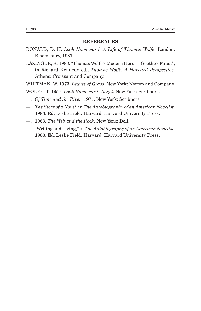#### **REFERENCES**

- DONALD, D. H. *Look Homeward: A Life of Thomas Wolfe*. London: Bloomsbury, 1987
- LAZINGER, K. 1983. "Thomas Wolfe's Modern Hero Goethe's Faust", in Richard Kennedy ed., *Thomas Wolfe, A Harvard Perspective*. Athens: Croissant and Company.

WHITMAN, W. 1973. *Leaves of Grass*. New York: Norton and Company.

- WOLFE, T. 1957. *Look Homeward, Angel*. New York: Scribners.
- —. *Of Time and the River*. 1971. New York: Scribners.
- —. *The Story of a Novel*, in *The Autobiography of an American Novelist*. 1983. Ed. Leslie Field. Harvard: Harvard University Press.
- —. 1963. *The Web and the Rock*. New York: Dell.
- —. "Writing and Living," in *The Autobiography of an American Novelist*. 1983. Ed. Leslie Field. Harvard: Harvard University Press.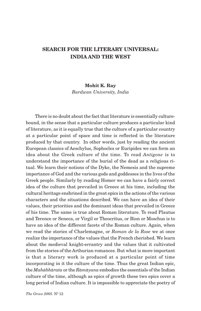# **SEARCH FOR THE LITERARY UNIVERSAL: INDIA AND THE WEST**

## **Mohit K. Ray** *Burdwan University, India*

There is no doubt about the fact that literature is essentially culturebound, in the sense that a particular culture produces a particular kind of literature, as it is equally true that the culture of a particular country at a particular point of space and time is reflected in the literature produced by that country. In other words, just by reading the ancient European classics of Aeschylus, Sophocles or Euripides we can form an idea about the Greek culture of the time. To read *Antigone* is to understand the importance of the burial of the dead as a religious ritual. We learn their notions of the Dyke, the Nemesis and the supreme importance of God and the various gods and goddesses in the lives of the Greek people. Similarly by reading Homer we can have a fairly correct idea of the culture that prevailed in Greece at his time, including the cultural heritage enshrined in the great epics in the actions of the various characters and the situations described. We can have an idea of their values, their priorities and the dominant ideas that prevailed in Greece of his time. The same is true about Roman literature. To read Plautus and Terence or Seneca, or Virgil or Theocritus, or Bion or Moschus is to have an idea of the different facets of the Roman culture. Again, when we read the stories of Charlemagne, or *Roman de la Rose* we at once realize the importance of the values that the French cherished. We learn about the medieval knight-errantry and the values that it cultivated from the stories of the Arthurian romances. But what is more important is that a literary work is produced at a particular point of time incorporating in it the culture of the time. Thus the great Indian epic, the *Mahabharata* or the *Ramayana* embodies the essentials of the Indian culture of the time, although as epics of growth these two epics cover a long period of Indian culture. It is impossible to appreciate the poetry of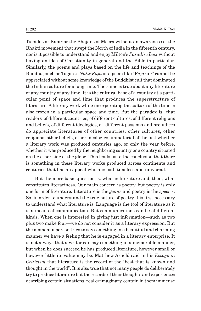Tulsidas or Kabir or the Bhajans of Meera without an awareness of the Bhakti movement that swept the North of India in the fifteenth century, nor is it possible to understand and enjoy Milton's *Paradise Lost* without having an idea of Christianity in general and the Bible in particular. Similarly, the poems and plays based on the life and teachings of the Buddha, such as Tagore's *Natir Puja* or a poem like "P*u*j*a*rin*i*" cannot be appreciated without some knowledge of the Buddhist cult that dominated the Indian culture for a long time. The same is true about any literature of any country of any time. It is the cultural base of a country at a particular point of space and time that produces the superstructure of literature. A literary work while incorporating the culture of the time is also frozen in a particular space and time. But the paradox is that readers of different countries, of different cultures, of different religions and beliefs, of different ideologies, of different passions and prejudices do appreciate literatures of other countries, other cultures, other religions, other beliefs, other ideologies, immaterial of the fact whether a literary work was produced centuries ago, or only the year before, whether it was produced by the neighboring country or a country situated on the other side of the globe. This leads us to the conclusion that there is something in these literary works produced across continents and centuries that has an appeal which is both timeless and universal.

But the more basic question is: what is literature and, then, what constitutes literariness. Our main concern is poetry, but poetry is only one form of literature. Literature is the *genus* and poetry is the *species*. So, in order to understand the true nature of poetry it is first necessary to understand what literature is. Language is the tool of literature as it is a means of communication. But communications can be of different kinds. When one is interested in giving just information—such as two plus two make four—we do not consider it as a literary expression. But the moment a person tries to say something in a beautiful and charming manner we have a feeling that he is engaged in a literary enterprise. It is not always that a writer can say something in a memorable manner, but when he does succeed he has produced literature, however small or however little its value may be. Matthew Arnold said in his *Essays in Criticism* that literature is the record of the "best that is known and thought in the world". It is also true that not many people do deliberately try to produce literature but the records of their thoughts and experiences describing certain situations, real or imaginary, contain in them immense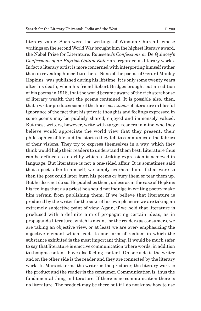literary value. Such were the writings of Winston Churchill whose writings on the second World War brought him the highest literary award, the Nobel Prize for Literature. Rousseau's *Confessions* or De Quincey's *Confessions of an English Opium Eater* are regarded as literary works. In fact a literary artist is more concerned with interpreting himself rather than in revealing himself to others. None of the poems of Gerard Manley Hopkins was published during his lifetime. It is only some twenty years after his death, when his friend Robert Bridges brought out an edition of his poems in 1918, that the world became aware of the rich storehouse of literary wealth that the poems contained. It is possible also, then, that a writer produces some of the finest *specimens* of literature in blissful ignorance of the fact that his private thoughts and feelings expressed in some poems may be publicly shared, enjoyed and immensely valued. But most writers, however, write with target readers in mind who they believe would appreciate the world view that they present, their philosophies of life and the stories they tell to communicate the fabrics of their visions. They try to express themselves in a way, which they think would help their readers to understand them best. Literature thus can be defined as an art by which a striking expression is achieved in language. But literature is not a one-sided affair. It is sometimes said that a poet talks to himself; we simply overhear him. If that were so then the poet could later burn his poems or bury them or tear them up. But he does not do so. He publishes them, unless as in the case of Hopkins his feelings that as a priest he should not indulge in writing poetry make him refrain from publishing them. If we believe that literature is produced by the writer for the sake of his own pleasure we are taking an extremely subjective point of view. Again, if we hold that literature is produced with a definite aim of propagating certain ideas, as in propaganda literature, which is meant for the readers as consumers, we are taking an objective view, or at least we are over- emphasizing the objective element which leads to one form of realism in which the substance exhibited is the most important thing. It would be much safer to say that literature is emotive communication where words, in addition to thought-content, have also feeling-content. On one side is the writer and on the other side is the reader and they are connected by the literary work. In Marxist terms the writer is the producer, the literary work is the product and the reader is the consumer. Communication is, thus the fundamental thing in literature. If there is no communication there is no literature. The product may be there but if I do not know how to use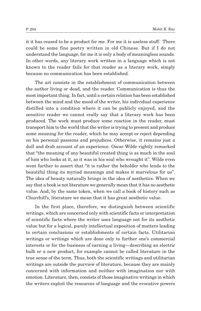it it has ceased to be a product for me. For me it is useless stuff. There could be some fine poetry written in old Chinese. But if I do not understand the language, for me it is only a body of meaningless sounds. In other words, any literary work written in a language which is not known to the reader fails for that reader as a literary work, simply because no communication has been established.

The art consists in the establishment of communication between the author living or dead, and the reader. Communication is thus the most important thing. In fact, until a certain relation has been established between the mind and the mood of the writer, his individual experience distilled into a condition where it can be publicly enjoyed, and the sensitive reader we cannot really say that a literary work has been produced. The work must produce some reaction in the reader, must transport him to the world that the writer is trying to present and produce some meaning for the reader, which he may accept or reject depending on his personal passions and prejudices. Otherwise, it remains just a dull and drab account of an experience. Oscar Wilde rightly remarked that "the meaning of any beautiful created thing is as much in the soul of him who looks at it, as it was in his soul who wrought it". Wilde even went further to assert that "it is rather the beholder who lends to the beautiful thing its myriad meanings and makes it marvelous for us". The idea of beauty naturally brings in the idea of aesthetics. When we say that a book is not literature we generally mean that it has no aesthetic value. And, by the same token, when we call a book of history such as Churchill's, literature we mean that it has great aesthetic value.

In the first place, therefore, we distinguish between scientific writings, which are concerned only with scientific facts or interpretation of scientific facts where the writer uses language not for its aesthetic value but for a logical, purely intellectual exposition of matters leading to certain conclusions or establishments of certain facts. Utilitarian writings or writings which are done only to further one's commercial interests or for the business of earning a living—describing an electric bulb or a new product, for example cannot be called literature in the true sense of the term. Thus, both the scientific writings and utilitarian writings are outside the purview of literature, because they are mainly concerned with information and neither with imagination nor with emotion. Literature, then, consists of those imaginative writings in which the writers exploit the resources of language and the evocative powers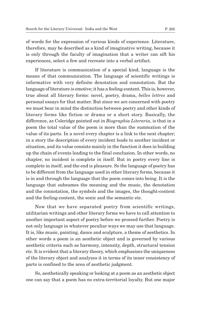of words for the expression of various kinds of experience. Literature, therefore, may be described as a kind of imaginative writing, because it is only through the faculty of imagination that a writer can sift his experiences, select a few and recreate into a verbal artifact.

If literature is communication of a special kind, language is the means of that communication. The language of scientific writings is informative with very definite denotation and connotation. But the language of literature is emotive; it has a feeling-content. This is, however, true about all literary forms: novel, poetry, drama, *belles lettres* and personal essays for that matter. But since we are concerned with poetry we must bear in mind the distinction between poetry and other kinds of literary forms like fiction or drama or a short story. Basically, the difference, as Coleridge pointed out in *Biographia Literaria*, is that in a poem the total value of the poem is more than the summation of the value of its parts. In a novel every chapter is a link to the next chapter; in a story the description of every incident leads to another incident or situation, and its value consists mainly in the function it does in building up the chain of events leading to the final conclusion. In other words, no chapter, no incident is complete in itself. But in poetry every line is complete in itself, and the end is pleasure. So the language of poetry has to be different from the language used in other literary forms, because it is in and through the language that the poem comes into being. It is the language that subsumes the meaning and the music, the denotation and the connotation, the symbols and the images, the thought-content and the feeling-content, the sonic and the semantic etc.

Now that we have separated poetry from scientific writings, utilitarian writings and other literary forms we have to call attention to another important aspect of poetry before we proceed further. Poetry is not only language in whatever peculiar ways we may use that language. It is, like music, painting, dance and sculpture, a theme of aesthetics. In other words a poem is an aesthetic object and is governed by various aesthetic criteria such as harmony, intensity, depth, structural tension etc. It is evident that a literary theory, which emphasizes the uniqueness of the literary object and analyzes it in terms of its inner consistency of parts is confined to the area of aesthetic judgment.

So, aesthetically speaking or looking at a poem as an aesthetic object one can say that a poem has no extra-territorial loyalty. But one major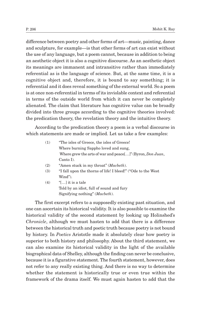difference between poetry and other forms of art—music, painting, dance and sculpture, for example—is that other forms of art can exist without the use of any language, but a poem cannot, because in addition to being an aesthetic object it is also a cognitive discourse. As an aesthetic object its meanings are immanent and intransitive rather than immediately referential as is the language of science. But, at the same time, it is a cognitive object and, therefore, it is bound to say something; it is referential and it does reveal something of the external world. So a poem is at once non-referential in terms of its inviolable context and referential in terms of the outside world from which it can never be completely alienated. The claim that literature has cognitive value can be broadly divided into three groups according to the cognitive theories involved: the predication theory, the revelation theory and the intuitive theory.

According to the predication theory a poem is a verbal discourse in which statements are made or implied. Let us take a few examples:

- (1) "The isles of Greece, the isles of Greece! Where burning Sappho loved and sung, Where grew the arts of war and peace[…]" (Byron, *Don Juan*, Canto I).
- (2) "Amen stuck in my throat" (*Macbeth*).
- (3) "I fall upon the thorns of life! I bleed!" ("Ode to the West Wind").
- $(4)$  "[...] it is a tale Told by an idiot, full of sound and fury Signifying nothing" (*Macbeth*).

The first excerpt refers to a supposedly existing past situation, and one can ascertain its historical validity. It is also possible to examine the historical validity of the second statement by looking up Holinshed's *Chronicle*, although we must hasten to add that there is a difference between the historical truth and poetic truth because poetry is not bound by history. In *Poetics* Aristotle made it absolutely clear how poetry is superior to both history and philosophy. About the third statement, we can also examine its historical validity in the light of the available biographical data of Shelley, although the finding can never be conclusive, because it is a figurative statement. The fourth statement, however, does not refer to any really existing thing. And there is no way to determine whether the statement is historically true or even true within the framework of the drama itself. We must again hasten to add that the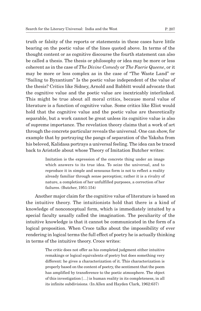truth or falsity of the reports or statements in these cases have little bearing on the poetic value of the lines quoted above. In terms of the thought content or as cognitive discourse the fourth statement can also be called a thesis. The thesis or philosophy or idea may be more or less coherent as in the case of *The Divine Comedy* or *The Faerie Queene*, or it may be more or less complex as in the case of "The Waste Land" or "Sailing to Byzantium" Is the poetic value independent of the value of the thesis? Critics like Sidney, Arnold and Babbitt would advocate that the cognitive value and the poetic value are inextricably interlinked. This might be true about all moral critics, because moral value of literature is a function of cognitive value. Some critics like Eliot would hold that the cognitive value and the poetic value are theoretically separable, but a work cannot be great unless its cognitive value is also of supreme importance. The revelation theory claims that a work of art through the concrete particular reveals the universal. One can show, for example that by portraying the pangs of separation of the Yaksha from his beloved, Kalidasa portrays a universal feeling. The idea can be traced back to Aristotle about whose Theory of Imitation Butcher writes:

> Imitation is the expression of the concrete thing under an image which answers to its true idea. To seize the universal, and to reproduce it in simple and sensuous form is not to reflect a reality already familiar through sense perception; rather it is a rivalry of nature, a completion of her unfulfilled purposes, a correction of her failures. (Butcher, 1951:154)

Another major claim for the cognitive value of literature is based on the intuitive theory. The intuitionists hold that there is a kind of knowledge of nonconceptual form, which is immediately intuited by a special faculty usually called the imagination. The peculiarity of the intuitive knowledge is that it cannot be communicated in the form of a logical proposition. When Croce talks about the impossibility of ever rendering in logical terms the full effect of poetry he is actually thinking in terms of the intuitive theory. Croce writes:

> The critic does not offer as his completed judgment either intuitive remakings or logical equivalents of poetry but does something very different: he gives a characterization of it. This characterization is properly based on the content of poetry, the sentiment that the poem has amplified by transference to the poetic atmosphere. The object of this investigation […] is human reality in its completeness, in all its infinite subdivisions. (In Allen and Hayden Clark, 1962:637)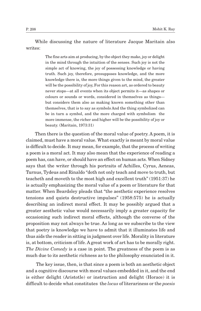While discussing the nature of literature Jacque Maritain also writes:

> The fine arts aim at producing, by the object they make, joy or delight in the mind through the intuition of the senses. Such joy is not the simple act of knowing, the joy of possessing knowledge or having truth. Such joy, therefore, presupposes knowledge, and the more knowledge there is, the more things given to the mind, the greater will be the possibility of joy, For this reason art, as ordered to beauty never stops—at all events when its object permits it—as shapes or colours or sounds or words, considered in themselves as things but considers them also as making known something other than themselves, that is to say as symbols And the thing symbolized can be in turn a symbol, and the more charged with symbolism the more immense, the richer and higher will be the possibility of joy or beauty. (Maritain, 1973:31)

Then there is the question of the moral value of poetry. A poem, it is claimed, must have a moral value. What exactly is meant by moral value is difficult to decide. It may mean, for example, that the process of writing a poem is a moral act. It may also mean that the experience of reading a poem has, can have, or should have an effect on human acts. When Sidney says that the writer through his portraits of Achilles, Cyrus, Aeneas, Turnus, Tydeus and Rinaldo "doth not only teach and move to truth, but teacheth and moveth to the most high and excellent truth" (1951:37) he is actually emphasizing the moral value of a poem or literature for that matter. When Beardsley pleads that "the aesthetic experience resolves tensions and quiets destructive impulses" (1958:575) he is actually describing an indirect moral effect. It may be possibly argued that a greater aesthetic value would necessarily imply a greater capacity for occasioning such indirect moral effects, although the converse of the proposition may not always be true. As long as we subscribe to the view that poetry is knowledge we have to admit that it illuminates life and thus aids the reader in sitting in judgment over life. Morality in literature is, at bottom, criticism of life. A great work of art has to be morally right. *The Divine Comedy* is a case in point. The greatness of the poem is as much due to its aesthetic richness as to the philosophy enunciated in it.

 The key issue, then, is that since a poem is both an aesthetic object and a cognitive discourse with moral values embedded in it, and the end is either delight (Aristotle) or instruction and delight (Horace) it is difficult to decide what constitutes the *locus* of literariness or the *poesis*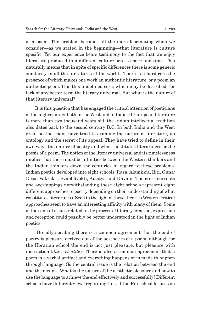of a poem. The problem becomes all the more fascinating when we consider—as we stated in the beginning—that literature is culture specific. Yet our experience bears testimony to the fact that we enjoy literature produced in a different culture across space and time. This naturally means that in spite of specific differences there is some generic similarity in all the literatures of the world. There is a hard core the presence of which makes one work an authentic literature, or a poem an authentic poem. It is this undefined core, which may be described, for lack of any better term the literary universal. But what is the nature of that literary universal?

It is this question that has engaged the critical attention of poeticians of the highest order both in the West and in India. If European literature is more than two thousand years old, the Indian intellectual tradition also dates back to the second century B.C. In both India and the West great aestheticians have tried to examine the nature of literature, its ontology and the secret of its appeal. They have tried to define in their own ways the nature of poetry and what constitutes literariness or the poesis of a poem. The notion of the literary universal and its timelessness implies that there must be affinities between the Western thinkers and the Indian thinkers down the centuries in regard to these problems. Indian poetics developed into eight schools: Rasa, Alamkara, Riti, Guna/ Dosa, Vakrokti, Svabhâvokti, Aucitya and Dhvani. The cross-currents ' and overlappings notwithstanding these eight schools represent eight different approaches to poetry depending on their understanding of what constitutes literariness. Seen in the light of these theories Western critical approaches seem to have an interesting affinity with many of them. Some of the central issues related to the process of literary creation, expression and reception could possibly be better understood in the light of Indian poetics.

 Broadly speaking there is a common agreement that the end of poetry is pleasure derived out of the aesthetics of a poem, although for the Horatian school the end is not just pleasure, but pleasure with instruction (*dulce et utile*). There is also a common agreement that a poem is a verbal artifact and everything happens or is made to happen through language. So the central issue is the relation between the end and the means. What is the nature of the aesthetic pleasure and how to use the language to achieve the end effectively and successfully? Different schools have different views regarding this. If the Riti school focuses on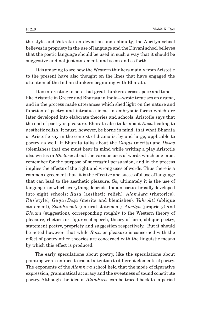the style and Vakrokti on deviation and obliquity, the Aucitya school believes in propriety in the use of language and the Dhvani school believes that the poetic language should be used in such a way that it should be suggestive and not just statement, and so on and so forth.

 It is amazing to see how the Western thinkers mainly from Aristotle to the present have also thought on the lines that have engaged the attention of the Indian thinkers beginning with Bharata.

 It is interesting to note that great thinkers across space and time like Aristotle in Greece and Bharata in India—wrote treatises on drama, and in the process made utterances which shed light on the nature and function of poetry and introduce ideas in embryonic forms which are later developed into elaborate theories and schools. Aristotle says that the end of poetry is pleasure. Bharata also talks about *Rasa* leading to aesthetic relish. It must, however, be borne in mind, that what Bharata or Aristotle say in the context of drama is, by and large, applicable to poetry as well. If Bharata talks about the *Gunas* (merits) and *Dosas* (blemishes) that one must bear in mind while writing a play Aristotle also writes in *Rhetoric* about the various uses of words which one must remember for the purpose of successful persuasion, and in the process implies the effects of the right and wrong uses of words. Thus there is a common agreement that it is the effective and successful use of language that can lead to the aesthetic pleasure. So, ultimately it is the use of language on which everything depends. Indian poetics broadly developed into eight schools: *Rasa* (aesthetic relish)*, Alamkara* (rhetorics)*, Riti*(style)*, Guna/Dosa* (merits and blemishes)*, Vakrokti* (oblique statement), *Svabhavokti* (natural statement), *Aucitya* (propriety) *a*nd *Dhvani* (suggestion), corresponding roughly to the Western theory of pleasure, rhetoric or figures of speech, theory of form, oblique poetry, statement poetry, propriety and suggestion respectively. But it should be noted however, that while *Rasa* or pleasure is concerned with the effect of poetry other theories are concerned with the linguistic means by which this effect is produced.

The early speculations about poetry, like the speculations about painting were confined to casual attention to different elements of poetry. The exponents of the *Alamkara* school held that the mode of figurative expression, grammatical accuracy and the sweetness of sound constitute poetry. Although the idea of *Alamkara* can be traced back to a period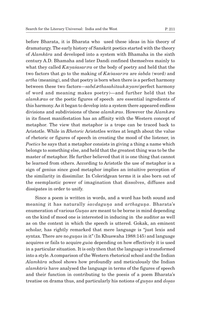before Bharata, it is Bharata who used these ideas in his theory of dramaturgy. The early history of Sanskrit poetics started with the theory of *Alamkâra* and developed into a system with Bhamaha in the sixth century A.D. Bhamaha and later Dandi confined themselves mainly to what they called *Kavyasasarira* or the body of poetry and held that the ´ two factors that go to the making of  $K$ *avsasarira* are *sabda* (word) and *artha* (meaning), and that poetry is born when there is a perfect harmony between these two factors—*sabdarthasahitaukavyam*(perfect harmony of word and meaning makes poetry)—and further held that the *alamkaras* or the poetic figures of speech are essential ingredients of this harmony. As it began to develop into a system there appeared endless divisions and subdivisions of these *alamkaras*. However the *Alamkara* in its finest manifestation has an affinity with the Western concept of metaphor. The view that metaphor is a trope can be traced back to Aristotle. While in *Rhetoric* Aristotles writes at length about the value of rhetoric or figures of speech in creating the mood of the listener, in *Poetics* he says that a metaphor consists in giving a thing a name which belongs to something else, and held that the greatest thing was to be the master of metaphor. He further believed that it is one thing that cannot be learned from others. According to Aristotle the use of metaphor is a sign of genius since good metaphor implies an intuitive perception of the similarity in dissimilar. In Coleridgean terms it is also born out of the esemplastic power of imagination that dissolves, diffuses and dissipates in order to unify.

Since a poem is written in words, and a word has both sound and meaning it has naturally *savdaguna* and *arthaguna*. Bharata's enumeration of various *Gunas* are meant to be borne in mind depending on the kind of mood one is interested in inducing in the auditor as well ' as on the context in which the speech is uttered. Gokak, an eminent scholar, has rightly remarked that mere language is "just lexis and syntax. There are no *gunas* in it" (In Khuswaha 1988:145) and language acquires or fails to acquire *guòa* depending on how effectively it is used in a particular situation. It is only then that the language is transformed into a style. A comparison of the Western rhetorical school and the Indian *Alamkara* school shows how profoundly and meticulously the Indian *alamkaris* have analysed the language in terms of the figures of speech and their function in contributing to the poesis of a poem Bharata's  $\alpha$  treatise on drama thus, and particularly his notions of  $\boldsymbol{\mathit{g}}$  *unas* and  $\boldsymbol{\mathit{dos}}$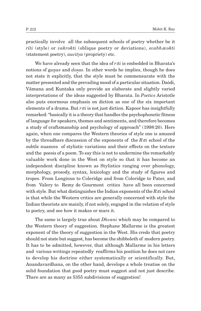practically involve all the subsequent schools of poetry whether be it *riti* (style) or *vakrokti* (oblique poetry or deviations), *svabhavokti* (statement poetry), *aucitya* (propriety) etc.

We have already seen that the idea of *riti* is embedded in Bharata's notions of g*unas* and *dosas*. In other words he implies, though he does not state it explicitly, that the style must be commensurate with the matter presented and the prevailing mood of a particular situation. Daòdi, Vâmana and Kuntaka only provide an elaborate and slightly varied interpretations of the ideas suggested by Bharata. In *Poetics* Aristotle also puts enormous emphasis on diction as one of the six important elements of a drama. But *riti* is not just diction. Kapoor has insightfully remarked: "basically it is a theory that handles the psychophonetic fitness of language for speakers, themes and sentiments, and therefore becomes a study of craftsmanship and psychology of approach" (1998:20). Here again, when one compares the Western theories of style one is amazed by the threadbare discussion of the exponents of the *Riti* school of the subtle nuances of stylistic variations and their effects on the texture and the poesis of a poem. To say this is not to undermine the remarkably valuable work done in the West on style so that it has become an independent discipline known as Stylistics ranging over phonology, morphology, prosody, syntax, lexicology and the study of figures and tropes. From Longinus to Coleridge and from Coleridge to Pater, and from Valery to Remy de Gourmont critics have all been concerned with style. But what distinguishes the Indian exponents of the *Riti* school is that while the Western critics are generally concerned with style the Indian theorists are mainly, if not solely, engaged in the relation of style to poetry, and see how it makes or mars it.

The same is largely true about *Dhvani* which may be compared to the Western theory of suggestion. Stephane Mallarme is the greatest exponent of the theory of suggestion in the West. His credo that poetry should not state but suggest, has become the shibboleth of modern poetry. It has to be admitted, however, that although Mallarme in his letters and various writings repeatedly reaffirms his position he does not care to develop his doctrine either systematically or scientifically. But, Anandavardhana, on the other hand, develops a whole treatise on the solid foundation that good poetry must suggest and not just describe. There are as many as 5355 subdivisions of suggestion!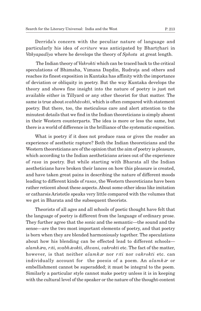Derrida's concern with the peculiar nature of language and particularly his idea of *ecriture* was anticipated by Bhartrhari in *Vakyapadiya* where he develops the theory of *Sphota* at great length. '

 The Indian theory of *Vakrokti* which can be traced back to the critical speculations of Bhamaha, Vamana Dandin, Rudrata and others and reaches its finest exposition in Kuntaka has affinity with the importance of deviation or obliquity in poetry. But the way Kuntaka develops the theory and shows fine insight into the nature of poetry is just not available either in Tillyard or any other theorist for that matter. The same is true about *svabhavokti*, which is often compared with statement poetry. But there, too, the meticulous care and alert attention to the minutest details that we find in the Indian theoreticians is simply absent in their Western counterparts. The idea is more or less the same, but there is a world of difference in the brilliance of the systematic exposition.

What is poetry if it does not produce rasa or gives the reader an experience of aesthetic rapture? Both the Indian theoreticians and the Western theoreticians are of the opinion that the aim of poetry is pleasure, which according to the Indian aestheticians arises out of the experience of *rasa* in poetry. But while starting with Bharata all the Indian aestheticians have broken their lances on how this pleasure is created, and have taken great pains in describing the nature of different moods leading to different kinds of *rasas*, the Western theoreticians have been rather reticent about these aspects. About some other ideas like imitation or catharsis Aristotle speaks very little compared with the volumes that we get in Bharata and the subsequent theorists.

Theorists of all ages and all schools of poetic thought have felt that the language of poetry is different from the language of ordinary prose. They further agree that the sonic and the semantic—the sound and the sense—are the two most important elements of poetry, and that poetry is born when they are blended harmoniously together. The speculations about how his blending can be effected lead to different schools *alamkara, riti, svabhavokti, dhvani, vakrokti* etc. The fact of the matter, however, is that neither *alamkar* nor *riti* nor *vakrokti* etc. can individually account for the poesis of a poem. An *alamkar* or embellishment cannot be superadded; it must be integral to the poem. Similarly a particular style cannot make poetry unless it is in keeping with the cultural level of the speaker or the nature of the thought-content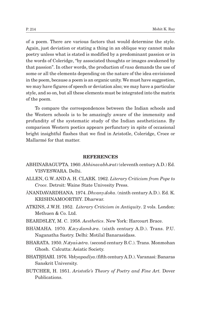of a poem. There are various factors that would determine the style. Again, just deviation or stating a thing in an oblique way cannot make poetry unless what is stated is modified by a predominant passion or in the words of Coleridge, "by associated thoughts or images awakened by that passion". In other words, the production of *rasa* demands the use of some or all the elements depending on the nature of the idea envisioned in the poem, because a poem is an organic unity. We must have suggestion, we may have figures of speech or deviation also; we may have a particular style, and so on, but all these elements must be integrated into the matrix of the poem.

To compare the correspondences between the Indian schools and the Western schools is to be amazingly aware of the immensity and profundity of the systematic study of the Indian aestheticians. By comparison Western poetics appears perfunctory in spite of occasional bright insightful flashes that we find in Aristotle, Coleridge, Croce or Mallarmé for that matter.

#### **REFERENCES**

- ABHINABAGUPTA. 1960. *Abhinavabharati* (eleventh century A.D.) Ed. VISVESWARA. Delhi.
- ALLEN, G.W. AND A. H. CLARK. 1962. *Literary Criticism from Pope to Croce.* Detroit: Waine State Univesity Press.
- ANANDAVARDHANA. 1974. *Dhvanyaloka*. (ninth century A.D.). Ed. K. KRISHNAMOORTHY. Dharwar.
- ATKINS, J.W.H. 1952. *Literary Criticism in Antiquity*. 2 vols. London: Methuen & Co. Ltd.
- BEARDSLEY, M. C. 1958. *Aesthetics*. New York: Harcourt Brace.
- BHAMAHA. 1970. *Kavyalamkara*. (sixth century A.D.). Trans. P.U. Naganatha Sastry. Delhi: Motilal Banarasidass.
- BHARATA. 1950. *Natyas<sup><i>astra*. (second century B.C.). Trans. Monmohan</sub></sup> Ghosh. Calcutta: Asiatic Society.
- BHATRHARI. 1976. *Vakyapadiya*.(fifth century A.D.). Varanasi: Banaras Sanskrit University. '
- BUTCHER, H. 1951. *Aristotle's Theory of Poetry and Fine Art.* Dover Publications.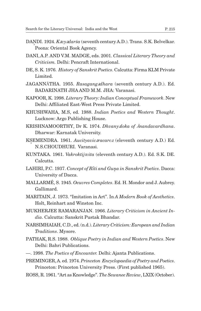- DANDI. 1924. *Kavyadarsa* (seventh century A.D.). Trans. S.K. Belvelkar. ´Poona: Oriental Book Agency. '
- DANI, A.P. AND V.M. MADGE, eds. 2001. *Classical Literary Theory and Criticism.* Delhi: Pencraft International.
- DE, S. K. 1976. *History of Sanskrit Poetics*. Calcutta: Firma KLM Private Limited.
- JAGANNATHA. 1955. *Rasagangadhara* (seventh century A.D.). Ed. BADARINATH JHA AND M.M. JHA: Varanasi.
- KAPOOR, K. 1998. *Literary Theory: Indian Conceptual Framework*. New Delhi: Affiliated East-West Press Private Limited.
- KHUSHWAHA, M.S, ed. 1988. *Indian Poetics and Western Thought*. Lucknow: Argo Publishing House.
- KRISHNAMOORTHY, Dr K. 1974. *Dhvanyaloka of Anandavardhana*. Dharwar: Karnatak University.
- KSEMENDRA. 1961. *Aucityavicaracarca* (eleventh century A.D.) Ed. N.S.CHOUDHURI. Varanasi. '
- KUNTAKA. 1961. *Vakroktijivita* (eleventh century A.D.). Ed. S.K. DE. Calcutta.
- LAHIRI, P.C. 1937. *Concept of Riti and Guna in Sanskrit Poetics*. Dacca: ' University of Dacca.
- MALLARMÉ, S. 1945. *Oeuvres Completes*. Ed. H. Mondor and J. Aubrey. Gallimard.
- MARITAIN, J. 1973. "Imitation in Art". In *A Modern Book of Aesthetics*. Holt, Reinhart and Winston Inc.
- MUKHERJEE RAMARANJAN. 1966. *Literary Criticism in Ancient India*. Calcutta: Sanskrit Pustak Bhandar.
- NARSIMHAIAH, C.D., ed. (n.d.). *Literary Criticism: European and Indian Traditions*. Mysore.
- PATHAK, R.S. 1988. *Oblique Poetry in Indian and Western Poetics*. New Delhi: Bahri Publications.
- —. 1998. *The Poetics of Encounter.* Delhi: Ajanta Publications.
- PREMINGER, A. ed. 1974. *Princeton Encyclopaedia of Poetry and Poetics*. Princeton: Princeton University Press. (First published 1965).
- ROSS, R. 1961. "Art as Knowledge". *The Sewanee Review*, LXIX (October).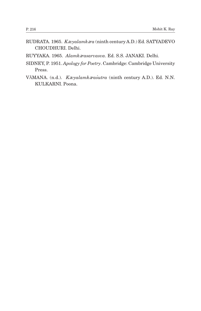- RUDRATA. 1965. *Kavyalamkara* (ninth century A.D.) Ed. SATYADEVO CHOUDHURI. Delhi.
- RUYYAKA. 1965. *Alamkarasarvasva*. Ed. S.S. JANAKI. Delhi.
- SIDNEY, P. 1951. *Apology for Poetry*. Cambridge: Cambridge University Press.
- VAMANA. (n.d.). *Kavyalamkarasutra* (ninth century A.D.). Ed. N.N. ´KULKARNI. Poona.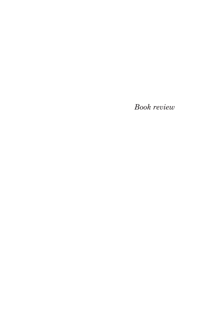*Book review*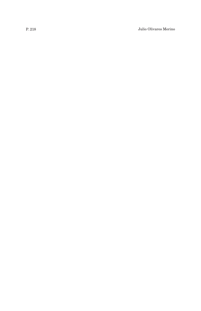P. 218 Julio Olivares Merino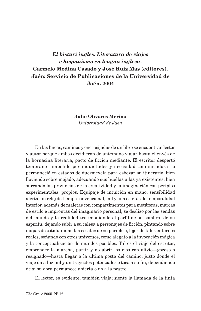## *El bisturí inglés. Literatura de viajes e hispanismo en lengua inglesa***. Carmelo Medina Casado y José Ruiz Mas (editores). Jaén: Servicio de Publicaciones de la Universidad de Jaén. 2004**

## **Julio Olivares Merino**

*Universidad de Jaén*

En las líneas, caminos y encrucijadas de un libro se encuentran lector y autor porque ambos decidieron de antemano viajar hasta el envés de la hornacina literaria, pacto de ficción mediante. El escritor despertó temprano—impelido por inquietudes y necesidad comunicadora—o permaneció en estados de duermevela para esbozar su itinerario, bien lloviendo sobre mojado, adecuando sus huellas a las ya existentes, bien surcando las provincias de la creatividad y la imaginación con periplos experimentales, propios. Equipaje de intuición en mano, sensibilidad alerta, un reloj de tiempo convencional, mil y una esferas de temporalidad interior, además de maletas con compartimentos para metáforas, marcas de estilo e improntas del imaginario personal, se deslizó por las sendas del mundo y la realidad testimoniando el perfil de su sombra, de su espíritu, dejando subir a su calesa a personajes de ficción, pintando sobre mapas de cotidianidad las escalas de su periplo o, lejos de tales entornos reales, soñando con otros universos, como alegato a la invocación mágica y la conceptualización de mundos posibles. Tal es el viaje del escritor, emprender la marcha, partir y no abrir los ojos con alivio—gozoso o resignado—hasta llegar a la última posta del camino, justo donde el viaje da a luz mil y un trayectos potenciales o toca a su fin, dependiendo de si su obra permanece abierta o no a la postre.

El lector, es evidente, también viaja; siente la llamada de la tinta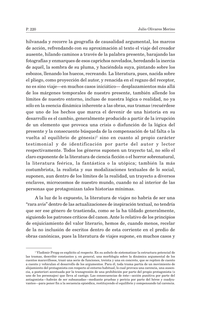hilvanada y recorre la geografía de causalidad argumental, los marcos de acción, refrendando con su aproximación al texto el viaje del creador ausente, hilando caminos a través de la palabra presente, barajando las fotografías y enmarques de esos caprichos novelados, heredando la inercia de aquél, la sombra de su pluma, y haciéndola suya, pintando sobre los esbozos, llenando los huecos, recreando. La literatura, pues, nacida sobre el pliego, como proyección del autor, y renacida en el regazo del receptor, no es sino viaje—en muchos casos iniciático— desplazamientos más allá de los márgenes temporales de nuestro presente, también allende los límites de nuestro entorno, incluso de nuestra lógica o realidad, no ya sólo en la esencia dinámica inherente a las obras, sus tramas (recuérdese que uno de los hechos que marca el devenir de una historia en su desarrollo es el cambio, generalmente producido a partir de la irrupción de un elemento que provoca una crisis o disfunción de la lógica del presente y la consecuente búsqueda de la compensación de tal falta o la vuelta al equilibrio de génesis $)^1$  sino en cuanto al propio carácter testimonial y de identificación por parte del autor y lector respectivamente. Todos los géneros suponen un trayecto tal, no sólo el claro exponente de la literatura de ciencia ficción o el horror sobrenatural, la literatura feérica, la fantástica o la utópica; también la más costumbrista, la realista y sus modalizaciones textuales de lo social, suponen, aun dentro de los límites de la realidad, un trayecto a diversos enclaves, microcosmos de nuestro mundo, cuando no al interior de las personas que protagonizan tales historias mínimas.

A la luz de lo expuesto, la literatura de viajes no habría de ser una "rara avis" dentro de las actualizaciones de inspiración textual, no tendría que ser ese género de trastienda, como se la ha tildado generalmente, siguiendo los patrones críticos del canon. Ante lo relativo de los principios de enjuiciamiento del valor literario, hemos de, cuando menos, recelar de la no inclusión de escritos dentro de esta corriente en el predio de obras canónicas, pues la literatura de viajes supone, en muchos casos y

<sup>1</sup> Vladimir Propp es explícito al respecto. En su anhelo de sistematizar la estructura potencial de las tramas, describir constantes y, en general, una morfología sobre la dinámica argumental de los cuentos maravillosos, trazó una serie de funciones, treinta y una en concreto, que se repiten de cuento a cuento y vehiculan el desarrollo de los argumentos. Para él, toda trama partía de un movimiento de alejamiento del protagonista con respecto al entorno habitual, lo cual provoca una carencia, una ausencia, a posteriori acentuada por la transgresión de una prohibición por parte del propio protagonista (o uno de los personajes) que lleva al castigo. Las consecuencias de éste—acción punitiva por parte del antagonista—habrán de ser subsanadas—mediante pruebas y pericia por parte del héroe y coadyuvantes—para poner fin a la secuencia episódica, restituyendo el equilibrio y compensando tal carencia.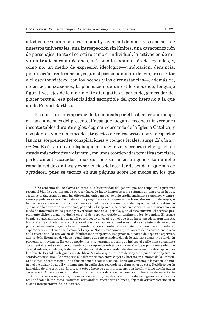a todas luces, un modo testimonial y vivencial de nuestros espacios, de nuestros universales, una introspección sin límites, una caracterización de personajes, tanto el colectivo como el individual, la activación de mil y una tradiciones autóctonas, así como la exhumación de leyendas, y, cómo no, un medio de expresión ideológica—vindicación, denuncia, justificación, reafirmación, según el posicionamiento del viajero escritor o el escritor viajero2 con los hechos y las circunstancias—, además de, no en pocas ocasiones, la plasmación de un estilo depurado, lenguaje figurativo, lejos de lo meramente divulgativo y, por ende, generador del placer textual, esa potencialidad escriptible del gozo literario a la que alude Roland Barthes.

En nuestra contemporaneidad, dominada por el best-seller que indaga en las asunciones del presente, líneas que juegan a reconstruir verdades incontestables durante siglos, dogmas sobre todo de la Iglesia Católica, y nos plantea viajes intrincados, trayectos de retrospectiva para despertar las más sorprendentes conspiraciones y códigos letales, surge *El bisturí inglés*. Es ésta una antología que nos devuelve la esencia del viaje en su estado más primitivo y disfrutal, con unas coordenadas temáticas precisas, perfectamente acotadas—más que necesarias en un género tan amplio como la red de caminos y experiencias del escritor de sendas—que son de agradecer, pues se teoriza en sus páginas sobre los modos en los que

<sup>2</sup> Es ésta una de las claves en torno a la literariedad del género que nos ocupa en la presente reseña si bien la cuestión puede parecer fuera de lugar, inmersos como estamos en una era en la que, según se dicta, están de más las diferencias entre modos de arte tradicionalmente canónicos y expresiones populares varias. Con todo, cabría preguntarse si cualquiera puede escribir un libro de viajes, si habría de establecerse una distinción entre aquel que escribe un diario de trayecto sin otra pretensión que no sea la de datar sus vivencias, por ende, el viajero que se torna en escritor al ser la anotación su modo de inmortalizar las postas y reverberaciones de su periplo, y, en el otro extremo, el escritor propiamente dicho, quizás no ducho en el viaje, pero convertido en testimoniador de sendas. El escaso bagaje o práctica literarios de aquél podría legar un escrito en el que todo fuese anécdota, aun directa, transparente y vívida; por el contrario, el prisma y las herramientas estilísticas de éste podrían monopolizar el recuento, llegar a la artificiosidad en detrimento de lo verosímil, la frescura e inmediatez espontánea y emotiva de la dicción del viajero. Nos cuestionamos, pues, acerca de la conveniencia o no de la recreación, la activación de fabulaciones subjetivas, imaginarias a partir de aspectos objetivos, dentro de la literatura de viajes y concluimos que esta remodelación de lo existente a partir de la visión personal es inevitable. En este sentido, nos atreveríamos a decir que incluso el estilo más puramente documental, el más aséptico, contendría una impronta subjetiva aunque sólo fuese por la mera elección de sustantivos, adjetivos, la disposición de las palabras o el orden de elementos en una descripción. Ya lo advierte Bernal Rodríguez en este libro, "es obvio que un libro de viajes no puede ser objetivo en sentido estricto" (65). Con respecto a la diferenciación entre viajero y literato en el marco de la literatura de viajes, apostamos por una solución a medio camino, un equilibrio que contemple la pasión indómita o el ojo avizor de aquél y la impostación estilística, recreadora y figurativa de éste. Decidirse por la idoneidad de uno u otro sería privar a este género de esa hibridez entre la ficción y la no ficción que la caracteriza. Al referirnos al productor de los diarios de viaje, hablemos simplemente de un actante dinámico, observador, escriba, que recorre el camino, descifra la impronta de los lugares, e incide en la realidad como la luz, como los sueños, activando su recreación en líneas, objeto de otras recreaciones en el seno interpretativo de los lectores.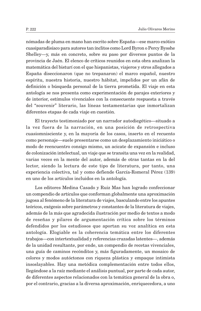nómadas de pluma en mano han escrito sobre España—ese marco exótico cuasiparadisíaco para autores tan ínclitos como Lord Byron o Percy Bysshe Shelley—y, más en concreto, sobre su paso por diversos puntos de la provincia de Jaén. El elenco de críticos reunidos en esta obra analizan la matemática del bisturí con el que hispanistas, viajeros y otros allegados a España diseccionaron (que no trepanaron) el marco español, nuestro espíritu, nuestra historia, nuestro hábitat, impelidos por un afán de definición o búsqueda personal de la tierra prometida. El viaje en esta antología se nos presenta como experimentación de parajes exteriores y de interior, estímulos vivenciales con la consecuente respuesta a través del "souvenir" literario, las líneas testamentarias que inmortalizan diferentes etapas de cada viaje en cuestión.

El trayecto testimoniado por un narrador autodiegético—situado a la vez fuera de la narración, en una posición de retrospectiva cuasiomnisciente y, en la mayoría de los casos, inserto en el recuento como personaje—suele presentarse como un desplazamiento iniciático o modo de reencuentro consigo mismo, un acicate de expansión e incluso de colonización intelectual, un viaje que se transita una vez en la realidad, varias veces en la mente del autor, además de otras tantas en la del lector, siendo la lectura de este tipo de literatura, por tanto, una experiencia colectiva, tal y como defiende García-Romeral Pérez (139) en uno de los artículos incluidos en la antología.

Los editores Medina Casado y Ruiz Mas han logrado confeccionar un compendio de artículos que conforman globalmente una aproximación jugosa al fenómeno de la literatura de viajes, basculando entre los apuntes teóricos, exégesis sobre parámetros y constantes de la literatura de viajes, además de la más que agradecida ilustración por medio de textos a modo de reseñas y pilares de argumentación crítica sobre los términos defendidos por los estudiosos que aportan su voz analítica en esta antología. Elogiable es la coherencia temática entre los diferentes trabajos—con intertextualidad y referencias cruzadas latentes—, además de la unidad resultante, por ende, un compendio de recetas vivenciales, una guía de caminos recónditos y, más figuradamente, un mosaico de colores y modos autóctonos con riqueza plástica y empaque intimista insoslayables. Hay una metódica complementación entre todos ellos, llegándose a la raíz mediante el análisis puntual, por parte de cada autor, de diferentes aspectos relacionados con la temática general de la obra o, por el contrario, gracias a la diversa aproximación, enriquecedora, a uno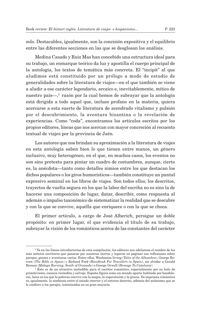solo. Destacables, igualmente, son la concisión expositiva y el equilibrio entre las diferentes secciones en las que se desglosan los análisis.

Medina Casado y Ruiz Mas han concebido una estructura ideal para su trabajo, un enmarque teórico da luz y apostilla el cuerpo principal de la antología, los textos de temática más concreta. El "incipit" al que aludimos está constituido por un prólogo a modo de estudio de generalidades sobre la literatura de viajes—en el que también se viene a aludir a ese carácter legendario, arcaico e, inevitablemente, mítico de nuestro país—,3 razón por la cual hemos de subrayar que la antología está dirigida a todo aquel que, incluso profano en la materia, quiera acercarse a esta suerte de literatura de acendrado vitalismo y pulsión por el descubrimiento, la aventura bizantina o la revelación de experiencias. Como "coda", encontramos los artículos escritos por los propios editores, líneas que nos acercan con mayor concreción al recuento textual de viajes por la provincia de Jaén.

Los autores que nos brindan su aproximación a la literatura de viajes en esta antología saben bien lo que tienen entre manos, un género inclusivo, muy heterogéneo, en el que, en muchos casos, los eventos no son sino pretexto para pintar un cuadro de costumbres, aunque, cierto es, la anécdota—tanto como detalles nimios entre los que destacan los dichos populares o los giros humorísticos—también constituye un puntal expresivo seminal en los libros de viajes. Son todos ellos, los descritos, trayectos de vuelta segura en los que la labor del escriba no es sino la de hacerse una composición de lugar, datar, describir, como respuesta al ademán o impulso taxonómico de sistematizar la realidad que se descubre y con la que se convive, aquélla que enriquece o con la que se choca.

El primer artículo, a cargo de José Alberich, persigue un doble propósito: en primer lugar, el que evidencia el título de su trabajo, subrayar la visión de los románticos acerca de las constantes del carácter

 $^3$  Ya en las líneas introductorias de esta compilación, los editores nos adelantan el nombre de los más señeros escritores que pasaron por nuestras tierras y legaron en páginas sus reflexiones sobre parajes, gentes y aventuras varios. Entre ellos, Washinton Irving (*Tales of the Alhambra*), George Borrow (*The Bible in Spain*) y Richard Ford (*Handbook For Travellers in Spain*), sin olvidar a Gerald Brenan (*Málaga Burning*, *South of Granada*) o George Orwell (*Homage To Catalonia*).

<sup>4</sup> Éste es de un atractivo ineludible para el escritor romántico, especialmente por su halo de primitivismo, esencia recóndita y salvaje. España figura como un mundo aparte habitado por bandoleros, lares en los que la pobreza convive con la magia, la superstición y la gracia. De impronta romántica es, igualmente, la simbiosis entre el estado interior y el entorno descrito, además del animismo que se le confiere a los parajes, tematizados en su gran mayoría.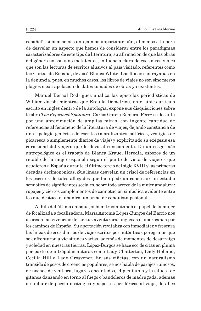español<sup>4</sup>, si bien se nos antoja más importante aún, al menos a la hora de desvelar un aspecto que hemos de considerar entre los paradigmas caracterizadores de este tipo de literatura, su afirmación de que las obras del género no son sino metatextos, influencia clara de esos otros viajes que son las lecturas de escritos alusivos al país visitado, referentes como las Cartas de España, de José Blanco White. Las líneas son rayanas en la denuncia, pues, en muchos casos, los libros de viajes no son sino meros plagios o extrapolación de datos tomados de obras ya existentes.

Manuel Bernal Rodríguez analiza las epístolas periodísticas de William Jacob, mientras que Eroulla Demetriou, en el único artículo escrito en inglés dentro de la antología, expone sus disquisiciones sobre la obra *The Reformed Spaniard*. Carlos García Romeral Pérez se decanta por una aproximación de amplias miras, con ingente cantidad de referencias al fenómeno de la literatura de viajes, dejando constancia de una tipología genérica de escritos (moralizantes, satíricos, vestigios de picaresca o simplemente diarios de viaje) y explicitando su exégesis esa curiosidad del viajero que lo lleva al conocimiento. De un sesgo más antropológico es el trabajo de Blanca Krauel Heredia, esbozos de un retablo de la mujer española según el punto de vista de viajeros que acudieron a España durante el último tercio del siglo XVIII y las primeras décadas decimonónicas. Sus líneas desvelan un crisol de referencias en los escritos de tales allegados que bien podrían constituir un estudio semiótico de significantes sociales, sobre todo acerca de la mujer andaluza: ropajes y ciertos complementos de connotación simbólica evidente entre los que destaca el abanico, un arma de conquista pasional.

Al hilo del último enfoque, si bien trasmutando el papel de la mujer de focalizada a focalizadora, María Antonia López-Burgos del Barrio nos acerca a las vivencias de ciertas aventureras inglesas o americanas por los caminos de España. Su aportación revitaliza con inmediatez y frescura las líneas de esos diarios de viaje escritos por auténticas peregrinas que se enfrentaron a vicisitudes varias, además de momentos de desarraigo y soledad en nuestras tierras. López-Burgos se hace eco de citas en pluma por parte de intrépidas autoras como Lady Chatterton, Lady Holland, Cecilia Hill o Lady Grosvenor. En sus viñetas, con un naturalismo transido de posos de creencias populares, se nos habla de parajes ruinosos, de noches de ventisca, lugares encantados, el plenilunio y la silueta de gitanos danzando en torno al fuego o bandoleros de madrugada, además de imbuir de poesía nostálgica y aspectos periféricos al viaje, detalles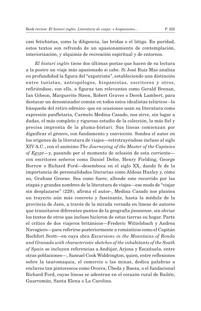casi fetichistas, como la diligencia, las bridas o el látigo. En puridad, estos textos son refrendo de un apasionamiento de contemplación, interiorización, y alquimia de recreación espiritual y de entornos.

*El bisturí inglés* tiene dos últimas postas que hacen de su lectura a la postre un viaje más apasionado si cabe. Si José Ruiz Mas analiza en profundidad la figura del "expatriate", estableciendo una distinción entre turistas, antropólogos, hispanistas, escritores y otros, refiriéndose, con ello, a figuras tan relevantes como Gerald Brenan, Ian Gibson, Marguerite Steen, Robert Graves o Derek Lambert, para destacar un denominador común en todos estos idealistas telúricos –la búsqueda del retiro edénico- que en ocasiones usan su literatura como expresión panfletaria, Carmelo Medina Casado, nos sirve, sin lugar a dudas, el más completo y riguroso estudio de la colección, la más fiel y precisa impronta de la pluma-bisturí. Sus líneas comienzan por dignificar el género, con fundamento y convicción. Sondea el autor en los orígenes de la literatura de viajes—retrotrayéndose incluso al siglo XIV A.C., con el anónimo *The Journeying of the Master of the Captains of Egypt*—y, pasando por el momento de eclosión de esta corriente con escritores señeros como Daniel Defoe, Henry Fielding, George Borrow o Richard Ford—desemboca en el siglo XX, dando fe de la importancia de personalidades literarias como Aldous Huxley y, cómo no, Graham Greene. Sea como fuere, allende este recorrido por las etapas y grandes nombres de la literatura de viajes—ese modo de "viajar sin desplazarse" (229), afirma el autor-, Medina Casado nos plantea un trayecto aún más concreto y fascinante, hasta la médula de la provincia de Jaén, a través de la mirada versada en líneas de autores que transitaron diferentes puntos de la geografía jiennense, sin obviar los textos de otros que incluso hicieron de estas tierras su hogar. Parte el crítico de dos viajeros británicos—Frederic Wittelsbach y Andrea Navagiero—para referirse posteriormente a románticos como el Capitán Rochfort Scott—en cuya obra *Excursions in the Mountains of Ronda and Granada with characteristic sketches of the inhabitants of the South of Spain* se incluyen referencias a Andújar, Arjona y Escañuela, entre otras poblaciones—, Samuel Cook Widdrington, quien, entre reflexiones sobre la tauromaquia, el comercio o las minas, dedica palabras a enclaves tan pintorescos como Orcera, Úbeda y Baeza, o el fundacional Richard Ford, cuyas líneas se adentran en el corazón rural de Bailén, Guarromán, Santa Elena o La Carolina.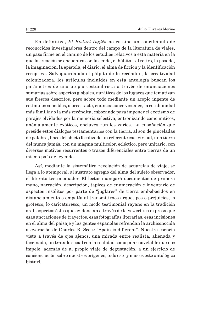En definitiva, *El Bisturí Inglés* no es sino un conciliábulo de reconocidos investigadores dentro del campo de la literatura de viajes, un paso firme en el camino de los estudios relativos a esta materia en la que la creación se encuentra con la senda, el hábitat, el retiro, la posada, la imaginación, la epístola, el diario, el alma de ficción y la identificación receptiva. Salvaguardando el pálpito de lo recóndito, la creatividad colonizadora, los artículos incluidos en esta antología buscan los parámetros de una utopía costumbrista a través de enunciaciones sumarias sobre aspectos globales, auráticos de los lugares que tematizan sus frescos descritos, pero sobre todo mediante un acopio ingente de estímulos sensibles, olores, tacto, enunciaciones visuales, la cotidianidad más familiar o la más recóndita, esbozando para imponer el exotismo de parajes olvidados por la memoria selectiva, entronizando como míticos, anómalamente exóticos, enclaves rurales varios. La ensoñación que preside estos diálogos testamentarios con la tierra, al son de pinceladas de palabra, hace del objeto focalizado un referente casi virtual, una tierra del nunca jamás, con un magma multicolor, ecléctico, pero unitario, con diversos motivos recurrentes o trazos diferenciales entre tierras de un mismo país de leyenda.

Así, mediante la sistemática revelación de acuarelas de viaje, se llega a lo atemporal, al sustrato egregio del alma del sujeto observador, el literato testimoniador. El lector manejará documentos de primera mano, narración, descripción, tapices de enumeración e inventario de aspectos insólitos por parte de "juglares" de tierra embebecidos en distanciamiento o empatía al transmitirnos arquetipos o prejuicios, lo grotesco, lo caricaturesco, un modo testimonial rayano en la tradición oral, aspectos éstos que evidencian a través de la voz crítica expresa que esas anotaciones de trayectos, esas fotografías literarias, esas incisiones en el alma del paisaje y las gentes españolas refrendan la archiconocida aseveración de Charles R. Scott: "Spain is different". Nuestra esencia vista a través de ojos ajenos, una mirada entre realista, alienada y fascinada, un tratado social con la realidad como pilar novelable que nos impele, además de al propio viaje de degustación, a un ejercicio de concienciación sobre nuestros orígenes; todo esto y más es este antológico bisturí.